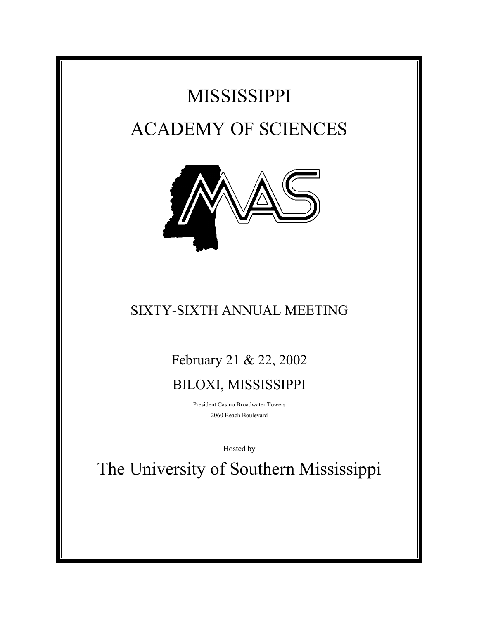# MISSISSIPPI ACADEMY OF SCIENCES



# SIXTY-SIXTH ANNUAL MEETING

February 21 & 22, 2002

# BILOXI, MISSISSIPPI

President Casino Broadwater Towers 2060 Beach Boulevard

Hosted by

The University of Southern Mississippi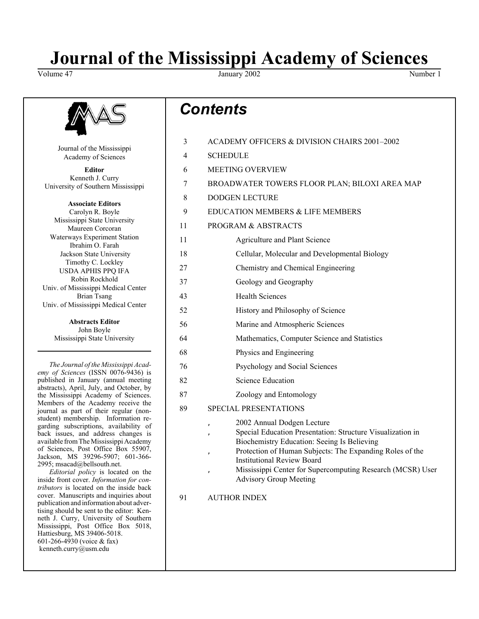# **Journal of the Mississippi Academy of Sciences**

Volume 47 Number 1 January 2002 Mumber 1

Journal of the Mississippi Academy of Sciences

**Editor** Kenneth J. Curry University of Southern Mississippi

**Associate Editors**

Carolyn R. Boyle Mississippi State University Maureen Corcoran Waterways Experiment Station Ibrahim O. Farah Jackson State University Timothy C. Lockley USDA APHIS PPQ IFA Robin Rockhold Univ. of Mississippi Medical Center Brian Tsang Univ. of Mississippi Medical Center

> **Abstracts Editor** John Boyle Mississippi State University

*The Journal of the Mississippi Academy of Sciences* (ISSN 0076-9436) is published in January (annual meeting abstracts), April, July, and October, by the Mississippi Academy of Sciences. Members of the Academy receive the journal as part of their regular (nonstudent) membership. Information regarding subscriptions, availability of back issues, and address changes is available from The Mississippi Academy of Sciences, Post Office Box 55907, Jackson, MS 39296-5907; 601-366- 2995; msacad@bellsouth.net.

*Editorial policy* is located on the inside front cover. *Information for contributors* is located on the inside back cover. Manuscripts and inquiries about publication and information about advertising should be sent to the editor: Kenneth J. Curry, University of Southern Mississippi, Post Office Box 5018, Hattiesburg, MS 39406-5018. 601-266-4930 (voice & fax) kenneth.curry@usm.edu

# *Contents*

- 3 ACADEMY OFFICERS & DIVISION CHAIRS 2001–2002
- 4 SCHEDULE
- 6 MEETING OVERVIEW
- 7 BROADWATER TOWERS FLOOR PLAN; BILOXI AREA MAP
- 8 DODGEN LECTURE
- 9 EDUCATION MEMBERS & LIFE MEMBERS
- 11 PROGRAM & ABSTRACTS
- 11 Agriculture and Plant Science
- 18 Cellular, Molecular and Developmental Biology
- 27 Chemistry and Chemical Engineering
- 37 Geology and Geography
- 43 Health Sciences
- 52 History and Philosophy of Science
- 56 Marine and Atmospheric Sciences
- 64 Mathematics, Computer Science and Statistics
- 68 Physics and Engineering
- 76 Psychology and Social Sciences
- 82 Science Education
- 87 Zoology and Entomology
- 89 SPECIAL PRESENTATIONS
	- ' 2002 Annual Dodgen Lecture
	- Special Education Presentation: Structure Visualization in
	- Biochemistry Education: Seeing Is Believing
	- Protection of Human Subjects: The Expanding Roles of the Institutional Review Board
	- ' Mississippi Center for Supercomputing Research (MCSR) User Advisory Group Meeting

91 AUTHOR INDEX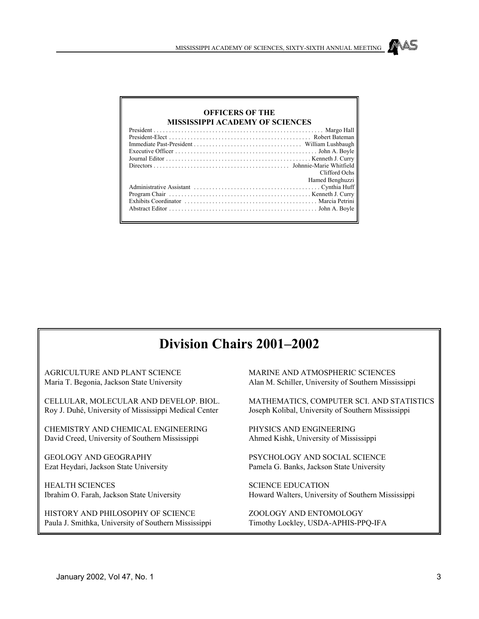| <b>OFFICERS OF THE</b>          |                 |  |  |  |  |  |
|---------------------------------|-----------------|--|--|--|--|--|
| MISSISSIPPI ACADEMY OF SCIENCES |                 |  |  |  |  |  |
|                                 |                 |  |  |  |  |  |
|                                 |                 |  |  |  |  |  |
|                                 |                 |  |  |  |  |  |
|                                 |                 |  |  |  |  |  |
|                                 |                 |  |  |  |  |  |
|                                 |                 |  |  |  |  |  |
|                                 | Clifford Ochs   |  |  |  |  |  |
|                                 | Hamed Benghuzzi |  |  |  |  |  |
|                                 |                 |  |  |  |  |  |
|                                 |                 |  |  |  |  |  |
|                                 |                 |  |  |  |  |  |
|                                 |                 |  |  |  |  |  |

# **Division Chairs 2001–2002**

AGRICULTURE AND PLANT SCIENCE Maria T. Begonia, Jackson State University

CELLULAR, MOLECULAR AND DEVELOP. BIOL. Roy J. Duhé, University of Mississippi Medical Center

CHEMISTRY AND CHEMICAL ENGINEERING David Creed, University of Southern Mississippi

GEOLOGY AND GEOGRAPHY Ezat Heydari, Jackson State University

HEALTH SCIENCES Ibrahim O. Farah, Jackson State University

HISTORY AND PHILOSOPHY OF SCIENCE Paula J. Smithka, University of Southern Mississippi MARINE AND ATMOSPHERIC SCIENCES Alan M. Schiller, University of Southern Mississippi

MATHEMATICS, COMPUTER SCI. AND STATISTICS Joseph Kolibal, University of Southern Mississippi

PHYSICS AND ENGINEERING Ahmed Kishk, University of Mississippi

PSYCHOLOGY AND SOCIAL SCIENCE Pamela G. Banks, Jackson State University

SCIENCE EDUCATION Howard Walters, University of Southern Mississippi

ZOOLOGY AND ENTOMOLOGY Timothy Lockley, USDA-APHIS-PPQ-IFA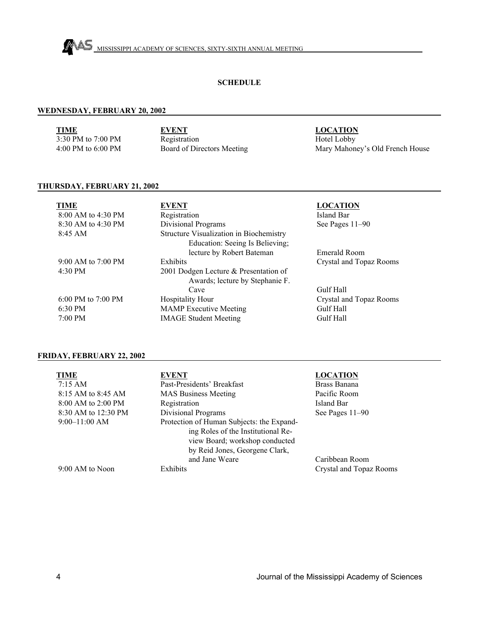

#### **SCHEDULE**

#### **WEDNESDAY, FEBRUARY 20, 2002**

**TIME** 3:30 PM to 7:00 PM 4:00 PM to 6:00 PM

**EVENT** Registration Board of Directors Meeting **LOCATION** Hotel Lobby Mary Mahoney's Old French House

#### **THURSDAY, FEBRUARY 21, 2002**

| TIME                 | EVENT                                   | <b>LOCATION</b>         |
|----------------------|-----------------------------------------|-------------------------|
| 8:00 AM to 4:30 PM   | Registration                            | Island Bar              |
| 8:30 AM to 4:30 PM   | <b>Divisional Programs</b>              | See Pages 11-90         |
| $8:45$ AM            | Structure Visualization in Biochemistry |                         |
|                      | Education: Seeing Is Believing;         |                         |
|                      | lecture by Robert Bateman               | Emerald Room            |
| $9:00$ AM to 7:00 PM | Exhibits                                | Crystal and Topaz Rooms |
| $4:30 \text{ PM}$    | 2001 Dodgen Lecture & Presentation of   |                         |
|                      | Awards; lecture by Stephanie F.         |                         |
|                      | Cave                                    | Gulf Hall               |
| 6:00 PM to 7:00 PM   | <b>Hospitality Hour</b>                 | Crystal and Topaz Rooms |
| $6:30$ PM            | <b>MAMP</b> Executive Meeting           | Gulf Hall               |
| $7:00 \text{ PM}$    | <b>IMAGE Student Meeting</b>            | Gulf Hall               |
|                      |                                         |                         |

#### **FRIDAY, FEBRUARY 22, 2002**

| TIME                | <b>EVENT</b>                              | <b>LOCATION</b>         |
|---------------------|-------------------------------------------|-------------------------|
| 7:15 AM             | Past-Presidents' Breakfast                | Brass Banana            |
| 8:15 AM to 8:45 AM  | <b>MAS Business Meeting</b>               | Pacific Room            |
| 8:00 AM to 2:00 PM  | Registration                              | Island Bar              |
| 8:30 AM to 12:30 PM | Divisional Programs                       | See Pages 11–90         |
| $9:00-11:00$ AM     | Protection of Human Subjects: the Expand- |                         |
|                     | ing Roles of the Institutional Re-        |                         |
|                     | view Board; workshop conducted            |                         |
|                     | by Reid Jones, Georgene Clark,            |                         |
|                     | and Jane Weare                            | Caribbean Room          |
| 9:00 AM to Noon     | Exhibits                                  | Crystal and Topaz Rooms |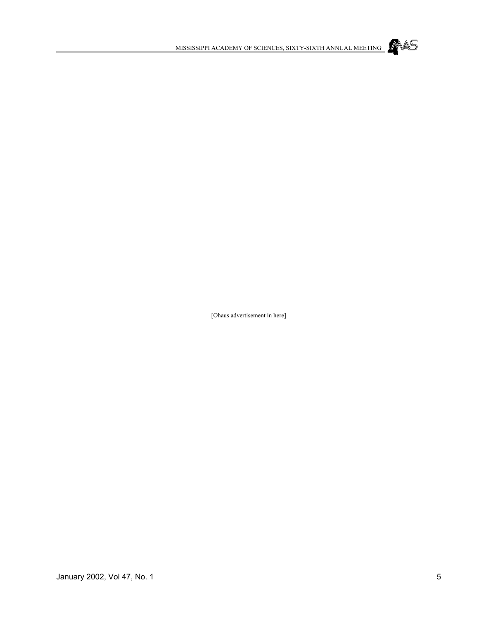

[Ohaus advertisement in here]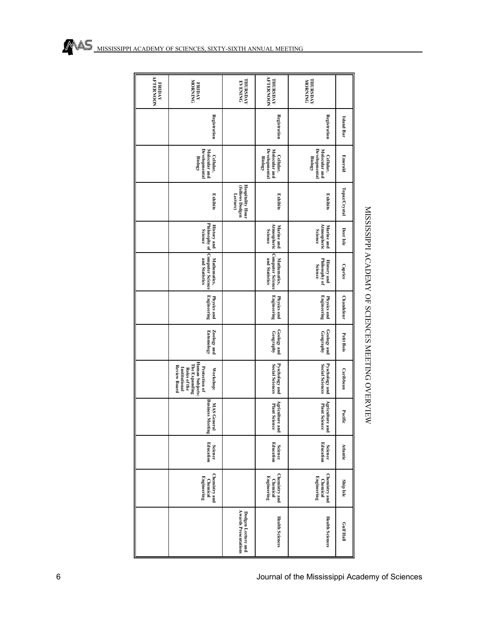| <b>AFTERNOON</b><br>тяпы | <b>FRIDAY</b><br>MORNING                                                                                               | THURSDAY<br><b>EVENING</b>                             | THURSDAY<br>AFTERNOON                                         | <b>THURSDAY</b><br>YACRNING                                   |                   |
|--------------------------|------------------------------------------------------------------------------------------------------------------------|--------------------------------------------------------|---------------------------------------------------------------|---------------------------------------------------------------|-------------------|
|                          | <b>Registration</b>                                                                                                    |                                                        | <b>Registration</b>                                           | <b>Registration</b>                                           | Island Bar        |
|                          | Molecular and<br>Developmental<br>Cellular,<br><b>Biology</b>                                                          |                                                        | Molecular and<br>Developmental<br>Cellular,<br><b>Biology</b> | Molecular and<br>Developmental<br>Cellular,<br><b>Biology</b> | Emerald           |
|                          | <b>Exhibits</b>                                                                                                        | <b>Hospitality Hour</b><br>(follows Dodgen<br>Lecture) | <b>Exhibits</b>                                               | <b>Exhibits</b>                                               | Topaz/Crystal     |
|                          | <b>History and</b><br>Philosophy of<br><b>Science</b>                                                                  |                                                        | Atmospheric<br>Science<br><b>Marine</b> and                   | Atmospheric<br>Science<br><b>Marine</b> and                   | Deer Isle         |
|                          | Computer Science<br>Mathematics,<br>and Statistics                                                                     |                                                        | Mathematics,<br>Computer Science<br>and Statistics            | Philosophy of<br><b>History and</b><br><b>Science</b>         | Caprice           |
|                          | Physics and<br>Engineering                                                                                             |                                                        | <b>Engineering</b><br>Physics and                             | Physics and<br>Engineering                                    | <b>Chandeleur</b> |
|                          | Zoology and<br>Entomology                                                                                              |                                                        | Geology and<br>Geography                                      | Geology and<br>Geography                                      | Petit Bois        |
|                          | Human Subjects:<br>The Expanding<br><b>Review Board</b><br>Protection of<br>Institutional<br>Roles of the<br>Workshop: |                                                        | Pyschology and<br>Social Sciences                             | Pyschology and<br>Social Sciences                             | Caribbean         |
|                          | <b>Business Meeting</b><br><b>MAS General</b>                                                                          |                                                        | <b>Agriculture and<br/>Plant Science</b>                      | Agriculture and<br>Plant Science                              | Pacific           |
|                          | <b>Science</b><br>Education                                                                                            |                                                        | <b>Science</b><br>Education                                   | <b>Science</b><br>Education                                   | <b>Atlantic</b>   |
|                          | Chemistry and<br><b>Engineering</b><br>Chemical                                                                        |                                                        | Chemistry and<br>Chemical<br><b>Engineering</b>               | Chemistry and<br>Chemical<br><b>Engineering</b>               | Ship Isle         |
|                          |                                                                                                                        | <b>Awards Presentations</b><br>Dodgen Lecture and      | <b>Health Sciences</b>                                        | <b>Health Sciences</b>                                        | Gulf Hall         |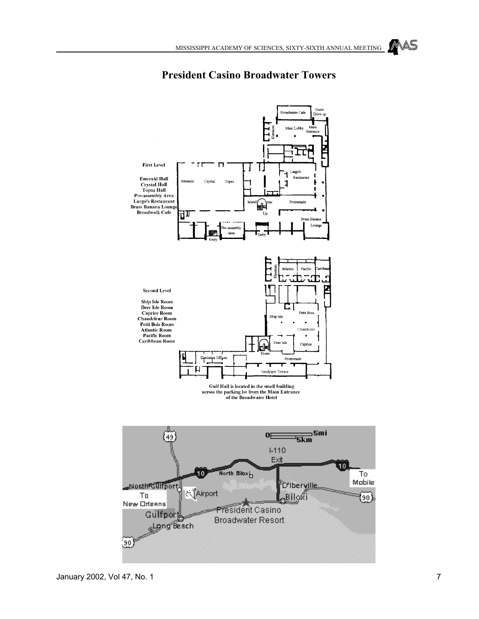## **President Casino Broadwater Towers**

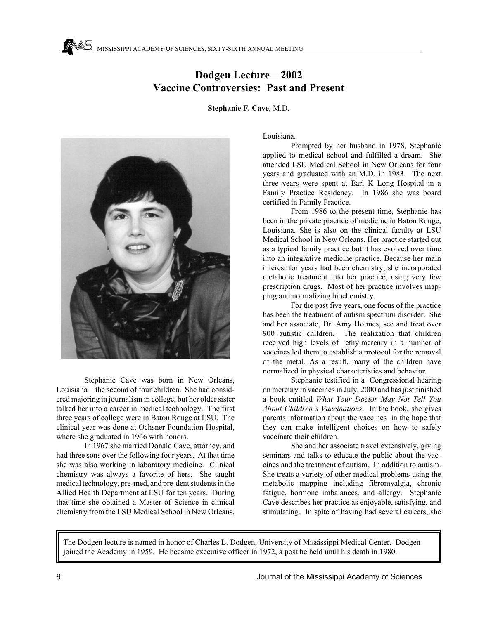## **Dodgen Lecture—2002 Vaccine Controversies: Past and Present**

**Stephanie F. Cave**, M.D.



Stephanie Cave was born in New Orleans, Louisiana—the second of four children. She had considered majoring in journalism in college, but her older sister talked her into a career in medical technology. The first three years of college were in Baton Rouge at LSU. The clinical year was done at Ochsner Foundation Hospital, where she graduated in 1966 with honors.

In 1967 she married Donald Cave, attorney, and had three sons over the following four years. At that time she was also working in laboratory medicine. Clinical chemistry was always a favorite of hers. She taught medical technology, pre-med, and pre-dent students in the Allied Health Department at LSU for ten years. During that time she obtained a Master of Science in clinical chemistry from the LSU Medical School in New Orleans,

Louisiana.

Prompted by her husband in 1978, Stephanie applied to medical school and fulfilled a dream. She attended LSU Medical School in New Orleans for four years and graduated with an M.D. in 1983. The next three years were spent at Earl K Long Hospital in a Family Practice Residency. In 1986 she was board certified in Family Practice.

From 1986 to the present time, Stephanie has been in the private practice of medicine in Baton Rouge, Louisiana. She is also on the clinical faculty at LSU Medical School in New Orleans. Her practice started out as a typical family practice but it has evolved over time into an integrative medicine practice. Because her main interest for years had been chemistry, she incorporated metabolic treatment into her practice, using very few prescription drugs. Most of her practice involves mapping and normalizing biochemistry.

For the past five years, one focus of the practice has been the treatment of autism spectrum disorder. She and her associate, Dr. Amy Holmes, see and treat over 900 autistic children. The realization that children received high levels of ethylmercury in a number of vaccines led them to establish a protocol for the removal of the metal. As a result, many of the children have normalized in physical characteristics and behavior.

Stephanie testified in a Congressional hearing on mercury in vaccines in July, 2000 and has just finished a book entitled *What Your Doctor May Not Tell You About Children's Vaccinations*. In the book, she gives parents information about the vaccines in the hope that they can make intelligent choices on how to safely vaccinate their children.

She and her associate travel extensively, giving seminars and talks to educate the public about the vaccines and the treatment of autism. In addition to autism. She treats a variety of other medical problems using the metabolic mapping including fibromyalgia, chronic fatigue, hormone imbalances, and allergy. Stephanie Cave describes her practice as enjoyable, satisfying, and stimulating. In spite of having had several careers, she

The Dodgen lecture is named in honor of Charles L. Dodgen, University of Mississippi Medical Center. Dodgen joined the Academy in 1959. He became executive officer in 1972, a post he held until his death in 1980.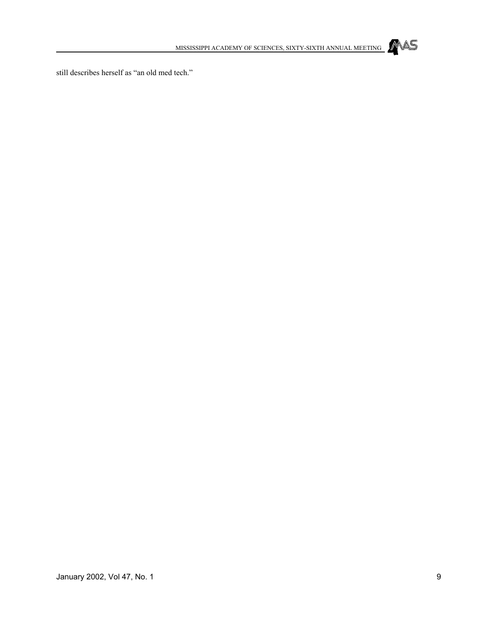

still describes herself as "an old med tech."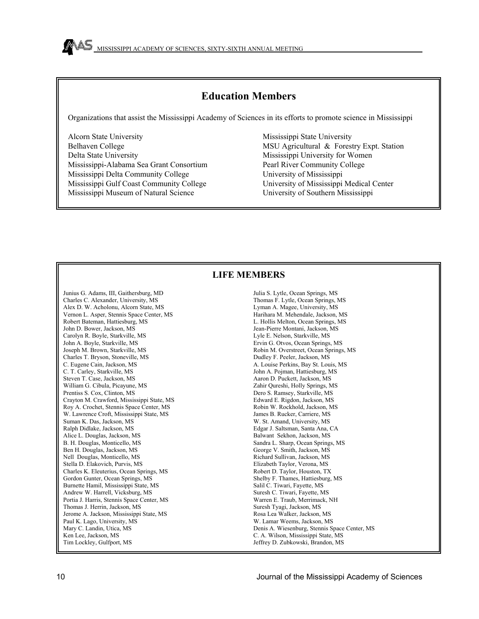

## **Education Members**

Organizations that assist the Mississippi Academy of Sciences in its efforts to promote science in Mississippi

Alcorn State University Belhaven College Delta State University Mississippi-Alabama Sea Grant Consortium Mississippi Delta Community College Mississippi Gulf Coast Community College Mississippi Museum of Natural Science

Mississippi State University MSU Agricultural & Forestry Expt. Station Mississippi University for Women Pearl River Community College University of Mississippi University of Mississippi Medical Center University of Southern Mississippi

#### **LIFE MEMBERS**

Junius G. Adams, III, Gaithersburg, MD Charles C. Alexander, University, MS Alex D. W. Acholonu, Alcorn State, MS Vernon L. Asper, Stennis Space Center, MS Robert Bateman, Hattiesburg, MS John D. Bower, Jackson, MS Carolyn R. Boyle, Starkville, MS John A. Boyle, Starkville, MS Joseph M. Brown, Starkville, MS Charles T. Bryson, Stoneville, MS C. Eugene Cain, Jackson, MS C. T. Carley, Starkville, MS Steven T. Case, Jackson, MS William G. Cibula, Picayune, MS Prentiss S. Cox, Clinton, MS Crayton M. Crawford, Mississippi State, MS Roy A. Crochet, Stennis Space Center, MS W. Lawrence Croft, Mississippi State, MS Suman K. Das, Jackson, MS Ralph Didlake, Jackson, MS Alice L. Douglas, Jackson, MS B. H. Douglas, Monticello, MS Ben H. Douglas, Jackson, MS Nell Douglas, Monticello, MS Stella D. Elakovich, Purvis, MS Charles K. Eleuterius, Ocean Springs, MS Gordon Gunter, Ocean Springs, MS Burnette Hamil, Mississippi State, MS Andrew W. Harrell, Vicksburg, MS Portia J. Harris, Stennis Space Center, MS Thomas J. Herrin, Jackson, MS Jerome A. Jackson, Mississippi State, MS Paul K. Lago, University, MS Mary C. Landin, Utica, MS Ken Lee, Jackson, MS Tim Lockley, Gulfport, MS

Julia S. Lytle, Ocean Springs, MS Thomas F. Lytle, Ocean Springs, MS Lyman A. Magee, University, MS Harihara M. Mehendale, Jackson, MS L. Hollis Melton, Ocean Springs, MS Jean-Pierre Montani, Jackson, MS Lyle E. Nelson, Starkville, MS Ervin G. Otvos, Ocean Springs, MS Robin M. Overstreet, Ocean Springs, MS Dudley F. Peeler, Jackson, MS A. Louise Perkins, Bay St. Louis, MS John A. Pojman, Hattiesburg, MS Aaron D. Puckett, Jackson, MS Zahir Qureshi, Holly Springs, MS Dero S. Ramsey, Starkville, MS Edward E. Rigdon, Jackson, MS Robin W. Rockhold, Jackson, MS James B. Rucker, Carriere, MS W. St. Amand, University, MS Edgar J. Saltsman, Santa Ana, CA Balwant Sekhon, Jackson, MS Sandra L. Sharp, Ocean Springs, MS George V. Smith, Jackson, MS Richard Sullivan, Jackson, MS Elizabeth Taylor, Verona, MS Robert D. Taylor, Houston, TX Shelby F. Thames, Hattiesburg, MS Salil C. Tiwari, Fayette, MS Suresh C. Tiwari, Fayette, MS Warren E. Traub, Merrimack, NH Suresh Tyagi, Jackson, MS Rosa Lea Walker, Jackson, MS W. Lamar Weems, Jackson, MS Denis A. Wiesenburg, Stennis Space Center, MS C. A. Wilson, Mississippi State, MS Jeffrey D. Zubkowski, Brandon, MS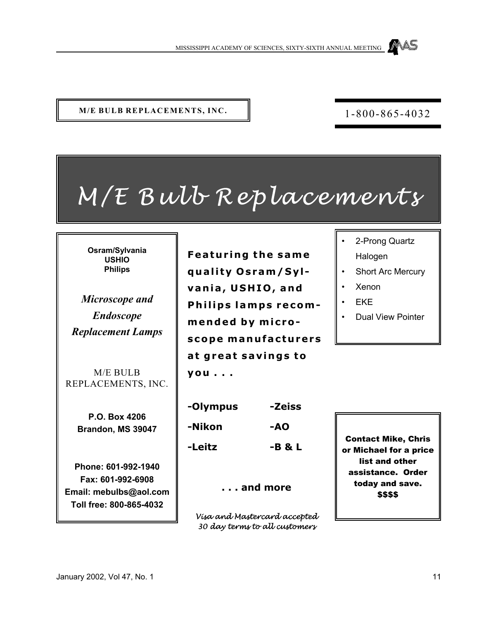**M/E BULB REPLACEMENTS, INC.**  $\parallel$  1-800-865-4032

# *M/E Bulb Replacements*

**Osram/Sylvania USHIO Philips**

*Microscope and Endoscope Replacement Lamps*

M/E BULB REPLACEMENTS, INC.

> **P.O. Box 4206 Brandon, MS 39047**

**Phone: 601-992-1940 Fax: 601-992-6908 Email: mebulbs@aol.com Toll free: 800-865-4032**

**Featuring the same quality Osram/Sylvania, USHIO, and Philips lamps recommended by microscope manufacturers at great savings to you . . .**

| -Olympus | -Zeiss |  |  |
|----------|--------|--|--|
| -Nikon   | -AO    |  |  |
| -Leitz   | -B & L |  |  |

**. . . and more**

*Visa and Mastercard accepted 30 day terms to all customers*

- 2-Prong Quartz Halogen
- Short Arc Mercury
- Xenon
- EKE
- Dual View Pointer

Contact Mike, Chris or Michael for a price list and other assistance. Order today and save. \$\$\$\$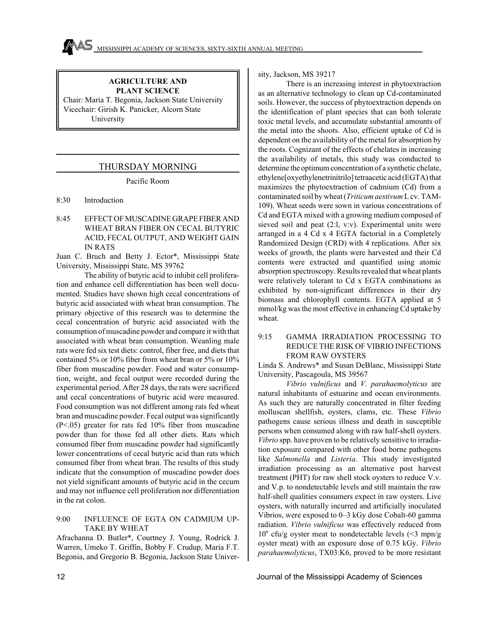#### **AGRICULTURE AND PLANT SCIENCE**

Chair: Maria T. Begonia, Jackson State University Vicechair: Girish K. Panicker, Alcorn State University

#### THURSDAY MORNING

#### Pacific Room

8:30 Introduction

8:45 EFFECT OF MUSCADINE GRAPE FIBER AND WHEAT BRAN FIBER ON CECAL BUTYRIC ACID, FECAL OUTPUT, AND WEIGHT GAIN IN RATS

Juan C. Bruch and Betty J. Ector\*, Mississippi State University, Mississippi State, MS 39762

The ability of butyric acid to inhibit cell proliferation and enhance cell differentiation has been well documented. Studies have shown high cecal concentrations of butyric acid associated with wheat bran consumption. The primary objective of this research was to determine the cecal concentration of butyric acid associated with the consumption of muscadine powder and compare it with that associated with wheat bran consumption. Weanling male rats were fed six test diets: control, fiber free, and diets that contained 5% or 10% fiber from wheat bran or 5% or 10% fiber from muscadine powder. Food and water consumption, weight, and fecal output were recorded during the experimental period. After 28 days, the rats were sacrificed and cecal concentrations of butyric acid were measured. Food consumption was not different among rats fed wheat bran and muscadine powder. Fecal output was significantly (P<.05) greater for rats fed 10% fiber from muscadine powder than for those fed all other diets. Rats which consumed fiber from muscadine powder had significantly lower concentrations of cecal butyric acid than rats which consumed fiber from wheat bran. The results of this study indicate that the consumption of muscadine powder does not yield significant amounts of butyric acid in the cecum and may not influence cell proliferation nor differentiation in the rat colon.

#### 9:00 INFLUENCE OF EGTA ON CADMIUM UP-TAKE BY WHEAT

Afrachanna D. Butler\*, Courtney J. Young, Rodrick J. Warren, Umeko T. Griffin, Bobby F. Crudup, Maria F.T. Begonia, and Gregorio B. Begonia, Jackson State Univer-

#### sity, Jackson, MS 39217

There is an increasing interest in phytoextraction as an alternative technology to clean up Cd-contaminated soils. However, the success of phytoextraction depends on the identification of plant species that can both tolerate toxic metal levels, and accumulate substantial amounts of the metal into the shoots. Also, efficient uptake of Cd is dependent on the availability of the metal for absorption by the roots. Cognizant of the effects of chelates in increasing the availability of metals, this study was conducted to determine the optimum concentration of a synthetic chelate, ethylene[oxyethylenetrinitrilo] tetraacetic acid (EGTA) that maximizes the phytoextraction of cadmium (Cd) from a contaminated soil by wheat (*Triticum aestivum* L cv. TAM-109). Wheat seeds were sown in various concentrations of Cd and EGTA mixed with a growing medium composed of sieved soil and peat (2:l, v:v). Experimental units were arranged in a 4 Cd x 4 EGTA factorial in a Completely Randomized Design (CRD) with 4 replications. After six weeks of growth, the plants were harvested and their Cd contents were extracted and quantified using atomic absorption spectroscopy. Results revealed that wheat plants were relatively tolerant to Cd x EGTA combinations as exhibited by non-significant differences in their dry biomass and chlorophyll contents. EGTA applied at 5 mmol/kg was the most effective in enhancing Cd uptake by wheat.

#### 9:15 GAMMA IRRADIATION PROCESSING TO REDUCE THE RISK OF VIBRIO INFECTIONS FROM RAW OYSTERS

Linda S. Andrews\* and Susan DeBlanc, Mississippi State University, Pascagoula, MS 39567

*Vibrio vulnificus* and *V. parahaemolyticus* are natural inhabitants of estuarine and ocean environments. As such they are naturally concentrated in filter feeding molluscan shellfish, oysters, clams, etc. These *Vibrio* pathogens cause serious illness and death in susceptible persons when consumed along with raw half-shell oysters. *Vibrio* spp. have proven to be relatively sensitive to irradiation exposure compared with other food borne pathogens like *Salmonella* and *Listeria*. This study investigated irradiation processing as an alternative post harvest treatment (PHT) for raw shell stock oysters to reduce V.v. and V.p. to nondetectable levels and still maintain the raw half-shell qualities consumers expect in raw oysters. Live oysters, with naturally incurred and artificially inoculated Vibrios, were exposed to 0–3 kGy dose Cobalt-60 gamma radiation. *Vibrio vulnificus* was effectively reduced from 106 cfu/g oyster meat to nondetectable levels (<3 mpn/g oyster meat) with an exposure dose of 0.75 kGy. *Vibrio parahaemolyticus*, TX03:K6, proved to be more resistant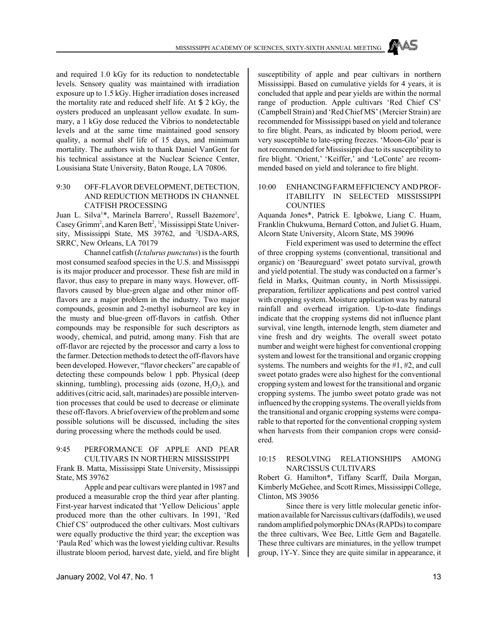and required 1.0 kGy for its reduction to nondetectable levels. Sensory quality was maintained with irradiation exposure up to 1.5 kGy. Higher irradiation doses increased the mortality rate and reduced shelf life. At \$ 2 kGy, the oysters produced an unpleasant yellow exudate. In summary, a 1 kGy dose reduced the Vibrios to nondetectable levels and at the same time maintained good sensory quality, a normal shelf life of 15 days, and minimum mortality. The authors wish to thank Daniel VanGent for his technical assistance at the Nuclear Science Center, Lousisiana State University, Baton Rouge, LA 70806.

#### 9:30 OFF-FLAVOR DEVELOPMENT, DETECTION, AND REDUCTION METHODS IN CHANNEL CATFISH PROCESSING

Juan L. Silva<sup>1\*</sup>, Marinela Barrero<sup>1</sup>, Russell Bazemore<sup>1</sup>, Casey Grimm<sup>2</sup>, and Karen Bett<sup>2</sup>, <sup>1</sup>Mississippi State University, Mississippi State, MS 39762, and <sup>2</sup>USDA-ARS, SRRC, New Orleans, LA 70179

Channel catfish (*Ictalurus punctatus*) is the fourth most consumed seafood species in the U.S. and Mississppi is its major producer and processor. These fish are mild in flavor, thus easy to prepare in many ways. However, offflavors caused by blue-green algae and other minor offflavors are a major problem in the industry. Two major compounds, geosmin and 2-methyl isoburneol are key in the musty and blue-green off-flavors in catfish. Other compounds may be responsible for such descriptors as woody, chemical, and putrid, among many. Fish that are off-flavor are rejected by the processor and carry a loss to the farmer. Detection methods to detect the off-flavors have been developed. However, "flavor checkers" are capable of detecting these compounds below 1 ppb. Physical (deep skinning, tumbling), processing aids (ozone,  $H_2O_2$ ), and additives (citric acid, salt, marinades) are possible intervention processes that could be used to decrease or eliminate these off-flavors. A brief overview of the problem and some possible solutions will be discussed, including the sites during processing where the methods could be used.

#### 9:45 PERFORMANCE OF APPLE AND PEAR CULTIVARS IN NORTHERN MISSISSIPPI

Frank B. Matta, Mississippi State University, Mississippi State, MS 39762

Apple and pear cultivars were planted in 1987 and produced a measurable crop the third year after planting. First-year harvest indicated that 'Yellow Delicious' apple produced more than the other cultivars. In 1991, 'Red Chief CS' outproduced the other cultivars. Most cultivars were equally productive the third year; the exception was 'Paula Red' which was the lowest yielding cultivar. Results illustrate bloom period, harvest date, yield, and fire blight

susceptibility of apple and pear cultivars in northern Mississippi. Based on cumulative yields for 4 years, it is concluded that apple and pear yields are within the normal range of production. Apple cultivars 'Red Chief CS' (Campbell Strain) and 'Red Chief MS' (Mercier Strain) are recommended for Mississippi based on yield and tolerance to fire blight. Pears, as indicated by bloom period, were very susceptible to late-spring freezes. 'Moon-Glo' pear is not recommended for Mississippi due to its susceptibility to fire blight. 'Orient,' 'Keiffer,' and 'LeConte' are recommended based on yield and tolerance to fire blight.

#### 10:00 ENHANCING FARM EFFICIENCY AND PROF-ITABILITY IN SELECTED MISSISSIPPI **COUNTIES**

Aquanda Jones\*, Patrick E. Igbokwe, Liang C. Huam, Franklin Chukwuma, Bernard Cotton, and Juliet G. Huam, Alcorn State University, Alcorn State, MS 39096

Field experiment was used to determine the effect of three cropping systems (conventional, transitional and organic) on 'Beaureguard' sweet potato survival, growth and yield potential. The study was conducted on a farmer's field in Marks, Quitman county, in North Mississippi. preparation, fertilizer applications and pest control varied with cropping system. Moisture application was by natural rainfall and overhead irrigation. Up-to-date findings indicate that the cropping systems did not influence plant survival, vine length, internode length, stem diameter and vine fresh and dry weights. The overall sweet potato number and weight were highest for conventional cropping system and lowest for the transitional and organic cropping systems. The numbers and weights for the #1, #2, and cull sweet potato grades were also highest for the conventional cropping system and lowest for the transitional and organic cropping systems. The jumbo sweet potato grade was not influenced by the cropping systems. The overall yields from the transitional and organic cropping systems were comparable to that reported for the conventional cropping system when harvests from their companion crops were considered.

#### 10:15 RESOLVING RELATIONSHIPS AMONG NARCISSUS CULTIVARS

Robert G. Hamilton\*, Tiffany Scarff, Daila Morgan, Kimberly McGehee, and Scott Rimes, Mississippi College, Clinton, MS 39056

Since there is very little molecular genetic information available for Narcissus cultivars (daffodils), we used random amplified polymorphic DNAs (RAPDs) to compare the three cultivars, Wee Bee, Little Gem and Bagatelle. These three cultivars are miniatures, in the yellow trumpet group, 1Y-Y. Since they are quite similar in appearance, it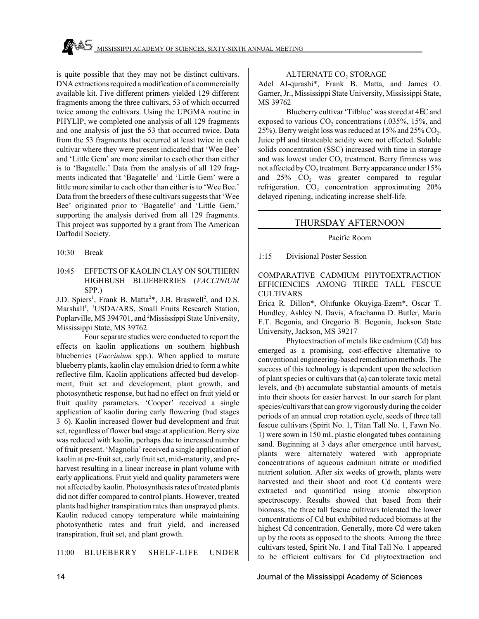is quite possible that they may not be distinct cultivars. DNA extractions required a modification of a commercially available kit. Five different primers yielded 129 different fragments among the three cultivars, 53 of which occurred twice among the cultivars. Using the UPGMA routine in PHYLIP, we completed one analysis of all 129 fragments and one analysis of just the 53 that occurred twice. Data from the 53 fragments that occurred at least twice in each cultivar where they were present indicated that 'Wee Bee' and 'Little Gem' are more similar to each other than either is to 'Bagatelle.' Data from the analysis of all 129 fragments indicated that 'Bagatelle' and 'Little Gem' were a little more similar to each other than either is to 'Wee Bee.' Data from the breeders of these cultivars suggests that 'Wee Bee' originated prior to 'Bagatelle' and 'Little Gem,' supporting the analysis derived from all 129 fragments. This project was supported by a grant from The American Daffodil Society.

- $10.30$  Break
- 10:45 EFFECTS OF KAOLIN CLAY ON SOUTHERN HIGHBUSH BLUEBERRIES (*VACCINIUM* SPP.)

J.D. Spiers<sup>1</sup>, Frank B. Matta<sup>2\*</sup>, J.B. Braswell<sup>2</sup>, and D.S. Marshall<sup>1</sup>, <sup>1</sup>USDA/ARS, Small Fruits Research Station, Poplarville, MS 394701, and <sup>2</sup>Mississippi State University, Mississippi State, MS 39762

Four separate studies were conducted to report the effects on kaolin applications on southern highbush blueberries (*Vaccinium* spp.). When applied to mature blueberry plants, kaolin clay emulsion dried to form a white reflective film. Kaolin applications affected bud development, fruit set and development, plant growth, and photosynthetic response, but had no effect on fruit yield or fruit quality parameters. 'Cooper' received a single application of kaolin during early flowering (bud stages 3–6). Kaolin increased flower bud development and fruit set, regardless of flower bud stage at application. Berry size was reduced with kaolin, perhaps due to increased number of fruit present. 'Magnolia' received a single application of kaolin at pre-fruit set, early fruit set, mid-maturity, and preharvest resulting in a linear increase in plant volume with early applications. Fruit yield and quality parameters were not affected by kaolin. Photosynthesis rates of treated plants did not differ compared to control plants. However, treated plants had higher transpiration rates than unsprayed plants. Kaolin reduced canopy temperature while maintaining photosynthetic rates and fruit yield, and increased transpiration, fruit set, and plant growth.

11:00 BLUEBERRY SHELF-LIFE UNDER

#### ALTERNATE CO<sub>2</sub> STORAGE

Adel Al-qurashi\*, Frank B. Matta, and James O. Garner, Jr., Mississippi State University, Mississippi State, MS 39762

Blueberry cultivar 'Tifblue' was stored at 4EC and exposed to various  $CO<sub>2</sub>$  concentrations (.035%, 15%, and 25%). Berry weight loss was reduced at  $15\%$  and  $25\%$  CO<sub>2</sub>. Juice pH and titrateable acidity were not effected. Soluble solids concentration (SSC) increased with time in storage and was lowest under CO<sub>2</sub> treatment. Berry firmness was not affected by CO<sub>2</sub> treatment. Berry appearance under 15% and  $25\%$  CO<sub>2</sub> was greater compared to regular refrigeration.  $CO<sub>2</sub>$  concentration approximating  $20\%$ delayed ripening, indicating increase shelf-life.

### THURSDAY AFTERNOON

Pacific Room

1:15 Divisional Poster Session

#### COMPARATIVE CADMIUM PHYTOEXTRACTION EFFICIENCIES AMONG THREE TALL FESCUE CULTIVARS

Erica R. Dillon\*, Olufunke Okuyiga-Ezem\*, Oscar T. Hundley, Ashley N. Davis, Afrachanna D. Butler, Maria F.T. Begonia, and Gregorio B. Begonia, Jackson State University, Jackson, MS 39217

Phytoextraction of metals like cadmium (Cd) has emerged as a promising, cost-effective alternative to conventional engineering-based remediation methods. The success of this technology is dependent upon the selection of plant species or cultivars that (a) can tolerate toxic metal levels, and (b) accumulate substantial amounts of metals into their shoots for easier harvest. In our search for plant species/cultivars that can grow vigorously during the colder periods of an annual crop rotation cycle, seeds of three tall fescue cultivars (Spirit No. 1, Titan Tall No. 1, Fawn No. 1) were sown in 150 mL plastic elongated tubes containing sand. Beginning at 3 days after emergence until harvest, plants were alternately watered with appropriate concentrations of aqueous cadmium nitrate or modified nutrient solution. After six weeks of growth, plants were harvested and their shoot and root Cd contents were extracted and quantified using atomic absorption spectroscopy. Results showed that based from their biomass, the three tall fescue cultivars tolerated the lower concentrations of Cd but exhibited reduced biomass at the highest Cd concentration. Generally, more Cd were taken up by the roots as opposed to the shoots. Among the three cultivars tested, Spirit No. 1 and Tital Tall No. 1 appeared to be efficient cultivars for Cd phytoextraction and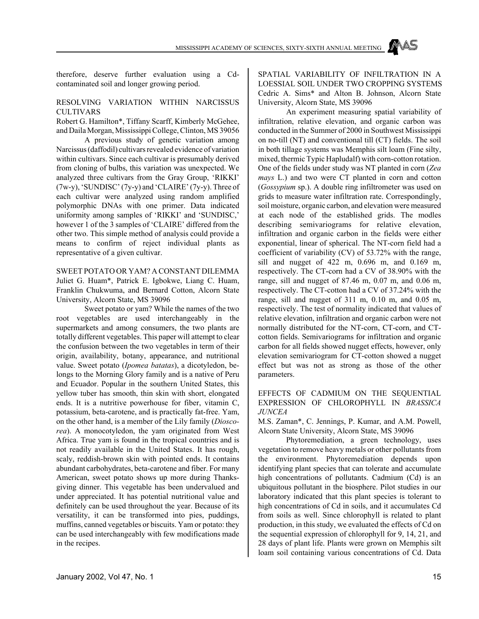therefore, deserve further evaluation using a Cdcontaminated soil and longer growing period.

#### RESOLVING VARIATION WITHIN NARCISSUS **CULTIVARS**

Robert G. Hamilton\*, Tiffany Scarff, Kimberly McGehee, and Daila Morgan, Mississippi College, Clinton, MS 39056

A previous study of genetic variation among Narcissus (daffodil) cultivars revealed evidence of variation within cultivars. Since each cultivar is presumably derived from cloning of bulbs, this variation was unexpected. We analyzed three cultivars from the Gray Group, 'RIKKI'  $(7w-y)$ , 'SUNDISC'  $(7y-y)$  and 'CLAIRE'  $(7y-y)$ . Three of each cultivar were analyzed using random amplified polymorphic DNAs with one primer. Data indicated uniformity among samples of 'RIKKI' and 'SUNDISC,' however 1 of the 3 samples of 'CLAIRE' differed from the other two. This simple method of analysis could provide a means to confirm of reject individual plants as representative of a given cultivar.

SWEET POTATO OR YAM? A CONSTANT DILEMMA Juliet G. Huam\*, Patrick E. Igbokwe, Liang C. Huam, Franklin Chukwuma, and Bernard Cotton, Alcorn State University, Alcorn State, MS 39096

Sweet potato or yam? While the names of the two root vegetables are used interchangeably in the supermarkets and among consumers, the two plants are totally different vegetables. This paper will attempt to clear the confusion between the two vegetables in term of their origin, availability, botany, appearance, and nutritional value. Sweet potato (*Ipomea batatas*), a dicotyledon, belongs to the Morning Glory family and is a native of Peru and Ecuador. Popular in the southern United States, this yellow tuber has smooth, thin skin with short, elongated ends. It is a nutritive powerhouse for fiber, vitamin C, potassium, beta-carotene, and is practically fat-free. Yam, on the other hand, is a member of the Lily family (*Dioscorea*). A monocotyledon, the yam originated from West Africa. True yam is found in the tropical countries and is not readily available in the United States. It has rough, scaly, reddish-brown skin with pointed ends. It contains abundant carbohydrates, beta-carotene and fiber. For many American, sweet potato shows up more during Thanksgiving dinner. This vegetable has been undervalued and under appreciated. It has potential nutritional value and definitely can be used throughout the year. Because of its versatility, it can be transformed into pies, puddings, muffins, canned vegetables or biscuits. Yam or potato: they can be used interchangeably with few modifications made in the recipes.

SPATIAL VARIABILITY OF INFILTRATION IN A LOESSIAL SOIL UNDER TWO CROPPING SYSTEMS Cedric A. Sims\* and Alton B. Johnson, Alcorn State University, Alcorn State, MS 39096

An experiment measuring spatial variability of infiltration, relative elevation, and organic carbon was conducted in the Summer of 2000 in Southwest Mississippi on no-till (NT) and conventional till (CT) fields. The soil in both tillage systems was Memphis silt loam (Fine silty, mixed, thermic Typic Hapludalf) with corn-cotton rotation. One of the fields under study was NT planted in corn (*Zea mays* L.) and two were CT planted in corn and cotton (*Gossypium* sp.). A double ring infiltrometer was used on grids to measure water infiltration rate. Correspondingly, soil moisture, organic carbon, and elevation were measured at each node of the established grids. The modles describing semivariograms for relative elevation, infiltration and organic carbon in the fields were either exponential, linear of spherical. The NT-corn field had a coefficient of variability (CV) of 53.72% with the range, sill and nugget of  $422$  m,  $0.696$  m, and  $0.169$  m, respectively. The CT-corn had a CV of 38.90% with the range, sill and nugget of 87.46 m, 0.07 m, and 0.06 m, respectively. The CT-cotton had a CV of 37.24% with the range, sill and nugget of 311 m, 0.10 m, and 0.05 m, respectively. The test of normality indicated that values of relative elevation, infiltration and organic carbon were not normally distributed for the NT-corn, CT-corn, and CTcotton fields. Semivariograms for infiltration and organic carbon for all fields showed nugget effects, however, only elevation semivariogram for CT-cotton showed a nugget effect but was not as strong as those of the other parameters.

EFFECTS OF CADMIUM ON THE SEQUENTIAL EXPRESSION OF CHLOROPHYLL IN *BRASSICA JUNCEA*

M.S. Zaman\*, C. Jennings, P. Kumar, and A.M. Powell, Alcorn State University, Alcorn State, MS 39096

Phytoremediation, a green technology, uses vegetation to remove heavy metals or other pollutants from the environment. Phytoremediation depends upon identifying plant species that can tolerate and accumulate high concentrations of pollutants. Cadmium (Cd) is an ubiquitous pollutant in the biosphere. Pilot studies in our laboratory indicated that this plant species is tolerant to high concentrations of Cd in soils, and it accumulates Cd from soils as well. Since chlorophyll is related to plant production, in this study, we evaluated the effects of Cd on the sequential expression of chlorophyll for 9, 14, 21, and 28 days of plant life. Plants were grown on Memphis silt loam soil containing various concentrations of Cd. Data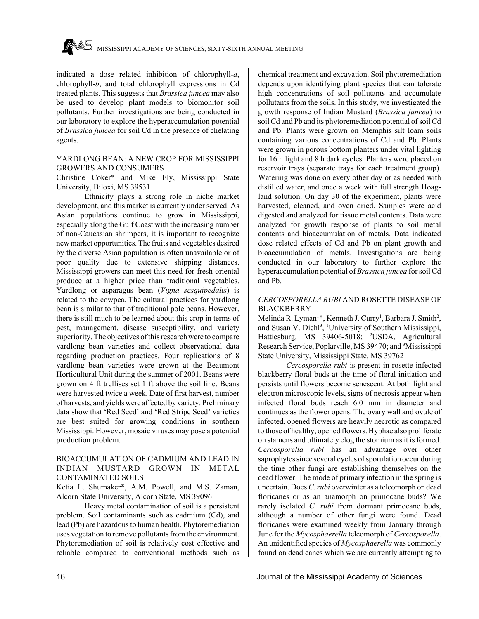indicated a dose related inhibition of chlorophyll-*a*, chlorophyll-*b*, and total chlorophyll expressions in Cd treated plants. This suggests that *Brassica juncea* may also be used to develop plant models to biomonitor soil pollutants. Further investigations are being conducted in our laboratory to explore the hyperaccumulation potential of *Brassica juncea* for soil Cd in the presence of chelating agents.

#### YARDLONG BEAN: A NEW CROP FOR MISSISSIPPI GROWERS AND CONSUMERS

Christine Coker\* and Mike Ely, Mississippi State University, Biloxi, MS 39531

Ethnicity plays a strong role in niche market development, and this market is currently under served. As Asian populations continue to grow in Mississippi, especially along the Gulf Coast with the increasing number of non-Caucasian shrimpers, it is important to recognize new market opportunities. The fruits and vegetables desired by the diverse Asian population is often unavailable or of poor quality due to extensive shipping distances. Mississippi growers can meet this need for fresh oriental produce at a higher price than traditional vegetables. Yardlong or asparagus bean (*Vigna sesquipedalis*) is related to the cowpea. The cultural practices for yardlong bean is similar to that of traditional pole beans. However, there is still much to be learned about this crop in terms of pest, management, disease susceptibility, and variety superiority. The objectives of this research were to compare yardlong bean varieties and collect observational data regarding production practices. Four replications of 8 yardlong bean varieties were grown at the Beaumont Horticultural Unit during the summer of 2001. Beans were grown on 4 ft trellises set 1 ft above the soil line. Beans were harvested twice a week. Date of first harvest, number of harvests, and yields were affected by variety. Preliminary data show that 'Red Seed' and 'Red Stripe Seed' varieties are best suited for growing conditions in southern Mississippi. However, mosaic viruses may pose a potential production problem.

#### BIOACCUMULATION OF CADMIUM AND LEAD IN INDIAN MUSTARD GROWN IN METAL CONTAMINATED SOILS

Ketia L. Shumaker\*, A.M. Powell, and M.S. Zaman, Alcorn State University, Alcorn State, MS 39096

Heavy metal contamination of soil is a persistent problem. Soil contaminants such as cadmium (Cd), and lead (Pb) are hazardous to human health. Phytoremediation uses vegetation to remove pollutants from the environment. Phytoremediation of soil is relatively cost effective and reliable compared to conventional methods such as chemical treatment and excavation. Soil phytoremediation depends upon identifying plant species that can tolerate high concentrations of soil pollutants and accumulate pollutants from the soils. In this study, we investigated the growth response of Indian Mustard (*Brassica juncea*) to soil Cd and Pb and its phytoremediation potential of soil Cd and Pb. Plants were grown on Memphis silt loam soils containing various concentrations of Cd and Pb. Plants were grown in porous bottom planters under vital lighting for 16 h light and 8 h dark cycles. Planters were placed on reservoir trays (separate trays for each treatment group). Watering was done on every other day or as needed with distilled water, and once a week with full strength Hoagland solution. On day 30 of the experiment, plants were harvested, cleaned, and oven dried. Samples were acid digested and analyzed for tissue metal contents. Data were analyzed for growth response of plants to soil metal contents and bioaccumulation of metals. Data indicated dose related effects of Cd and Pb on plant growth and bioaccumulation of metals. Investigations are being conducted in our laboratory to further explore the hyperaccumulation potential of *Brassica juncea* for soil Cd and Pb.

#### *CERCOSPORELLA RUBI* AND ROSETTE DISEASE OF **BLACKBERRY**

Melinda R. Lyman<sup>1\*</sup>, Kenneth J. Curry<sup>1</sup>, Barbara J. Smith<sup>2</sup>, and Susan V. Diehl<sup>3</sup>, <sup>1</sup>University of Southern Mississippi, Hattiesburg, MS 39406-5018; <sup>2</sup>USDA, Agricultural Research Service, Poplarville, MS 39470; and <sup>3</sup>Mississippi State University, Mississippi State, MS 39762

*Cercosporella rubi* is present in rosette infected blackberry floral buds at the time of floral initiation and persists until flowers become senescent. At both light and electron microscopic levels, signs of necrosis appear when infected floral buds reach 6.0 mm in diameter and continues as the flower opens. The ovary wall and ovule of infected, opened flowers are heavily necrotic as compared to those of healthy, opened flowers. Hyphae also proliferate on stamens and ultimately clog the stomium as it is formed. *Cercosporella rubi* has an advantage over other saprophytes since several cycles of sporulation occur during the time other fungi are establishing themselves on the dead flower. The mode of primary infection in the spring is uncertain. Does *C. rubi* overwinter as a teleomorph on dead floricanes or as an anamorph on primocane buds? We rarely isolated *C. rubi* from dormant primocane buds, although a number of other fungi were found. Dead floricanes were examined weekly from January through June for the *Mycosphaerella* teleomorph of *Cercosporella*. An unidentified species of *Mycosphaerella* was commonly found on dead canes which we are currently attempting to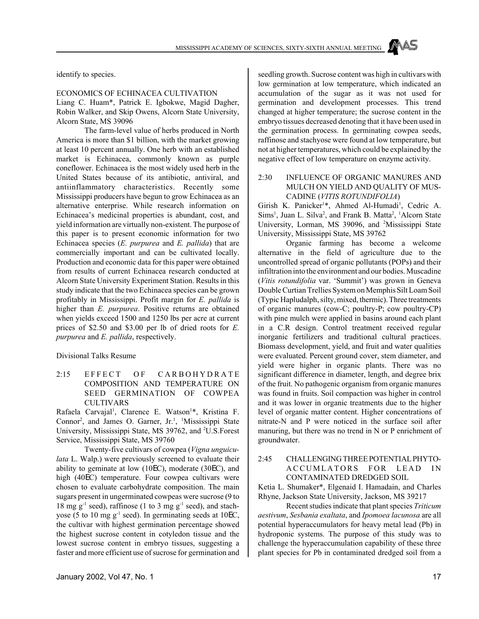identify to species.

#### ECONOMICS OF ECHINACEA CULTIVATION

Liang C. Huam\*, Patrick E. Igbokwe, Magid Dagher, Robin Walker, and Skip Owens, Alcorn State University, Alcorn State, MS 39096

The farm-level value of herbs produced in North America is more than \$1 billion, with the market growing at least 10 percent annually. One herb with an established market is Echinacea, commonly known as purple coneflower. Echinacea is the most widely used herb in the United States because of its antibiotic, antiviral, and antiinflammatory characteristics. Recently some Mississippi producers have begun to grow Echinacea as an alternative enterprise. While research information on Echinacea's medicinal properties is abundant, cost, and yield information are virtually non-existent. The purpose of this paper is to present economic information for two Echinacea species (*E. purpurea* and *E. pallida*) that are commercially important and can be cultivated locally. Production and economic data for this paper were obtained from results of current Echinacea research conducted at Alcorn State University Experiment Station. Results in this study indicate that the two Echinacea species can be grown profitably in Mississippi. Profit margin for *E. pallida* is higher than *E. purpurea*. Positive returns are obtained when yields exceed 1500 and 1250 lbs per acre at current prices of \$2.50 and \$3.00 per lb of dried roots for *E. purpurea* and *E. pallida*, respectively.

Divisional Talks Resume

#### 2:15 EFFECT OF CARBOHYDRATE COMPOSITION AND TEMPERATURE ON SEED GERMINATION OF COWPEA **CULTIVARS**

Rafaela Carvajal<sup>1</sup>, Clarence E. Watson<sup>1\*</sup>, Kristina F. Connor<sup>2</sup>, and James O. Garner, Jr.<sup>1</sup>, <sup>1</sup>Mississippi State University, Mississippi State, MS 39762, and <sup>2</sup>U.S.Forest Service, Mississippi State, MS 39760

Twenty-five cultivars of cowpea (*Vigna unguiculata* L. Walp.) were previously screened to evaluate their ability to geminate at low (10EC), moderate (30EC), and high (40EC) temperature. Four cowpea cultivars were chosen to evaluate carbohydrate composition. The main sugars present in ungerminated cowpeas were sucrose (9 to 18 mg g<sup>-1</sup> seed), raffinose (1 to 3 mg g<sup>-1</sup> seed), and stachyose (5 to 10 mg  $g^{-1}$  seed). In germinating seeds at 10EC, the cultivar with highest germination percentage showed the highest sucrose content in cotyledon tissue and the lowest sucrose content in embryo tissues, suggesting a faster and more efficient use of sucrose for germination and seedling growth. Sucrose content was high in cultivars with low germination at low temperature, which indicated an accumulation of the sugar as it was not used for germination and development processes. This trend changed at higher temperature; the sucrose content in the embryo tissues decreased denoting that it have been used in the germination process. In germinating cowpea seeds, raffinose and stachyose were found at low temperature, but not at higher temperatures, which could be explained by the negative effect of low temperature on enzyme activity.

#### 2:30 INFLUENCE OF ORGANIC MANURES AND MULCH ON YIELD AND QUALITY OF MUS-CADINE (*VITIS ROTUNDIFOLIA*)

Girish K. Panicker<sup>1\*</sup>, Ahmed Al-Humadi<sup>1</sup>, Cedric A.  $\text{Sims}^1$ , Juan L. Silva<sup>2</sup>, and Frank B. Matta<sup>2</sup>, <sup>1</sup>Alcorn State University, Lorman, MS 39096, and <sup>2</sup>Mississippi State University, Mississippi State, MS 39762

Organic farming has become a welcome alternative in the field of agriculture due to the uncontrolled spread of organic pollutants (POPs) and their infiltration into the environment and our bodies. Muscadine (*Vitis rotundifolia* var. 'Summit') was grown in Geneva Double Curtian Trellies System on Memphis Silt Loam Soil (Typic Hapludalph, silty, mixed, thermic). Three treatments of organic manures (cow-C; poultry-P; cow poultry-CP) with pine mulch were applied in basins around each plant in a C.R design. Control treatment received regular inorganic fertilizers and traditional cultural practices. Biomass development, yield, and fruit and water qualities were evaluated. Percent ground cover, stem diameter, and yield were higher in organic plants. There was no significant difference in diameter, length, and degree brix of the fruit. No pathogenic organism from organic manures was found in fruits. Soil compaction was higher in control and it was lower in organic treatments due to the higher level of organic matter content. Higher concentrations of nitrate-N and P were noticed in the surface soil after manuring, but there was no trend in N or P enrichment of groundwater.

#### 2:45 CHALLENGING THREE POTENTIAL PHYTO-ACCUMLATORS FOR LEAD IN CONTAMINATED DREDGED SOIL

Ketia L. Shumaker\*, Elgenaid I. Hamadain, and Charles Rhyne, Jackson State University, Jackson, MS 39217

Recent studies indicate that plant species *Triticum aestivum*, *Sesbania exaltata*, and *Ipomoea lacunosa* are all potential hyperaccumulators for heavy metal lead (Pb) in hydroponic systems. The purpose of this study was to challenge the hyperaccumulation capability of these three plant species for Pb in contaminated dredged soil from a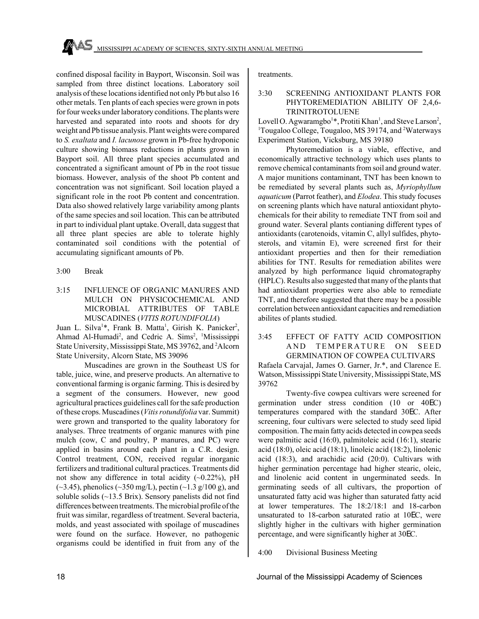confined disposal facility in Bayport, Wisconsin. Soil was sampled from three distinct locations. Laboratory soil analysis of these locations identified not only Pb but also 16 other metals. Ten plants of each species were grown in pots for four weeks under laboratory conditions. The plants were harvested and separated into roots and shoots for dry weight and Pb tissue analysis. Plant weights were compared to *S. exaltata* and *I. lacunose* grown in Pb-free hydroponic culture showing biomass reductions in plants grown in Bayport soil. All three plant species accumulated and concentrated a significant amount of Pb in the root tissue biomass. However, analysis of the shoot Pb content and concentration was not significant. Soil location played a significant role in the root Pb content and concentration. Data also showed relatively large variability among plants of the same species and soil location. This can be attributed in part to individual plant uptake. Overall, data suggest that all three plant species are able to tolerate highly contaminated soil conditions with the potential of accumulating significant amounts of Pb.

- 3:00 Break
- 3:15 INFLUENCE OF ORGANIC MANURES AND MULCH ON PHYSICOCHEMICAL AND MICROBIAL ATTRIBUTES OF TABLE MUSCADINES (*VITIS ROTUNDIFOLIA*)

Juan L. Silva<sup>1\*</sup>, Frank B. Matta<sup>1</sup>, Girish K. Panicker<sup>2</sup>, Ahmad Al-Humadi<sup>2</sup>, and Cedric A. Sims<sup>2</sup>, <sup>1</sup>Mississippi State University, Mississippi State, MS 39762, and <sup>2</sup>Alcorn State University, Alcorn State, MS 39096

Muscadines are grown in the Southeast US for table, juice, wine, and preserve products. An alternative to conventional farming is organic farming. This is desired by a segment of the consumers. However, new good agricultural practices guidelines call for the safe production of these crops. Muscadines (*Vitis rotundifolia* var. Summit) were grown and transported to the quality laboratory for analyses. Three treatments of organic manures with pine mulch (cow, C and poultry, P manures, and PC) were applied in basins around each plant in a C.R. design. Control treatment, CON, received regular inorganic fertilizers and traditional cultural practices. Treatments did not show any difference in total acidity  $(\sim 0.22\%)$ , pH  $(-3.45)$ , phenolics  $(-350 \text{ mg/L})$ , pectin  $(-1.3 \text{ g}/100 \text{ g})$ , and soluble solids (~13.5 Brix). Sensory panelists did not find differences between treatments. The microbial profile of the fruit was similar, regardless of treatment. Several bacteria, molds, and yeast associated with spoilage of muscadines were found on the surface. However, no pathogenic organisms could be identified in fruit from any of the treatments.

#### 3:30 SCREENING ANTIOXIDANT PLANTS FOR PHYTOREMEDIATION ABILITY OF 2,4,6- TRINITROTOLUENE

Lovell O. Agwaramgbo<sup>1\*</sup>, Protiti Khan<sup>1</sup>, and Steve Larson<sup>2</sup>, <sup>1</sup>Tougaloo College, Tougaloo, MS 39174, and <sup>2</sup>Waterways Experiment Station, Vicksburg, MS 39180

Phytoremediation is a viable, effective, and economically attractive technology which uses plants to remove chemical contaminants from soil and ground water. A major munitions contaminant, TNT has been known to be remediated by several plants such as, *Myriophyllum aquaticum* (Parrot feather), and *Elodea*. This study focuses on screening plants which have natural antioxidant phytochemicals for their ability to remediate TNT from soil and ground water. Several plants contianing different types of antioxidants (carotenoids, vitamin C, allyl sulfides, phytosterols, and vitamin E), were screened first for their antioxidant properties and then for their remediation abilities for TNT. Results for remediation abilites were analyzed by high performance liquid chromatography (HPLC). Results also suggested that many of the plants that had antioxidant properties were also able to remediate TNT, and therefore suggested that there may be a possible correlation between antioxidant capacities and remediation abilites of plants studied.

3:45 EFFECT OF FATTY ACID COMPOSITION AND TEMPERATURE ON SEED GERMINATION OF COWPEA CULTIVARS Rafaela Carvajal, James O. Garner, Jr.\*, and Clarence E. Watson, Mississippi State University, Mississippi State, MS 39762

Twenty-five cowpea cultivars were screened for germination under stress condition (10 or 40EC) temperatures compared with the standard 30EC. After screening, four cultivars were selected to study seed lipid composition. The main fatty acids detected in cowpea seeds were palmitic acid (16:0), palmitoleic acid (16:1), stearic acid (18:0), oleic acid (18:1), linoleic acid (18:2), linolenic acid (18:3), and arachidic acid (20:0). Cultivars with higher germination percentage had higher stearic, oleic, and linolenic acid content in ungerminated seeds. In germinating seeds of all cultivars, the proportion of unsaturated fatty acid was higher than saturated fatty acid at lower temperatures. The 18:2/18:1 and 18-carbon unsaturated to 18-carbon saturated ratio at 10EC, were slightly higher in the cultivars with higher germination percentage, and were significantly higher at 30EC.

4:00 Divisional Business Meeting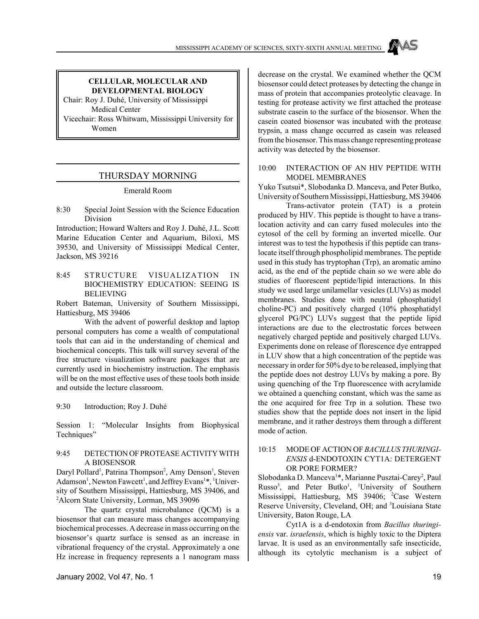#### **CELLULAR, MOLECULAR AND DEVELOPMENTAL BIOLOGY**

Chair: Roy J. Duhé, University of Mississippi Medical Center Vicechair: Ross Whitwam, Mississippi University for Women

#### THURSDAY MORNING

#### Emerald Room

8:30 Special Joint Session with the Science Education Division

Introduction; Howard Walters and Roy J. Duhé, J.L. Scott Marine Education Center and Aquarium, Biloxi, MS 39530, and University of Mississippi Medical Center, Jackson, MS 39216

8:45 STRUCTURE VISUALIZATION IN BIOCHEMISTRY EDUCATION: SEEING IS BELIEVING

Robert Bateman, University of Southern Mississippi, Hattiesburg, MS 39406

With the advent of powerful desktop and laptop personal computers has come a wealth of computational tools that can aid in the understanding of chemical and biochemical concepts. This talk will survey several of the free structure visualization software packages that are currently used in biochemistry instruction. The emphasis will be on the most effective uses of these tools both inside and outside the lecture classroom.

9:30 Introduction; Roy J. Duhé

Session 1: "Molecular Insights from Biophysical Techniques"

#### 9:45 DETECTION OF PROTEASE ACTIVITY WITH A BIOSENSOR

Daryl Pollard<sup>1</sup>, Patrina Thompson<sup>2</sup>, Amy Denson<sup>1</sup>, Steven Adamson<sup>1</sup>, Newton Fawcett<sup>1</sup>, and Jeffrey Evans<sup>1\*</sup>, <sup>1</sup>University of Southern Mississippi, Hattiesburg, MS 39406, and 2 Alcorn State University, Lorman, MS 39096

The quartz crystal microbalance (QCM) is a biosensor that can measure mass changes accompanying biochemical processes. A decrease in mass occurring on the biosensor's quartz surface is sensed as an increase in vibrational frequency of the crystal. Approximately a one Hz increase in frequency represents a 1 nanogram mass

decrease on the crystal. We examined whether the QCM biosensor could detect proteases by detecting the change in mass of protein that accompanies proteolytic cleavage. In testing for protease activity we first attached the protease substrate casein to the surface of the biosensor. When the casein coated biosensor was incubated with the protease trypsin, a mass change occurred as casein was released from the biosensor. This mass change representing protease activity was detected by the biosensor.

#### 10:00 INTERACTION OF AN HIV PEPTIDE WITH MODEL MEMBRANES

Yuko Tsutsui\*, Slobodanka D. Manceva, and Peter Butko, University of Southern Mississippi, Hattiesburg, MS 39406

Trans-activator protein (TAT) is a protein produced by HIV. This peptide is thought to have a translocation activity and can carry fused molecules into the cytosol of the cell by forming an inverted micelle. Our interest was to test the hypothesis if this peptide can translocate itself through phospholipid membranes. The peptide used in this study has tryptophan (Trp), an aromatic amino acid, as the end of the peptide chain so we were able do studies of fluorescent peptide/lipid interactions. In this study we used large unilamellar vesicles (LUVs) as model membranes. Studies done with neutral (phosphatidyl choline-PC) and positively charged (10% phosphatidyl glycerol PG/PC) LUVs suggest that the peptide lipid interactions are due to the electrostatic forces between negatively charged peptide and positively charged LUVs. Experiments done on release of florescence dye entrapped in LUV show that a high concentration of the peptide was necessary in order for 50% dye to be released, implying that the peptide does not destroy LUVs by making a pore. By using quenching of the Trp fluorescence with acrylamide we obtained a quenching constant, which was the same as the one acquired for free Trp in a solution. These two studies show that the peptide does not insert in the lipid membrane, and it rather destroys them through a different mode of action.

#### 10:15 MODE OF ACTION OF *BACILLUS THURINGI-ENSIS* d-ENDOTOXIN CYT1A: DETERGENT OR PORE FORMER?

Slobodanka D. Manceva<sup>1\*</sup>, Marianne Pusztai-Carey<sup>2</sup>, Paul Russo<sup>3</sup>, and Peter Butko<sup>1</sup>, <sup>1</sup>University of Southern Mississippi, Hattiesburg, MS 39406; <sup>2</sup>Case Western Reserve University, Cleveland, OH; and <sup>3</sup>Louisiana State University, Baton Rouge, LA

Cyt1A is a d-endotoxin from *Bacillus thuringiensis* var. *israelensis*, which is highly toxic to the Diptera larvae. It is used as an environmentally safe insecticide, although its cytolytic mechanism is a subject of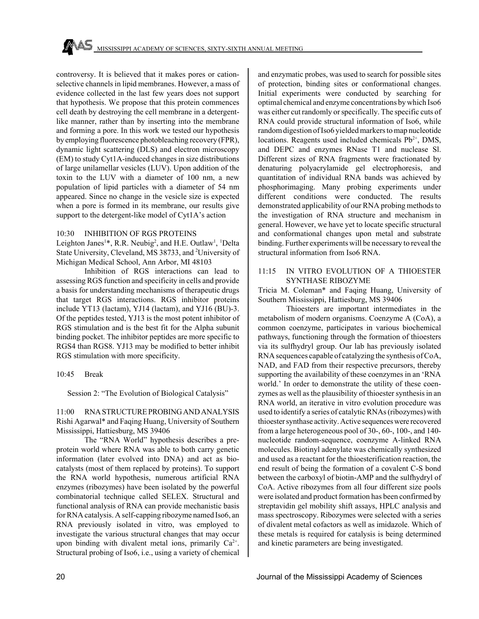controversy. It is believed that it makes pores or cationselective channels in lipid membranes. However, a mass of evidence collected in the last few years does not support that hypothesis. We propose that this protein commences cell death by destroying the cell membrane in a detergentlike manner, rather than by inserting into the membrane and forming a pore. In this work we tested our hypothesis by employing fluorescence photobleaching recovery (FPR), dynamic light scattering (DLS) and electron microscopy (EM) to study Cyt1A-induced changes in size distributions of large unilamellar vesicles (LUV). Upon addition of the toxin to the LUV with a diameter of 100 nm, a new population of lipid particles with a diameter of 54 nm appeared. Since no change in the vesicle size is expected when a pore is formed in its membrane, our results give support to the detergent-like model of Cyt1A's action

#### 10:30 INHIBITION OF RGS PROTEINS

Leighton Janes<sup>1\*</sup>, R.R. Neubig<sup>2</sup>, and H.E. Outlaw<sup>1</sup>, <sup>1</sup>Delta State University, Cleveland, MS 38733, and <sup>2</sup>University of Michigan Medical School, Ann Arbor, MI 48103

Inhibition of RGS interactions can lead to assessing RGS function and specificity in cells and provide a basis for understanding mechanisms of therapeutic drugs that target RGS interactions. RGS inhibitor proteins include YT13 (lactam), YJ14 (lactam), and YJ16 (BU)-3. Of the peptides tested, YJ13 is the most potent inhibitor of RGS stimulation and is the best fit for the Alpha subunit binding pocket. The inhibitor peptides are more specific to RGS4 than RGS8. YJ13 may be modified to better inhibit RGS stimulation with more specificity.

10:45 Break

Session 2: "The Evolution of Biological Catalysis"

11:00 RNA STRUCTURE PROBING AND ANALYSIS Rishi Agarwal\* and Faqing Huang, University of Southern Mississippi, Hattiesburg, MS 39406

The "RNA World" hypothesis describes a preprotein world where RNA was able to both carry genetic information (later evolved into DNA) and act as biocatalysts (most of them replaced by proteins). To support the RNA world hypothesis, numerous artificial RNA enzymes (ribozymes) have been isolated by the powerful combinatorial technique called SELEX. Structural and functional analysis of RNA can provide mechanistic basis for RNA catalysis. A self-capping ribozyme named Iso6, an RNA previously isolated in vitro, was employed to investigate the various structural changes that may occur upon binding with divalent metal ions, primarily  $Ca^{2+}$ . Structural probing of Iso6, i.e., using a variety of chemical and enzymatic probes, was used to search for possible sites of protection, binding sites or conformational changes. Initial experiments were conducted by searching for optimal chemical and enzyme concentrations by which Iso6 was either cut randomly or specifically. The specific cuts of RNA could provide structural information of Iso6, while random digestion of Iso6 yielded markers to map nucleotide locations. Reagents used included chemicals  $Pb^{2+}$ , DMS, and DEPC and enzymes RNase T1 and nuclease Sl. Different sizes of RNA fragments were fractionated by denaturing polyacrylamide gel electrophoresis, and quantitation of individual RNA bands was achieved by phosphorimaging. Many probing experiments under different conditions were conducted. The results demonstrated applicability of our RNA probing methods to the investigation of RNA structure and mechanism in general. However, we have yet to locate specific structural and conformational changes upon metal and substrate binding. Further experiments will be necessary to reveal the structural information from Iso6 RNA.

#### 11:15 IN VITRO EVOLUTION OF A THIOESTER SYNTHASE RIBOZYME

Tricia M. Coleman\* and Faqing Huang, University of Southern Mississippi, Hattiesburg, MS 39406

Thioesters are important intermediates in the metabolism of modern organisms. Coenzyme A (CoA), a common coenzyme, participates in various biochemical pathways, functioning through the formation of thioesters via its sulfhydryl group. Our lab has previously isolated RNA sequences capable of catalyzing the synthesis of CoA, NAD, and FAD from their respective precursors, thereby supporting the availability of these coenzymes in an 'RNA world.' In order to demonstrate the utility of these coenzymes as well as the plausibility of thioester synthesis in an RNA world, an iterative in vitro evolution procedure was used to identify a series of catalytic RNAs (ribozymes) with thioester synthase activity. Active sequences were recovered from a large heterogeneous pool of 30-, 60-, 100-, and 140 nucleotide random-sequence, coenzyme A-linked RNA molecules. Biotinyl adenylate was chemically synthesized and used as a reactant for the thioesterification reaction, the end result of being the formation of a covalent C-S bond between the carboxyl of biotin-AMP and the sulfhydryl of CoA. Active ribozymes from all four different size pools were isolated and product formation has been confirmed by streptavidin gel mobility shift assays, HPLC analysis and mass spectroscopy. Ribozymes were selected with a series of divalent metal cofactors as well as imidazole. Which of these metals is required for catalysis is being determined and kinetic parameters are being investigated.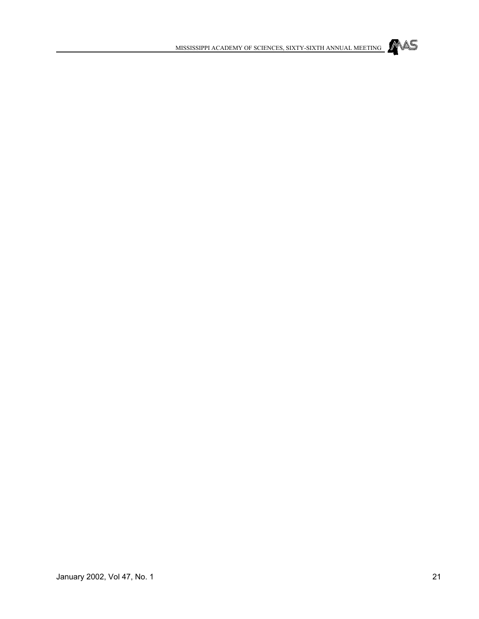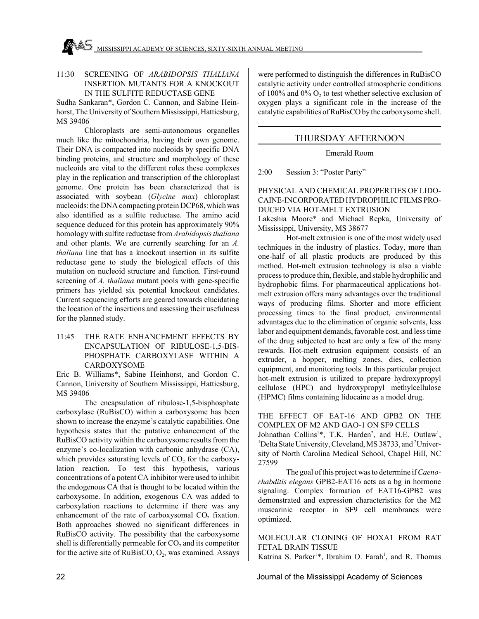#### 11:30 SCREENING OF *ARABIDOPSIS THALIANA* INSERTION MUTANTS FOR A KNOCKOUT IN THE SULFITE REDUCTASE GENE

Sudha Sankaran\*, Gordon C. Cannon, and Sabine Heinhorst, The University of Southern Mississippi, Hattiesburg, MS 39406

Chloroplasts are semi-autonomous organelles much like the mitochondria, having their own genome. Their DNA is compacted into nucleoids by specific DNA binding proteins, and structure and morphology of these nucleoids are vital to the different roles these complexes play in the replication and transcription of the chloroplast genome. One protein has been characterized that is associated with soybean (*Glycine max*) chloroplast nucleoids: the DNA compacting protein DCP68, which was also identified as a sulfite reductase. The amino acid sequence deduced for this protein has approximately 90% homology with sulfite reductase from *Arabidopsis thaliana* and other plants. We are currently searching for an *A. thaliana* line that has a knockout insertion in its sulfite reductase gene to study the biological effects of this mutation on nucleoid structure and function. First-round screening of *A. thaliana* mutant pools with gene-specific primers has yielded six potential knockout candidates. Current sequencing efforts are geared towards elucidating the location of the insertions and assessing their usefulness for the planned study.

11:45 THE RATE ENHANCEMENT EFFECTS BY ENCAPSULATION OF RIBULOSE-1,5-BIS-PHOSPHATE CARBOXYLASE WITHIN A CARBOXYSOME

Eric B. Williams\*, Sabine Heinhorst, and Gordon C. Cannon, University of Southern Mississippi, Hattiesburg, MS 39406

The encapsulation of ribulose-1,5-bisphosphate carboxylase (RuBisCO) within a carboxysome has been shown to increase the enzyme's catalytic capabilities. One hypothesis states that the putative enhancement of the RuBisCO activity within the carboxysome results from the enzyme's co-localization with carbonic anhydrase (CA), which provides saturating levels of  $CO<sub>2</sub>$  for the carboxylation reaction. To test this hypothesis, various concentrations of a potent CA inhibitor were used to inhibit the endogenous CA that is thought to be located within the carboxysome. In addition, exogenous CA was added to carboxylation reactions to determine if there was any enhancement of the rate of carboxysomal  $CO<sub>2</sub>$  fixation. Both approaches showed no significant differences in RuBisCO activity. The possibility that the carboxysome shell is differentially permeable for  $CO<sub>2</sub>$  and its competitor for the active site of RuBisCO,  $O_2$ , was examined. Assays were performed to distinguish the differences in RuBisCO catalytic activity under controlled atmospheric conditions of 100% and 0%  $O<sub>2</sub>$  to test whether selective exclusion of oxygen plays a significant role in the increase of the catalytic capabilities of RuBisCO by the carboxysome shell.

### THURSDAY AFTERNOON

Emerald Room

2:00 Session 3: "Poster Party"

#### PHYSICAL AND CHEMICAL PROPERTIES OF LIDO-CAINE-INCORPORATED HYDROPHILIC FILMS PRO-DUCED VIA HOT-MELT EXTRUSION

Lakeshia Moore\* and Michael Repka, University of Mississippi, University, MS 38677

Hot-melt extrusion is one of the most widely used techniques in the industry of plastics. Today, more than one-half of all plastic products are produced by this method. Hot-melt extrusion technology is also a viable process to produce thin, flexible, and stable hydrophilic and hydrophobic films. For pharmaceutical applications hotmelt extrusion offers many advantages over the traditional ways of producing films. Shorter and more efficient processing times to the final product, environmental advantages due to the elimination of organic solvents, less labor and equipment demands, favorable cost, and less time of the drug subjected to heat are only a few of the many rewards. Hot-melt extrusion equipment consists of an extruder, a hopper, melting zones, dies, collection equipment, and monitoring tools. In this particular project hot-melt extrusion is utilized to prepare hydroxypropyl cellulose (HPC) and hydroxypropyl methylcellulose (HPMC) films containing lidocaine as a model drug.

THE EFFECT OF EAT-16 AND GPB2 ON THE COMPLEX OF M2 AND GAO-1 ON SF9 CELLS

Johnathan Collins<sup>1\*</sup>, T.K. Harden<sup>2</sup>, and H.E. Outlaw<sup>1</sup>, <sup>1</sup>Delta State University, Cleveland, MS 38733, and <sup>2</sup>University of North Carolina Medical School, Chapel Hill, NC 27599

The goal of this project was to determine if *Caenorhabditis elegans* GPB2-EAT16 acts as a bg in hormone signaling. Complex formation of EAT16-GPB2 was demonstrated and expression characteristics for the M2 muscarinic receptor in SF9 cell membranes were optimized.

#### MOLECULAR CLONING OF HOXA1 FROM RAT FETAL BRAIN TISSUE

Katrina S. Parker<sup>1\*</sup>, Ibrahim O. Farah<sup>1</sup>, and R. Thomas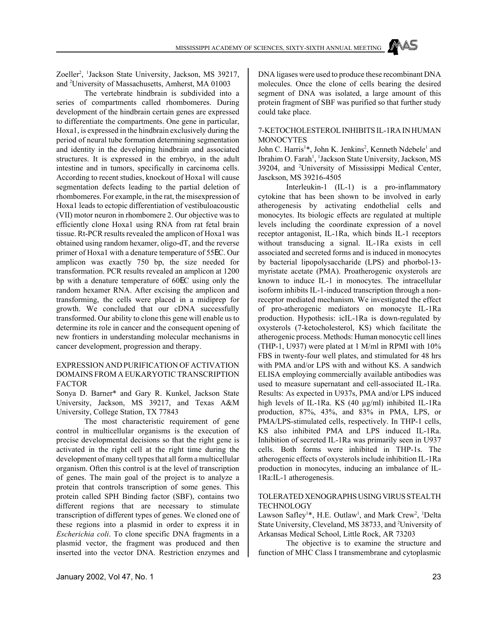Zoeller<sup>2</sup>, <sup>1</sup>Jackson State University, Jackson, MS 39217, and 2 University of Massachusetts, Amherst, MA 01003

The vertebrate hindbrain is subdivided into a series of compartments called rhombomeres. During development of the hindbrain certain genes are expressed to differentiate the compartments. One gene in particular, Hoxa1, is expressed in the hindbrain exclusively during the period of neural tube formation determining segmentation and identity in the developing hindbrain and associated structures. It is expressed in the embryo, in the adult intestine and in tumors, specifically in carcinoma cells. According to recent studies, knockout of Hoxa1 will cause segmentation defects leading to the partial deletion of rhombomeres. For example, in the rat, the misexpression of Hoxa1 leads to ectopic differentiation of vestibuloacoustic (VII) motor neuron in rhombomere 2. Our objective was to efficiently clone Hoxa1 using RNA from rat fetal brain tissue. Rt-PCR results revealed the amplicon of Hoxa1 was obtained using random hexamer, oligo-dT, and the reverse primer of Hoxa1 with a denature temperature of 55EC. Our amplicon was exactly 750 bp, the size needed for transformation. PCR results revealed an amplicon at 1200 bp with a denature temperature of 60EC using only the random hexamer RNA. After excising the amplicon and transforming, the cells were placed in a midiprep for growth. We concluded that our cDNA successfully transformed. Our ability to clone this gene will enable us to determine its role in cancer and the consequent opening of new frontiers in understanding molecular mechanisms in cancer development, progression and therapy.

#### EXPRESSION AND PURIFICATION OF ACTIVATION DOMAINS FROM A EUKARYOTIC TRANSCRIPTION FACTOR

Sonya D. Barner\* and Gary R. Kunkel, Jackson State University, Jackson, MS 39217, and Texas A&M University, College Station, TX 77843

The most characteristic requirement of gene control in multicellular organisms is the execution of precise developmental decisions so that the right gene is activated in the right cell at the right time during the development of many cell types that all form a multicellular organism. Often this control is at the level of transcription of genes. The main goal of the project is to analyze a protein that controls transcription of some genes. This protein called SPH Binding factor (SBF), contains two different regions that are necessary to stimulate transcription of different types of genes. We cloned one of these regions into a plasmid in order to express it in *Escherichia coli*. To clone specific DNA fragments in a plasmid vector, the fragment was produced and then inserted into the vector DNA. Restriction enzymes and DNA ligases were used to produce these recombinant DNA molecules. Once the clone of cells bearing the desired segment of DNA was isolated, a large amount of this protein fragment of SBF was purified so that further study could take place.

#### 7-KETOCHOLESTEROL INHIBITS IL-1RA IN HUMAN **MONOCYTES**

John C. Harris<sup>1\*</sup>, John K. Jenkins<sup>2</sup>, Kenneth Ndebele<sup>1</sup> and Ibrahim O. Farah<sup>1</sup>, <sup>1</sup>Jackson State University, Jackson, MS 39204, and <sup>2</sup>University of Mississippi Medical Center, Jasckson, MS 39216-4505

Interleukin-1 (IL-1) is a pro-inflammatory cytokine that has been shown to be involved in early atherogenesis by activating endothelial cells and monocytes. Its biologic effects are regulated at multiple levels including the coordinate expression of a novel receptor antagonist, IL-1Ra, which binds IL-1 receptors without transducing a signal. IL-1Ra exists in cell associated and secreted forms and is induced in monocytes by bacterial lipopolysaccharide (LPS) and phorbol-13 myristate acetate (PMA). Proatherogenic oxysterols are known to induce IL-1 in monocytes. The intracellular isoform inhibits IL-1-induced transcription through a nonreceptor mediated mechanism. We investigated the effect of pro-atherogenic mediators on monocyte IL-1Ra production. Hypothesis: icIL-1Ra is down-regulated by oxysterols (7-ketocholesterol, KS) which facilitate the atherogenic process. Methods: Human monocytic cell lines (THP-1, U937) were plated at 1 M/ml in RPMI with 10% FBS in twenty-four well plates, and stimulated for 48 hrs with PMA and/or LPS with and without KS. A sandwich ELISA employing commercially available antibodies was used to measure supernatant and cell-associated IL-1Ra. Results: As expected in U937s, PMA and/or LPS induced high levels of IL-1Ra. KS (40 µg/ml) inhibited IL-1Ra production, 87%, 43%, and 83% in PMA, LPS, or PMA/LPS-stimulated cells, respectively. In THP-1 cells, KS also inhibited PMA and LPS induced IL-1Ra. Inhibition of secreted IL-1Ra was primarily seen in U937 cells. Both forms were inhibited in THP-1s. The atherogenic effects of oxysterols include inhibition IL-1Ra production in monocytes, inducing an imbalance of IL-1Ra:IL-1 atherogenesis.

#### TOLERATED XENOGRAPHS USING VIRUS STEALTH TECHNOLOGY

Lawson Safley<sup>1\*</sup>, H.E. Outlaw<sup>1</sup>, and Mark Crew<sup>2</sup>, <sup>1</sup>Delta State University, Cleveland, MS 38733, and <sup>2</sup>University of Arkansas Medical School, Little Rock, AR 73203

The objective is to examine the structure and function of MHC Class I transmembrane and cytoplasmic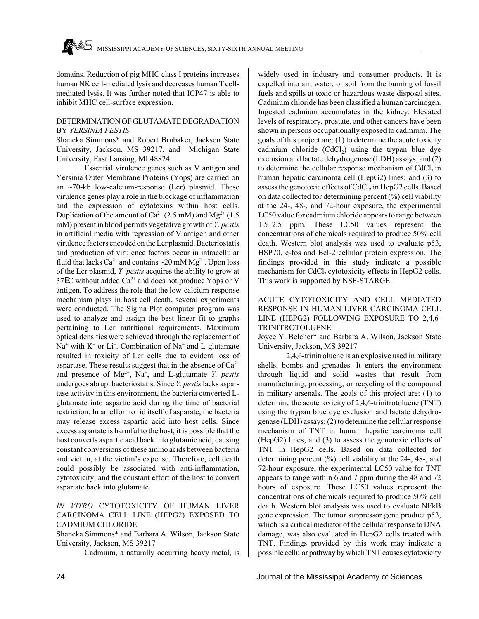domains. Reduction of pig MHC class I proteins increases human NK cell-mediated lysis and decreases human T cellmediated lysis. It was further noted that ICP47 is able to inhibit MHC cell-surface expression.

#### DETERMINATION OF GLUTAMATE DEGRADATION BY *YERSINIA PESTIS*

Shaneka Simmons\* and Robert Brubaker, Jackson State University, Jackson, MS 39217, and Michigan State University, East Lansing, MI 48824

Essential virulence genes such as V antigen and Yersinia Outer Membrane Proteins (Yops) are carried on an  $\sim$ 70-kb low-calcium-response (Lcr) plasmid. These virulence genes play a role in the blockage of inflammation and the expression of cytotoxins within host cells. Duplication of the amount of  $Ca^{2+}$  (2.5 mM) and Mg<sup>2+</sup> (1.5) mM) present in blood permits vegetative growth of *Y. pestis* in artificial media with repression of V antigen and other virulence factors encoded on the Lcr plasmid. Bacteriostatis and production of virulence factors occur in intracellular fluid that lacks  $Ca^{2+}$  and contains ~20 mM Mg<sup>2+</sup>. Upon loss of the Lcr plasmid, *Y. pestis* acquires the ability to grow at 37EC without added  $Ca^{2+}$  and does not produce Yops or V antigen. To address the role that the low-calcium-response mechanism plays in host cell death, several experiments were conducted. The Sigma Plot computer program was used to analyze and assign the best linear fit to graphs pertaining to Lcr nutritional requirements. Maximum optical densities were achieved through the replacement of  $Na<sup>+</sup>$  with  $K<sup>+</sup>$  or Li<sup>+</sup>. Combination of Na<sup>+</sup> and L-glutamate resulted in toxicity of Lcr cells due to evident loss of aspartase. These results suggest that in the absence of  $Ca^{2+}$ and presence of  $Mg^{2+}$ , Na<sup>+</sup>, and L-glutamate *Y. pestis* undergoes abrupt bacteriostatis. Since *Y. pestis* lacks aspartase activity in this environment, the bacteria converted Lglutamate into aspartic acid during the time of bacterial restriction. In an effort to rid itself of asparate, the bacteria may release excess aspartic acid into host cells. Since excess aspartate is harmful to the host, it is possible that the host converts aspartic acid back into glutamic acid, causing constant conversions of these amino acids between bacteria and victim, at the victim's expense. Therefore, cell death could possibly be associated with anti-inflammation, cytotoxicity, and the constant effort of the host to convert aspartate back into glutamate.

#### *IN VITRO* CYTOTOXICITY OF HUMAN LIVER CARCINOMA CELL LINE (HEPG2) EXPOSED TO CADMIUM CHLORIDE

Shaneka Simmons\* and Barbara A. Wilson, Jackson State University, Jackson, MS 39217

Cadmium, a naturally occurring heavy metal, is

widely used in industry and consumer products. It is expelled into air, water, or soil from the burning of fossil fuels and spills at toxic or hazardous waste disposal sites. Cadmium chloride has been classified a human carcinogen. Ingested cadmium accumulates in the kidney. Elevated levels of respiratory, prostate, and other cancers have been shown in persons occupationally exposed to cadmium. The goals of this project are: (1) to determine the acute toxicity cadmium chloride  $(CdCl<sub>2</sub>)$  using the trypan blue dye exclusion and lactate dehydrogenase (LDH) assays; and (2) to determine the cellular response mechanism of  $CdCl<sub>2</sub>$  in human hepatic carcinoma cell (HepG2) lines; and (3) to assess the genotoxic effects of CdCl<sub>2</sub> in HepG2 cells. Based on data collected for determining percent (%) cell viability at the 24-, 48-, and 72-hour exposure, the experimental LC50 value for cadmium chloride appears to range between 1.5–2.5 ppm. These LC50 values represent the concentrations of chemicals required to produce 50% cell death. Western blot analysis was used to evaluate p53, HSP70, c-fos and Bcl-2 cellular protein expression. The findings provided in this study indicate a possible mechanism for CdCl<sub>2</sub> cytotoxicity effects in HepG2 cells. This work is supported by NSF-STARGE.

#### ACUTE CYTOTOXICITY AND CELL MEDIATED RESPONSE IN HUMAN LIVER CARCINOMA CELL LINE (HEPG2) FOLLOWING EXPOSURE TO 2,4,6- TRINITROTOLUENE

Joyce Y. Belcher\* and Barbara A. Wilson, Jackson State University, Jackson, MS 39217

2,4,6-trinitroluene is an explosive used in military shells, bombs and grenades. It enters the environment through liquid and solid wastes that result from manufacturing, processing, or recycling of the compound in military arsenals. The goals of this project are: (1) to determine the acute toxicity of 2,4,6-trinitrotoluene (TNT) using the trypan blue dye exclusion and lactate dehydrogenase (LDH) assays; (2) to determine the cellular response mechanism of TNT in human hepatic carcinoma cell (HepG2) lines; and (3) to assess the genotoxic effects of TNT in HepG2 cells. Based on data collected for determining percent (%) cell viability at the 24-, 48-, and 72-hour exposure, the experimental LC50 value for TNT appears to range within 6 and 7 ppm during the 48 and 72 hours of exposure. These LC50 values represent the concentrations of chemicals required to produce 50% cell death. Western blot analysis was used to evaluate NFkB gene expression. The tumor suppressor gene product p53, which is a critical mediator of the cellular response to DNA damage, was also evaluated in HepG2 cells treated with TNT. Findings provided by this work may indicate a possible cellular pathway by which TNT causes cytotoxicity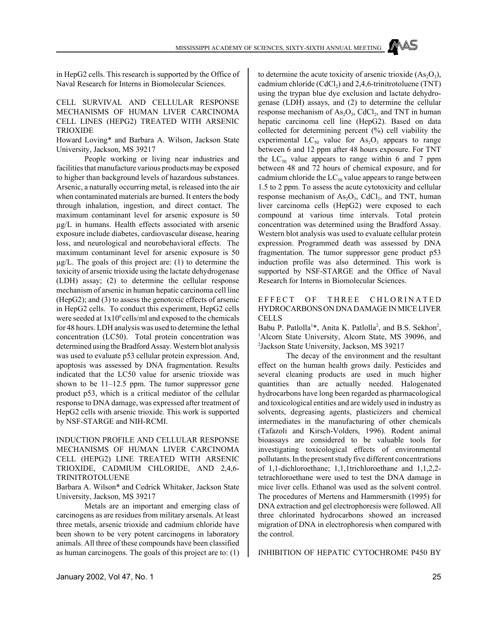in HepG2 cells. This research is supported by the Office of Naval Research for Interns in Biomolecular Sciences.

#### CELL SURVIVAL AND CELLULAR RESPONSE MECHANISMS OF HUMAN LIVER CARCINOMA CELL LINES (HEPG2) TREATED WITH ARSENIC TRIOXIDE

Howard Loving\* and Barbara A. Wilson, Jackson State University, Jackson, MS 39217

People working or living near industries and facilities that manufacture various products may be exposed to higher than background levels of hazardous substances. Arsenic, a naturally occurring metal, is released into the air when contaminated materials are burned. It enters the body through inhalation, ingestion, and direct contact. The maximum contaminant level for arsenic exposure is 50 µg/L in humans. Health effects associated with arsenic exposure include diabetes, cardiovascular disease, hearing loss, and neurological and neurobehavioral effects. The maximum contaminant level for arsenic exposure is 50  $\mu$ g/L. The goals of this project are: (1) to determine the toxicity of arsenic trioxide using the lactate dehydrogenase (LDH) assay; (2) to determine the cellular response mechanism of arsenic in human hepatic carcinoma cell line (HepG2); and (3) to assess the genotoxic effects of arsenic in HepG2 cells. To conduct this experiment, HepG2 cells were seeded at  $1x10^6$  cells/ml and exposed to the chemicals for 48 hours. LDH analysis was used to determine the lethal concentration (LC50). Total protein concentration was determined using the Bradford Assay. Western blot analysis was used to evaluate p53 cellular protein expression. And, apoptosis was assessed by DNA fragmentation. Results indicated that the LC50 value for arsenic trioxide was shown to be 11–12.5 ppm. The tumor suppressor gene product p53, which is a critical mediator of the cellular response to DNA damage, was expressed after treatment of HepG2 cells with arsenic trioxide. This work is supported by NSF-STARGE and NIH-RCMI.

INDUCTION PROFILE AND CELLULAR RESPONSE MECHANISMS OF HUMAN LIVER CARCINOMA CELL (HEPG2) LINE TREATED WITH ARSENIC TRIOXIDE, CADMIUM CHLORIDE, AND 2,4,6- TRINITROTOLUENE

Barbara A. Wilson\* and Cedrick Whitaker, Jackson State University, Jackson, MS 39217

Metals are an important and emerging class of carcinogens as are residues from military arsenals. At least three metals, arsenic trioxide and cadmium chloride have been shown to be very potent carcinogens in laboratory animals. All three of these compounds have been classified as human carcinogens. The goals of this project are to: (1)

to determine the acute toxicity of arsenic trioxide  $(As<sub>2</sub>O<sub>3</sub>)$ , cadmium chloride  $(CdCl<sub>2</sub>)$  and 2,4,6-trinitrotoluene (TNT) using the trypan blue dye exclusion and lactate dehydrogenase (LDH) assays, and (2) to determine the cellular response mechanism of  $\text{As}_2\text{O}_3$ , CdCl<sub>2</sub>, and TNT in human hepatic carcinoma cell line (HepG2). Based on data collected for determining percent (%) cell viability the experimental  $LC_{50}$  value for  $As<sub>2</sub>O<sub>3</sub>$  appears to range between 6 and 12 ppm after 48 hours exposure. For TNT the  $LC_{50}$  value appears to range within 6 and 7 ppm between 48 and 72 hours of chemical exposure, and for cadmium chloride the  $LC_{50}$  value appears to range between 1.5 to 2 ppm. To assess the acute cytotoxicity and cellular response mechanism of  $As_2O_3$ , CdCl<sub>2</sub>, and TNT, human liver carcinoma cells (HepG2) were exposed to each compound at various time intervals. Total protein concentration was determined using the Bradford Assay. Western blot analysis was used to evaluate cellular protein expression. Programmed death was assessed by DNA fragmentation. The tumor suppressor gene product p53 induction profile was also determined. This work is supported by NSF-STARGE and the Office of Naval Research for Interns in Biomolecular Sciences.

#### EFFECT OF THREE CHLORINATED HYDROCARBONS ON DNA DAMAGE IN MICE LIVER **CELLS**

Babu P. Patlolla<sup>1\*</sup>, Anita K. Patlolla<sup>2</sup>, and B.S. Sekhon<sup>2</sup>, <sup>1</sup>Alcorn State University, Alcorn State, MS 39096, and 2 Jackson State University, Jackson, MS 39217

The decay of the environment and the resultant effect on the human health grows daily. Pesticides and several cleaning products are used in much higher quantities than are actually needed. Halogenated hydrocarbons have long been regarded as pharmacological and toxicological entities and are widely used in industry as solvents, degreasing agents, plasticizers and chemical intermediates in the manufacturing of other chemicals (Tafazoli and Kirsch-Volders, 1996). Rodent animal bioassays are considered to be valuable tools for investigating toxicological effects of environmental pollutants. In the present study five different concentrations of 1,1-dichloroethane; 1,1,1trichloroethane and 1,1,2,2 tetrachloroethane were used to test the DNA damage in mice liver cells. Ethanol was used as the solvent control. The procedures of Mertens and Hammersmith (1995) for DNA extraction and gel electrophoresis were followed. All three chlorinated hydrocarbons showed an increased migration of DNA in electrophoresis when compared with the control.

INHIBITION OF HEPATIC CYTOCHROME P450 BY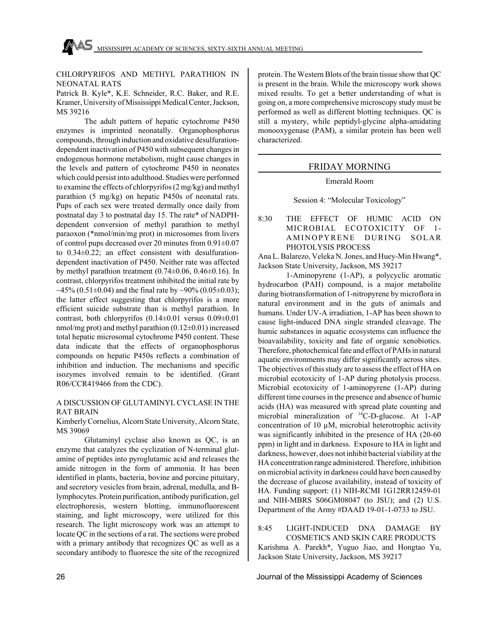#### CHLORPYRIFOS AND METHYL PARATHION IN NEONATAL RATS

Patrick B. Kyle\*, K.E. Schneider, R.C. Baker, and R.E. Kramer, University of Mississippi Medical Center, Jackson, MS 39216

The adult pattern of hepatic cytochrome P450 enzymes is imprinted neonatally. Organophosphorus compounds, through induction and oxidative desulfurationdependent inactivation of P450 with subsequent changes in endogenous hormone metabolism, might cause changes in the levels and pattern of cytochrome P450 in neonates which could persist into adulthood. Studies were performed to examine the effects of chlorpyrifos (2 mg/kg) and methyl parathion (5 mg/kg) on hepatic P450s of neonatal rats. Pups of each sex were treated dermally once daily from postnatal day 3 to postnatal day 15. The rate\* of NADPHdependent conversion of methyl parathion to methyl paraoxon (\*nmol/min/mg prot) in microsomes from livers of control pups decreased over 20 minutes from  $0.91 \pm 0.07$ to 0.34±0.22; an effect consistent with desulfurationdependent inactivation of P450. Neither rate was affected by methyl parathion treatment  $(0.74\pm0.06, 0.46\pm0.16)$ . In contrast, chlorpyrifos treatment inhibited the initial rate by  $\sim$ 45% (0.51±0.04) and the final rate by  $\sim$ 90% (0.05±0.03); the latter effect suggesting that chlorpyrifos is a more efficient suicide substrate than is methyl parathion. In contrast, both chlorpyrifos  $(0.14\pm0.01$  versus  $0.09\pm0.01$ nmol/mg prot) and methyl parathion (0.12±0.01) increased total hepatic microsomal cytochrome P450 content. These data indicate that the effects of organophosphorus compounds on hepatic P450s reflects a combination of inhibition and induction. The mechanisms and specific isozymes involved remain to be identified. (Grant R06/CCR419466 from the CDC).

#### A DISCUSSION OF GLUTAMINYL CYCLASE IN THE RAT BRAIN

Kimberly Cornelius, Alcorn State University, Alcorn State, MS 39069

Glutaminyl cyclase also known as QC, is an enzyme that catalyzes the cyclization of N-terminal glutamine of peptides into pyroglutamic acid and releases the amide nitrogen in the form of ammonia. It has been identified in plants, bacteria, bovine and porcine pituitary, and secretory vesicles from brain, adrenal, medulla, and Blymphocytes. Protein purification, antibody purification, gel electrophoresis, western blotting, immunofluorescent staining, and light microscopy, were utilized for this research. The light microscopy work was an attempt to locate QC in the sections of a rat. The sections were probed with a primary antibody that recognizes QC as well as a secondary antibody to fluoresce the site of the recognized protein. The Western Blots of the brain tissue show that QC is present in the brain. While the microscopy work shows mixed results. To get a better understanding of what is going on, a more comprehensive microscopy study must be performed as well as different blotting techniques. QC is still a mystery, while peptidyl-glycine alpha-amidating monooxygenase (PAM), a similar protein has been well characterized.

#### FRIDAY MORNING

#### Emerald Room

Session 4: "Molecular Toxicology"

#### 8:30 THE EFFECT OF HUMIC ACID ON MICROBIAL ECOTOXICITY OF 1- AMINOPYRENE DURING SOLAR PHOTOLYSIS PROCESS

Ana L. Balarezo, Veleka N. Jones, and Huey-Min Hwang\*, Jackson State University, Jackson, MS 39217

1-Aminopyrene (1-AP), a polycyclic aromatic hydrocarbon (PAH) compound, is a major metabolite during biotransformation of 1-nitropyrene by microflora in natural environment and in the guts of animals and humans. Under UV-A irradiation, 1-AP has been shown to cause light-induced DNA single stranded cleavage. The humic substances in aquatic ecosystems can influence the bioavailability, toxicity and fate of organic xenobiotics. Therefore, photochemical fate and effect of PAHs in natural aquatic environments may differ significantly across sites. The objectives of this study are to assess the effect of HA on microbial ecotoxicity of 1-AP during photolysis process. Microbial ecotoxicity of 1-aminopyrene (1-AP) during different time courses in the presence and absence of humic acids (HA) was measured with spread plate counting and microbial mineralization of 14C-D-glucose. At 1-AP concentration of 10  $\mu$ M, microbial heterotrophic activity was significantly inhibited in the presence of HA (20-60 ppm) in light and in darkness. Exposure to HA in light and darkness, however, does not inhibit bacterial viability at the HA concentration range administered. Therefore, inhibition on microbial activity in darkness could have been caused by the decrease of glucose availability, instead of toxicity of HA. Funding support: (1) NIH-RCMI 1G12RR12459-01 and NIH-MBRS S06GM08047 (to JSU); and (2) U.S. Department of the Army #DAAD 19-01-1-0733 to JSU.

#### 8:45 LIGHT-INDUCED DNA DAMAGE BY COSMETICS AND SKIN CARE PRODUCTS

Karishma A. Parekh\*, Yuguo Jiao, and Hongtao Yu, Jackson State University, Jackson, MS 39217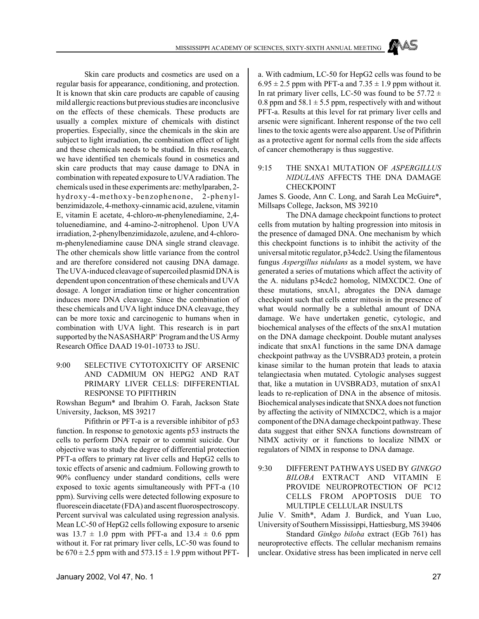Skin care products and cosmetics are used on a regular basis for appearance, conditioning, and protection. It is known that skin care products are capable of causing mild allergic reactions but previous studies are inconclusive on the effects of these chemicals. These products are usually a complex mixture of chemicals with distinct properties. Especially, since the chemicals in the skin are subject to light irradiation, the combination effect of light and these chemicals needs to be studied. In this research, we have identified ten chemicals found in cosmetics and skin care products that may cause damage to DNA in combination with repeated exposure to UVA radiation. The chemicals used in these experiments are: methylparaben, 2 hydroxy-4-methoxy-benzophenone, 2-phenylbenzimidazole, 4-methoxy-cinnamic acid, azulene, vitamin E, vitamin E acetate, 4-chloro-*m*-phenylenediamine, 2,4 toluenediamine, and 4-amino-2-nitrophenol. Upon UVA irradiation, 2-phenylbenzimidazole, azulene, and 4-chlorom-phenylenediamine cause DNA single strand cleavage. The other chemicals show little variance from the control and are therefore considered not causing DNA damage. The UVA-induced cleavage of supercoiled plasmid DNA is dependent upon concentration of these chemicals and UVA dosage. A longer irradiation time or higher concentration induces more DNA cleavage. Since the combination of these chemicals and UVA light induce DNA cleavage, they can be more toxic and carcinogenic to humans when in combination with UVA light. This research is in part supported by the NASASHARP<sup>+</sup> Program and the US Army Research Office DAAD 19-01-10733 to JSU.

9:00 SELECTIVE CYTOTOXICITY OF ARSENIC AND CADMIUM ON HEPG2 AND RAT PRIMARY LIVER CELLS: DIFFERENTIAL RESPONSE TO PIFITHRIN

Rowshan Begum\* and Ibrahim O. Farah, Jackson State University, Jackson, MS 39217

Pifithrin or PFT-a is a reversible inhibitor of p53 function. In response to genotoxic agents p53 instructs the cells to perform DNA repair or to commit suicide. Our objective was to study the degree of differential protection PFT-a offers to primary rat liver cells and HepG2 cells to toxic effects of arsenic and cadmium. Following growth to 90% confluency under standard conditions, cells were exposed to toxic agents simultaneously with PFT-a (10 ppm). Surviving cells were detected following exposure to fluorescein diacetate (FDA) and ascent fluorospectroscopy. Percent survival was calculated using regression analysis. Mean LC-50 of HepG2 cells following exposure to arsenic was  $13.7 \pm 1.0$  ppm with PFT-a and  $13.4 \pm 0.6$  ppm without it. For rat primary liver cells, LC-50 was found to be  $670 \pm 2.5$  ppm with and  $573.15 \pm 1.9$  ppm without PFT-

a. With cadmium, LC-50 for HepG2 cells was found to be  $6.95 \pm 2.5$  ppm with PFT-a and  $7.35 \pm 1.9$  ppm without it. In rat primary liver cells, LC-50 was found to be  $57.72 \pm$ 0.8 ppm and 58.1  $\pm$  5.5 ppm, respectively with and without PFT-a. Results at this level for rat primary liver cells and arsenic were significant. Inherent response of the two cell lines to the toxic agents were also apparent. Use of Pifithrin as a protective agent for normal cells from the side affects of cancer chemotherapy is thus suggestive.

9:15 THE SNXA1 MUTATION OF *ASPERGILLUS NIDULANS* AFFECTS THE DNA DAMAGE CHECKPOINT

James S. Goode, Ann C. Long, and Sarah Lea McGuire\*, Millsaps College, Jackson, MS 39210

The DNA damage checkpoint functions to protect cells from mutation by halting progression into mitosis in the presence of damaged DNA. One mechanism by which this checkpoint functions is to inhibit the activity of the universal mitotic regulator, p34cdc2. Using the filamentous fungus *Aspergillus nidulans* as a model system, we have generated a series of mutations which affect the activity of the A. nidulans p34cdc2 homolog, NIMXCDC2. One of these mutations, snxA1, abrogates the DNA damage checkpoint such that cells enter mitosis in the presence of what would normally be a sublethal amount of DNA damage. We have undertaken genetic, cytologic, and biochemical analyses of the effects of the snxA1 mutation on the DNA damage checkpoint. Double mutant analyses indicate that snxA1 functions in the same DNA damage checkpoint pathway as the UVSBRAD3 protein, a protein kinase similar to the human protein that leads to ataxia telangiectasia when mutated. Cytologic analyses suggest that, like a mutation in UVSBRAD3, mutation of snxA1 leads to re-replication of DNA in the absence of mitosis. Biochemical analyses indicate that SNXA does not function by affecting the activity of NIMXCDC2, which is a major component of the DNA damage checkpoint pathway. These data suggest that either SNXA functions downstream of NIMX activity or it functions to localize NIMX or regulators of NIMX in response to DNA damage.

9:30 DIFFERENT PATHWAYS USED BY *GINKGO BILOBA* EXTRACT AND VITAMIN E PROVIDE NEUROPROTECTION OF PC12 CELLS FROM APOPTOSIS DUE TO MULTIPLE CELLULAR INSULTS

Julie V. Smith\*, Adam J. Burdick, and Yuan Luo, University of Southern Mississippi, Hattiesburg, MS 39406

Standard *Ginkgo biloba* extract (EGb 761) has neuroprotective effects. The cellular mechanism remains unclear. Oxidative stress has been implicated in nerve cell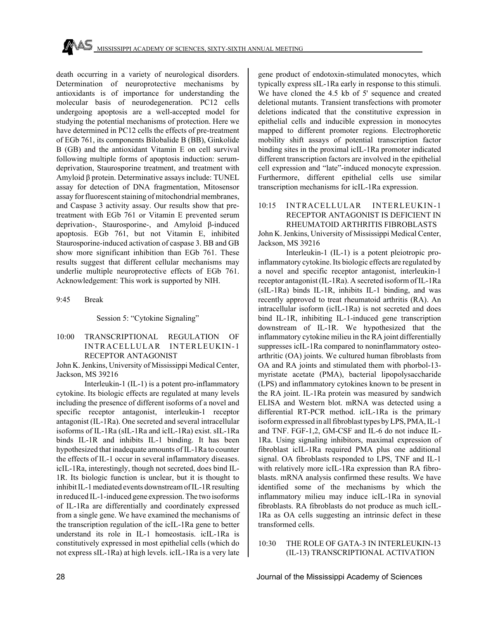death occurring in a variety of neurological disorders. Determination of neuroprotective mechanisms by antioxidants is of importance for understanding the molecular basis of neurodegeneration. PC12 cells undergoing apoptosis are a well-accepted model for studying the potential mechanisms of protection. Here we have determined in PC12 cells the effects of pre-treatment of EGb 761, its components Bilobalide B (BB), Ginkolide B (GB) and the antioxidant Vitamin E on cell survival following multiple forms of apoptosis induction: serumdeprivation, Staurosporine treatment, and treatment with Amyloid β protein. Determinative assays include: TUNEL assay for detection of DNA fragmentation, Mitosensor assay for fluorescent staining of mitochondrial membranes, and Caspase 3 activity assay. Our results show that pretreatment with EGb 761 or Vitamin E prevented serum deprivation-, Staurosporine-, and Amyloid β-induced apoptosis. EGb 761, but not Vitamin E, inhibited Staurosporine-induced activation of caspase 3. BB and GB show more significant inhibition than EGb 761. These results suggest that different cellular mechanisms may underlie multiple neuroprotective effects of EGb 761. Acknowledgement: This work is supported by NIH.

9:45 Break

Session 5: "Cytokine Signaling"

10:00 TRANSCRIPTIONAL REGULATION OF INTRACELLULAR INTERLEUKIN-1 RECEPTOR ANTAGONIST

John K. Jenkins, University of Mississippi Medical Center, Jackson, MS 39216

Interleukin-1 (IL-1) is a potent pro-inflammatory cytokine. Its biologic effects are regulated at many levels including the presence of different isoforms of a novel and specific receptor antagonist, interleukin-1 receptor antagonist (IL-1Ra). One secreted and several intracellular isoforms of IL-1Ra (sIL-1Ra and icIL-1Ra) exist. sIL-1Ra binds IL-1R and inhibits IL-1 binding. It has been hypothesized that inadequate amounts of IL-1Ra to counter the effects of IL-1 occur in several inflammatory diseases. icIL-1Ra, interestingly, though not secreted, does bind IL-1R. Its biologic function is unclear, but it is thought to inhibit IL-1 mediated events downstream of IL-1R resulting in reduced IL-1-induced gene expression. The two isoforms of IL-1Ra are differentially and coordinately expressed from a single gene. We have examined the mechanisms of the transcription regulation of the icIL-1Ra gene to better understand its role in IL-1 homeostasis. icIL-1Ra is constitutively expressed in most epithelial cells (which do not express sIL-1Ra) at high levels. icIL-1Ra is a very late gene product of endotoxin-stimulated monocytes, which typically express sIL-1Ra early in response to this stimuli. We have cloned the 4.5 kb of 5' sequence and created deletional mutants. Transient transfections with promoter deletions indicated that the constitutive expression in epithelial cells and inducible expression in monocytes mapped to different promoter regions. Electrophoretic mobility shift assays of potential transcription factor binding sites in the proximal icIL-1Ra promoter indicated different transcription factors are involved in the epithelial cell expression and "late"-induced monocyte expression. Furthermore, different epithelial cells use similar transcription mechanisms for icIL-1Ra expression.

#### 10:15 INTRACELLULAR INTERLEUKIN-1 RECEPTOR ANTAGONIST IS DEFICIENT IN RHEUMATOID ARTHRITIS FIBROBLASTS

John K. Jenkins, University of Mississippi Medical Center, Jackson, MS 39216

Interleukin-1 (IL-1) is a potent pleiotropic proinflammatory cytokine. Its biologic effects are regulated by a novel and specific receptor antagonist, interleukin-1 receptor antagonist (IL-1Ra). A secreted isoform of IL-1Ra (sIL-1Ra) binds IL-1R, inhibits IL-1 binding, and was recently approved to treat rheumatoid arthritis (RA). An intracellular isoform (icIL-1Ra) is not secreted and does bind IL-1R, inhibiting IL-1-induced gene transcription downstream of IL-1R. We hypothesized that the inflammatory cytokine milieu in the RA joint differentially suppresses icIL-1Ra compared to noninflammatory osteoarthritic (OA) joints. We cultured human fibroblasts from OA and RA joints and stimulated them with phorbol-13 myristate acetate (PMA), bacterial lipopolysaccharide (LPS) and inflammatory cytokines known to be present in the RA joint. IL-1Ra protein was measured by sandwich ELISA and Western blot. mRNA was detected using a differential RT-PCR method. icIL-1Ra is the primary isoform expressed in all fibroblast types by LPS, PMA, IL-1 and TNF. FGF-1,2, GM-CSF and IL-6 do not induce IL-1Ra. Using signaling inhibitors, maximal expression of fibroblast icIL-1Ra required PMA plus one additional signal. OA fibroblasts responded to LPS, TNF and IL-1 with relatively more icIL-1Ra expression than RA fibroblasts. mRNA analysis confirmed these results. We have identified some of the mechanisms by which the inflammatory milieu may induce icIL-1Ra in synovial fibroblasts. RA fibroblasts do not produce as much icIL-1Ra as OA cells suggesting an intrinsic defect in these transformed cells.

10:30 THE ROLE OF GATA-3 IN INTERLEUKIN-13 (IL-13) TRANSCRIPTIONAL ACTIVATION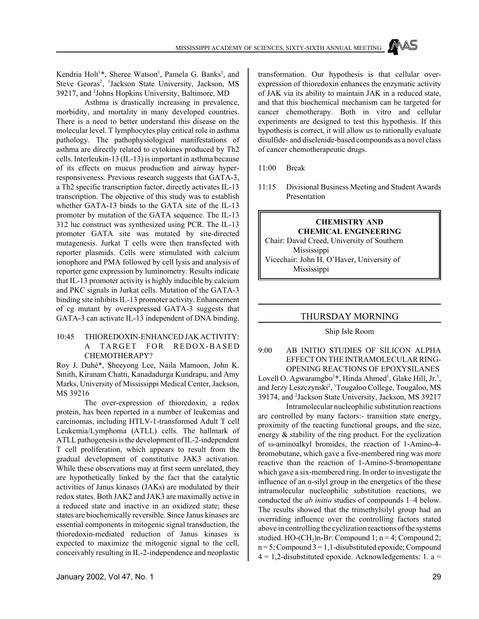Kendria Holt<sup>1\*</sup>, Sheree Watson<sup>1</sup>, Pamela G. Banks<sup>1</sup>, and Steve Georas<sup>2</sup>, <sup>1</sup>Jackson State University, Jackson, MS 39217, and <sup>2</sup>Johns Hopkins University, Baltimore, MD

Asthma is drastically increasing in prevalence, morbidity, and mortality in many developed countries. There is a need to better understand this disease on the molecular level. T lymphocytes play critical role in asthma pathology. The pathophysiological manifestations of asthma are directly related to cytokines produced by Th2 cells. Interleukin-13 (IL-13) is important in asthma because of its effects on mucus production and airway hyperresponsiveness. Previous research suggests that GATA-3, a Th2 specific transcription factor, directly activates IL-13 transcription. The objective of this study was to establish whether GATA-13 binds to the GATA site of the IL-13 promoter by mutation of the GATA sequence. The IL-13 312 luc construct was synthesized using PCR. The IL-13 promoter GATA site was mutated by site-directed mutagenesis. Jurkat T cells were then transfected with reporter plasmids. Cells were stimulated with calcium ionophore and PMA followed by cell lysis and analysis of reporter gene expression by luminometry. Results indicate that IL-13 promoter activity is highly inducible by calcium and PKC signals in Jurkat cells. Mutation of the GATA-3 binding site inhibits IL-13 promoter activity. Enhancement of cg mutant by overexpressed GATA-3 suggests that GATA-3 can activate IL-13 independent of DNA binding.

#### 10:45 THIOREDOXIN-ENHANCED JAK ACTIVITY: A TARGET FOR REDOX-BASED CHEMOTHERAPY?

Roy J. Duhé\*, Sheeyong Lee, Naila Mamoon, John K. Smith, Kiranam Chatti, Kanadadurga Kundrapu, and Amy Marks, University of Mississippi Medical Center, Jackson, MS 39216

The over-expression of thioredoxin, a redox protein, has been reported in a number of leukemias and carcinomas, including HTLV-1-transformed Adult T cell Leukemia/Lymphoma (ATLL) cells. The hallmark of ATLL pathogenesis is the development of IL-2-independent T cell proliferation, which appears to result from the gradual development of constitutive JAK3 activation. While these observations may at first seem unrelated, they are hypothetically linked by the fact that the catalytic activities of Janus kinases (JAKs) are modulated by their redox states. Both JAK2 and JAK3 are maximally active in a reduced state and inactive in an oxidized state; these states are biochemically reversible. Since Janus kinases are essential components in mitogenic signal transduction, the thioredoxin-mediated reduction of Janus kinases is expected to maximize the mitogenic signal to the cell, conceivably resulting in IL-2-independence and neoplastic transformation. Our hypothesis is that cellular overexpression of thioredoxin enhances the enzymatic activity of JAK via its ability to maintain JAK in a reduced state, and that this biochemical mechanism can be targeted for cancer chemotherapy. Both in vitro and cellular experiments are designed to test this hypothesis. If this hypothesis is correct, it will allow us to rationally evaluate disulfide- and diselenide-based compounds as a novel class of cancer chemotherapeutic drugs.

11:00 Break

11:15 Divisional Business Meeting and Student Awards Presentation

#### **CHEMISTRY AND CHEMICAL ENGINEERING** Chair: David Creed, University of Southern Mississippi Vicechair: John H. O'Haver, University of Mississippi

#### THURSDAY MORNING

#### Ship Isle Room

9:00 AB INITIO STUDIES OF SILICON ALPHA EFFECT ON THE INTRAMOLECULAR RING-OPENING REACTIONS OF EPOXYSILANES Lovell O. Agwaramgbo<sup>1\*</sup>, Hinda Ahmed<sup>1</sup>, Glake Hill, Jr.<sup>1</sup>, and Jerzy Leszczynski<sup>2</sup>, <sup>1</sup>Tougaloo College, Tougaloo, MS 39174, and <sup>2</sup>Jackson State University, Jackson, MS 39217

Intramolecular nucleophilic substitution reactions are controlled by many factors:- transition state energy, proximity of the reacting functional groups, and the size, energy & stability of the ring product. For the cyclization of ω-aminoalkyl bromides, the reaction of 1-Amino-4 bromobutane, which gave a five-membered ring was more reactive than the reaction of 1-Amino-5-bromopentane which gave a six-membered ring. In order to investigate the influence of an  $\alpha$ -silyl group in the energetics of the these intramolecular nucleophilic substitution reactions, we conducted the *ab initio* studies of compounds 1–4 below. The results showed that the trimethylsilyl group had an overriding influence over the controlling factors stated above in controlling the cyclization reactions of the systems studied. HO- $(CH<sub>2</sub>)n-Br$ : Compound 1; n = 4; Compound 2;  $n = 5$ ; Compound  $3 = 1,1$ -disubstituted epoxide; Compound  $4 = 1,2$ -disubstituted epoxide. Acknowledgements: 1. a =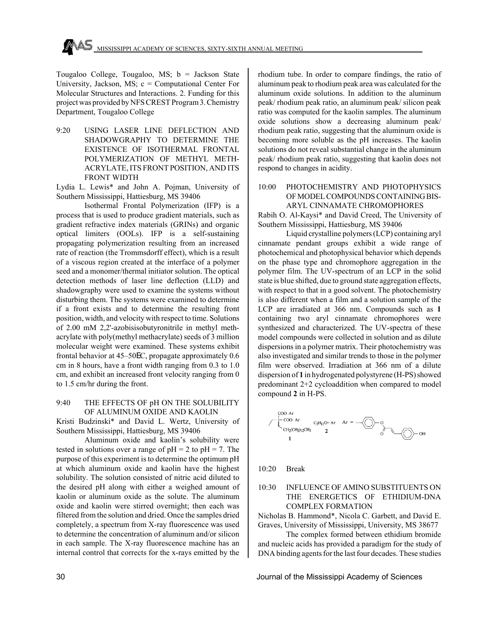Tougaloo College, Tougaloo, MS;  $b =$  Jackson State University, Jackson, MS;  $c =$  Computational Center For Molecular Structures and Interactions. 2. Funding for this project was provided by NFS CREST Program 3. Chemistry Department, Tougaloo College

9:20 USING LASER LINE DEFLECTION AND SHADOWGRAPHY TO DETERMINE THE EXISTENCE OF ISOTHERMAL FRONTAL POLYMERIZATION OF METHYL METH-ACRYLATE, ITS FRONT POSITION, AND ITS FRONT WIDTH

Lydia L. Lewis\* and John A. Pojman, University of Southern Mississippi, Hattiesburg, MS 39406

Isothermal Frontal Polymerization (IFP) is a process that is used to produce gradient materials, such as gradient refractive index materials (GRINs) and organic optical limiters (OOLs). IFP is a self-sustaining propagating polymerization resulting from an increased rate of reaction (the Trommsdorff effect), which is a result of a viscous region created at the interface of a polymer seed and a monomer/thermal initiator solution. The optical detection methods of laser line deflection (LLD) and shadowgraphy were used to examine the systems without disturbing them. The systems were examined to determine if a front exists and to determine the resulting front position, width, and velocity with respect to time. Solutions of 2.00 mM 2,2'-azobisisobutyronitrile in methyl methacrylate with poly(methyl methacrylate) seeds of 3 million molecular weight were examined. These systems exhibit frontal behavior at 45–50EC, propagate approximately 0.6 cm in 8 hours, have a front width ranging from 0.3 to 1.0 cm, and exhibit an increased front velocity ranging from 0 to 1.5 cm/hr during the front.

#### 9:40 THE EFFECTS OF pH ON THE SOLUBILITY OF ALUMINUM OXIDE AND KAOLIN

Kristi Budzinski\* and David L. Wertz, University of Southern Mississippi, Hattiesburg, MS 39406

Aluminum oxide and kaolin's solubility were tested in solutions over a range of  $pH = 2$  to  $pH = 7$ . The purpose of this experiment is to determine the optimum pH at which aluminum oxide and kaolin have the highest solubility. The solution consisted of nitric acid diluted to the desired pH along with either a weighed amount of kaolin or aluminum oxide as the solute. The aluminum oxide and kaolin were stirred overnight; then each was filtered from the solution and dried. Once the samples dried completely, a spectrum from X-ray fluorescence was used to determine the concentration of aluminum and/or silicon in each sample. The X-ray fluorescence machine has an internal control that corrects for the x-rays emitted by the

rhodium tube. In order to compare findings, the ratio of aluminum peak to rhodium peak area was calculated for the aluminum oxide solutions. In addition to the aluminum peak/ rhodium peak ratio, an aluminum peak/ silicon peak ratio was computed for the kaolin samples. The aluminum oxide solutions show a decreasing aluminum peak/ rhodium peak ratio, suggesting that the aluminum oxide is becoming more soluble as the pH increases. The kaolin solutions do not reveal substantial change in the aluminum peak/ rhodium peak ratio, suggesting that kaolin does not respond to changes in acidity.

#### 10:00 PHOTOCHEMISTRY AND PHOTOPHYSICS OF MODEL COMPOUNDS CONTAINING BIS-ARYL CINNAMATE CHROMOPHORES

Rabih O. Al-Kaysi\* and David Creed, The University of Southern Mississippi, Hattiesburg, MS 39406

Liquid crystalline polymers (LCP) containing aryl cinnamate pendant groups exhibit a wide range of photochemical and photophysical behavior which depends on the phase type and chromophore aggregation in the polymer film. The UV-spectrum of an LCP in the solid state is blue shifted, due to ground state aggregation effects, with respect to that in a good solvent. The photochemistry is also different when a film and a solution sample of the LCP are irradiated at 366 nm. Compounds such as **1** containing two aryl cinnamate chromophores were synthesized and characterized. The UV-spectra of these model compounds were collected in solution and as dilute dispersions in a polymer matrix. Their photochemistry was also investigated and similar trends to those in the polymer film were observed. Irradiation at 366 nm of a dilute dispersion of **1** in hydrogenated polystyrene (H-PS) showed predominant 2+2 cycloaddition when compared to model compound **2** in H-PS.



10:20 Break

#### 10:30 INFLUENCE OF AMINO SUBSTITUENTS ON THE ENERGETICS OF ETHIDIUM-DNA COMPLEX FORMATION

Nicholas B. Hammond\*, Nicola C. Garbett, and David E. Graves, University of Mississippi, University, MS 38677

The complex formed between ethidium bromide and nucleic acids has provided a paradigm for the study of DNA binding agents for the last four decades. These studies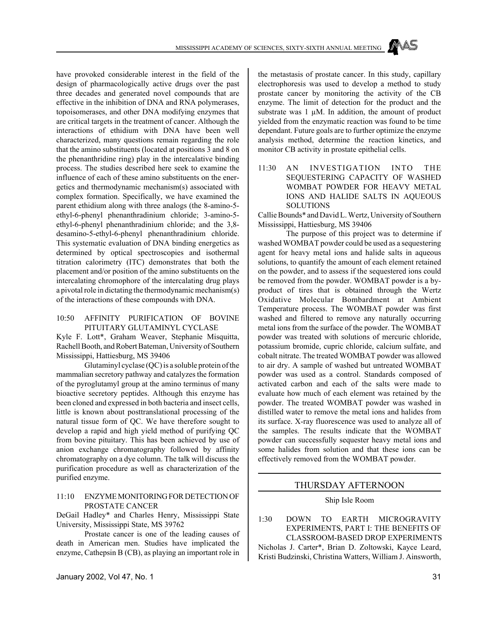have provoked considerable interest in the field of the design of pharmacologically active drugs over the past three decades and generated novel compounds that are effective in the inhibition of DNA and RNA polymerases, topoisomerases, and other DNA modifying enzymes that are critical targets in the treatment of cancer. Although the interactions of ethidium with DNA have been well characterized, many questions remain regarding the role that the amino substituents (located at positions 3 and 8 on the phenanthridine ring) play in the intercalative binding process. The studies described here seek to examine the influence of each of these amino substituents on the energetics and thermodynamic mechanism(s) associated with complex formation. Specifically, we have examined the parent ethidium along with three analogs (the 8-amino-5 ethyl-6-phenyl phenanthradinium chloride; 3-amino-5 ethyl-6-phenyl phenanthradinium chloride; and the 3,8 desamino-5-ethyl-6-phenyl phenanthradinium chloride. This systematic evaluation of DNA binding energetics as determined by optical spectroscopies and isothermal titration calorimetry (ITC) demonstrates that both the placement and/or position of the amino substituents on the intercalating chromophore of the intercalating drug plays a pivotal role in dictating the thermodynamic mechanism(s) of the interactions of these compounds with DNA.

#### 10:50 AFFINITY PURIFICATION OF BOVINE PITUITARY GLUTAMINYL CYCLASE

Kyle F. Lott\*, Graham Weaver, Stephanie Misquitta, Rachell Booth, and Robert Bateman, University of Southern Mississippi, Hattiesburg, MS 39406

Glutaminyl cyclase (QC) is a soluble protein of the mammalian secretory pathway and catalyzes the formation of the pyroglutamyl group at the amino terminus of many bioactive secretory peptides. Although this enzyme has been cloned and expressed in both bacteria and insect cells, little is known about posttranslational processing of the natural tissue form of QC. We have therefore sought to develop a rapid and high yield method of purifying QC from bovine pituitary. This has been achieved by use of anion exchange chromatography followed by affinity chromatography on a dye column. The talk will discuss the purification procedure as well as characterization of the purified enzyme.

#### 11:10 ENZYME MONITORING FOR DETECTION OF PROSTATE CANCER

DeGail Hadley\* and Charles Henry, Mississippi State University, Mississippi State, MS 39762

Prostate cancer is one of the leading causes of death in American men. Studies have implicated the enzyme, Cathepsin B (CB), as playing an important role in

the metastasis of prostate cancer. In this study, capillary electrophoresis was used to develop a method to study prostate cancer by monitoring the activity of the CB enzyme. The limit of detection for the product and the substrate was  $1 \mu M$ . In addition, the amount of product yielded from the enzymatic reaction was found to be time dependant. Future goals are to further optimize the enzyme analysis method, determine the reaction kinetics, and monitor CB activity in prostate epithelial cells.

11:30 AN INVESTIGATION INTO THE SEQUESTERING CAPACITY OF WASHED WOMBAT POWDER FOR HEAVY METAL IONS AND HALIDE SALTS IN AQUEOUS **SOLUTIONS** 

Callie Bounds\* and David L. Wertz, University of Southern Mississippi, Hattiesburg, MS 39406

The purpose of this project was to determine if washed WOMBAT powder could be used as a sequestering agent for heavy metal ions and halide salts in aqueous solutions, to quantify the amount of each element retained on the powder, and to assess if the sequestered ions could be removed from the powder. WOMBAT powder is a byproduct of tires that is obtained through the Wertz Oxidative Molecular Bombardment at Ambient Temperature process. The WOMBAT powder was first washed and filtered to remove any naturally occurring metal ions from the surface of the powder. The WOMBAT powder was treated with solutions of mercuric chloride, potassium bromide, cupric chloride, calcium sulfate, and cobalt nitrate. The treated WOMBAT powder was allowed to air dry. A sample of washed but untreated WOMBAT powder was used as a control. Standards composed of activated carbon and each of the salts were made to evaluate how much of each element was retained by the powder. The treated WOMBAT powder was washed in distilled water to remove the metal ions and halides from its surface. X-ray fluorescence was used to analyze all of the samples. The results indicate that the WOMBAT powder can successfully sequester heavy metal ions and some halides from solution and that these ions can be effectively removed from the WOMBAT powder.

#### THURSDAY AFTERNOON

#### Ship Isle Room

1:30 DOWN TO EARTH MICROGRAVITY EXPERIMENTS, PART I: THE BENEFITS OF CLASSROOM-BASED DROP EXPERIMENTS Nicholas J. Carter\*, Brian D. Zoltowski, Kayce Leard, Kristi Budzinski, Christina Watters, William J. Ainsworth,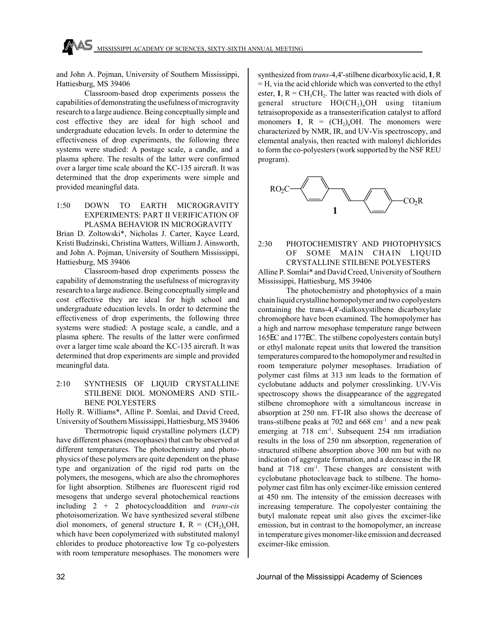and John A. Pojman, University of Southern Mississippi, Hattiesburg, MS 39406

Classroom-based drop experiments possess the capabilities of demonstrating the usefulness of microgravity research to a large audience. Being conceptually simple and cost effective they are ideal for high school and undergraduate education levels. In order to determine the effectiveness of drop experiments, the following three systems were studied: A postage scale, a candle, and a plasma sphere. The results of the latter were confirmed over a larger time scale aboard the KC-135 aircraft. It was determined that the drop experiments were simple and provided meaningful data.

#### 1:50 DOWN TO EARTH MICROGRAVITY EXPERIMENTS: PART II VERIFICATION OF PLASMA BEHAVIOR IN MICROGRAVITY

Brian D. Zoltowski\*, Nicholas J. Carter, Kayce Leard, Kristi Budzinski, Christina Watters, William J. Ainsworth, and John A. Pojman, University of Southern Mississippi, Hattiesburg, MS 39406

Classroom-based drop experiments possess the capability of demonstrating the usefulness of microgravity research to a large audience. Being conceptually simple and cost effective they are ideal for high school and undergraduate education levels. In order to determine the effectiveness of drop experiments, the following three systems were studied: A postage scale, a candle, and a plasma sphere. The results of the latter were confirmed over a larger time scale aboard the KC-135 aircraft. It was determined that drop experiments are simple and provided meaningful data.

#### 2:10 SYNTHESIS OF LIQUID CRYSTALLINE STILBENE DIOL MONOMERS AND STIL-BENE POLYESTERS

Holly R. Williams\*, Alline P. Somlai, and David Creed, University of Southern Mississippi, Hattiesburg, MS 39406

Thermotropic liquid crystalline polymers (LCP) have different phases (mesophases) that can be observed at different temperatures. The photochemistry and photophysics of these polymers are quite dependent on the phase type and organization of the rigid rod parts on the polymers, the mesogens, which are also the chromophores for light absorption. Stilbenes are fluorescent rigid rod mesogens that undergo several photochemical reactions including 2 + 2 photocycloaddition and *trans-cis* photoisomerization. We have synthesized several stilbene diol monomers, of general structure 1,  $R = (CH<sub>2</sub>)<sub>n</sub>OH$ , which have been copolymerized with substituted malonyl chlorides to produce photoreactive low Tg co-polyesters with room temperature mesophases. The monomers were synthesized from *trans-*4,4'-stilbene dicarboxylic acid, **1**, R = H, via the acid chloride which was converted to the ethyl ester,  $1, R = CH_3CH_2$ . The latter was reacted with diols of general structure  $HO(CH_2)_nOH$  using titanium tetraisopropoxide as a transesterification catalyst to afford monomers  $1$ ,  $R = (CH<sub>2</sub>)$ <sub>n</sub>OH. The monomers were characterized by NMR, IR, and UV-Vis spectroscopy, and elemental analysis, then reacted with malonyl dichlorides to form the co-polyesters (work supported by the NSF REU program).



#### 2:30 PHOTOCHEMISTRY AND PHOTOPHYSICS OF SOME MAIN CHAIN LIQUID CRYSTALLINE STILBENE POLYESTERS Alline P. Somlai\* and David Creed, University of Southern Mississippi, Hattiesburg, MS 39406

The photochemistry and photophysics of a main chain liquid crystalline homopolymer and two copolyesters containing the trans-4,4'-dialkoxystilbene dicarboxylate chromophore have been examined. The homopolymer has a high and narrow mesophase temperature range between 165EC and 177EC. The stilbene copolyesters contain butyl or ethyl malonate repeat units that lowered the transition temperatures compared to the homopolymer and resulted in room temperature polymer mesophases. Irradiation of polymer cast films at 313 nm leads to the formation of cyclobutane adducts and polymer crosslinking. UV-Vis spectroscopy shows the disappearance of the aggregated stilbene chromophore with a simultaneous increase in absorption at 250 nm. FT-IR also shows the decrease of trans-stilbene peaks at 702 and  $668 \text{ cm}^{-1}$  and a new peak emerging at 718 cm<sup>-1</sup>. Subsequent 254 nm irradiation results in the loss of 250 nm absorption, regeneration of structured stilbene absorption above 300 nm but with no indication of aggregate formation, and a decrease in the IR band at 718 cm<sup>-1</sup>. These changes are consistent with cyclobutane photocleavage back to stilbene. The homopolymer cast film has only excimer-like emission centered at 450 nm. The intensity of the emission decreases with increasing temperature. The copolyester containing the butyl malonate repeat unit also gives the excimer-like emission, but in contrast to the homopolymer, an increase in temperature gives monomer-like emission and decreased excimer-like emission.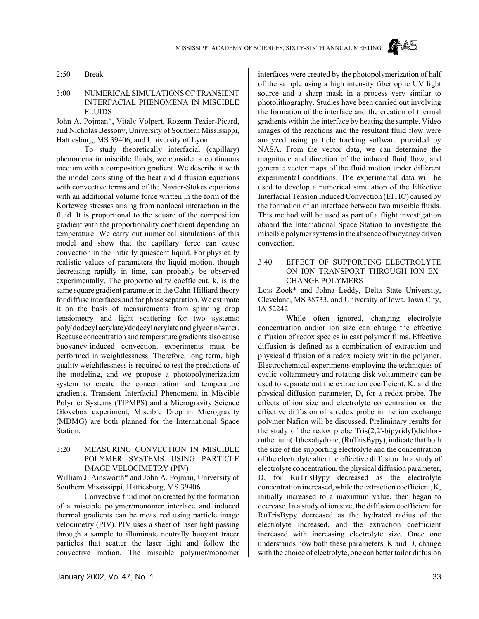2:50 Break

#### 3:00 NUMERICAL SIMULATIONS OF TRANSIENT INTERFACIAL PHENOMENA IN MISCIBLE FLUIDS

John A. Pojman\*, Vitaly Volpert, Rozenn Texier-Picard, and Nicholas Bessonv, University of Southern Mississippi, Hattiesburg, MS 39406, and University of Lyon

To study theoretically interfacial (capillary) phenomena in miscible fluids, we consider a continuous medium with a composition gradient. We describe it with the model consisting of the heat and diffusion equations with convective terms and of the Navier-Stokes equations with an additional volume force written in the form of the Korteweg stresses arising from nonlocal interaction in the fluid. It is proportional to the square of the composition gradient with the proportionality coefficient depending on temperature. We carry out numerical simulations of this model and show that the capillary force can cause convection in the initially quiescent liquid. For physically realistic values of parameters the liquid motion, though decreasing rapidly in time, can probably be observed experimentally. The proportionality coefficient, k, is the same square gradient parameter in the Cahn-Hilliard theory for diffuse interfaces and for phase separation. We estimate it on the basis of measurements from spinning drop tensiometry and light scattering for two systems: poly(dodecyl acrylate)/dodecyl acrylate and glycerin/water. Because concentration and temperature gradients also cause buoyancy-induced convection, experiments must be performed in weightlessness. Therefore, long term, high quality weightlessness is required to test the predictions of the modeling, and we propose a photopolymerization system to create the concentration and temperature gradients. Transient Interfacial Phenomena in Miscible Polymer Systems (TIPMPS) and a Microgravity Science Glovebox experiment, Miscible Drop in Microgravity (MDMG) are both planned for the International Space Station.

#### 3:20 MEASURING CONVECTION IN MISCIBLE POLYMER SYSTEMS USING PARTICLE IMAGE VELOCIMETRY (PIV)

William J. Ainsworth\* and John A. Pojman, University of Southern Mississippi, Hattiesburg, MS 39406

Convective fluid motion created by the formation of a miscible polymer/monomer interface and induced thermal gradients can be measured using particle image velocimetry (PIV). PIV uses a sheet of laser light passing through a sample to illuminate neutrally buoyant tracer particles that scatter the laser light and follow the convective motion. The miscible polymer/monomer

interfaces were created by the photopolymerization of half of the sample using a high intensity fiber optic UV light source and a sharp mask in a process very similar to photolithography. Studies have been carried out involving the formation of the interface and the creation of thermal gradients within the interface by heating the sample. Video images of the reactions and the resultant fluid flow were analyzed using particle tracking software provided by NASA. From the vector data, we can determine the magnitude and direction of the induced fluid flow, and generate vector maps of the fluid motion under different experimental conditions. The experimental data will be used to develop a numerical simulation of the Effective Interfacial Tension Induced Convection (EITIC) caused by the formation of an interface between two miscible fluids. This method will be used as part of a flight investigation aboard the International Space Station to investigate the miscible polymer systems in the absence of buoyancy driven convection.

#### 3:40 EFFECT OF SUPPORTING ELECTROLYTE ON ION TRANSPORT THROUGH ION EX-CHANGE POLYMERS

Lois Zook\* and Johna Leddy, Delta State University, Cleveland, MS 38733, and University of Iowa, Iowa City, IA 52242

While often ignored, changing electrolyte concentration and/or ion size can change the effective diffusion of redox species in cast polymer films. Effective diffusion is defined as a combination of extraction and physical diffusion of a redox moiety within the polymer. Electrochemical experiments employing the techniques of cyclic voltammetry and rotating disk voltammetry can be used to separate out the extraction coefficient, K, and the physical diffusion parameter, D, for a redox probe. The effects of ion size and electrolyte concentration on the effective diffusion of a redox probe in the ion exchange polymer Nafion will be discussed. Preliminary results for the study of the redox probe Tris(2,2'-bipyridyl)dichlorruthenium(II)hexahydrate, (RuTrisBypy), indicate that both the size of the supporting electrolyte and the concentration of the electrolyte alter the effective diffusion. In a study of electrolyte concentration, the physical diffusion parameter, D, for RuTrisBypy decreased as the electrolyte concentration increased, while the extraction coefficient, K, initially increased to a maximum value, then began to decrease. In a study of ion size, the diffusion coefficient for RuTrisBypy decreased as the hydrated radius of the electrolyte increased, and the extraction coefficient increased with increasing electrolyte size. Once one understands how both these parameters, K and D, change with the choice of electrolyte, one can better tailor diffusion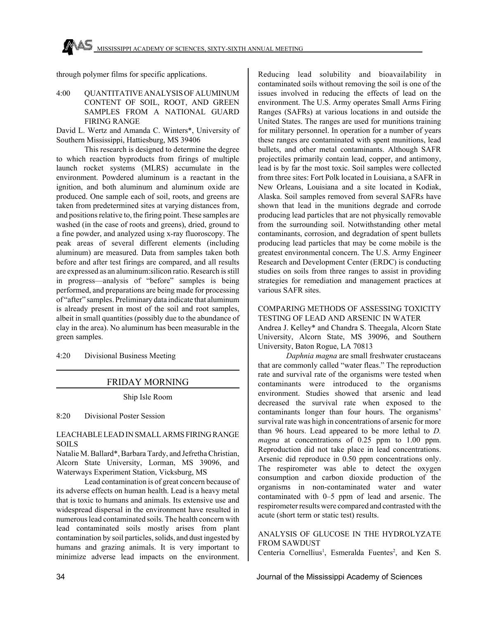through polymer films for specific applications.

4:00 QUANTITATIVE ANALYSIS OF ALUMINUM CONTENT OF SOIL, ROOT, AND GREEN SAMPLES FROM A NATIONAL GUARD FIRING RANGE

David L. Wertz and Amanda C. Winters\*, University of Southern Mississippi, Hattiesburg, MS 39406

This research is designed to determine the degree to which reaction byproducts from firings of multiple launch rocket systems (MLRS) accumulate in the environment. Powdered aluminum is a reactant in the ignition, and both aluminum and aluminum oxide are produced. One sample each of soil, roots, and greens are taken from predetermined sites at varying distances from, and positions relative to, the firing point. These samples are washed (in the case of roots and greens), dried, ground to a fine powder, and analyzed using x-ray fluoroscopy. The peak areas of several different elements (including aluminum) are measured. Data from samples taken both before and after test firings are compared, and all results are expressed as an aluminum:silicon ratio. Research is still in progress—analysis of "before" samples is being performed, and preparations are being made for processing of "after" samples. Preliminary data indicate that aluminum is already present in most of the soil and root samples, albeit in small quantities (possibly due to the abundance of clay in the area). No aluminum has been measurable in the green samples.

4:20 Divisional Business Meeting

#### FRIDAY MORNING

Ship Isle Room

8:20 Divisional Poster Session

#### LEACHABLE LEAD IN SMALL ARMS FIRING RANGE SOILS

Natalie M. Ballard\*, Barbara Tardy, and Jefretha Christian, Alcorn State University, Lorman, MS 39096, and Waterways Experiment Station, Vicksburg, MS

Lead contamination is of great concern because of its adverse effects on human health. Lead is a heavy metal that is toxic to humans and animals. Its extensive use and widespread dispersal in the environment have resulted in numerous lead contaminated soils. The health concern with lead contaminated soils mostly arises from plant contamination by soil particles, solids, and dust ingested by humans and grazing animals. It is very important to minimize adverse lead impacts on the environment.

Reducing lead solubility and bioavailability in contaminated soils without removing the soil is one of the issues involved in reducing the effects of lead on the environment. The U.S. Army operates Small Arms Firing Ranges (SAFRs) at various locations in and outside the United States. The ranges are used for munitions training for military personnel. In operation for a number of years these ranges are contaminated with spent munitions, lead bullets, and other metal contaminants. Although SAFR projectiles primarily contain lead, copper, and antimony, lead is by far the most toxic. Soil samples were collected from three sites: Fort Polk located in Louisiana, a SAFR in New Orleans, Louisiana and a site located in Kodiak, Alaska. Soil samples removed from several SAFRs have shown that lead in the munitions degrade and corrode producing lead particles that are not physically removable from the surrounding soil. Notwithstanding other metal contaminants, corrosion, and degradation of spent bullets producing lead particles that may be come mobile is the greatest environmental concern. The U.S. Army Engineer Research and Development Center (ERDC) is conducting studies on soils from three ranges to assist in providing strategies for remediation and management practices at various SAFR sites.

#### COMPARING METHODS OF ASSESSING TOXICITY TESTING OF LEAD AND ARSENIC IN WATER

Andrea J. Kelley\* and Chandra S. Theegala, Alcorn State University, Alcorn State, MS 39096, and Southern University, Baton Rogue, LA 70813

*Daphnia magna* are small freshwater crustaceans that are commonly called "water fleas." The reproduction rate and survival rate of the organisms were tested when contaminants were introduced to the organisms environment. Studies showed that arsenic and lead decreased the survival rate when exposed to the contaminants longer than four hours. The organisms' survival rate was high in concentrations of arsenic for more than 96 hours. Lead appeared to be more lethal to *D. magna* at concentrations of 0.25 ppm to 1.00 ppm. Reproduction did not take place in lead concentrations. Arsenic did reproduce in 0.50 ppm concentrations only. The respirometer was able to detect the oxygen consumption and carbon dioxide production of the organisms in non-contaminated water and water contaminated with 0–5 ppm of lead and arsenic. The respirometer results were compared and contrasted with the acute (short term or static test) results.

#### ANALYSIS OF GLUCOSE IN THE HYDROLYZATE FROM SAWDUST

Centeria Cornellius<sup>1</sup>, Esmeralda Fuentes<sup>2</sup>, and Ken S.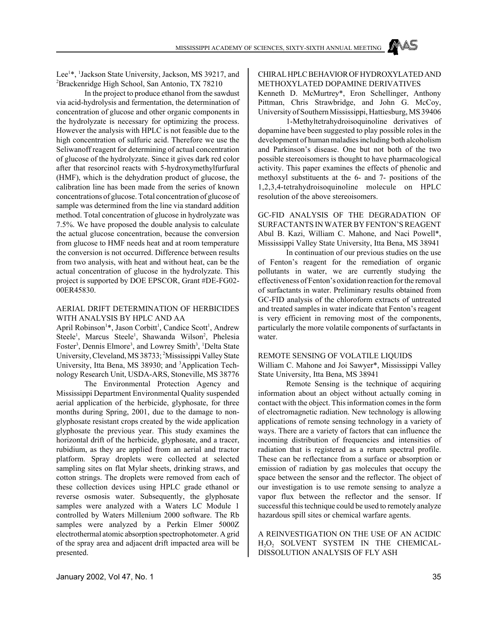Lee<sup>1\*</sup>, <sup>1</sup>Jackson State University, Jackson, MS 39217, and 2 Brackenridge High School, San Antonio, TX 78210

In the project to produce ethanol from the sawdust via acid-hydrolysis and fermentation, the determination of concentration of glucose and other organic components in the hydrolyzate is necessary for optimizing the process. However the analysis with HPLC is not feasible due to the high concentration of sulfuric acid. Therefore we use the Seliwanoff reagent for determining of actual concentration of glucose of the hydrolyzate. Since it gives dark red color after that resorcinol reacts with 5-hydroxymethylfurfural (HMF), which is the dehydration product of glucose, the calibration line has been made from the series of known concentrations of glucose. Total concentration of glucose of sample was determined from the line via standard addition method. Total concentration of glucose in hydrolyzate was 7.5%. We have proposed the double analysis to calculate the actual glucose concentration, because the conversion from glucose to HMF needs heat and at room temperature the conversion is not occurred. Difference between results from two analysis, with heat and without heat, can be the actual concentration of glucose in the hydrolyzate. This project is supported by DOE EPSCOR, Grant #DE-FG02- 00ER45830.

#### AERIAL DRIFT DETERMINATION OF HERBICIDES WITH ANALYSIS BY HPLC AND AA

April Robinson<sup>1\*</sup>, Jason Corbitt<sup>1</sup>, Candice Scott<sup>1</sup>, Andrew Steele<sup>1</sup>, Marcus Steele<sup>1</sup>, Shawanda Wilson<sup>2</sup>, Phelesia Foster<sup>3</sup>, Dennis Elmore<sup>3</sup>, and Lowrey Smith<sup>3</sup>, <sup>1</sup>Delta State University, Cleveland, MS 38733; <sup>2</sup>Mississippi Valley State University, Itta Bena, MS 38930; and <sup>3</sup>Application Technology Research Unit, USDA-ARS, Stoneville, MS 38776

The Environmental Protection Agency and Mississippi Department Environmental Quality suspended aerial application of the herbicide, glyphosate, for three months during Spring, 2001, due to the damage to nonglyphosate resistant crops created by the wide application glyphosate the previous year. This study examines the horizontal drift of the herbicide, glyphosate, and a tracer, rubidium, as they are applied from an aerial and tractor platform. Spray droplets were collected at selected sampling sites on flat Mylar sheets, drinking straws, and cotton strings. The droplets were removed from each of these collection devices using HPLC grade ethanol or reverse osmosis water. Subsequently, the glyphosate samples were analyzed with a Waters LC Module 1 controlled by Waters Millenium 2000 software. The Rb samples were analyzed by a Perkin Elmer 5000Z electrothermal atomic absorption spectrophotometer. A grid of the spray area and adjacent drift impacted area will be presented.

#### CHIRAL HPLC BEHAVIOR OF HYDROXYLATED AND METHOXYLATED DOPAMINE DERIVATIVES Kenneth D. McMurtrey\*, Eron Schellinger, Anthony

Pittman, Chris Strawbridge, and John G. McCoy, University of Southern Mississippi, Hattiesburg, MS 39406

1-Methyltetrahydroisoquinoline derivatives of dopamine have been suggested to play possible roles in the development of human maladies including both alcoholism and Parkinson's disease. One but not both of the two possible stereoisomers is thought to have pharmacological activity. This paper examines the effects of phenolic and methoxyl substituents at the 6- and 7- positions of the 1,2,3,4-tetrahydroisoquinoline molecule on HPLC resolution of the above stereoisomers.

GC-FID ANALYSIS OF THE DEGRADATION OF SURFACTANTS IN WATER BY FENTON'S REAGENT Abul B. Kazi, William C. Mahone, and Naci Powell\*, Mississippi Valley State University, Itta Bena, MS 38941

In continuation of our previous studies on the use of Fenton's reagent for the remediation of organic pollutants in water, we are currently studying the effectiveness of Fenton's oxidation reaction for the removal of surfactants in water. Preliminary results obtained from GC-FID analysis of the chloroform extracts of untreated and treated samples in water indicate that Fenton's reagent is very efficient in removing most of the components, particularly the more volatile components of surfactants in water.

#### REMOTE SENSING OF VOLATILE LIQUIDS

William C. Mahone and Joi Sawyer\*, Mississippi Valley State University, Itta Bena, MS 38941

Remote Sensing is the technique of acquiring information about an object without actually coming in contact with the object. This information comes in the form of electromagnetic radiation. New technology is allowing applications of remote sensing technology in a variety of ways. There are a variety of factors that can influence the incoming distribution of frequencies and intensities of radiation that is registered as a return spectral profile. These can be reflectance from a surface or absorption or emission of radiation by gas molecules that occupy the space between the sensor and the reflector. The object of our investigation is to use remote sensing to analyze a vapor flux between the reflector and the sensor. If successful this technique could be used to remotely analyze hazardous spill sites or chemical warfare agents.

A REINVESTIGATION ON THE USE OF AN ACIDIC H<sub>2</sub>O<sub>2</sub> SOLVENT SYSTEM IN THE CHEMICAL-DISSOLUTION ANALYSIS OF FLY ASH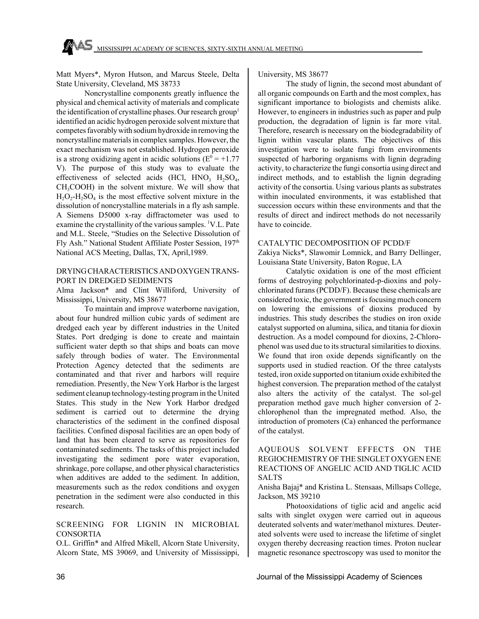Matt Myers\*, Myron Hutson, and Marcus Steele, Delta State University, Cleveland, MS 38733

Noncrystalline components greatly influence the physical and chemical activity of materials and complicate the identification of crystalline phases. Our research group<sup>1</sup> identified an acidic hydrogen peroxide solvent mixture that competes favorably with sodium hydroxide in removing the noncrystalline materials in complex samples. However, the exact mechanism was not established. Hydrogen peroxide is a strong oxidizing agent in acidic solutions ( $E^0 = +1.77$ ) V). The purpose of this study was to evaluate the effectiveness of selected acids (HCl,  $HNO<sub>3</sub>$ ,  $H<sub>2</sub>SO<sub>4</sub>$ , CH3COOH) in the solvent mixture. We will show that  $H_2O_2-H_2SO_4$  is the most effective solvent mixture in the dissolution of noncrystalline materials in a fly ash sample. A Siemens D5000 x-ray diffractometer was used to examine the crystallinity of the various samples. <sup>1</sup>V.L. Pate and M.L. Steele, "Studies on the Selective Dissolution of Fly Ash." National Student Affiliate Poster Session, 197<sup>th</sup> National ACS Meeting, Dallas, TX, April,1989.

#### DRYING CHARACTERISTICS AND OXYGEN TRANS-PORT IN DREDGED SEDIMENTS

Alma Jackson\* and Clint Williford, University of Mississippi, University, MS 38677

To maintain and improve waterborne navigation, about four hundred million cubic yards of sediment are dredged each year by different industries in the United States. Port dredging is done to create and maintain sufficient water depth so that ships and boats can move safely through bodies of water. The Environmental Protection Agency detected that the sediments are contaminated and that river and harbors will require remediation. Presently, the New York Harbor is the largest sediment cleanup technology-testing program in the United States. This study in the New York Harbor dredged sediment is carried out to determine the drying characteristics of the sediment in the confined disposal facilities. Confined disposal facilities are an open body of land that has been cleared to serve as repositories for contaminated sediments. The tasks of this project included investigating the sediment pore water evaporation, shrinkage, pore collapse, and other physical characteristics when additives are added to the sediment. In addition, measurements such as the redox conditions and oxygen penetration in the sediment were also conducted in this research.

#### SCREENING FOR LIGNIN IN MICROBIAL **CONSORTIA**

O.L. Griffin\* and Alfred Mikell, Alcorn State University, Alcorn State, MS 39069, and University of Mississippi,

#### University, MS 38677

The study of lignin, the second most abundant of all organic compounds on Earth and the most complex, has significant importance to biologists and chemists alike. However, to engineers in industries such as paper and pulp production, the degradation of lignin is far more vital. Therefore, research is necessary on the biodegradability of lignin within vascular plants. The objectives of this investigation were to isolate fungi from environments suspected of harboring organisms with lignin degrading activity, to characterize the fungi consortia using direct and indirect methods, and to establish the lignin degrading activity of the consortia. Using various plants as substrates within inoculated environments, it was established that succession occurs within these environments and that the results of direct and indirect methods do not necessarily have to coincide.

#### CATALYTIC DECOMPOSITION OF PCDD/F

Zakiya Nicks\*, Slawomir Lomnick, and Barry Dellinger, Louisiana State University, Baton Rogue, LA

Catalytic oxidation is one of the most efficient forms of destroying polychlorinated-p-dioxins and polychlorinated furans (PCDD/F). Because these chemicals are considered toxic, the government is focusing much concern on lowering the emissions of dioxins produced by industries. This study describes the studies on iron oxide catalyst supported on alumina, silica, and titania for dioxin destruction. As a model compound for dioxins, 2-Chlorophenol was used due to its structural similarities to dioxins. We found that iron oxide depends significantly on the supports used in studied reaction. Of the three catalysts tested, iron oxide supported on titanium oxide exhibited the highest conversion. The preparation method of the catalyst also alters the activity of the catalyst. The sol-gel preparation method gave much higher conversion of 2 chlorophenol than the impregnated method. Also, the introduction of promoters (Ca) enhanced the performance of the catalyst.

AQUEOUS SOLVENT EFFECTS ON THE REGIOCHEMISTRY OF THE SINGLET OXYGEN ENE REACTIONS OF ANGELIC ACID AND TIGLIC ACID **SALTS** 

Anisha Bajaj\* and Kristina L. Stensaas, Millsaps College, Jackson, MS 39210

Photooxidations of tiglic acid and angelic acid salts with singlet oxygen were carried out in aqueous deuterated solvents and water/methanol mixtures. Deuterated solvents were used to increase the lifetime of singlet oxygen thereby decreasing reaction times. Proton nuclear magnetic resonance spectroscopy was used to monitor the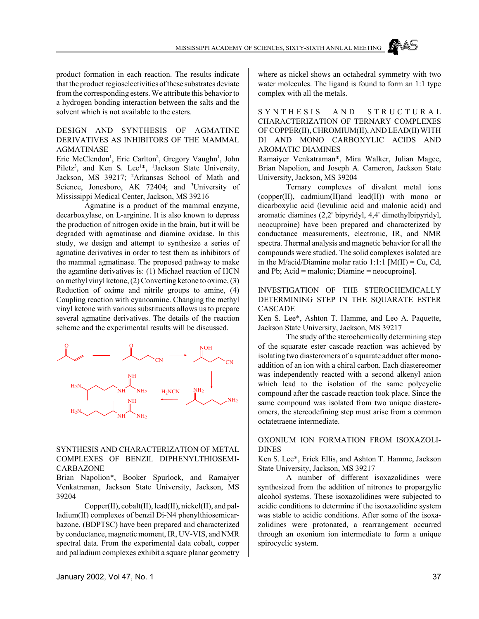product formation in each reaction. The results indicate that the product regioselectivities of these substrates deviate from the corresponding esters. We attribute this behavior to a hydrogen bonding interaction between the salts and the solvent which is not available to the esters.

### DESIGN AND SYNTHESIS OF AGMATINE DERIVATIVES AS INHIBITORS OF THE MAMMAL AGMATINASE

Eric McClendon<sup>1</sup>, Eric Carlton<sup>2</sup>, Gregory Vaughn<sup>1</sup>, John Piletz<sup>3</sup>, and Ken S. Lee<sup>1\*</sup>, <sup>1</sup>Jackson State University, Jackson, MS 39217; <sup>2</sup>Arkansas School of Math and Science, Jonesboro, AK 72404; and <sup>3</sup>University of Mississippi Medical Center, Jackson, MS 39216

Agmatine is a product of the mammal enzyme, decarboxylase, on L-arginine. It is also known to depress the production of nitrogen oxide in the brain, but it will be degraded with agmatinase and diamine oxidase. In this study, we design and attempt to synthesize a series of agmatine derivatives in order to test them as inhibitors of the mammal agmatinase. The proposed pathway to make the agamtine derivatives is: (1) Michael reaction of HCN on methyl vinyl ketone, (2) Converting ketone to oxime, (3) Reduction of oxime and nitrile groups to amine, (4) Coupling reaction with cyanoamine. Changing the methyl vinyl ketone with various substituents allows us to prepare several agmatine derivatives. The details of the reaction scheme and the experimental results will be discussed.



#### SYNTHESIS AND CHARACTERIZATION OF METAL COMPLEXES OF BENZIL DIPHENYLTHIOSEMI-CARBAZONE

Brian Napolion\*, Booker Spurlock, and Ramaiyer Venkatraman, Jackson State University, Jackson, MS 39204

Copper(II), cobalt(II), lead(II), nickel(II), and palladium(II) complexes of benzil Di-N4 phenylthiosemicarbazone, (BDPTSC) have been prepared and characterized by conductance, magnetic moment, IR, UV-VIS, and NMR spectral data. From the experimental data cobalt, copper and palladium complexes exhibit a square planar geometry

where as nickel shows an octahedral symmetry with two water molecules. The ligand is found to form an 1:1 type complex with all the metals.

SYNTHESIS AND STRUCTURAL CHARACTERIZATION OF TERNARY COMPLEXES OF COPPER(II), CHROMIUM(II), AND LEAD(II) WITH DI AND MONO CARBOXYLIC ACIDS AND AROMATIC DIAMINES

Ramaiyer Venkatraman\*, Mira Walker, Julian Magee, Brian Napolion, and Joseph A. Cameron, Jackson State University, Jackson, MS 39204

Ternary complexes of divalent metal ions (copper(II), cadmium(II)and lead(II)) with mono or dicarboxylic acid (levulinic acid and malonic acid) and aromatic diamines (2,2' bipyridyl, 4,4' dimethylbipyridyl, neocuproine) have been prepared and characterized by conductance measurements, electronic, IR, and NMR spectra. Thermal analysis and magnetic behavior for all the compounds were studied. The solid complexes isolated are in the M/acid/Diamine molar ratio 1:1:1  $[M(II) = Cu, Cd,$ and Pb; Acid = malonic; Diamine = neocuproine].

INVESTIGATION OF THE STEROCHEMICALLY DETERMINING STEP IN THE SQUARATE ESTER CASCADE

Ken S. Lee\*, Ashton T. Hamme, and Leo A. Paquette, Jackson State University, Jackson, MS 39217

The study of the sterochemically determining step of the squarate ester cascade reaction was achieved by isolating two diasteromers of a squarate adduct after monoaddition of an ion with a chiral carbon. Each diastereomer was independently reacted with a second alkenyl anion which lead to the isolation of the same polycyclic compound after the cascade reaction took place. Since the same compound was isolated from two unique diastereomers, the stereodefining step must arise from a common octatetraene intermediate.

### OXONIUM ION FORMATION FROM ISOXAZOLI-**DINES**

Ken S. Lee\*, Erick Ellis, and Ashton T. Hamme, Jackson State University, Jackson, MS 39217

A number of different isoxazolidines were synthesized from the addition of nitrones to propargylic alcohol systems. These isoxazolidines were subjected to acidic conditions to determine if the isoxazolidine system was stable to acidic conditions. After some of the isoxazolidines were protonated, a rearrangement occurred through an oxonium ion intermediate to form a unique spirocyclic system.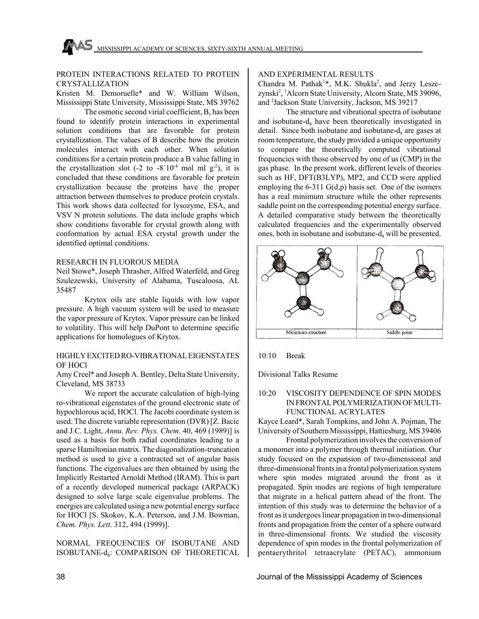### PROTEIN INTERACTIONS RELATED TO PROTEIN CRYSTALLIZATION

Kristen M. Demoruelle\* and W. William Wilson, Mississippi State University, Mississippi State, MS 39762

The osmotic second virial coefficient, B, has been found to identify protein interactions in experimental solution conditions that are favorable for protein crystallization. The values of B describe how the protein molecules interact with each other. When solution conditions for a certain protein produce a B value falling in the crystallization slot  $(-2 \text{ to } -8'10^4 \text{ mol } \text{ml } g^2)$ , it is concluded that these conditions are favorable for protein crystallization because the proteins have the proper attraction between themselves to produce protein crystals. This work shows data collected for lysozyme, ESA, and VSV N protein solutions. The data include graphs which show conditions favorable for crystal growth along with conformation by actual ESA crystal growth under the identified optimal conditions.

#### RESEARCH IN FLUOROUS MEDIA

Neil Stowe\*, Joseph Thrasher, Alfred Waterfeld, and Greg Szulezewski, University of Alabama, Tuscaloosa, AL 35487

Krytox oils are stable liquids with low vapor pressure. A high vacuum system will be used to measure the vapor pressure of Krytox. Vapor pressure can be linked to volatility. This will help DuPont to determine specific applications for homologues of Krytox.

### HIGHLY EXCITED RO-VIBRATIONAL EIGENSTATES OF HOCl

Amy Creel\* and Joseph A. Bentley, Delta State University, Cleveland, MS 38733

We report the accurate calculation of high-lying ro-vibrational eigenstates of the ground electronic state of hypochlorous acid, HOCl. The Jacobi coordinate system is used. The discrete variable representation (DVR) [Z. Bacic and J.C. Light, *Annu. Rev. Phys. Chem*. 40, 469 (1989)] is used as a basis for both radial coordinates leading to a sparse Hamiltonian matrix. The diagonalization-truncation method is used to give a contracted set of angular basis functions. The eigenvalues are then obtained by using the Implicitly Restarted Arnoldi Method (IRAM). This is part of a recently developed numerical package (ARPACK) designed to solve large scale eigenvalue problems. The energies are calculated using a new potential energy surface for HOCl [S. Skokov, K.A. Peterson, and J.M. Bowman, *Chem. Phys. Lett*. 312, 494 (1999)].

NORMAL FREQUENCIES OF ISOBUTANE AND ISOBUTANE-ds: COMPARISON OF THEORETICAL

#### AND EXPERIMENTAL RESULTS

Chandra M. Pathak<sup>1\*</sup>, M.K. Shukla<sup>2</sup>, and Jerzy Leszczynski<sup>2</sup>, <sup>1</sup>Alcorn State University, Alcorn State, MS 39096, and 2 Jackson State University, Jackson, MS 39217

The structure and vibrational spectra of isobutane and isobutane-d, have been theoretically investigated in detail. Since both isobutane and isobutane- $d_8$  are gases at room temperature, the study provided a unique opportunity to compare the theoretically computed vibrational frequencies with those observed by one of us (CMP) in the gas phase. In the present work, different levels of theories such as HF, DFT(B3LYP), MP2, and CCD were applied employing the  $6-311$   $G(d,p)$  basis set. One of the isomers has a real minimum structure while the other represents saddle point on the corresponding potential energy surface. A detailed comparative study between the theoretically calculated frequencies and the experimentally observed ones, both in isobutane and isobutane- $d_{\rm s}$  will be presented.



10:10 Break

Divisional Talks Resume

## 10:20 VISCOSITY DEPENDENCE OF SPIN MODES IN FRONTAL POLYMERIZATION OF MULTI-FUNCTIONAL ACRYLATES

Kayce Leard\*, Sarah Tompkins, and John A. Pojman, The University of Southern Mississippi, Hattiesburg, MS 39406

Frontal polymerization involves the conversion of a monomer into a polymer through thermal initiation. Our study focused on the expansion of two-dimensional and three-dimensional fronts in a frontal polymerization system where spin modes migrated around the front as it propagated. Spin modes are regions of high temperature that migrate in a helical pattern ahead of the front. The intention of this study was to determine the behavior of a front as it undergoes linear propagation in two-dimensional fronts and propagation from the center of a sphere outward in three-dimensional fronts. We studied the viscosity dependence of spin modes in the frontal polymerization of pentaerythritol tetraacrylate (PETAC), ammonium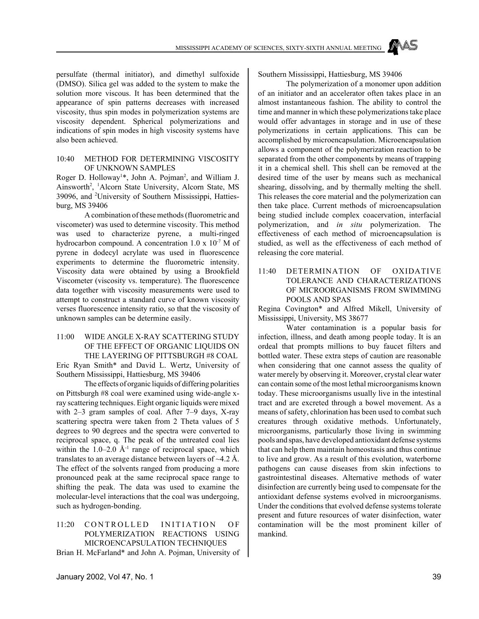persulfate (thermal initiator), and dimethyl sulfoxide (DMSO). Silica gel was added to the system to make the solution more viscous. It has been determined that the appearance of spin patterns decreases with increased viscosity, thus spin modes in polymerization systems are viscosity dependent. Spherical polymerizations and indications of spin modes in high viscosity systems have also been achieved.

### 10:40 METHOD FOR DETERMINING VISCOSITY OF UNKNOWN SAMPLES

Roger D. Holloway<sup>1\*</sup>, John A. Pojman<sup>2</sup>, and William J. Ainsworth<sup>2</sup>, <sup>1</sup>Alcorn State University, Alcorn State, MS 39096, and <sup>2</sup>University of Southern Mississippi, Hattiesburg, MS 39406

A combination of these methods (fluorometric and viscometer) was used to determine viscosity. This method was used to characterize pyrene, a multi-ringed hydrocarbon compound. A concentration  $1.0 \times 10^{-7}$  M of pyrene in dodecyl acrylate was used in fluorescence experiments to determine the fluorometric intensity. Viscosity data were obtained by using a Brookfield Viscometer (viscosity vs. temperature). The fluorescence data together with viscosity measurements were used to attempt to construct a standard curve of known viscosity verses fluorescence intensity ratio, so that the viscosity of unknown samples can be determine easily.

## 11:00 WIDE ANGLE X-RAY SCATTERING STUDY OF THE EFFECT OF ORGANIC LIQUIDS ON THE LAYERING OF PITTSBURGH #8 COAL

Eric Ryan Smith\* and David L. Wertz, University of Southern Mississippi, Hattiesburg, MS 39406

The effects of organic liquids of differing polarities on Pittsburgh #8 coal were examined using wide-angle xray scattering techniques. Eight organic liquids were mixed with 2–3 gram samples of coal. After 7–9 days, X-ray scattering spectra were taken from 2 Theta values of 5 degrees to 90 degrees and the spectra were converted to reciprocal space, q. The peak of the untreated coal lies within the  $1.0-2.0$  Å<sup>-1</sup> range of reciprocal space, which translates to an average distance between layers of ~4.2 Å. The effect of the solvents ranged from producing a more pronounced peak at the same reciprocal space range to shifting the peak. The data was used to examine the molecular-level interactions that the coal was undergoing, such as hydrogen-bonding.

11:20 CONTROLLED INITIATION OF POLYMERIZATION REACTIONS USING MICROENCAPSULATION TECHNIQUES Brian H. McFarland\* and John A. Pojman, University of Southern Mississippi, Hattiesburg, MS 39406

The polymerization of a monomer upon addition of an initiator and an accelerator often takes place in an almost instantaneous fashion. The ability to control the time and manner in which these polymerizations take place would offer advantages in storage and in use of these polymerizations in certain applications. This can be accomplished by microencapsulation. Microencapsulation allows a component of the polymerization reaction to be separated from the other components by means of trapping it in a chemical shell. This shell can be removed at the desired time of the user by means such as mechanical shearing, dissolving, and by thermally melting the shell. This releases the core material and the polymerization can then take place. Current methods of microencapsulation being studied include complex coacervation, interfacial polymerization, and *in situ* polymerization. The effectiveness of each method of microencapsulation is studied, as well as the effectiveness of each method of releasing the core material.

11:40 DETERMINATION OF OXIDATIVE TOLERANCE AND CHARACTERIZATIONS OF MICROORGANISMS FROM SWIMMING POOLS AND SPAS

Regina Covington\* and Alfred Mikell, University of Mississippi, University, MS 38677

Water contamination is a popular basis for infection, illness, and death among people today. It is an ordeal that prompts millions to buy faucet filters and bottled water. These extra steps of caution are reasonable when considering that one cannot assess the quality of water merely by observing it. Moreover, crystal clear water can contain some of the most lethal microorganisms known today. These microorganisms usually live in the intestinal tract and are excreted through a bowel movement. As a means of safety, chlorination has been used to combat such creatures through oxidative methods. Unfortunately, microorganisms, particularly those living in swimming pools and spas, have developed antioxidant defense systems that can help them maintain homeostasis and thus continue to live and grow. As a result of this evolution, waterborne pathogens can cause diseases from skin infections to gastrointestinal diseases. Alternative methods of water disinfection are currently being used to compensate for the antioxidant defense systems evolved in microorganisms. Under the conditions that evolved defense systems tolerate present and future resources of water disinfection, water contamination will be the most prominent killer of mankind.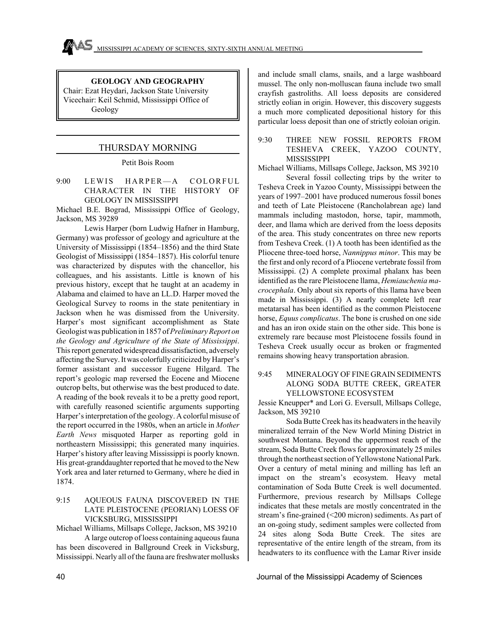### **GEOLOGY AND GEOGRAPHY**

Chair: Ezat Heydari, Jackson State University Vicechair: Keil Schmid, Mississippi Office of Geology

## THURSDAY MORNING

Petit Bois Room

### 9:00 LEWIS HARPER-A COLORFUL CHARACTER IN THE HISTORY OF GEOLOGY IN MISSISSIPPI

Michael B.E. Bograd, Mississippi Office of Geology, Jackson, MS 39289

Lewis Harper (born Ludwig Hafner in Hamburg, Germany) was professor of geology and agriculture at the University of Mississippi (1854–1856) and the third State Geologist of Mississippi (1854–1857). His colorful tenure was characterized by disputes with the chancellor, his colleagues, and his assistants. Little is known of his previous history, except that he taught at an academy in Alabama and claimed to have an LL.D. Harper moved the Geological Survey to rooms in the state penitentiary in Jackson when he was dismissed from the University. Harper's most significant accomplishment as State Geologist was publication in 1857 of *Preliminary Report on the Geology and Agriculture of the State of Mississippi*. This report generated widespread dissatisfaction, adversely affecting the Survey. It was colorfully criticized by Harper's former assistant and successor Eugene Hilgard. The report's geologic map reversed the Eocene and Miocene outcrop belts, but otherwise was the best produced to date. A reading of the book reveals it to be a pretty good report, with carefully reasoned scientific arguments supporting Harper's interpretation of the geology. A colorful misuse of the report occurred in the 1980s, when an article in *Mother Earth News* misquoted Harper as reporting gold in northeastern Mississippi; this generated many inquiries. Harper's history after leaving Mississippi is poorly known. His great-granddaughter reported that he moved to the New York area and later returned to Germany, where he died in 1874.

### 9:15 AQUEOUS FAUNA DISCOVERED IN THE LATE PLEISTOCENE (PEORIAN) LOESS OF VICKSBURG, MISSISSIPPI

Michael Williams, Millsaps College, Jackson, MS 39210

A large outcrop of loess containing aqueous fauna has been discovered in Ballground Creek in Vicksburg, Mississippi. Nearly all of the fauna are freshwater mollusks

and include small clams, snails, and a large washboard mussel. The only non-molluscan fauna include two small crayfish gastroliths. All loess deposits are considered strictly eolian in origin. However, this discovery suggests a much more complicated depositional history for this particular loess deposit than one of strictly eoloian origin.

## 9:30 THREE NEW FOSSIL REPORTS FROM TESHEVA CREEK, YAZOO COUNTY, MISSISSIPPI

Michael Williams, Millsaps College, Jackson, MS 39210

Several fossil collecting trips by the writer to Tesheva Creek in Yazoo County, Mississippi between the years of 1997–2001 have produced numerous fossil bones and teeth of Late Pleistocene (Rancholabrean age) land mammals including mastodon, horse, tapir, mammoth, deer, and llama which are derived from the loess deposits of the area. This study concentrates on three new reports from Tesheva Creek. (1) A tooth has been identified as the Pliocene three-toed horse, *Nannippus minor*. This may be the first and only record of a Pliocene vertebrate fossil from Mississippi. (2) A complete proximal phalanx has been identified as the rare Pleistocene llama, *Hemiauchenia macrocephala*. Only about six reports of this llama have been made in Mississippi. (3) A nearly complete left rear metatarsal has been identified as the common Pleistocene horse, *Equus complicatus*. The bone is crushed on one side and has an iron oxide stain on the other side. This bone is extremely rare because most Pleistocene fossils found in Tesheva Creek usually occur as broken or fragmented remains showing heavy transportation abrasion.

9:45 MINERALOGY OF FINE GRAIN SEDIMENTS ALONG SODA BUTTE CREEK, GREATER YELLOWSTONE ECOSYSTEM

Jessie Kneupper\* and Lori G. Eversull, Millsaps College, Jackson, MS 39210

Soda Butte Creek has its headwaters in the heavily mineralized terrain of the New World Mining District in southwest Montana. Beyond the uppermost reach of the stream, Soda Butte Creek flows for approximately 25 miles through the northeast section of Yellowstone National Park. Over a century of metal mining and milling has left an impact on the stream's ecosystem. Heavy metal contamination of Soda Butte Creek is well documented. Furthermore, previous research by Millsaps College indicates that these metals are mostly concentrated in the stream's fine-grained (<200 micron) sediments. As part of an on-going study, sediment samples were collected from 24 sites along Soda Butte Creek. The sites are representative of the entire length of the stream, from its headwaters to its confluence with the Lamar River inside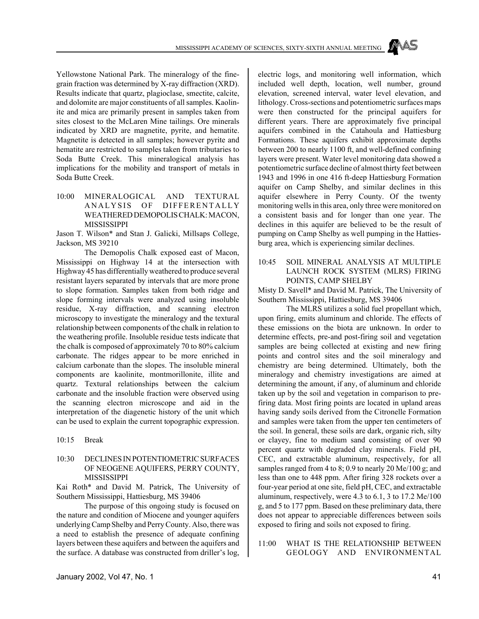Yellowstone National Park. The mineralogy of the finegrain fraction was determined by X-ray diffraction (XRD). Results indicate that quartz, plagioclase, smectite, calcite, and dolomite are major constituents of all samples. Kaolinite and mica are primarily present in samples taken from sites closest to the McLaren Mine tailings. Ore minerals indicated by XRD are magnetite, pyrite, and hematite. Magnetite is detected in all samples; however pyrite and hematite are restricted to samples taken from tributaries to Soda Butte Creek. This mineralogical analysis has implications for the mobility and transport of metals in Soda Butte Creek.

10:00 MINERALOGICAL AND TEXTURAL ANALYSIS OF DIFFERENTALLY WEATHERED DEMOPOLIS CHALK: MACON, MISSISSIPPI

Jason T. Wilson\* and Stan J. Galicki, Millsaps College, Jackson, MS 39210

The Demopolis Chalk exposed east of Macon, Mississippi on Highway 14 at the intersection with Highway 45 has differentially weathered to produce several resistant layers separated by intervals that are more prone to slope formation. Samples taken from both ridge and slope forming intervals were analyzed using insoluble residue, X-ray diffraction, and scanning electron microscopy to investigate the mineralogy and the textural relationship between components of the chalk in relation to the weathering profile. Insoluble residue tests indicate that the chalk is composed of approximately 70 to 80% calcium carbonate. The ridges appear to be more enriched in calcium carbonate than the slopes. The insoluble mineral components are kaolinite, montmorillonite, illite and quartz. Textural relationships between the calcium carbonate and the insoluble fraction were observed using the scanning electron microscope and aid in the interpretation of the diagenetic history of the unit which can be used to explain the current topographic expression.

10:15 Break

#### 10:30 DECLINES IN POTENTIOMETRIC SURFACES OF NEOGENE AQUIFERS, PERRY COUNTY, **MISSISSIPPI**

Kai Roth\* and David M. Patrick, The University of Southern Mississippi, Hattiesburg, MS 39406

The purpose of this ongoing study is focused on the nature and condition of Miocene and younger aquifers underlying Camp Shelby and Perry County. Also, there was a need to establish the presence of adequate confining layers between these aquifers and between the aquifers and the surface. A database was constructed from driller's log,

electric logs, and monitoring well information, which included well depth, location, well number, ground elevation, screened interval, water level elevation, and lithology. Cross-sections and potentiometric surfaces maps were then constructed for the principal aquifers for different years. There are approximately five principal aquifers combined in the Catahoula and Hattiesburg Formations. These aquifers exhibit approximate depths between 200 to nearly 1100 ft, and well-defined confining layers were present. Water level monitoring data showed a potentiometric surface decline of almost thirty feet between 1943 and 1996 in one 416 ft-deep Hattiesburg Formation aquifer on Camp Shelby, and similar declines in this aquifer elsewhere in Perry County. Of the twenty monitoring wells in this area, only three were monitored on a consistent basis and for longer than one year. The declines in this aquifer are believed to be the result of pumping on Camp Shelby as well pumping in the Hattiesburg area, which is experiencing similar declines.

10:45 SOIL MINERAL ANALYSIS AT MULTIPLE LAUNCH ROCK SYSTEM (MLRS) FIRING POINTS, CAMP SHELBY

Misty D. Savell\* and David M. Patrick, The University of Southern Mississippi, Hattiesburg, MS 39406

The MLRS utilizes a solid fuel propellant which, upon firing, emits aluminum and chloride. The effects of these emissions on the biota are unknown. In order to determine effects, pre-and post-firing soil and vegetation samples are being collected at existing and new firing points and control sites and the soil mineralogy and chemistry are being determined. Ultimately, both the mineralogy and chemistry investigations are aimed at determining the amount, if any, of aluminum and chloride taken up by the soil and vegetation in comparison to prefiring data. Most firing points are located in upland areas having sandy soils derived from the Citronelle Formation and samples were taken from the upper ten centimeters of the soil. In general, these soils are dark, organic rich, silty or clayey, fine to medium sand consisting of over 90 percent quartz with degraded clay minerals. Field pH, CEC, and extractable aluminum, respectively, for all samples ranged from 4 to 8; 0.9 to nearly 20 Me/100 g; and less than one to 448 ppm. After firing 328 rockets over a four-year period at one site, field pH, CEC, and extractable aluminum, respectively, were  $4.3$  to  $6.1$ ,  $3$  to  $17.2$  Me $/100$ g, and 5 to 177 ppm. Based on these preliminary data, there does not appear to appreciable differences between soils exposed to firing and soils not exposed to firing.

11:00 WHAT IS THE RELATIONSHIP BETWEEN GEOLOGY AND ENVIRONMENTAL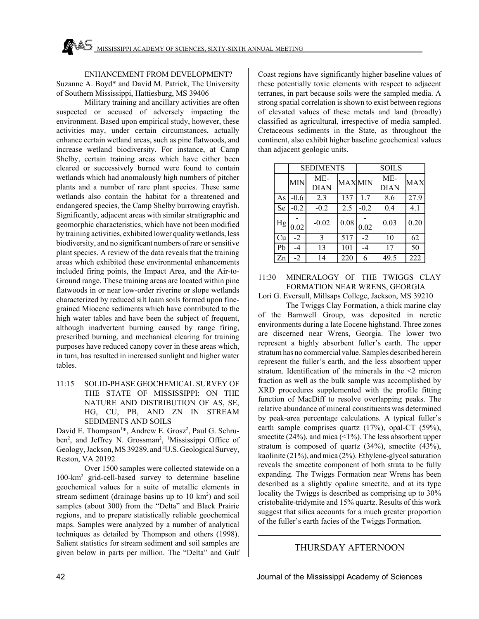#### ENHANCEMENT FROM DEVELOPMENT?

Suzanne A. Boyd\* and David M. Patrick, The University of Southern Mississippi, Hattiesburg, MS 39406

Military training and ancillary activities are often suspected or accused of adversely impacting the environment. Based upon empirical study, however, these activities may, under certain circumstances, actually enhance certain wetland areas, such as pine flatwoods, and increase wetland biodiversity. For instance, at Camp Shelby, certain training areas which have either been cleared or successively burned were found to contain wetlands which had anomalously high numbers of pitcher plants and a number of rare plant species. These same wetlands also contain the habitat for a threatened and endangered species, the Camp Shelby burrowing crayfish. Significantly, adjacent areas with similar stratigraphic and geomorphic characteristics, which have not been modified by training activities, exhibited lower quality wetlands, less biodiversity, and no significant numbers of rare or sensitive plant species. A review of the data reveals that the training areas which exhibited these environmental enhancements included firing points, the Impact Area, and the Air-to-Ground range. These training areas are located within pine flatwoods in or near low-order riverine or slope wetlands characterized by reduced silt loam soils formed upon finegrained Miocene sediments which have contributed to the high water tables and have been the subject of frequent, although inadvertent burning caused by range firing, prescribed burning, and mechanical clearing for training purposes have reduced canopy cover in these areas which, in turn, has resulted in increased sunlight and higher water tables.

11:15 SOLID-PHASE GEOCHEMICAL SURVEY OF THE STATE OF MISSISSIPPI: ON THE NATURE AND DISTRIBUTION OF AS, SE, HG, CU, PB, AND ZN IN STREAM SEDIMENTS AND SOILS

David E. Thompson<sup>1\*</sup>, Andrew E. Grosz<sup>2</sup>, Paul G. Schruben<sup>2</sup>, and Jeffrey N. Grossman<sup>2</sup>, <sup>1</sup>Mississippi Office of Geology, Jackson, MS 39289, and <sup>2</sup>U.S. Geological Survey, Reston, VA 20192

Over 1500 samples were collected statewide on a 100-km2 grid-cell-based survey to determine baseline geochemical values for a suite of metallic elements in stream sediment (drainage basins up to  $10 \text{ km}^2$ ) and soil samples (about 300) from the "Delta" and Black Prairie regions, and to prepare statistically reliable geochemical maps. Samples were analyzed by a number of analytical techniques as detailed by Thompson and others (1998). Salient statistics for stream sediment and soil samples are given below in parts per million. The "Delta" and Gulf

Coast regions have significantly higher baseline values of these potentially toxic elements with respect to adjacent terranes, in part because soils were the sampled media. A strong spatial correlation is shown to exist between regions of elevated values of these metals and land (broadly) classified as agricultural, irrespective of media sampled. Cretaceous sediments in the State, as throughout the continent, also exhibit higher baseline geochemical values than adjacent geologic units.

|    | <b>SEDIMENTS</b> |              |                | <b>SOILS</b> |                    |      |
|----|------------------|--------------|----------------|--------------|--------------------|------|
|    | <b>MIN</b>       | ME-<br>DIAN  | <b>MAX</b> MIN |              | ME-<br><b>DIAN</b> | MAX  |
| As | $-0.6$           | 2.3          | 137            | 1.7          | 8.6                | 27.9 |
| Se | $-0.2$           | $-0.2$       | 2.5            | $-0.2$       | 0.4                | 4.1  |
| Hg | $0.02\,$         | $-0.02$      | 0.08           | 0.02         | 0.03               | 0.20 |
| Cu | $-2$             | $\mathbf{3}$ | 517            | $-2$         | 10                 | 62   |
| Pb | -4               | 13           | 101            | -4           | 17                 | 50   |
| Zn | $-2$             | 14           | 220            |              | 49.5               | 222  |

## 11:30 MINERALOGY OF THE TWIGGS CLAY FORMATION NEAR WRENS, GEORGIA

Lori G. Eversull, Millsaps College, Jackson, MS 39210

The Twiggs Clay Formation, a thick marine clay of the Barnwell Group, was deposited in neretic environments during a late Eocene highstand. Three zones are discerned near Wrens, Georgia. The lower two represent a highly absorbent fuller's earth. The upper stratum has no commercial value. Samples described herein represent the fuller's earth, and the less absorbent upper stratum. Identification of the minerals in the <2 micron fraction as well as the bulk sample was accomplished by XRD procedures supplemented with the profile fitting function of MacDiff to resolve overlapping peaks. The relative abundance of mineral constituents was determined by peak-area percentage calculations. A typical fuller's earth sample comprises quartz (17%), opal-CT (59%), smectite  $(24\%)$ , and mica  $(1\%)$ . The less absorbent upper stratum is composed of quartz (34%), smectite (43%), kaolinite (21%), and mica (2%). Ethylene-glycol saturation reveals the smectite component of both strata to be fully expanding. The Twiggs Formation near Wrens has been described as a slightly opaline smectite, and at its type locality the Twiggs is described as comprising up to 30% cristobalite-tridymite and 15% quartz. Results of this work suggest that silica accounts for a much greater proportion of the fuller's earth facies of the Twiggs Formation.

# THURSDAY AFTERNOON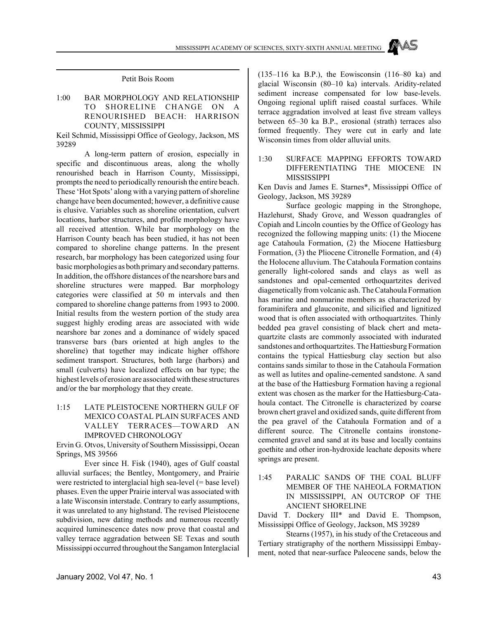

#### Petit Bois Room

1:00 BAR MORPHOLOGY AND RELATIONSHIP TO SHORELINE CHANGE ON A RENOURISHED BEACH: HARRISON COUNTY, MISSISSIPPI

Keil Schmid, Mississippi Office of Geology, Jackson, MS 39289

A long-term pattern of erosion, especially in specific and discontinuous areas, along the wholly renourished beach in Harrison County, Mississippi, prompts the need to periodically renourish the entire beach. These 'Hot Spots' along with a varying pattern of shoreline change have been documented; however, a definitive cause is elusive. Variables such as shoreline orientation, culvert locations, harbor structures, and profile morphology have all received attention. While bar morphology on the Harrison County beach has been studied, it has not been compared to shoreline change patterns. In the present research, bar morphology has been categorized using four basic morphologies as both primary and secondary patterns. In addition, the offshore distances of the nearshore bars and shoreline structures were mapped. Bar morphology categories were classified at 50 m intervals and then compared to shoreline change patterns from 1993 to 2000. Initial results from the western portion of the study area suggest highly eroding areas are associated with wide nearshore bar zones and a dominance of widely spaced transverse bars (bars oriented at high angles to the shoreline) that together may indicate higher offshore sediment transport. Structures, both large (harbors) and small (culverts) have localized effects on bar type; the highest levels of erosion are associated with these structures and/or the bar morphology that they create.

1:15 LATE PLEISTOCENE NORTHERN GULF OF MEXICO COASTAL PLAIN SURFACES AND VALLEY TERRACES—TOWARD AN IMPROVED CHRONOLOGY

Ervin G. Otvos, University of Southern Mississippi, Ocean Springs, MS 39566

Ever since H. Fisk (1940), ages of Gulf coastal alluvial surfaces; the Bentley, Montgomery, and Prairie were restricted to interglacial high sea-level (= base level) phases. Even the upper Prairie interval was associated with a late Wisconsin interstade. Contrary to early assumptions, it was unrelated to any highstand. The revised Pleistocene subdivision, new dating methods and numerous recently acquired luminescence dates now prove that coastal and valley terrace aggradation between SE Texas and south Mississippi occurred throughout the Sangamon Interglacial

 $(135-116 \text{ ka } B.P.)$ , the Eowisconsin  $(116-80 \text{ ka})$  and glacial Wisconsin (80–10 ka) intervals. Aridity-related sediment increase compensated for low base-levels. Ongoing regional uplift raised coastal surfaces. While terrace aggradation involved at least five stream valleys between 65–30 ka B.P., erosional (strath) terraces also formed frequently. They were cut in early and late Wisconsin times from older alluvial units.

1:30 SURFACE MAPPING EFFORTS TOWARD DIFFERENTIATING THE MIOCENE IN MISSISSIPPI

Ken Davis and James E. Starnes\*, Mississippi Office of Geology, Jackson, MS 39289

Surface geologic mapping in the Stronghope, Hazlehurst, Shady Grove, and Wesson quadrangles of Copiah and Lincoln counties by the Office of Geology has recognized the following mapping units: (1) the Miocene age Catahoula Formation, (2) the Miocene Hattiesburg Formation, (3) the Pliocene Citronelle Formation, and (4) the Holocene alluvium. The Catahoula Formation contains generally light-colored sands and clays as well as sandstones and opal-cemented orthoquartzites derived diagenetically from volcanic ash. The Catahoula Formation has marine and nonmarine members as characterized by foraminifera and glauconite, and silicified and lignitized wood that is often associated with orthoquartzites. Thinly bedded pea gravel consisting of black chert and metaquartzite clasts are commonly associated with indurated sandstones and orthoquartzites. The Hattiesburg Formation contains the typical Hattiesburg clay section but also contains sands similar to those in the Catahoula Formation as well as lutites and opaline-cemented sandstone. A sand at the base of the Hattiesburg Formation having a regional extent was chosen as the marker for the Hattiesburg-Catahoula contact. The Citronelle is characterized by coarse brown chert gravel and oxidized sands, quite different from the pea gravel of the Catahoula Formation and of a different source. The Citronelle contains ironstonecemented gravel and sand at its base and locally contains goethite and other iron-hydroxide leachate deposits where springs are present.

1:45 PARALIC SANDS OF THE COAL BLUFF MEMBER OF THE NAHEOLA FORMATION IN MISSISSIPPI, AN OUTCROP OF THE ANCIENT SHORELINE

David T. Dockery III\* and David E. Thompson, Mississippi Office of Geology, Jackson, MS 39289

Stearns (1957), in his study of the Cretaceous and Tertiary stratigraphy of the northern Mississippi Embayment, noted that near-surface Paleocene sands, below the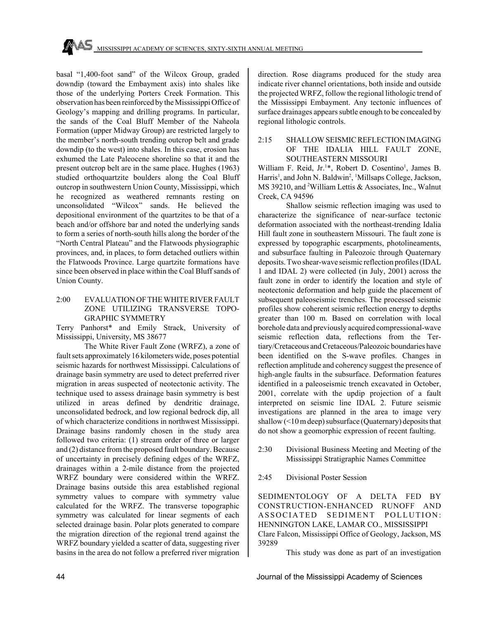basal "1,400-foot sand" of the Wilcox Group, graded downdip (toward the Embayment axis) into shales like those of the underlying Porters Creek Formation. This observation has been reinforced by the Mississippi Office of Geology's mapping and drilling programs. In particular, the sands of the Coal Bluff Member of the Naheola Formation (upper Midway Group) are restricted largely to the member's north-south trending outcrop belt and grade downdip (to the west) into shales. In this case, erosion has exhumed the Late Paleocene shoreline so that it and the present outcrop belt are in the same place. Hughes (1963) studied orthoquartzite boulders along the Coal Bluff outcrop in southwestern Union County, Mississippi, which he recognized as weathered remnants resting on unconsolidated "Wilcox" sands. He believed the depositional environment of the quartzites to be that of a beach and/or offshore bar and noted the underlying sands to form a series of north-south hills along the border of the "North Central Plateau" and the Flatwoods physiographic provinces, and, in places, to form detached outliers within the Flatwoods Province. Large quartzite formations have since been observed in place within the Coal Bluff sands of Union County.

2:00 EVALUATION OF THE WHITE RIVER FAULT ZONE UTILIZING TRANSVERSE TOPO-GRAPHIC SYMMETRY

Terry Panhorst\* and Emily Strack, University of Mississippi, University, MS 38677

The White River Fault Zone (WRFZ), a zone of fault sets approximately 16 kilometers wide, poses potential seismic hazards for northwest Mississippi. Calculations of drainage basin symmetry are used to detect preferred river migration in areas suspected of neotectonic activity. The technique used to assess drainage basin symmetry is best utilized in areas defined by dendritic drainage, unconsolidated bedrock, and low regional bedrock dip, all of which characterize conditions in northwest Mississippi. Drainage basins randomly chosen in the study area followed two criteria: (1) stream order of three or larger and (2) distance from the proposed fault boundary. Because of uncertainty in precisely defining edges of the WRFZ, drainages within a 2-mile distance from the projected WRFZ boundary were considered within the WRFZ. Drainage basins outside this area established regional symmetry values to compare with symmetry value calculated for the WRFZ. The transverse topographic symmetry was calculated for linear segments of each selected drainage basin. Polar plots generated to compare the migration direction of the regional trend against the WRFZ boundary yielded a scatter of data, suggesting river basins in the area do not follow a preferred river migration

direction. Rose diagrams produced for the study area indicate river channel orientations, both inside and outside the projected WRFZ, follow the regional lithologic trend of the Mississippi Embayment. Any tectonic influences of surface drainages appears subtle enough to be concealed by regional lithologic controls.

### 2:15 SHALLOW SEISMIC REFLECTION IMAGING OF THE IDALIA HILL FAULT ZONE, SOUTHEASTERN MISSOURI

William F. Reid, Jr.<sup>1\*</sup>, Robert D. Cosentino<sup>1</sup>, James B. Harris<sup>1</sup>, and John N. Baldwin<sup>2</sup>, <sup>1</sup>Millsaps College, Jackson, MS 39210, and <sup>2</sup>William Lettis & Associates, Inc., Walnut Creek, CA 94596

Shallow seismic reflection imaging was used to characterize the significance of near-surface tectonic deformation associated with the northeast-trending Idalia Hill fault zone in southeastern Missouri. The fault zone is expressed by topographic escarpments, photolineaments, and subsurface faulting in Paleozoic through Quaternary deposits. Two shear-wave seismic reflection profiles (IDAL 1 and IDAL 2) were collected (in July, 2001) across the fault zone in order to identify the location and style of neotectonic deformation and help guide the placement of subsequent paleoseismic trenches. The processed seismic profiles show coherent seismic reflection energy to depths greater than 100 m. Based on correlation with local borehole data and previously acquired compressional-wave seismic reflection data, reflections from the Tertiary/Cretaceous and Cretaceous/Paleozoic boundaries have been identified on the S-wave profiles. Changes in reflection amplitude and coherency suggest the presence of high-angle faults in the subsurface. Deformation features identified in a paleoseismic trench excavated in October, 2001, correlate with the updip projection of a fault interpreted on seismic line IDAL 2. Future seismic investigations are planned in the area to image very shallow (<10 m deep) subsurface (Quaternary) deposits that do not show a geomorphic expression of recent faulting.

- 2:30 Divisional Business Meeting and Meeting of the Mississippi Stratigraphic Names Committee
- 2:45 Divisional Poster Session

SEDIMENTOLOGY OF A DELTA FED BY CONSTRUCTION-ENHANCED RUNOFF AND ASSOCIATED SEDIMENT POLLUTION: HENNINGTON LAKE, LAMAR CO., MISSISSIPPI Clare Falcon, Mississippi Office of Geology, Jackson, MS 39289

This study was done as part of an investigation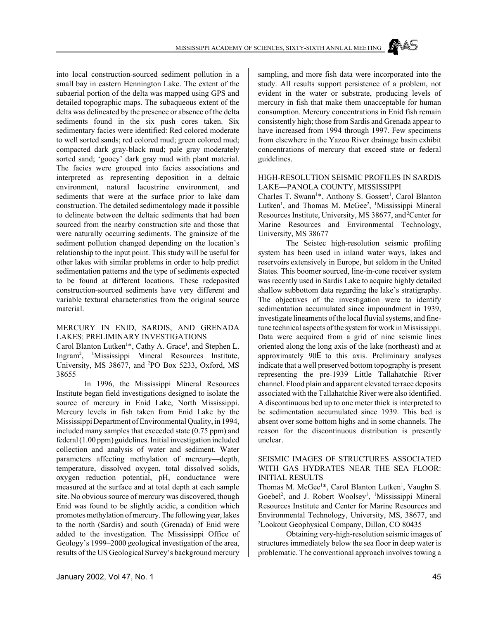into local construction-sourced sediment pollution in a small bay in eastern Hennington Lake. The extent of the subaerial portion of the delta was mapped using GPS and detailed topographic maps. The subaqueous extent of the delta was delineated by the presence or absence of the delta sediments found in the six push cores taken. Six sedimentary facies were identified: Red colored moderate to well sorted sands; red colored mud; green colored mud; compacted dark gray-black mud; pale gray moderately sorted sand; 'gooey' dark gray mud with plant material. The facies were grouped into facies associations and interpreted as representing deposition in a deltaic environment, natural lacustrine environment, and sediments that were at the surface prior to lake dam construction. The detailed sedimentology made it possible to delineate between the deltaic sediments that had been sourced from the nearby construction site and those that were naturally occurring sediments. The grainsize of the sediment pollution changed depending on the location's relationship to the input point. This study will be useful for other lakes with similar problems in order to help predict sedimentation patterns and the type of sediments expected to be found at different locations. These redeposited construction-sourced sediments have very different and variable textural characteristics from the original source material.

#### MERCURY IN ENID, SARDIS, AND GRENADA LAKES: PRELIMINARY INVESTIGATIONS

Carol Blanton Lutken<sup>1\*</sup>, Cathy A. Grace<sup>1</sup>, and Stephen L. Ingram2 , 1 Mississippi Mineral Resources Institute, University, MS 38677, and <sup>2</sup>PO Box 5233, Oxford, MS 38655

In 1996, the Mississippi Mineral Resources Institute began field investigations designed to isolate the source of mercury in Enid Lake, North Mississippi. Mercury levels in fish taken from Enid Lake by the Mississippi Department of Environmental Quality, in 1994, included many samples that exceeded state (0.75 ppm) and federal (1.00 ppm) guidelines. Initial investigation included collection and analysis of water and sediment. Water parameters affecting methylation of mercury—depth, temperature, dissolved oxygen, total dissolved solids, oxygen reduction potential, pH, conductance—were measured at the surface and at total depth at each sample site. No obvious source of mercury was discovered, though Enid was found to be slightly acidic, a condition which promotes methylation of mercury. The following year, lakes to the north (Sardis) and south (Grenada) of Enid were added to the investigation. The Mississippi Office of Geology's 1999–2000 geological investigation of the area, results of the US Geological Survey's background mercury

sampling, and more fish data were incorporated into the study. All results support persistence of a problem, not evident in the water or substrate, producing levels of mercury in fish that make them unacceptable for human consumption. Mercury concentrations in Enid fish remain consistently high; those from Sardis and Grenada appear to have increased from 1994 through 1997. Few specimens from elsewhere in the Yazoo River drainage basin exhibit concentrations of mercury that exceed state or federal guidelines.

#### HIGH-RESOLUTION SEISMIC PROFILES IN SARDIS LAKE—PANOLA COUNTY, MISSISSIPPI

Charles T. Swann<sup>1\*</sup>, Anthony S. Gossett<sup>1</sup>, Carol Blanton Lutken<sup>1</sup>, and Thomas M. McGee<sup>2</sup>, <sup>1</sup>Mississippi Mineral Resources Institute, University, MS 38677, and 2Center for Marine Resources and Environmental Technology, University, MS 38677

The Seistec high-resolution seismic profiling system has been used in inland water ways, lakes and reservoirs extensively in Europe, but seldom in the United States. This boomer sourced, line-in-cone receiver system was recently used in Sardis Lake to acquire highly detailed shallow subbottom data regarding the lake's stratigraphy. The objectives of the investigation were to identify sedimentation accumulated since impoundment in 1939, investigate lineaments of the local fluvial systems, and finetune technical aspects of the system for work in Mississippi. Data were acquired from a grid of nine seismic lines oriented along the long axis of the lake (northeast) and at approximately 90E to this axis. Preliminary analyses indicate that a well preserved bottom topography is present representing the pre-1939 Little Tallahatchie River channel. Flood plain and apparent elevated terrace deposits associated with the Tallahatchie River were also identified. A discontinuous bed up to one meter thick is interpreted to be sedimentation accumulated since 1939. This bed is absent over some bottom highs and in some channels. The reason for the discontinuous distribution is presently unclear.

#### SEISMIC IMAGES OF STRUCTURES ASSOCIATED WITH GAS HYDRATES NEAR THE SEA FLOOR: INITIAL RESULTS

Thomas M. McGee<sup>1\*</sup>, Carol Blanton Lutken<sup>1</sup>, Vaughn S. Goebel<sup>2</sup>, and J. Robert Woolsey<sup>1</sup>, <sup>1</sup>Mississippi Mineral Resources Institute and Center for Marine Resources and Environmental Technology, University, MS, 38677, and 2 Lookout Geophysical Company, Dillon, CO 80435

Obtaining very-high-resolution seismic images of structures immediately below the sea floor in deep water is problematic. The conventional approach involves towing a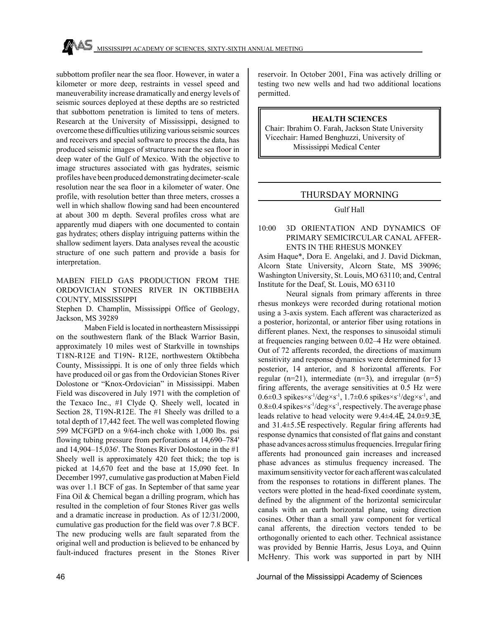subbottom profiler near the sea floor. However, in water a kilometer or more deep, restraints in vessel speed and maneuverability increase dramatically and energy levels of seismic sources deployed at these depths are so restricted that subbottom penetration is limited to tens of meters. Research at the University of Mississippi, designed to overcome these difficulties utilizing various seismic sources and receivers and special software to process the data, has produced seismic images of structures near the sea floor in deep water of the Gulf of Mexico. With the objective to image structures associated with gas hydrates, seismic profiles have been produced demonstrating decimeter-scale resolution near the sea floor in a kilometer of water. One profile, with resolution better than three meters, crosses a well in which shallow flowing sand had been encountered at about 300 m depth. Several profiles cross what are apparently mud diapers with one documented to contain gas hydrates; others display intriguing patterns within the shallow sediment layers. Data analyses reveal the acoustic structure of one such pattern and provide a basis for interpretation.

## MABEN FIELD GAS PRODUCTION FROM THE ORDOVICIAN STONES RIVER IN OKTIBBEHA COUNTY, MISSISSIPPI

Stephen D. Champlin, Mississippi Office of Geology, Jackson, MS 39289

Maben Field is located in northeastern Mississippi on the southwestern flank of the Black Warrior Basin, approximately 10 miles west of Starkville in townships T18N-R12E and T19N- R12E, northwestern Oktibbeha County, Mississippi. It is one of only three fields which have produced oil or gas from the Ordovician Stones River Dolostone or "Knox-Ordovician" in Mississippi. Maben Field was discovered in July 1971 with the completion of the Texaco Inc., #1 Clyde Q. Sheely well, located in Section 28, T19N-R12E. The #1 Sheely was drilled to a total depth of 17,442 feet. The well was completed flowing 599 MCFGPD on a 9/64-inch choke with 1,000 lbs. psi flowing tubing pressure from perforations at 14,690–784' and 14,904–15,036'. The Stones River Dolostone in the #1 Sheely well is approximately 420 feet thick; the top is picked at 14,670 feet and the base at 15,090 feet. In December 1997, cumulative gas production at Maben Field was over 1.1 BCF of gas. In September of that same year Fina Oil & Chemical began a drilling program, which has resulted in the completion of four Stones River gas wells and a dramatic increase in production. As of 12/31/2000, cumulative gas production for the field was over 7.8 BCF. The new producing wells are fault separated from the original well and production is believed to be enhanced by fault-induced fractures present in the Stones River

reservoir. In October 2001, Fina was actively drilling or testing two new wells and had two additional locations permitted.

### **HEALTH SCIENCES**

Chair: Ibrahim O. Farah, Jackson State University Vicechair: Hamed Benghuzzi, University of Mississippi Medical Center

## THURSDAY MORNING

## Gulf Hall

### 10:00 3D ORIENTATION AND DYNAMICS OF PRIMARY SEMICIRCULAR CANAL AFFER-ENTS IN THE RHESUS MONKEY

Asim Haque\*, Dora E. Angelaki, and J. David Dickman, Alcorn State University, Alcorn State, MS 39096; Washington University, St. Louis, MO 63110; and, Central Institute for the Deaf, St. Louis, MO 63110

Neural signals from primary afferents in three rhesus monkeys were recorded during rotational motion using a 3-axis system. Each afferent was characterized as a posterior, horizontal, or anterior fiber using rotations in different planes. Next, the responses to sinusoidal stimuli at frequencies ranging between 0.02–4 Hz were obtained. Out of 72 afferents recorded, the directions of maximum sensitivity and response dynamics were determined for 13 posterior, 14 anterior, and 8 horizontal afferents. For regular  $(n=21)$ , intermediate  $(n=3)$ , and irregular  $(n=5)$ firing afferents, the average sensitivities at 0.5 Hz were  $0.6\pm0.3$  spikes×s<sup>-1</sup>/deg×s<sup>-1</sup>, 1.7 $\pm0.6$  spikes×s<sup>-1</sup>/deg×s<sup>-1</sup>, and  $0.8\pm0.4$  spikes×s<sup>-1</sup>/deg×s<sup>-1</sup>, respectively. The average phase leads relative to head velocity were 9.4±4.4E, 24.0±9.3E, and 31.4±5.5E respectively. Regular firing afferents had response dynamics that consisted of flat gains and constant phase advances across stimulus frequencies. Irregular firing afferents had pronounced gain increases and increased phase advances as stimulus frequency increased. The maximum sensitivity vector for each afferent was calculated from the responses to rotations in different planes. The vectors were plotted in the head-fixed coordinate system, defined by the alignment of the horizontal semicircular canals with an earth horizontal plane, using direction cosines. Other than a small yaw component for vertical canal afferents, the direction vectors tended to be orthogonally oriented to each other. Technical assistance was provided by Bennie Harris, Jesus Loya, and Quinn McHenry. This work was supported in part by NIH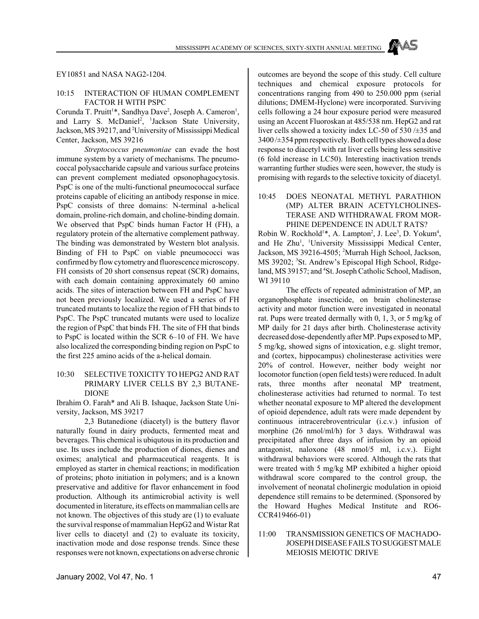EY10851 and NASA NAG2-1204.

#### 10:15 INTERACTION OF HUMAN COMPLEMENT FACTOR H WITH PSPC

Corunda T. Pruitt<sup>1\*</sup>, Sandhya Dave<sup>2</sup>, Joseph A. Cameron<sup>1</sup>, and Larry S. McDaniel<sup>2</sup>, <sup>1</sup>Jackson State University, Jackson, MS 39217, and <sup>2</sup>University of Mississippi Medical Center, Jackson, MS 39216

*Streptococcus pneumoniae* can evade the host immune system by a variety of mechanisms. The pneumococcal polysaccharide capsule and various surface proteins can prevent complement mediated opsonophagocytosis. PspC is one of the multi-functional pneumococcal surface proteins capable of eliciting an antibody response in mice. PspC consists of three domains: N-terminal a-helical domain, proline-rich domain, and choline-binding domain. We observed that PspC binds human Factor H (FH), a regulatory protein of the alternative complement pathway. The binding was demonstrated by Western blot analysis. Binding of FH to PspC on viable pneumococci was confirmed by flow cytometry and fluorescence microscopy. FH consists of 20 short consensus repeat (SCR) domains, with each domain containing approximately 60 amino acids. The sites of interaction between FH and PspC have not been previously localized. We used a series of FH truncated mutants to localize the region of FH that binds to PspC. The PspC truncated mutants were used to localize the region of PspC that binds FH. The site of FH that binds to PspC is located within the SCR 6–10 of FH. We have also localized the corresponding binding region on PspC to the first 225 amino acids of the a-helical domain.

### 10:30 SELECTIVE TOXICITY TO HEPG2 AND RAT PRIMARY LIVER CELLS BY 2,3 BUTANE-DIONE

Ibrahim O. Farah\* and Ali B. Ishaque, Jackson State University, Jackson, MS 39217

2,3 Butanedione (diacetyl) is the buttery flavor naturally found in dairy products, fermented meat and beverages. This chemical is ubiqutous in its production and use. Its uses include the production of diones, dienes and oximes; analytical and pharmaceutical reagents. It is employed as starter in chemical reactions; in modification of proteins; photo initiation in polymers; and is a known preservative and additive for flavor enhancement in food production. Although its antimicrobial activity is well documented in literature, its effects on mammalian cells are not known. The objectives of this study are (1) to evaluate the survival response of mammalian HepG2 and Wistar Rat liver cells to diacetyl and (2) to evaluate its toxicity, inactivation mode and dose response trends. Since these responses were not known, expectations on adverse chronic

outcomes are beyond the scope of this study. Cell culture techniques and chemical exposure protocols for concentrations ranging from 490 to 250.000 ppm (serial dilutions; DMEM-Hyclone) were incorporated. Surviving cells following a 24 hour exposure period were measured using an Accent Fluoroskan at 485/538 nm. HepG2 and rat liver cells showed a toxicity index LC-50 of 530 /±35 and 3400 /±354 ppm respectively. Both cell types showed a dose response to diacetyl with rat liver cells being less sensitive (6 fold increase in LC50). Interesting inactivation trends warranting further studies were seen, however, the study is promising with regards to the selective toxicity of diacetyl.

### 10:45 DOES NEONATAL METHYL PARATHION (MP) ALTER BRAIN ACETYLCHOLINES-TERASE AND WITHDRAWAL FROM MOR-PHINE DEPENDENCE IN ADULT RATS?

Robin W. Rockhold<sup>1\*</sup>, A. Lampton<sup>2</sup>, J. Lee<sup>3</sup>, D. Yokum<sup>4</sup>, and He Zhu<sup>1</sup>, <sup>1</sup>University Mississippi Medical Center, Jackson, MS 39216-4505; <sup>2</sup>Murrah High School, Jackson, MS 39202; <sup>3</sup>St. Andrew's Episcopal High School, Ridgeland, MS 39157; and <sup>4</sup>St. Joseph Catholic School, Madison, WI 39110

The effects of repeated administration of MP, an organophosphate insecticide, on brain cholinesterase activity and motor function were investigated in neonatal rat. Pups were treated dermally with 0, 1, 3, or 5 mg/kg of MP daily for 21 days after birth. Cholinesterase activity decreased dose-dependently after MP. Pups exposed to MP, 5 mg/kg, showed signs of intoxication, e.g. slight tremor, and (cortex, hippocampus) cholinesterase activities were 20% of control. However, neither body weight nor locomotor function (open field tests) were reduced. In adult rats, three months after neonatal MP treatment, cholinesterase activities had returned to normal. To test whether neonatal exposure to MP altered the development of opioid dependence, adult rats were made dependent by continuous intracerebroventricular (i.c.v.) infusion of morphine (26 nmol/ml/h) for 3 days. Withdrawal was precipitated after three days of infusion by an opioid antagonist, naloxone (48 nmol/5 ml, i.c.v.). Eight withdrawal behaviors were scored. Although the rats that were treated with 5 mg/kg MP exhibited a higher opioid withdrawal score compared to the control group, the involvement of neonatal cholinergic modulation in opioid dependence still remains to be determined. (Sponsored by the Howard Hughes Medical Institute and RO6- CCR419466-01)

### 11:00 TRANSMISSION GENETICS OF MACHADO-JOSEPH DISEASE FAILS TO SUGGEST MALE MEIOSIS MEIOTIC DRIVE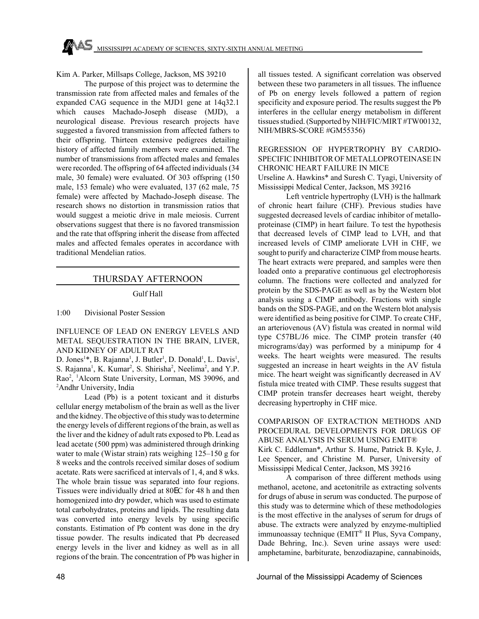Kim A. Parker, Millsaps College, Jackson, MS 39210

The purpose of this project was to determine the transmission rate from affected males and females of the expanded CAG sequence in the MJD1 gene at 14q32.1 which causes Machado-Joseph disease (MJD), a neurological disease. Previous research projects have suggested a favored transmission from affected fathers to their offspring. Thirteen extensive pedigrees detailing history of affected family members were examined. The number of transmissions from affected males and females were recorded. The offspring of 64 affected individuals (34 male, 30 female) were evaluated. Of 303 offspring (150 male, 153 female) who were evaluated, 137 (62 male, 75 female) were affected by Machado-Joseph disease. The research shows no distortion in transmission ratios that would suggest a meiotic drive in male meiosis. Current observations suggest that there is no favored transmission and the rate that offspring inherit the disease from affected males and affected females operates in accordance with traditional Mendelian ratios.

## THURSDAY AFTERNOON

Gulf Hall

1:00 Divisional Poster Session

### INFLUENCE OF LEAD ON ENERGY LEVELS AND METAL SEQUESTRATION IN THE BRAIN, LIVER, AND KIDNEY OF ADULT RAT

D. Jones<sup>1\*</sup>, B. Rajanna<sup>1</sup>, J. Butler<sup>1</sup>, D. Donald<sup>1</sup>, L. Davis<sup>1</sup>, S. Rajanna<sup>1</sup>, K. Kumar<sup>2</sup>, S. Shirisha<sup>2</sup>, Neelima<sup>2</sup>, and Y.P. Rao<sup>2</sup>, <sup>1</sup>Alcorn State University, Lorman, MS 39096, and <sup>2</sup>Andhr University, India

Lead (Pb) is a potent toxicant and it disturbs cellular energy metabolism of the brain as well as the liver and the kidney. The objective of this study was to determine the energy levels of different regions of the brain, as well as the liver and the kidney of adult rats exposed to Pb. Lead as lead acetate (500 ppm) was administered through drinking water to male (Wistar strain) rats weighing 125–150 g for 8 weeks and the controls received similar doses of sodium acetate. Rats were sacrificed at intervals of 1, 4, and 8 wks. The whole brain tissue was separated into four regions. Tissues were individually dried at 80EC for 48 h and then homogenized into dry powder, which was used to estimate total carbohydrates, proteins and lipids. The resulting data was converted into energy levels by using specific constants. Estimation of Pb content was done in the dry tissue powder. The results indicated that Pb decreased energy levels in the liver and kidney as well as in all regions of the brain. The concentration of Pb was higher in

all tissues tested. A significant correlation was observed between these two parameters in all tissues. The influence of Pb on energy levels followed a pattern of region specificity and exposure period. The results suggest the Pb interferes in the cellular energy metabolism in different tissues studied. (Supported by NIH/FIC/MIRT #TW00132, NIH/MBRS-SCORE #GM55356)

### REGRESSION OF HYPERTROPHY BY CARDIO-SPECIFIC INHIBITOR OF METALLOPROTEINASE IN CHRONIC HEART FAILURE IN MICE

Urseline A. Hawkins\* and Suresh C. Tyagi, University of Mississippi Medical Center, Jackson, MS 39216

Left ventricle hypertrophy (LVH) is the hallmark of chronic heart failure (CHF). Previous studies have suggested decreased levels of cardiac inhibitor of metalloproteinase (CIMP) in heart failure. To test the hypothesis that decreased levels of CIMP lead to LVH, and that increased levels of CIMP ameliorate LVH in CHF, we sought to purify and characterize CIMP from mouse hearts. The heart extracts were prepared, and samples were then loaded onto a preparative continuous gel electrophoresis column. The fractions were collected and analyzed for protein by the SDS-PAGE as well as by the Western blot analysis using a CIMP antibody. Fractions with single bands on the SDS-PAGE, and on the Western blot analysis were identified as being positive for CIMP. To create CHF, an arteriovenous (AV) fistula was created in normal wild type C57BL/J6 mice. The CIMP protein transfer (40 micrograms/day) was performed by a minipump for 4 weeks. The heart weights were measured. The results suggested an increase in heart weights in the AV fistula mice. The heart weight was significantly decreased in AV fistula mice treated with CIMP. These results suggest that CIMP protein transfer decreases heart weight, thereby decreasing hypertrophy in CHF mice.

COMPARISON OF EXTRACTION METHODS AND PROCEDURAL DEVELOPMENTS FOR DRUGS OF ABUSE ANALYSIS IN SERUM USING EMIT® Kirk C. Eddleman\*, Arthur S. Hume, Patrick B. Kyle, J. Lee Spencer, and Christine M. Purser, University of Mississippi Medical Center, Jackson, MS 39216

A comparison of three different methods using methanol, acetone, and acetonitrile as extracting solvents for drugs of abuse in serum was conducted. The purpose of this study was to determine which of these methodologies is the most effective in the analyses of serum for drugs of abuse. The extracts were analyzed by enzyme-multiplied immunoassay technique (EMIT® II Plus, Syva Company, Dade Behring, Inc.). Seven urine assays were used: amphetamine, barbiturate, benzodiazapine, cannabinoids,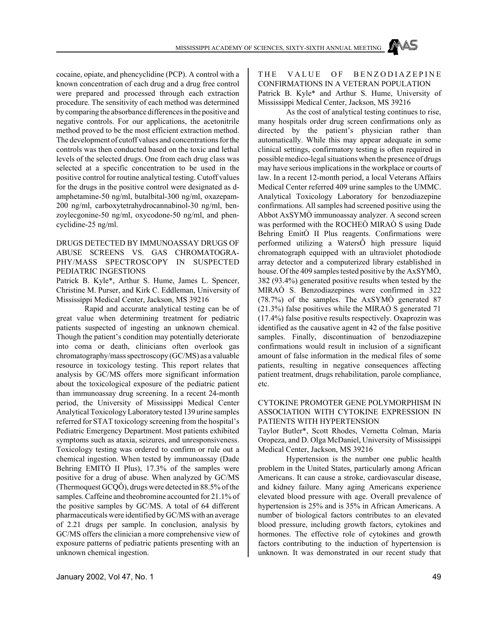cocaine, opiate, and phencyclidine (PCP). A control with a known concentration of each drug and a drug free control were prepared and processed through each extraction procedure. The sensitivity of each method was determined by comparing the absorbance differences in the positive and negative controls. For our applications, the acetonitrile method proved to be the most efficient extraction method. The development of cutoff values and concentrations for the controls was then conducted based on the toxic and lethal levels of the selected drugs. One from each drug class was selected at a specific concentration to be used in the positive control for routine analytical testing. Cutoff values for the drugs in the positive control were designated as damphetamine-50 ng/ml, butalbital-300 ng/ml, oxazepam-200 ng/ml, carboxytetrahydrocannabinol-30 ng/ml, benzoylecgonine-50 ng/ml, oxycodone-50 ng/ml, and phencyclidine-25 ng/ml.

### DRUGS DETECTED BY IMMUNOASSAY DRUGS OF ABUSE SCREENS VS. GAS CHROMATOGRA-PHY/MASS SPECTROSCOPY IN SUSPECTED PEDIATRIC INGESTIONS

Patrick B. Kyle\*, Arthur S. Hume, James L. Spencer, Christine M. Purser, and Kirk C. Eddleman, University of Mississippi Medical Center, Jackson, MS 39216

Rapid and accurate analytical testing can be of great value when determining treatment for pediatric patients suspected of ingesting an unknown chemical. Though the patient's condition may potentially deteriorate into coma or death, clinicians often overlook gas chromatography/mass spectroscopy (GC/MS) as a valuable resource in toxicology testing. This report relates that analysis by GC/MS offers more significant information about the toxicological exposure of the pediatric patient than immunoassay drug screening. In a recent 24-month period, the University of Mississippi Medical Center Analytical Toxicology Laboratory tested 139 urine samples referred for STAT toxicology screening from the hospital's Pediatric Emergency Department. Most patients exhibited symptoms such as ataxia, seizures, and unresponsiveness. Toxicology testing was ordered to confirm or rule out a chemical ingestion. When tested by immunoassay (Dade Behring EMITÒ II Plus), 17.3% of the samples were positive for a drug of abuse. When analyzed by GC/MS (Thermoquest GCQÔ), drugs were detected in 88.5% of the samples. Caffeine and theobromine accounted for 21.1% of the positive samples by GC/MS. A total of 64 different pharmaceuticals were identified by GC/MS with an average of 2.21 drugs per sample. In conclusion, analysis by GC/MS offers the clinician a more comprehensive view of exposure patterns of pediatric patients presenting with an unknown chemical ingestion.

THE VALUE OF BENZODIAZEPINE CONFIRMATIONS IN A VETERAN POPULATION Patrick B. Kyle\* and Arthur S. Hume, University of Mississippi Medical Center, Jackson, MS 39216

As the cost of analytical testing continues to rise, many hospitals order drug screen confirmations only as directed by the patient's physician rather than automatically. While this may appear adequate in some clinical settings, confirmatory testing is often required in possible medico-legal situations when the presence of drugs may have serious implications in the workplace or courts of law. In a recent 12-month period, a local Veterans Affairs Medical Center referred 409 urine samples to the UMMC. Analytical Toxicology Laboratory for benzodiazepine confirmations. All samples had screened positive using the Abbot AxSYMÒ immunoassay analyzer. A second screen was performed with the ROCHEÒ MIRAÒ S using Dade Behring EmitÒ II Plus reagents. Confirmations were performed utilizing a WatersÔ high pressure liquid chromatograph equipped with an ultraviolet photodiode array detector and a computerized library established in house. Of the 409 samples tested positive by the AxSYMÒ, 382 (93.4%) generated positive results when tested by the MIRAÒ S. Benzodiazepines were confirmed in 322 (78.7%) of the samples. The AxSYMÒ generated 87  $(21.3\%)$  false positives while the MIRA $\dot{\text{O}}$  S generated 71 (17.4%) false positive results respectively. Oxaprozin was identified as the causative agent in 42 of the false positive samples. Finally, discontinuation of benzodiazepine confirmations would result in inclusion of a significant amount of false information in the medical files of some patients, resulting in negative consequences affecting patient treatment, drugs rehabilitation, parole compliance, etc.

### CYTOKINE PROMOTER GENE POLYMORPHISM IN ASSOCIATION WITH CYTOKINE EXPRESSION IN PATIENTS WITH HYPERTENSION

Taylor Butler\*, Scott Rhodes, Vernetta Colman, Maria Oropeza, and D. Olga McDaniel, University of Mississippi Medical Center, Jackson, MS 39216

Hypertension is the number one public health problem in the United States, particularly among African Americans. It can cause a stroke, cardiovascular disease, and kidney failure. Many aging Americans experience elevated blood pressure with age. Overall prevalence of hypertension is 25% and is 35% in African Americans. A number of biological factors contributes to an elevated blood pressure, including growth factors, cytokines and hormones. The effective role of cytokines and growth factors contributing to the induction of hypertension is unknown. It was demonstrated in our recent study that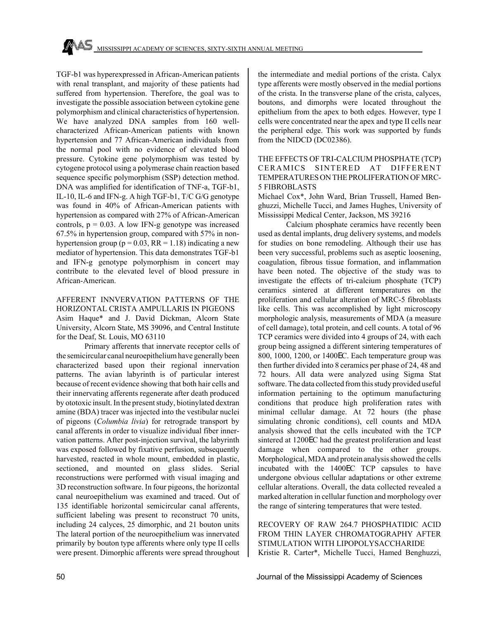TGF-b1 was hyperexpressed in African-American patients with renal transplant, and majority of these patients had suffered from hypertension. Therefore, the goal was to investigate the possible association between cytokine gene polymorphism and clinical characteristics of hypertension. We have analyzed DNA samples from 160 wellcharacterized African-American patients with known hypertension and 77 African-American individuals from the normal pool with no evidence of elevated blood pressure. Cytokine gene polymorphism was tested by cytogene protocol using a polymerase chain reaction based sequence specific polymorphism (SSP) detection method. DNA was amplified for identification of TNF-a, TGF-b1, IL-10, IL-6 and IFN-g. A high TGF-b1, T/C G/G genotype was found in 40% of African-American patients with hypertension as compared with 27% of African-American controls,  $p = 0.03$ . A low IFN-g genotype was increased 67.5% in hypertension group, compared with 57% in nonhypertension group ( $p = 0.03$ ,  $RR = 1.18$ ) indicating a new mediator of hypertension. This data demonstrates TGF-b1 and IFN-g genotype polymorphism in concert may contribute to the elevated level of blood pressure in African-American.

AFFERENT INNVERVATION PATTERNS OF THE HORIZONTAL CRISTA AMPULLARIS IN PIGEONS Asim Haque\* and J. David Dickman, Alcorn State University, Alcorn State, MS 39096, and Central Institute for the Deaf, St. Louis, MO 63110

Primary afferents that innervate receptor cells of the semicircular canal neuroepithelium have generally been characterized based upon their regional innervation patterns. The avian labyrinth is of particular interest because of recent evidence showing that both hair cells and their innervating afferents regenerate after death produced by ototoxic insult. In the present study, biotinylated dextran amine (BDA) tracer was injected into the vestibular nuclei of pigeons (*Columbia livia*) for retrograde transport by canal afferents in order to visualize individual fiber innervation patterns. After post-injection survival, the labyrinth was exposed followed by fixative perfusion, subsequently harvested, reacted in whole mount, embedded in plastic, sectioned, and mounted on glass slides. Serial reconstructions were performed with visual imaging and 3D reconstruction software. In four pigeons, the horizontal canal neuroepithelium was examined and traced. Out of 135 identifiable horizontal semicircular canal afferents, sufficient labeling was present to reconstruct 70 units, including 24 calyces, 25 dimorphic, and 21 bouton units The lateral portion of the neuroepithelium was innervated primarily by bouton type afferents where only type II cells were present. Dimorphic afferents were spread throughout

the intermediate and medial portions of the crista. Calyx type afferents were mostly observed in the medial portions of the crista. In the transverse plane of the crista, calyces, boutons, and dimorphs were located throughout the epithelium from the apex to both edges. However, type I cells were concentrated near the apex and type II cells near the peripheral edge. This work was supported by funds from the NIDCD (DC02386).

### THE EFFECTS OF TRI-CALCIUM PHOSPHATE (TCP) CERAMICS SINTERED AT DIFFERENT TEMPERATURES ON THE PROLIFERATION OF MRC-5 FIBROBLASTS

Michael Cox\*, John Ward, Brian Trussell, Hamed Benghuzzi, Michelle Tucci, and James Hughes, University of Mississippi Medical Center, Jackson, MS 39216

Calcium phosphate ceramics have recently been used as dental implants, drug delivery systems, and models for studies on bone remodeling. Although their use has been very successful, problems such as aseptic loosening, coagulation, fibrous tissue formation, and inflammation have been noted. The objective of the study was to investigate the effects of tri-calcium phosphate (TCP) ceramics sintered at different temperatures on the proliferation and cellular alteration of MRC-5 fibroblasts like cells. This was accomplished by light microscopy morphologic analysis, measurements of MDA (a measure of cell damage), total protein, and cell counts. A total of 96 TCP ceramics were divided into 4 groups of 24, with each group being assigned a different sintering temperatures of 800, 1000, 1200, or 1400EC. Each temperature group was then further divided into 8 ceramics per phase of 24, 48 and 72 hours. All data were analyzed using Sigma Stat software. The data collected from this study provided useful information pertaining to the optimum manufacturing conditions that produce high proliferation rates with minimal cellular damage. At 72 hours (the phase simulating chronic conditions), cell counts and MDA analysis showed that the cells incubated with the TCP sintered at 1200EC had the greatest proliferation and least damage when compared to the other groups. Morphological, MDA and protein analysis showed the cells incubated with the 1400EC TCP capsules to have undergone obvious cellular adaptations or other extreme cellular alterations. Overall, the data collected revealed a marked alteration in cellular function and morphology over the range of sintering temperatures that were tested.

RECOVERY OF RAW 264.7 PHOSPHATIDIC ACID FROM THIN LAYER CHROMATOGRAPHY AFTER STIMULATION WITH LIPOPOLYSACCHARIDE Kristie R. Carter\*, Michelle Tucci, Hamed Benghuzzi,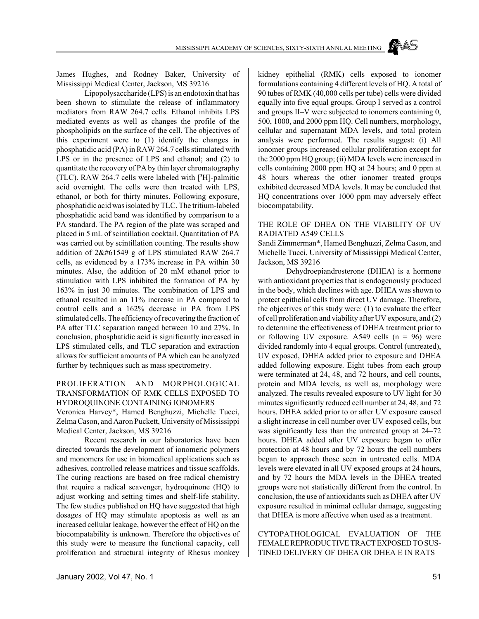MISSISSIPPI ACADEMY OF SCIENCES, SIXTY-SIXTH ANNUAL MEETING

James Hughes, and Rodney Baker, University of Mississippi Medical Center, Jackson, MS 39216

Lipopolysaccharide (LPS) is an endotoxin that has been shown to stimulate the release of inflammatory mediators from RAW 264.7 cells. Ethanol inhibits LPS mediated events as well as changes the profile of the phospholipids on the surface of the cell. The objectives of this experiment were to (1) identify the changes in phosphatidic acid (PA) in RAW 264.7 cells stimulated with LPS or in the presence of LPS and ethanol; and (2) to quantitate the recovery of PA by thin layer chromatography (TLC). RAW 264.7 cells were labeled with  $[3H]$ -palmitic acid overnight. The cells were then treated with LPS, ethanol, or both for thirty minutes. Following exposure, phosphatidic acid was isolated by TLC. The tritium-labeled phosphatidic acid band was identified by comparison to a PA standard. The PA region of the plate was scraped and placed in 5 mL of scintillation cocktail. Quantitation of PA was carried out by scintillation counting. The results show addition of  $2$  g of LPS stimulated RAW 264.7 cells, as evidenced by a 173% increase in PA within 30 minutes. Also, the addition of 20 mM ethanol prior to stimulation with LPS inhibited the formation of PA by 163% in just 30 minutes. The combination of LPS and ethanol resulted in an 11% increase in PA compared to control cells and a 162% decrease in PA from LPS stimulated cells. The efficiency of recovering the fraction of PA after TLC separation ranged between 10 and 27%. In conclusion, phosphatidic acid is significantly increased in LPS stimulated cells, and TLC separation and extraction allows for sufficient amounts of PA which can be analyzed further by techniques such as mass spectrometry.

### PROLIFERATION AND MORPHOLOGICAL TRANSFORMATION OF RMK CELLS EXPOSED TO HYDROQUINONE CONTAINING IONOMERS Veronica Harvey\*, Hamed Benghuzzi, Michelle Tucci, Zelma Cason, and Aaron Puckett, University of Mississippi

Medical Center, Jackson, MS 39216 Recent research in our laboratories have been directed towards the development of ionomeric polymers and monomers for use in biomedical applications such as adhesives, controlled release matrices and tissue scaffolds. The curing reactions are based on free radical chemistry that require a radical scavenger, hydroquinone (HQ) to adjust working and setting times and shelf-life stability. The few studies published on HQ have suggested that high dosages of HQ may stimulate apoptosis as well as an increased cellular leakage, however the effect of HQ on the biocompatability is unknown. Therefore the objectives of this study were to measure the functional capacity, cell proliferation and structural integrity of Rhesus monkey

kidney epithelial (RMK) cells exposed to ionomer formulations containing 4 different levels of HQ. A total of 90 tubes of RMK (40,000 cells per tube) cells were divided equally into five equal groups. Group I served as a control and groups II–V were subjected to ionomers containing 0, 500, 1000, and 2000 ppm HQ. Cell numbers, morphology, cellular and supernatant MDA levels, and total protein analysis were performed. The results suggest: (i) All ionomer groups increased cellular proliferation except for the 2000 ppm HQ group; (ii) MDA levels were increased in cells containing 2000 ppm HQ at 24 hours; and 0 ppm at 48 hours whereas the other ionomer treated groups exhibited decreased MDA levels. It may be concluded that HQ concentrations over 1000 ppm may adversely effect biocompatability.

### THE ROLE OF DHEA ON THE VIABILITY OF UV RADIATED A549 CELLS

Sandi Zimmerman\*, Hamed Benghuzzi, Zelma Cason, and Michelle Tucci, University of Mississippi Medical Center, Jackson, MS 39216

Dehydroepiandrosterone (DHEA) is a hormone with antioxidant properties that is endogenously produced in the body, which declines with age. DHEA was shown to protect epithelial cells from direct UV damage. Therefore, the objectives of this study were: (1) to evaluate the effect of cell proliferation and viability after UV exposure, and (2) to determine the effectiveness of DHEA treatment prior to or following UV exposure. A549 cells  $(n = 96)$  were divided randomly into 4 equal groups. Control (untreated), UV exposed, DHEA added prior to exposure and DHEA added following exposure. Eight tubes from each group were terminated at 24, 48, and 72 hours, and cell counts, protein and MDA levels, as well as, morphology were analyzed. The results revealed exposure to UV light for 30 minutes significantly reduced cell number at 24, 48, and 72 hours. DHEA added prior to or after UV exposure caused a slight increase in cell number over UV exposed cells, but was significantly less than the untreated group at 24–72 hours. DHEA added after UV exposure began to offer protection at 48 hours and by 72 hours the cell numbers began to approach those seen in untreated cells. MDA levels were elevated in all UV exposed groups at 24 hours, and by 72 hours the MDA levels in the DHEA treated groups were not statistically different from the control. In conclusion, the use of antioxidants such as DHEA after UV exposure resulted in minimal cellular damage, suggesting that DHEA is more affective when used as a treatment.

CYTOPATHOLOGICAL EVALUATION OF THE FEMALE REPRODUCTIVE TRACT EXPOSED TO SUS-TINED DELIVERY OF DHEA OR DHEA E IN RATS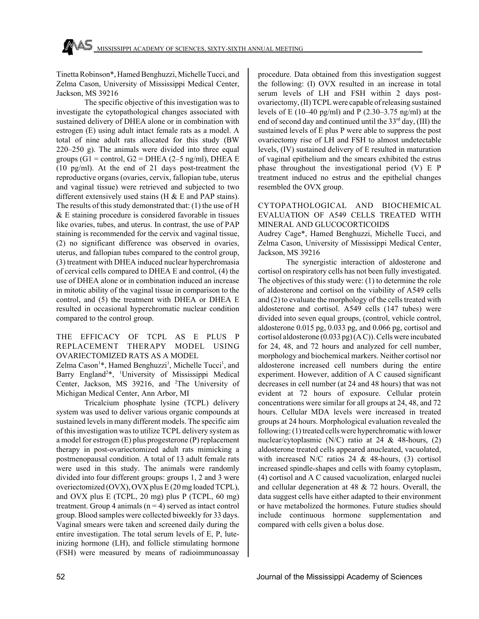Tinetta Robinson\*, Hamed Benghuzzi, Michelle Tucci, and Zelma Cason, University of Mississippi Medical Center, Jackson, MS 39216

The specific objective of this investigation was to investigate the cytopathological changes associated with sustained delivery of DHEA alone or in combination with estrogen (E) using adult intact female rats as a model. A total of nine adult rats allocated for this study (BW 220–250 g). The animals were divided into three equal groups (G1 = control, G2 = DHEA (2–5 ng/ml), DHEA E (10 pg/ml). At the end of 21 days post-treatment the reproductive organs (ovaries, cervix, fallopian tube, uterus and vaginal tissue) were retrieved and subjected to two different extensively used stains (H & E and PAP stains). The results of this study demonstrated that: (1) the use of H & E staining procedure is considered favorable in tissues like ovaries, tubes, and uterus. In contrast, the use of PAP staining is recommended for the cervix and vaginal tissue, (2) no significant difference was observed in ovaries, uterus, and fallopian tubes compared to the control group, (3) treatment with DHEA induced nuclear hyperchromasia of cervical cells compared to DHEA E and control, (4) the use of DHEA alone or in combination induced an increase in mitotic ability of the vaginal tissue in comparison to the control, and (5) the treatment with DHEA or DHEA E resulted in occasional hyperchromatic nuclear condition compared to the control group.

THE EFFICACY OF TCPL AS E PLUS P REPLACEMENT THERAPY MODEL USING OVARIECTOMIZED RATS AS A MODEL

Zelma Cason<sup>1\*</sup>, Hamed Benghuzzi<sup>1</sup>, Michelle Tucci<sup>1</sup>, and Barry England<sup>2\*</sup>, <sup>1</sup>University of Mississippi Medical Center, Jackson, MS 39216, and <sup>2</sup>The University of Michigan Medical Center, Ann Arbor, MI

Tricalcium phosphate lysine (TCPL) delivery system was used to deliver various organic compounds at sustained levels in many different models. The specific aim of this investigation was to utilize TCPL delivery system as a model for estrogen (E) plus progesterone (P) replacement therapy in post-ovariectomized adult rats mimicking a postmenopausal condition. A total of 13 adult female rats were used in this study. The animals were randomly divided into four different groups: groups 1, 2 and 3 were overiectomized (OVX), OVX plus E (20 mg loaded TCPL), and OVX plus E (TCPL, 20 mg) plus P (TCPL, 60 mg) treatment. Group 4 animals  $(n = 4)$  served as intact control group. Blood samples were collected biweekly for 33 days. Vaginal smears were taken and screened daily during the entire investigation. The total serum levels of E, P, luteinizing hormone (LH), and follicle stimulating hormone (FSH) were measured by means of radioimmunoassay procedure. Data obtained from this investigation suggest the following: (I) OVX resulted in an increase in total serum levels of LH and FSH within 2 days postovariectomy, (II) TCPL were capable of releasing sustained levels of E (10–40 pg/ml) and P (2.30–3.75 ng/ml) at the end of second day and continued until the  $33<sup>rd</sup>$  day, (III) the sustained levels of E plus P were able to suppress the post ovariectomy rise of LH and FSH to almost undetectable levels, (IV) sustained delivery of E resulted in maturation of vaginal epithelium and the smears exhibited the estrus phase throughout the investigational period (V) E P treatment induced no estrus and the epithelial changes resembled the OVX group.

### CYTOPATHOLOGICAL AND BIOCHEMICAL EVALUATION OF A549 CELLS TREATED WITH MINERAL AND GLUCOCORTICOIDS

Audrey Cage\*, Hamed Benghuzzi, Michelle Tucci, and Zelma Cason, University of Mississippi Medical Center, Jackson, MS 39216

The synergistic interaction of aldosterone and cortisol on respiratory cells has not been fully investigated. The objectives of this study were: (1) to determine the role of aldosterone and cortisol on the viability of A549 cells and (2) to evaluate the morphology of the cells treated with aldosterone and cortisol. A549 cells (147 tubes) were divided into seven equal groups, (control, vehicle control, aldosterone 0.015 pg, 0.033 pg, and 0.066 pg, cortisol and cortisol aldosterone (0.033 pg) (A C)). Cells were incubated for 24, 48, and 72 hours and analyzed for cell number, morphology and biochemical markers. Neither cortisol nor aldosterone increased cell numbers during the entire experiment. However, addition of A C caused significant decreases in cell number (at 24 and 48 hours) that was not evident at 72 hours of exposure. Cellular protein concentrations were similar for all groups at 24, 48, and 72 hours. Cellular MDA levels were increased in treated groups at 24 hours. Morphological evaluation revealed the following: (1) treated cells were hyperchromatic with lower nuclear/cytoplasmic (N/C) ratio at 24  $&$  48-hours, (2) aldosterone treated cells appeared anucleated, vacuolated, with increased N/C ratios  $24 \& 48$ -hours, (3) cortisol increased spindle-shapes and cells with foamy cytoplasm, (4) cortisol and A C caused vacuolization, enlarged nuclei and cellular degeneration at 48 & 72 hours. Overall, the data suggest cells have either adapted to their environment or have metabolized the hormones. Future studies should include continuous hormone supplementation and compared with cells given a bolus dose.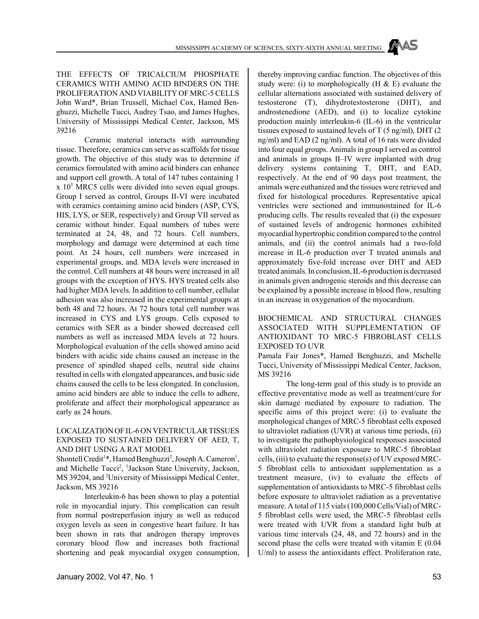THE EFFECTS OF TRICALCIUM PHOSPHATE CERAMICS WITH AMINO ACID BINDERS ON THE PROLIFERATION AND VIABILITY OF MRC-5 CELLS John Ward\*, Brian Trussell, Michael Cox, Hamed Benghuzzi, Michelle Tucci, Audrey Tsao, and James Hughes, University of Mississippi Medical Center, Jackson, MS 39216

Ceramic material interacts with surrounding tissue. Therefore, ceramics can serve as scaffolds for tissue growth. The objective of this study was to determine if ceramics formulated with amino acid binders can enhance and support cell growth. A total of 147 tubes containing 1  $x$  10<sup>5</sup> MRC5 cells were divided into seven equal groups. Group I served as control, Groups II-VI were incubated with ceramics containing amino acid binders (ASP, CYS, HIS, LYS, or SER, respectively) and Group VII served as ceramic without binder. Equal numbers of tubes were terminated at 24, 48, and 72 hours. Cell numbers, morphology and damage were determined at each time point. At 24 hours, cell numbers were increased in experimental groups, and. MDA levels were increased in the control. Cell numbers at 48 hours were increased in all groups with the exception of HYS. HYS treated cells also had higher MDA levels. In addition to cell number, cellular adhesion was also increased in the experimental groups at both 48 and 72 hours. At 72 hours total cell number was increased in CYS and LYS groups. Cells exposed to ceramics with SER as a binder showed decreased cell numbers as well as increased MDA levels at 72 hours. Morphological evaluation of the cells showed amino acid binders with acidic side chains caused an increase in the presence of spindled shaped cells, neutral side chains resulted in cells with elongated appearances, and basic side chains caused the cells to be less elongated. In conclusion, amino acid binders are able to induce the cells to adhere, proliferate and affect their morphological appearance as early as 24 hours.

#### LOCALIZATION OF IL-6 ON VENTRICULAR TISSUES EXPOSED TO SUSTAINED DELIVERY OF AED, T, AND DHT USING A RAT MODEL

Shontell Credit<sup>1\*</sup>, Hamed Benghuzzi<sup>2</sup>, Joseph A. Cameron<sup>1</sup>, and Michelle Tucci<sup>2</sup>, <sup>1</sup>Jackson State University, Jackson, MS 39204, and <sup>2</sup>University of Mississippi Medical Center, Jackson, MS 39216

Interleukin-6 has been shown to play a potential role in myocardial injury. This complication can result from normal postreperfusion injury as well as reduced oxygen levels as seen in congestive heart failure. It has been shown in rats that androgen therapy improves coronary blood flow and increases both fractional shortening and peak myocardial oxygen consumption,

thereby improving cardiac function. The objectives of this study were: (i) to morphologically  $(H & E)$  evaluate the cellular alternations associated with sustained delivery of testosterone (T), dihydrotestosterone (DHT), and androstenedione (AED), and (i) to localize cytokine production mainly interleukin-6 (IL-6) in the ventricular tissues exposed to sustained levels of T (5 ng/ml), DHT (2 ng/ml) and EAD (2 ng/ml). A total of 16 rats were divided into four equal groups. Animals in group I served as control and animals in groups II–IV were implanted with drug delivery systems containing T, DHT, and EAD, respectively. At the end of 90 days post treatment, the animals were euthanized and the tissues were retrieved and fixed for histological procedures. Representative apical ventricles were sectioned and immunostained for IL-6 producing cells. The results revealed that (i) the exposure of sustained levels of androgenic hormones exhibited myocardial hypertrophic condition compared to the control animals, and (ii) the control animals had a two-fold increase in IL-6 production over T treated animals and approximately five-fold increase over DHT and AED treated animals. In conclusion, IL-6 production is decreased in animals given androgenic steroids and this decrease can be explained by a possible increase in blood flow, resulting in an increase in oxygenation of the myocardium.

## BIOCHEMICAL AND STRUCTURAL CHANGES ASSOCIATED WITH SUPPLEMENTATION OF ANTIOXIDANT TO MRC-5 FIBROBLAST CELLS EXPOSED TO UVR

Pamala Fair Jones\*, Hamed Benghuzzi, and Michelle Tucci, University of Mississippi Medical Center, Jackson, MS 39216

The long-term goal of this study is to provide an effective preventative mode as well as treatment/cure for skin damage mediated by exposure to radiation. The specific aims of this project were: (i) to evaluate the morphological changes of MRC-5 fibroblast cells exposed to ultraviolet radiation (UVR) at various time periods, (ii) to investigate the pathophysiological responses associated with ultraviolet radiation exposure to MRC-5 fibroblast cells, (iii) to evaluate the response(s) of UV exposed MRC-5 fibroblast cells to antioxidant supplementation as a treatment measure, (iv) to evaluate the effects of supplementation of antioxidants to MRC-5 fibroblast cells before exposure to ultraviolet radiation as a preventative measure. A total of 115 vials (100,000 Cells/Vial) of MRC-5 fibroblast cells were used, the MRC-5 fibroblast cells were treated with UVR from a standard light bulb at various time intervals (24, 48, and 72 hours) and in the second phase the cells were treated with vitamin E (0.04 U/ml) to assess the antioxidants effect. Proliferation rate,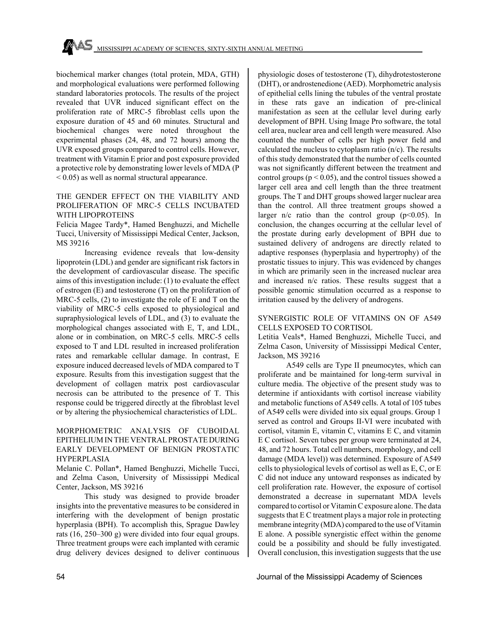biochemical marker changes (total protein, MDA, GTH) and morphological evaluations were performed following standard laboratories protocols. The results of the project revealed that UVR induced significant effect on the proliferation rate of MRC-5 fibroblast cells upon the exposure duration of 45 and 60 minutes. Structural and biochemical changes were noted throughout the experimental phases (24, 48, and 72 hours) among the UVR exposed groups compared to control cells. However, treatment with Vitamin E prior and post exposure provided a protective role by demonstrating lower levels of MDA (P  $\leq$  0.05) as well as normal structural appearance.

#### THE GENDER EFFECT ON THE VIABILITY AND PROLIFERATION OF MRC-5 CELLS INCUBATED WITH LIPOPROTEINS

Felicia Magee Tardy\*, Hamed Benghuzzi, and Michelle Tucci, University of Mississippi Medical Center, Jackson, MS 39216

Increasing evidence reveals that low-density lipoprotein (LDL) and gender are significant risk factors in the development of cardiovascular disease. The specific aims of this investigation include: (1) to evaluate the effect of estrogen (E) and testosterone (T) on the proliferation of MRC-5 cells, (2) to investigate the role of E and T on the viability of MRC-5 cells exposed to physiological and supraphysiological levels of LDL, and (3) to evaluate the morphological changes associated with E, T, and LDL, alone or in combination, on MRC-5 cells. MRC-5 cells exposed to T and LDL resulted in increased proliferation rates and remarkable cellular damage. In contrast, E exposure induced decreased levels of MDA compared to T exposure. Results from this investigation suggest that the development of collagen matrix post cardiovascular necrosis can be attributed to the presence of T. This response could be triggered directly at the fibroblast level or by altering the physiochemical characteristics of LDL.

### MORPHOMETRIC ANALYSIS OF CUBOIDAL EPITHELIUM IN THE VENTRAL PROSTATE DURING EARLY DEVELOPMENT OF BENIGN PROSTATIC HYPERPLASIA

Melanie C. Pollan\*, Hamed Benghuzzi, Michelle Tucci, and Zelma Cason, University of Mississippi Medical Center, Jackson, MS 39216

This study was designed to provide broader insights into the preventative measures to be considered in interfering with the development of benign prostatic hyperplasia (BPH). To accomplish this, Sprague Dawley rats (16, 250–300 g) were divided into four equal groups. Three treatment groups were each implanted with ceramic drug delivery devices designed to deliver continuous physiologic doses of testosterone (T), dihydrotestosterone (DHT), or androstenedione (AED). Morphometric analysis of epithelial cells lining the tubules of the ventral prostate in these rats gave an indication of pre-clinical manifestation as seen at the cellular level during early development of BPH. Using Image Pro software, the total cell area, nuclear area and cell length were measured. Also counted the number of cells per high power field and calculated the nucleus to cytoplasm ratio (n/c). The results of this study demonstrated that the number of cells counted was not significantly different between the treatment and control groups ( $p \le 0.05$ ), and the control tissues showed a larger cell area and cell length than the three treatment groups. The T and DHT groups showed larger nuclear area than the control. All three treatment groups showed a larger n/c ratio than the control group  $(p<0.05)$ . In conclusion, the changes occurring at the cellular level of the prostate during early development of BPH due to sustained delivery of androgens are directly related to adaptive responses (hyperplasia and hypertrophy) of the prostatic tissues to injury. This was evidenced by changes in which are primarily seen in the increased nuclear area and increased n/c ratios. These results suggest that a possible genomic stimulation occurred as a response to irritation caused by the delivery of androgens.

### SYNERGISTIC ROLE OF VITAMINS ON OF A549 CELLS EXPOSED TO CORTISOL

Letitia Veals\*, Hamed Benghuzzi, Michelle Tucci, and Zelma Cason, University of Mississippi Medical Center, Jackson, MS 39216

A549 cells are Type II pneumocytes, which can proliferate and be maintained for long-term survival in culture media. The objective of the present study was to determine if antioxidants with cortisol increase viability and metabolic functions of A549 cells. A total of 105 tubes of A549 cells were divided into six equal groups. Group 1 served as control and Groups II-VI were incubated with cortisol, vitamin E, vitamin C, vitamins E C, and vitamin E C cortisol. Seven tubes per group were terminated at 24, 48, and 72 hours. Total cell numbers, morphology, and cell damage (MDA level)) was determined. Exposure of A549 cells to physiological levels of cortisol as well as E, C, or E C did not induce any untoward responses as indicated by cell proliferation rate. However, the exposure of cortisol demonstrated a decrease in supernatant MDA levels compared to cortisol or Vitamin C exposure alone. The data suggests that E C treatment plays a major role in protecting membrane integrity (MDA) compared to the use of Vitamin E alone. A possible synergistic effect within the genome could be a possibility and should be fully investigated. Overall conclusion, this investigation suggests that the use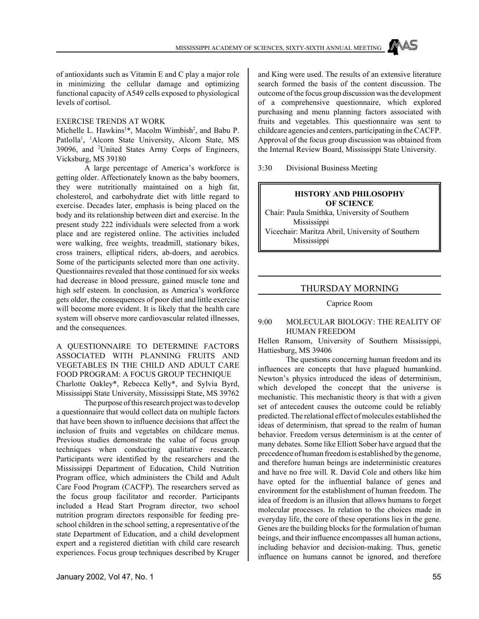of antioxidants such as Vitamin E and C play a major role in minimizing the cellular damage and optimizing functional capacity of A549 cells exposed to physiological levels of cortisol.

### EXERCISE TRENDS AT WORK

Michelle L. Hawkins<sup>1\*</sup>, Macolm Wimbish<sup>2</sup>, and Babu P. Patlolla<sup>1</sup>, <sup>1</sup>Alcorn State University, Alcorn State, MS 39096, and <sup>2</sup>United States Army Corps of Engineers, Vicksburg, MS 39180

A large percentage of America's workforce is getting older. Affectionately known as the baby boomers, they were nutritionally maintained on a high fat, cholesterol, and carbohydrate diet with little regard to exercise. Decades later, emphasis is being placed on the body and its relationship between diet and exercise. In the present study 222 individuals were selected from a work place and are registered online. The activities included were walking, free weights, treadmill, stationary bikes, cross trainers, elliptical riders, ab-doers, and aerobics. Some of the participants selected more than one activity. Questionnaires revealed that those continued for six weeks had decrease in blood pressure, gained muscle tone and high self esteem. In conclusion, as America's workforce gets older, the consequences of poor diet and little exercise will become more evident. It is likely that the health care system will observe more cardiovascular related illnesses, and the consequences.

A QUESTIONNAIRE TO DETERMINE FACTORS ASSOCIATED WITH PLANNING FRUITS AND VEGETABLES IN THE CHILD AND ADULT CARE FOOD PROGRAM: A FOCUS GROUP TECHNIQUE Charlotte Oakley\*, Rebecca Kelly\*, and Sylvia Byrd, Mississippi State University, Mississippi State, MS 39762

The purpose of this research project was to develop a questionnaire that would collect data on multiple factors that have been shown to influence decisions that affect the inclusion of fruits and vegetables on childcare menus. Previous studies demonstrate the value of focus group techniques when conducting qualitative research. Participants were identified by the researchers and the Mississippi Department of Education, Child Nutrition Program office, which administers the Child and Adult Care Food Program (CACFP). The researchers served as the focus group facilitator and recorder. Participants included a Head Start Program director, two school nutrition program directors responsible for feeding preschool children in the school setting, a representative of the state Department of Education, and a child development expert and a registered dietitian with child care research experiences. Focus group techniques described by Kruger

and King were used. The results of an extensive literature search formed the basis of the content discussion. The outcome of the focus group discussion was the development of a comprehensive questionnaire, which explored purchasing and menu planning factors associated with fruits and vegetables. This questionnaire was sent to childcare agencies and centers, participating in the CACFP. Approval of the focus group discussion was obtained from the Internal Review Board, Mississippi State University.

3:30 Divisional Business Meeting

### **HISTORY AND PHILOSOPHY OF SCIENCE**

Chair: Paula Smithka, University of Southern Mississippi Vicechair: Maritza Abril, University of Southern Mississippi

## THURSDAY MORNING

#### Caprice Room

### 9:00 MOLECULAR BIOLOGY: THE REALITY OF HUMAN FREEDOM

Hellen Ransom, University of Southern Mississippi, Hattiesburg, MS 39406

The questions concerning human freedom and its influences are concepts that have plagued humankind. Newton's physics introduced the ideas of determinism, which developed the concept that the universe is mechanistic. This mechanistic theory is that with a given set of antecedent causes the outcome could be reliably predicted. The relational effect of molecules established the ideas of determinism, that spread to the realm of human behavior. Freedom versus determinism is at the center of many debates. Some like Elliott Sober have argued that the precedence of human freedom is established by the genome, and therefore human beings are indeterministic creatures and have no free will. R. David Cole and others like him have opted for the influential balance of genes and environment for the establishment of human freedom. The idea of freedom is an illusion that allows humans to forget molecular processes. In relation to the choices made in everyday life, the core of these operations lies in the gene. Genes are the building blocks for the formulation of human beings, and their influence encompasses all human actions, including behavior and decision-making. Thus, genetic influence on humans cannot be ignored, and therefore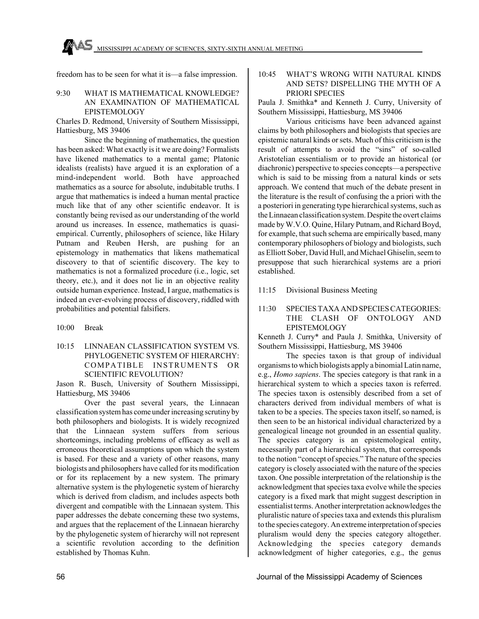freedom has to be seen for what it is—a false impression.

9:30 WHAT IS MATHEMATICAL KNOWLEDGE? AN EXAMINATION OF MATHEMATICAL EPISTEMOLOGY

Charles D. Redmond, University of Southern Mississippi, Hattiesburg, MS 39406

Since the beginning of mathematics, the question has been asked: What exactly is it we are doing? Formalists have likened mathematics to a mental game; Platonic idealists (realists) have argued it is an exploration of a mind-independent world. Both have approached mathematics as a source for absolute, indubitable truths. I argue that mathematics is indeed a human mental practice much like that of any other scientific endeavor. It is constantly being revised as our understanding of the world around us increases. In essence, mathematics is quasiempirical. Currently, philosophers of science, like Hilary Putnam and Reuben Hersh, are pushing for an epistemology in mathematics that likens mathematical discovery to that of scientific discovery. The key to mathematics is not a formalized procedure (i.e., logic, set theory, etc.), and it does not lie in an objective reality outside human experience. Instead, I argue, mathematics is indeed an ever-evolving process of discovery, riddled with probabilities and potential falsifiers.

- 10:00 Break
- 10:15 LINNAEAN CLASSIFICATION SYSTEM VS. PHYLOGENETIC SYSTEM OF HIERARCHY: COMPATIBLE INSTRUMENTS OR SCIENTIFIC REVOLUTION?

Jason R. Busch, University of Southern Mississippi, Hattiesburg, MS 39406

Over the past several years, the Linnaean classification system has come under increasing scrutiny by both philosophers and biologists. It is widely recognized that the Linnaean system suffers from serious shortcomings, including problems of efficacy as well as erroneous theoretical assumptions upon which the system is based. For these and a variety of other reasons, many biologists and philosophers have called for its modification or for its replacement by a new system. The primary alternative system is the phylogenetic system of hierarchy which is derived from cladism, and includes aspects both divergent and compatible with the Linnaean system. This paper addresses the debate concerning these two systems, and argues that the replacement of the Linnaean hierarchy by the phylogenetic system of hierarchy will not represent a scientific revolution according to the definition established by Thomas Kuhn.

10:45 WHAT'S WRONG WITH NATURAL KINDS AND SETS? DISPELLING THE MYTH OF A PRIORI SPECIES

Paula J. Smithka\* and Kenneth J. Curry, University of Southern Mississippi, Hattiesburg, MS 39406

Various criticisms have been advanced against claims by both philosophers and biologists that species are epistemic natural kinds or sets. Much of this criticism is the result of attempts to avoid the "sins" of so-called Aristotelian essentialism or to provide an historical (or diachronic) perspective to species concepts—a perspective which is said to be missing from a natural kinds or sets approach. We contend that much of the debate present in the literature is the result of confusing the a priori with the a posteriori in generating type hierarchical systems, such as the Linnaean classification system. Despite the overt claims made by W.V.O. Quine, Hilary Putnam, and Richard Boyd, for example, that such schema are empirically based, many contemporary philosophers of biology and biologists, such as Elliott Sober, David Hull, and Michael Ghiselin, seem to presuppose that such hierarchical systems are a priori established.

11:15 Divisional Business Meeting

### 11:30 SPECIES TAXA AND SPECIES CATEGORIES: THE CLASH OF ONTOLOGY AND EPISTEMOLOGY

Kenneth J. Curry\* and Paula J. Smithka, University of Southern Mississippi, Hattiesburg, MS 39406

The species taxon is that group of individual organisms to which biologists apply a binomial Latin name, e.g., *Homo sapiens*. The species category is that rank in a hierarchical system to which a species taxon is referred. The species taxon is ostensibly described from a set of characters derived from individual members of what is taken to be a species. The species taxon itself, so named, is then seen to be an historical individual characterized by a genealogical lineage not grounded in an essential quality. The species category is an epistemological entity, necessarily part of a hierarchical system, that corresponds to the notion "concept of species." The nature of the species category is closely associated with the nature of the species taxon. One possible interpretation of the relationship is the acknowledgment that species taxa evolve while the species category is a fixed mark that might suggest description in essentialist terms. Another interpretation acknowledges the pluralistic nature of species taxa and extends this pluralism to the species category. An extreme interpretation of species pluralism would deny the species category altogether. Acknowledging the species category demands acknowledgment of higher categories, e.g., the genus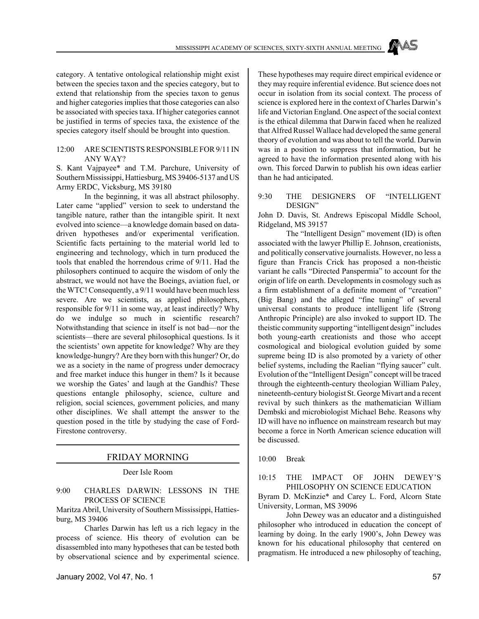category. A tentative ontological relationship might exist between the species taxon and the species category, but to extend that relationship from the species taxon to genus and higher categories implies that those categories can also be associated with species taxa. If higher categories cannot be justified in terms of species taxa, the existence of the species category itself should be brought into question.

#### 12:00 ARE SCIENTISTS RESPONSIBLE FOR 9/11 IN ANY WAY?

S. Kant Vajpayee\* and T.M. Parchure, University of Southern Mississippi, Hattiesburg, MS 39406-5137 and US Army ERDC, Vicksburg, MS 39180

In the beginning, it was all abstract philosophy. Later came "applied" version to seek to understand the tangible nature, rather than the intangible spirit. It next evolved into science—a knowledge domain based on datadriven hypotheses and/or experimental verification. Scientific facts pertaining to the material world led to engineering and technology, which in turn produced the tools that enabled the horrendous crime of 9/11. Had the philosophers continued to acquire the wisdom of only the abstract, we would not have the Boeings, aviation fuel, or the WTC! Consequently, a 9/11 would have been much less severe. Are we scientists, as applied philosophers, responsible for 9/11 in some way, at least indirectly? Why do we indulge so much in scientific research? Notwithstanding that science in itself is not bad—nor the scientists—there are several philosophical questions. Is it the scientists' own appetite for knowledge? Why are they knowledge-hungry? Are they born with this hunger? Or, do we as a society in the name of progress under democracy and free market induce this hunger in them? Is it because we worship the Gates' and laugh at the Gandhis? These questions entangle philosophy, science, culture and religion, social sciences, government policies, and many other disciplines. We shall attempt the answer to the question posed in the title by studying the case of Ford-Firestone controversy.

## FRIDAY MORNING

#### Deer Isle Room

9:00 CHARLES DARWIN: LESSONS IN THE PROCESS OF SCIENCE

Maritza Abril, University of Southern Mississippi, Hattiesburg, MS 39406

Charles Darwin has left us a rich legacy in the process of science. His theory of evolution can be disassembled into many hypotheses that can be tested both by observational science and by experimental science. These hypotheses may require direct empirical evidence or they may require inferential evidence. But science does not occur in isolation from its social context. The process of science is explored here in the context of Charles Darwin's life and Victorian England. One aspect of the social context is the ethical dilemma that Darwin faced when he realized that Alfred Russel Wallace had developed the same general theory of evolution and was about to tell the world. Darwin was in a position to suppress that information, but he agreed to have the information presented along with his own. This forced Darwin to publish his own ideas earlier than he had anticipated.

#### 9:30 THE DESIGNERS OF "INTELLIGENT DESIGN"

John D. Davis, St. Andrews Episcopal Middle School, Ridgeland, MS 39157

The "Intelligent Design" movement (ID) is often associated with the lawyer Phillip E. Johnson, creationists, and politically conservative journalists. However, no less a figure than Francis Crick has proposed a non-theistic variant he calls "Directed Panspermia" to account for the origin of life on earth. Developments in cosmology such as a firm establishment of a definite moment of "creation" (Big Bang) and the alleged "fine tuning" of several universal constants to produce intelligent life (Strong Anthropic Principle) are also invoked to support ID. The theistic community supporting "intelligent design" includes both young-earth creationists and those who accept cosmological and biological evolution guided by some supreme being ID is also promoted by a variety of other belief systems, including the Raelian "flying saucer" cult. Evolution of the "Intelligent Design" concept will be traced through the eighteenth-century theologian William Paley, nineteenth-century biologist St. George Mivart and a recent revival by such thinkers as the mathematician William Dembski and microbiologist Michael Behe. Reasons why ID will have no influence on mainstream research but may become a force in North American science education will be discussed.

 $10:00$  Break

### 10:15 THE IMPACT OF JOHN DEWEY'S PHILOSOPHY ON SCIENCE EDUCATION

Byram D. McKinzie\* and Carey L. Ford, Alcorn State University, Lorman, MS 39096

John Dewey was an educator and a distinguished philosopher who introduced in education the concept of learning by doing. In the early 1900's, John Dewey was known for his educational philosophy that centered on pragmatism. He introduced a new philosophy of teaching,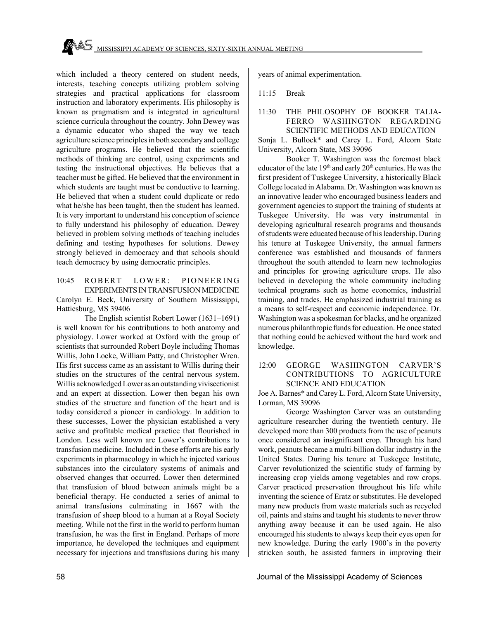which included a theory centered on student needs, interests, teaching concepts utilizing problem solving strategies and practical applications for classroom instruction and laboratory experiments. His philosophy is known as pragmatism and is integrated in agricultural science curricula throughout the country. John Dewey was a dynamic educator who shaped the way we teach agriculture science principles in both secondary and college agriculture programs. He believed that the scientific methods of thinking are control, using experiments and testing the instructional objectives. He believes that a teacher must be gifted. He believed that the environment in which students are taught must be conductive to learning. He believed that when a student could duplicate or redo what he/she has been taught, then the student has learned. It is very important to understand his conception of science to fully understand his philosophy of education. Dewey believed in problem solving methods of teaching includes defining and testing hypotheses for solutions. Dewey strongly believed in democracy and that schools should teach democracy by using democratic principles.

### 10:45 ROBERT LOWER: PIONEERING EXPERIMENTS IN TRANSFUSION MEDICINE Carolyn E. Beck, University of Southern Mississippi, Hattiesburg, MS 39406

The English scientist Robert Lower (1631–1691) is well known for his contributions to both anatomy and physiology. Lower worked at Oxford with the group of scientists that surrounded Robert Boyle including Thomas Willis, John Locke, William Patty, and Christopher Wren. His first success came as an assistant to Willis during their studies on the structures of the central nervous system. Willis acknowledged Lower as an outstanding vivisectionist and an expert at dissection. Lower then began his own studies of the structure and function of the heart and is today considered a pioneer in cardiology. In addition to these successes, Lower the physician established a very active and profitable medical practice that flourished in London. Less well known are Lower's contributions to transfusion medicine. Included in these efforts are his early experiments in pharmacology in which he injected various substances into the circulatory systems of animals and observed changes that occurred. Lower then determined that transfusion of blood between animals might be a beneficial therapy. He conducted a series of animal to animal transfusions culminating in 1667 with the transfusion of sheep blood to a human at a Royal Society meeting. While not the first in the world to perform human transfusion, he was the first in England. Perhaps of more importance, he developed the techniques and equipment necessary for injections and transfusions during his many years of animal experimentation.

 $11 \cdot 15$  Break

## 11:30 THE PHILOSOPHY OF BOOKER TALIA-FERRO WASHINGTON REGARDING SCIENTIFIC METHODS AND EDUCATION

Sonja L. Bullock\* and Carey L. Ford, Alcorn State University, Alcorn State, MS 39096

Booker T. Washington was the foremost black educator of the late  $19<sup>th</sup>$  and early  $20<sup>th</sup>$  centuries. He was the first president of Tuskegee University, a historically Black College located in Alabama. Dr. Washington was known as an innovative leader who encouraged business leaders and government agencies to support the training of students at Tuskegee University. He was very instrumental in developing agricultural research programs and thousands of students were educated because of his leadership. During his tenure at Tuskegee University, the annual farmers conference was established and thousands of farmers throughout the south attended to learn new technologies and principles for growing agriculture crops. He also believed in developing the whole community including technical programs such as home economics, industrial training, and trades. He emphasized industrial training as a means to self-respect and economic independence. Dr. Washington was a spokesman for blacks, and he organized numerous philanthropic funds for education. He once stated that nothing could be achieved without the hard work and knowledge.

12:00 GEORGE WASHINGTON CARVER'S CONTRIBUTIONS TO AGRICULTURE SCIENCE AND EDUCATION

Joe A. Barnes\* and Carey L. Ford, Alcorn State University, Lorman, MS 39096

George Washington Carver was an outstanding agriculture researcher during the twentieth century. He developed more than 300 products from the use of peanuts once considered an insignificant crop. Through his hard work, peanuts became a multi-billion dollar industry in the United States. During his tenure at Tuskegee Institute, Carver revolutionized the scientific study of farming by increasing crop yields among vegetables and row crops. Carver practiced preservation throughout his life while inventing the science of Eratz or substitutes. He developed many new products from waste materials such as recycled oil, paints and stains and taught his students to never throw anything away because it can be used again. He also encouraged his students to always keep their eyes open for new knowledge. During the early 1900's in the poverty stricken south, he assisted farmers in improving their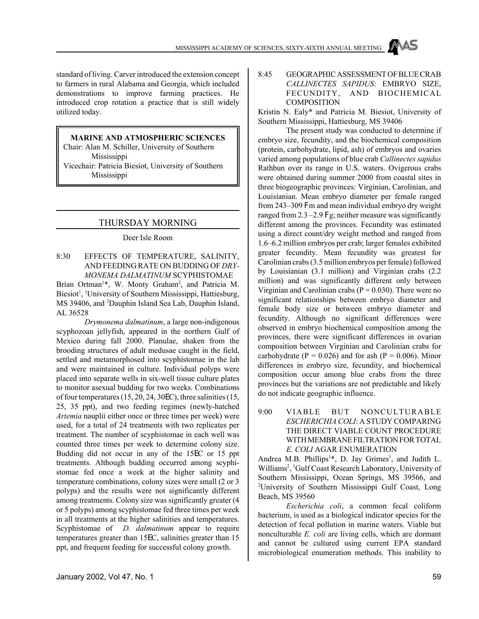standard of living. Carver introduced the extension concept to farmers in rural Alabama and Georgia, which included demonstrations to improve farming practices. He introduced crop rotation a practice that is still widely utilized today.

**MARINE AND ATMOSPHERIC SCIENCES**

Chair: Alan M. Schiller, University of Southern Mississippi Vicechair: Patricia Biesiot, University of Southern Mississippi

## THURSDAY MORNING

Deer Isle Room

8:30 EFFECTS OF TEMPERATURE, SALINITY, AND FEEDING RATE ON BUDDING OF *DRY-MONEMA DALMATINUM* SCYPHISTOMAE

Brian Ortman<sup>1\*</sup>, W. Monty Graham<sup>2</sup>, and Patricia M. Biesiot<sup>1</sup>, <sup>1</sup>University of Southern Mississippi, Hattiesburg, MS 39406, and <sup>2</sup>Dauphin Island Sea Lab, Dauphin Island, AL 36528

*Drymonema dalmatinum*, a large non-indigenous scyphozoan jellyfish, appeared in the northern Gulf of Mexico during fall 2000. Planulae, shaken from the brooding structures of adult medusae caught in the field, settled and metamorphosed into scyphistomae in the lab and were maintained in culture. Individual polyps were placed into separate wells in six-well tissue culture plates to monitor asexual budding for two weeks. Combinations of four temperatures (15, 20, 24, 30EC), three salinities (15, 25, 35 ppt), and two feeding regimes (newly-hatched *Artemia* nauplii either once or three times per week) were used, for a total of 24 treatments with two replicates per treatment. The number of scyphistomae in each well was counted three times per week to determine colony size. Budding did not occur in any of the 15EC or 15 ppt treatments. Although budding occurred among scyphistomae fed once a week at the higher salinity and temperature combinations, colony sizes were small (2 or 3 polyps) and the results were not significantly different among treatments. Colony size was significantly greater (4 or 5 polyps) among scyphistomae fed three times per week in all treatments at the higher salinities and temperatures. Scyphistomae of *D. dalmatinum* appear to require temperatures greater than 15EC, salinities greater than 15 ppt, and frequent feeding for successful colony growth.

8:45 GEOGRAPHIC ASSESSMENT OF BLUE CRAB *CALLINECTES SAPIDUS*: EMBRYO SIZE, FECUNDITY, AND BIOCHEMICAL **COMPOSITION** 

Kristin N. Ealy\* and Patricia M. Biesiot, University of Southern Mississippi, Hattiesburg, MS 39406

The present study was conducted to determine if embryo size, fecundity, and the biochemical composition (protein, carbohydrate, lipid, ash) of embryos and ovaries varied among populations of blue crab *Callinectes sapidus* Rathbun over its range in U.S. waters. Ovigerous crabs were obtained during summer 2000 from coastal sites in three biogeographic provinces: Virginian, Carolinian, and Louisianian. Mean embryo diameter per female ranged from 243–309 Fm and mean individual embryo dry weight ranged from  $2.3 - 2.9$  Fg; neither measure was significantly different among the provinces. Fecundity was estimated using a direct count/dry weight method and ranged from 1.6–6.2 million embryos per crab; larger females exhibited greater fecundity. Mean fecundity was greatest for Carolinian crabs (3.5 million embryos per female) followed by Louisianian (3.1 million) and Virginian crabs (2.2 million) and was significantly different only between Virginian and Carolinian crabs ( $P = 0.030$ ). There were no significant relationships between embryo diameter and female body size or between embryo diameter and fecundity. Although no significant differences were observed in embryo biochemical composition among the provinces, there were significant differences in ovarian composition between Virginian and Carolinian crabs for carbohydrate ( $P = 0.026$ ) and for ash ( $P = 0.006$ ). Minor differences in embryo size, fecundity, and biochemical composition occur among blue crabs from the three provinces but the variations are not predictable and likely do not indicate geographic influence.

9:00 VIABLE BUT NONCULTURABLE *ESCHERICHIA COLI*: A STUDY COMPARING THE DIRECT VIABLE COUNT PROCEDURE WITH MEMBRANE FILTRATION FOR TOTAL *E. COLI* AGAR ENUMERATION

Andrea M.B. Phillips<sup>1\*</sup>, D. Jay Grimes<sup>1</sup>, and Judith L. Williams<sup>2</sup>, <sup>1</sup>Gulf Coast Research Laboratory, University of Southern Mississippi, Ocean Springs, MS 39566, and 2 University of Southern Mississippi Gulf Coast, Long Beach, MS 39560

*Escherichia coli*, a common fecal coliform bacterium, is used as a biological indicator species for the detection of fecal pollution in marine waters. Viable but nonculturable *E. coli* are living cells, which are dormant and cannot be cultured using current EPA standard microbiological enumeration methods. This inability to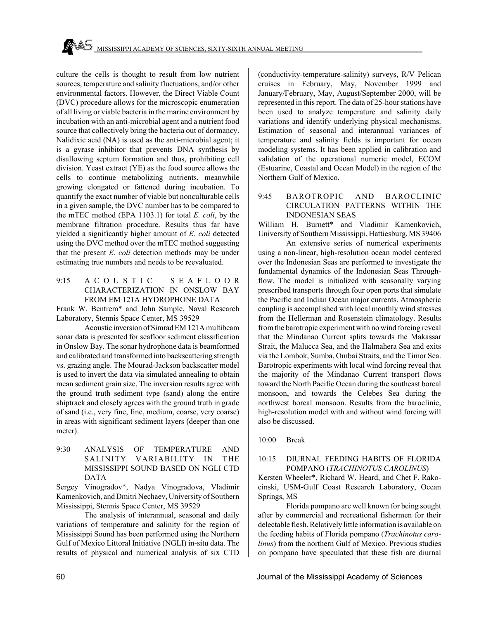culture the cells is thought to result from low nutrient sources, temperature and salinity fluctuations, and/or other environmental factors. However, the Direct Viable Count (DVC) procedure allows for the microscopic enumeration of all living or viable bacteria in the marine environment by incubation with an anti-microbial agent and a nutrient food source that collectively bring the bacteria out of dormancy. Nalidixic acid (NA) is used as the anti-microbial agent; it is a gyrase inhibitor that prevents DNA synthesis by disallowing septum formation and thus, prohibiting cell division. Yeast extract (YE) as the food source allows the cells to continue metabolizing nutrients, meanwhile growing elongated or fattened during incubation. To quantify the exact number of viable but nonculturable cells in a given sample, the DVC number has to be compared to the mTEC method (EPA 1103.1) for total *E. coli*, by the membrane filtration procedure. Results thus far have yielded a significantly higher amount of *E. coli* detected using the DVC method over the mTEC method suggesting that the present *E. coli* detection methods may be under estimating true numbers and needs to be reevaluated.

### 9:15 A C O U S T I C S E A F L O O R CHARACTERIZATION IN ONSLOW BAY FROM EM 121A HYDROPHONE DATA

Frank W. Bentrem\* and John Sample, Naval Research Laboratory, Stennis Space Center, MS 39529

Acoustic inversion of Simrad EM 121A multibeam sonar data is presented for seafloor sediment classification in Onslow Bay. The sonar hydrophone data is beamformed and calibrated and transformed into backscattering strength vs. grazing angle. The Mourad-Jackson backscatter model is used to invert the data via simulated annealing to obtain mean sediment grain size. The inversion results agree with the ground truth sediment type (sand) along the entire shiptrack and closely agrees with the ground truth in grade of sand (i.e., very fine, fine, medium, coarse, very coarse) in areas with significant sediment layers (deeper than one meter).

9:30 ANALYSIS OF TEMPERATURE AND SALINITY VARIABILITY IN THE MISSISSIPPI SOUND BASED ON NGLI CTD DATA

Sergey Vinogradov\*, Nadya Vinogradova, Vladimir Kamenkovich, and Dmitri Nechaev, University of Southern Mississippi, Stennis Space Center, MS 39529

The analysis of interannual, seasonal and daily variations of temperature and salinity for the region of Mississippi Sound has been performed using the Northern Gulf of Mexico Littoral Initiative (NGLI) in-situ data. The results of physical and numerical analysis of six CTD (conductivity-temperature-salinity) surveys, R/V Pelican cruises in February, May, November 1999 and January/February, May, August/September 2000, will be represented in this report. The data of 25-hour stations have been used to analyze temperature and salinity daily variations and identify underlying physical mechanisms. Estimation of seasonal and interannual variances of temperature and salinity fields is important for ocean modeling systems. It has been applied in calibration and validation of the operational numeric model, ECOM (Estuarine, Coastal and Ocean Model) in the region of the Northern Gulf of Mexico.

### 9:45 BAROTROPIC AND BAROCLINIC CIRCULATION PATTERNS WITHIN THE INDONESIAN SEAS

William H. Burnett\* and Vladimir Kamenkovich, University of Southern Mississippi, Hattiesburg, MS 39406

An extensive series of numerical experiments using a non-linear, high-resolution ocean model centered over the Indonesian Seas are performed to investigate the fundamental dynamics of the Indonesian Seas Throughflow. The model is initialized with seasonally varying prescribed transports through four open ports that simulate the Pacific and Indian Ocean major currents. Atmospheric coupling is accomplished with local monthly wind stresses from the Hellerman and Rosenstein climatology. Results from the barotropic experiment with no wind forcing reveal that the Mindanao Current splits towards the Makassar Strait, the Malucca Sea, and the Halmahera Sea and exits via the Lombok, Sumba, Ombai Straits, and the Timor Sea. Barotropic experiments with local wind forcing reveal that the majority of the Mindanao Current transport flows toward the North Pacific Ocean during the southeast boreal monsoon, and towards the Celebes Sea during the northwest boreal monsoon. Results from the baroclinic, high-resolution model with and without wind forcing will also be discussed.

10:00 Break

#### 10:15 DIURNAL FEEDING HABITS OF FLORIDA POMPANO (*TRACHINOTUS CAROLINUS*)

Kersten Wheeler\*, Richard W. Heard, and Chet F. Rakocinski, USM-Gulf Coast Research Laboratory, Ocean Springs, MS

Florida pompano are well known for being sought after by commercial and recreational fishermen for their delectable flesh. Relatively little information is available on the feeding habits of Florida pompano (*Trachinotus carolinus*) from the northern Gulf of Mexico. Previous studies on pompano have speculated that these fish are diurnal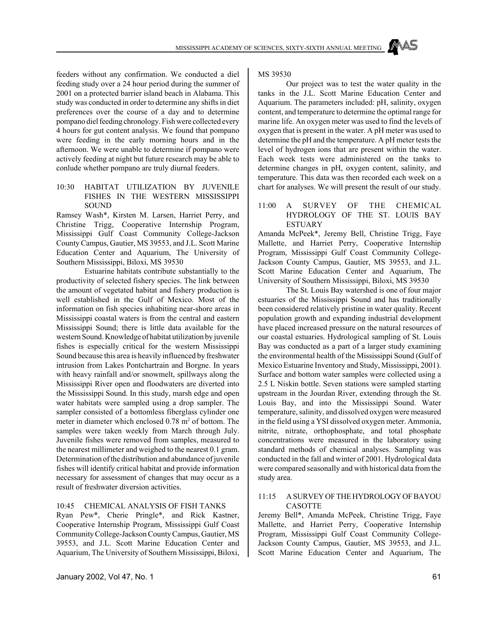feeders without any confirmation. We conducted a diel feeding study over a 24 hour period during the summer of 2001 on a protected barrier island beach in Alabama. This study was conducted in order to determine any shifts in diet preferences over the course of a day and to determine pompano diel feeding chronology. Fish were collected every 4 hours for gut content analysis. We found that pompano were feeding in the early morning hours and in the afternoon. We were unable to determine if pompano were actively feeding at night but future research may be able to conlude whether pompano are truly diurnal feeders.

### 10:30 HABITAT UTILIZATION BY JUVENILE FISHES IN THE WESTERN MISSISSIPPI **SOUND**

Ramsey Wash\*, Kirsten M. Larsen, Harriet Perry, and Christine Trigg, Cooperative Internship Program, Mississippi Gulf Coast Community College-Jackson County Campus, Gautier, MS 39553, and J.L. Scott Marine Education Center and Aquarium, The University of Southern Mississippi, Biloxi, MS 39530

Estuarine habitats contribute substantially to the productivity of selected fishery species. The link between the amount of vegetated habitat and fishery production is well established in the Gulf of Mexico. Most of the information on fish species inhabiting near-shore areas in Mississippi coastal waters is from the central and eastern Mississippi Sound; there is little data available for the western Sound. Knowledge of habitat utilization by juvenile fishes is especially critical for the western Mississippi Sound because this area is heavily influenced by freshwater intrusion from Lakes Pontchartrain and Borgne. In years with heavy rainfall and/or snowmelt, spillways along the Mississippi River open and floodwaters are diverted into the Mississippi Sound. In this study, marsh edge and open water habitats were sampled using a drop sampler. The sampler consisted of a bottomless fiberglass cylinder one meter in diameter which enclosed 0.78 m<sup>2</sup> of bottom. The samples were taken weekly from March through July. Juvenile fishes were removed from samples, measured to the nearest millimeter and weighed to the nearest 0.1 gram. Determination of the distribution and abundance of juvenile fishes will identify critical habitat and provide information necessary for assessment of changes that may occur as a result of freshwater diversion activities.

#### 10:45 CHEMICAL ANALYSIS OF FISH TANKS

Ryan Pew\*, Cherie Pringle\*, and Rick Kastner, Cooperative Internship Program, Mississippi Gulf Coast Community College-Jackson County Campus, Gautier, MS 39553, and J.L. Scott Marine Education Center and Aquarium, The University of Southern Mississippi, Biloxi,

#### MS 39530

Our project was to test the water quality in the tanks in the J.L. Scott Marine Education Center and Aquarium. The parameters included: pH, salinity, oxygen content, and temperature to determine the optimal range for marine life. An oxygen meter was used to find the levels of oxygen that is present in the water. A pH meter was used to determine the pH and the temperature. A pH meter tests the level of hydrogen ions that are present within the water. Each week tests were administered on the tanks to determine changes in pH, oxygen content, salinity, and temperature. This data was then recorded each week on a chart for analyses. We will present the result of our study.

### 11:00 A SURVEY OF THE CHEMICAL HYDROLOGY OF THE ST. LOUIS BAY ESTUARY

Amanda McPeek\*, Jeremy Bell, Christine Trigg, Faye Mallette, and Harriet Perry, Cooperative Internship Program, Mississippi Gulf Coast Community College-Jackson County Campus, Gautier, MS 39553, and J.L. Scott Marine Education Center and Aquarium, The University of Southern Mississippi, Biloxi, MS 39530

The St. Louis Bay watershed is one of four major estuaries of the Mississippi Sound and has traditionally been considered relatively pristine in water quality. Recent population growth and expanding industrial development have placed increased pressure on the natural resources of our coastal estuaries. Hydrological sampling of St. Louis Bay was conducted as a part of a larger study examining the environmental health of the Mississippi Sound (Gulf of Mexico Estuarine Inventory and Study, Mississippi, 2001). Surface and bottom water samples were collected using a 2.5 L Niskin bottle. Seven stations were sampled starting upstream in the Jourdan River, extending through the St. Louis Bay, and into the Mississippi Sound. Water temperature, salinity, and dissolved oxygen were measured in the field using a YSI dissolved oxygen meter. Ammonia, nitrite, nitrate, orthophosphate, and total phosphate concentrations were measured in the laboratory using standard methods of chemical analyses. Sampling was conducted in the fall and winter of 2001. Hydrological data were compared seasonally and with historical data from the study area.

### 11:15 A SURVEY OF THE HYDROLOGY OF BAYOU CASOTTE

Jeremy Bell\*, Amanda McPeek, Christine Trigg, Faye Mallette, and Harriet Perry, Cooperative Internship Program, Mississippi Gulf Coast Community College-Jackson County Campus, Gautier, MS 39553, and J.L. Scott Marine Education Center and Aquarium, The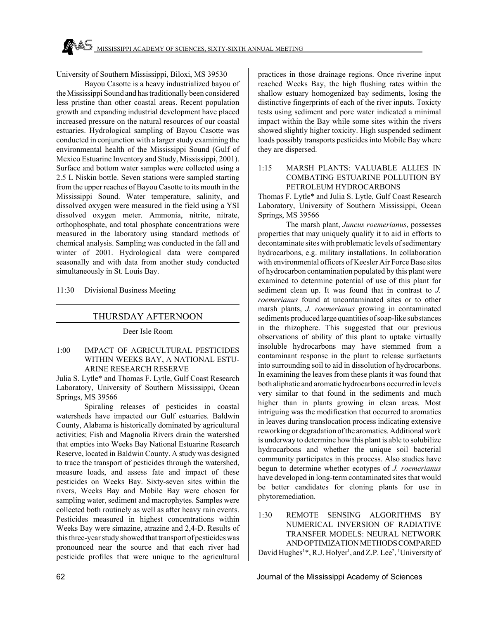University of Southern Mississippi, Biloxi, MS 39530

Bayou Casotte is a heavy industrialized bayou of the Mississippi Sound and has traditionally been considered less pristine than other coastal areas. Recent population growth and expanding industrial development have placed increased pressure on the natural resources of our coastal estuaries. Hydrological sampling of Bayou Casotte was conducted in conjunction with a larger study examining the environmental health of the Mississippi Sound (Gulf of Mexico Estuarine Inventory and Study, Mississippi, 2001). Surface and bottom water samples were collected using a 2.5 L Niskin bottle. Seven stations were sampled starting from the upper reaches of Bayou Casotte to its mouth in the Mississippi Sound. Water temperature, salinity, and dissolved oxygen were measured in the field using a YSI dissolved oxygen meter. Ammonia, nitrite, nitrate, orthophosphate, and total phosphate concentrations were measured in the laboratory using standard methods of chemical analysis. Sampling was conducted in the fall and winter of 2001. Hydrological data were compared seasonally and with data from another study conducted simultaneously in St. Louis Bay.

11:30 Divisional Business Meeting

## THURSDAY AFTERNOON

Deer Isle Room

### 1:00 IMPACT OF AGRICULTURAL PESTICIDES WITHIN WEEKS BAY, A NATIONAL ESTU-ARINE RESEARCH RESERVE

Julia S. Lytle\* and Thomas F. Lytle, Gulf Coast Research Laboratory, University of Southern Mississippi, Ocean Springs, MS 39566

Spiraling releases of pesticides in coastal watersheds have impacted our Gulf estuaries. Baldwin County, Alabama is historically dominated by agricultural activities; Fish and Magnolia Rivers drain the watershed that empties into Weeks Bay National Estuarine Research Reserve, located in Baldwin County. A study was designed to trace the transport of pesticides through the watershed, measure loads, and assess fate and impact of these pesticides on Weeks Bay. Sixty-seven sites within the rivers, Weeks Bay and Mobile Bay were chosen for sampling water, sediment and macrophytes. Samples were collected both routinely as well as after heavy rain events. Pesticides measured in highest concentrations within Weeks Bay were simazine, atrazine and 2,4-D. Results of this three-year study showed that transport of pesticides was pronounced near the source and that each river had pesticide profiles that were unique to the agricultural practices in those drainage regions. Once riverine input reached Weeks Bay, the high flushing rates within the shallow estuary homogenized bay sediments, losing the distinctive fingerprints of each of the river inputs. Toxicty tests using sediment and pore water indicated a minimal impact within the Bay while some sites within the rivers showed slightly higher toxicity. High suspended sediment loads possibly transports pesticides into Mobile Bay where they are dispersed.

### 1:15 MARSH PLANTS: VALUABLE ALLIES IN COMBATING ESTUARINE POLLUTION BY PETROLEUM HYDROCARBONS

Thomas F. Lytle\* and Julia S. Lytle, Gulf Coast Research Laboratory, University of Southern Mississippi, Ocean Springs, MS 39566

The marsh plant, *Juncus roemerianus*, possesses properties that may uniquely qualify it to aid in efforts to decontaminate sites with problematic levels of sedimentary hydrocarbons, e.g. military installations. In collaboration with environmental officers of Keesler Air Force Base sites of hydrocarbon contamination populated by this plant were examined to determine potential of use of this plant for sediment clean up. It was found that in contrast to *J. roemerianus* found at uncontaminated sites or to other marsh plants, *J. roemerianus* growing in contaminated sediments produced large quantities of soap-like substances in the rhizophere. This suggested that our previous observations of ability of this plant to uptake virtually insoluble hydrocarbons may have stemmed from a contaminant response in the plant to release surfactants into surrounding soil to aid in dissolution of hydrocarbons. In examining the leaves from these plants it was found that both aliphatic and aromatic hydrocarbons occurred in levels very similar to that found in the sediments and much higher than in plants growing in clean areas. Most intriguing was the modification that occurred to aromatics in leaves during translocation process indicating extensive reworking or degradation of the aromatics. Additional work is underway to determine how this plant is able to solubilize hydrocarbons and whether the unique soil bacterial community participates in this process. Also studies have begun to determine whether ecotypes of *J. roemerianus* have developed in long-term contaminated sites that would be better candidates for cloning plants for use in phytoremediation.

1:30 REMOTE SENSING ALGORITHMS BY NUMERICAL INVERSION OF RADIATIVE TRANSFER MODELS: NEURAL NETWORK AND OPTIMIZATION METHODS COMPARED David Hughes<sup>1\*</sup>, R.J. Holyer<sup>1</sup>, and Z.P. Lee<sup>2</sup>, <sup>1</sup>University of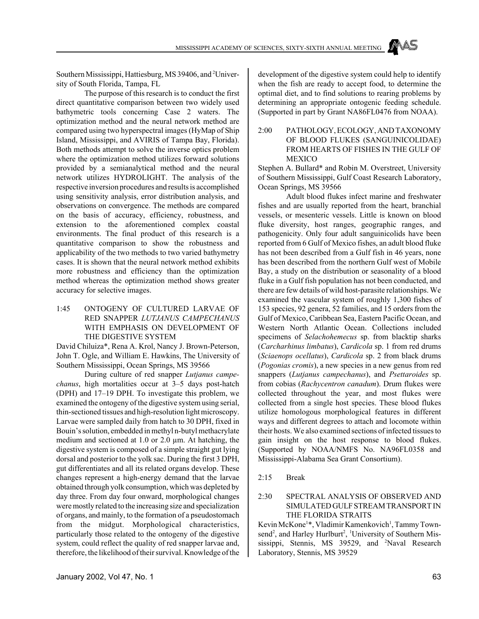MISSISSIPPI ACADEMY OF SCIENCES, SIXTY-SIXTH ANNUAL MEETING



Southern Mississippi, Hattiesburg, MS 39406, and <sup>2</sup>University of South Florida, Tampa, FL

The purpose of this research is to conduct the first direct quantitative comparison between two widely used bathymetric tools concerning Case 2 waters. The optimization method and the neural network method are compared using two hyperspectral images (HyMap of Ship Island, Mississippi, and AVIRIS of Tampa Bay, Florida). Both methods attempt to solve the inverse optics problem where the optimization method utilizes forward solutions provided by a semianalytical method and the neural network utilizes HYDROLIGHT. The analysis of the respective inversion procedures and results is accomplished using sensitivity analysis, error distribution analysis, and observations on convergence. The methods are compared on the basis of accuracy, efficiency, robustness, and extension to the aforementioned complex coastal environments. The final product of this research is a quantitative comparison to show the robustness and applicability of the two methods to two varied bathymetry cases. It is shown that the neural network method exhibits more robustness and efficiency than the optimization method whereas the optimization method shows greater accuracy for selective images.

1:45 ONTOGENY OF CULTURED LARVAE OF RED SNAPPER *LUTJANUS CAMPECHANUS* WITH EMPHASIS ON DEVELOPMENT OF THE DIGESTIVE SYSTEM

David Chiluiza\*, Rena A. Krol, Nancy J. Brown-Peterson, John T. Ogle, and William E. Hawkins, The University of Southern Mississippi, Ocean Springs, MS 39566

During culture of red snapper *Lutjanus campechanus*, high mortalities occur at 3–5 days post-hatch (DPH) and 17–19 DPH. To investigate this problem, we examined the ontogeny of the digestive system using serial, thin-sectioned tissues and high-resolution light microscopy. Larvae were sampled daily from hatch to 30 DPH, fixed in Bouin's solution, embedded in methyl n-butyl methacrylate medium and sectioned at 1.0 or 2.0  $\mu$ m. At hatching, the digestive system is composed of a simple straight gut lying dorsal and posterior to the yolk sac. During the first 3 DPH, gut differentiates and all its related organs develop. These changes represent a high-energy demand that the larvae obtained through yolk consumption, which was depleted by day three. From day four onward, morphological changes were mostly related to the increasing size and specialization of organs, and mainly, to the formation of a pseudostomach from the midgut. Morphological characteristics, particularly those related to the ontogeny of the digestive system, could reflect the quality of red snapper larvae and, therefore, the likelihood of their survival. Knowledge of the

development of the digestive system could help to identify when the fish are ready to accept food, to determine the optimal diet, and to find solutions to rearing problems by determining an appropriate ontogenic feeding schedule. (Supported in part by Grant NA86FL0476 from NOAA).

2:00 PATHOLOGY, ECOLOGY, AND TAXONOMY OF BLOOD FLUKES (SANGUINICOLIDAE) FROM HEARTS OF FISHES IN THE GULF OF **MEXICO** 

Stephen A. Bullard\* and Robin M. Overstreet, University of Southern Mississippi, Gulf Coast Research Laboratory, Ocean Springs, MS 39566

Adult blood flukes infect marine and freshwater fishes and are usually reported from the heart, branchial vessels, or mesenteric vessels. Little is known on blood fluke diversity, host ranges, geographic ranges, and pathogenicity. Only four adult sanguinicolids have been reported from 6 Gulf of Mexico fishes, an adult blood fluke has not been described from a Gulf fish in 46 years, none has been described from the northern Gulf west of Mobile Bay, a study on the distribution or seasonality of a blood fluke in a Gulf fish population has not been conducted, and there are few details of wild host-parasite relationships. We examined the vascular system of roughly 1,300 fishes of 153 species, 92 genera, 52 families, and 15 orders from the Gulf of Mexico, Caribbean Sea, Eastern Pacific Ocean, and Western North Atlantic Ocean. Collections included specimens of *Selachohemecus* sp. from blacktip sharks (*Carcharhinus limbatus*), *Cardicola* sp. 1 from red drums (*Sciaenops ocellatus*), *Cardicola* sp. 2 from black drums (*Pogonias cromis*), a new species in a new genus from red snappers (*Lutjanus campechanus*), and *Psettaroides* sp. from cobias (*Rachycentron canadum*). Drum flukes were collected throughout the year, and most flukes were collected from a single host species. These blood flukes utilize homologous morphological features in different ways and different degrees to attach and locomote within their hosts. We also examined sections of infected tissues to gain insight on the host response to blood flukes. (Supported by NOAA/NMFS No. NA96FL0358 and Mississippi-Alabama Sea Grant Consortium).

### 2:15 Break

## 2:30 SPECTRAL ANALYSIS OF OBSERVED AND SIMULATED GULF STREAM TRANSPORT IN THE FLORIDA STRAITS

Kevin McKone<sup>1\*</sup>, Vladimir Kamenkovich<sup>1</sup>, Tammy Townsend<sup>2</sup>, and Harley Hurlburt<sup>2</sup>, <sup>1</sup>University of Southern Mississippi, Stennis, MS 39529, and <sup>2</sup>Naval Research Laboratory, Stennis, MS 39529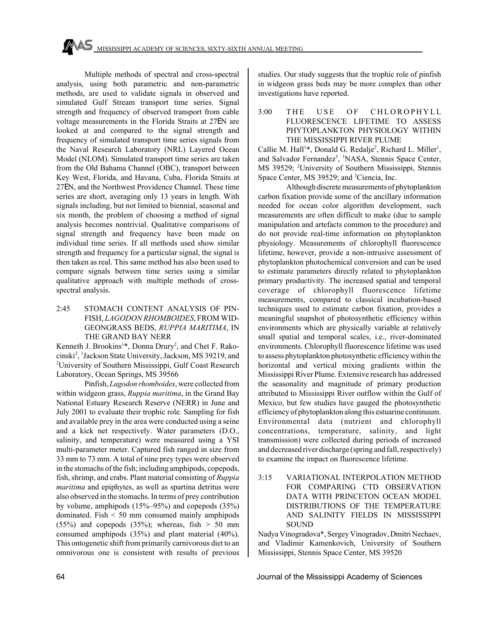Multiple methods of spectral and cross-spectral analysis, using both parametric and non-parametric methods, are used to validate signals in observed and simulated Gulf Stream transport time series. Signal strength and frequency of observed transport from cable voltage measurements in the Florida Straits at 27EN are looked at and compared to the signal strength and frequency of simulated transport time series signals from the Naval Research Laboratory (NRL) Layered Ocean Model (NLOM). Simulated transport time series are taken from the Old Bahama Channel (OBC), transport between Key West, Florida, and Havana, Cuba, Florida Straits at 27EN, and the Northwest Providence Channel. These time series are short, averaging only 13 years in length. With signals including, but not limited to biennial, seasonal and six month, the problem of choosing a method of signal analysis becomes nontrivial. Qualitative comparisons of signal strength and frequency have been made on individual time series. If all methods used show similar strength and frequency for a particular signal, the signal is then taken as real. This same method has also been used to compare signals between time series using a similar qualitative approach with multiple methods of crossspectral analysis.

2:45 STOMACH CONTENT ANALYSIS OF PIN-FISH, *LAGODON RHOMBOIDES*, FROM WID-GEONGRASS BEDS, *RUPPIA MARITIMA*, IN THE GRAND BAY NERR

Kenneth J. Brookins<sup>1\*</sup>, Donna Drury<sup>2</sup>, and Chet F. Rakocinski<sup>2</sup>, <sup>1</sup>Jackson State University, Jackson, MS 39219, and <sup>2</sup>University of Southern Mississippi, Gulf Coast Research Laboratory, Ocean Springs, MS 39566

Pinfish, *Lagodon rhomboides*, were collected from within widgeon grass, *Ruppia maritima*, in the Grand Bay National Estuary Research Reserve (NERR) in June and July 2001 to evaluate their trophic role. Sampling for fish and available prey in the area were conducted using a seine and a kick net respectively. Water parameters (D.O., salinity, and temperature) were measured using a YSI multi-parameter meter. Captured fish ranged in size from 33 mm to 73 mm. A total of nine prey types were observed in the stomachs of the fish; including amphipods, copepods, fish, shrimp, and crabs. Plant material consisting of *Ruppia maritima* and epiphytes, as well as spartina detritus were also observed in the stomachs. In terms of prey contribution by volume, amphipods  $(15\%-95\%)$  and copepods  $(35\%)$ dominated. Fish < 50 mm consumed mainly amphipods  $(55%)$  and copepods  $(35%)$ ; whereas, fish  $> 50$  mm consumed amphipods (35%) and plant material (40%). This ontogenetic shift from primarily carnivorous diet to an omnivorous one is consistent with results of previous studies. Our study suggests that the trophic role of pinfish in widgeon grass beds may be more complex than other investigations have reported.

### 3:00 THE USE OF CHLOROPHYLL FLUORESCENCE LIFETIME TO ASSESS PHYTOPLANKTON PHYSIOLOGY WITHIN THE MISSISSIPPI RIVER PLUME

Callie M. Hall<sup>1\*</sup>, Donald G. Redalje<sup>2</sup>, Richard L. Miller<sup>1</sup>, and Salvador Fernandez<sup>3</sup>, <sup>1</sup>NASA, Stennis Space Center, MS 39529; 2 University of Southern Mississippi, Stennis Space Center, MS 39529; and <sup>3</sup>Ciencia, Inc.

Although discrete measurements of phytoplankton carbon fixation provide some of the ancillary information needed for ocean color algorithm development, such measurements are often difficult to make (due to sample manipulation and artefacts common to the procedure) and do not provide real-time information on phytoplankton physiology. Measurements of chlorophyll fluorescence lifetime, however, provide a non-intrusive assessment of phytoplankton photochemical conversion and can be used to estimate parameters directly related to phytoplankton primary productivity. The increased spatial and temporal coverage of chlorophyll fluorescence lifetime measurements, compared to classical incubation-based techniques used to estimate carbon fixation, provides a meaningful snapshot of photosynthetic efficiency within environments which are physically variable at relatively small spatial and temporal scales, i.e., river-dominated environments. Chlorophyll fluorescence lifetime was used to assess phytoplankton photosynthetic efficiency within the horizontal and vertical mixing gradients within the Mississippi River Plume. Extensive research has addressed the seasonality and magnitude of primary production attributed to Mississippi River outflow within the Gulf of Mexico, but few studies have gauged the photosynthetic efficiency of phytoplankton along this estuarine continuum. Environmental data (nutrient and chlorophyll concentrations, temperature, salinity, and light transmission) were collected during periods of increased and decreased river discharge (spring and fall, respectively) to examine the impact on fluorescence lifetime.

3:15 VARIATIONAL INTERPOLATION METHOD FOR COMPARING CTD OBSERVATION DATA WITH PRINCETON OCEAN MODEL DISTRIBUTIONS OF THE TEMPERATURE AND SALINITY FIELDS IN MISSISSIPPI **SOUND** 

Nadya Vinogradova\*, Sergey Vinogradov, Dmitri Nechaev, and Vladimir Kamenkovich, University of Southern Mississippi, Stennis Space Center, MS 39520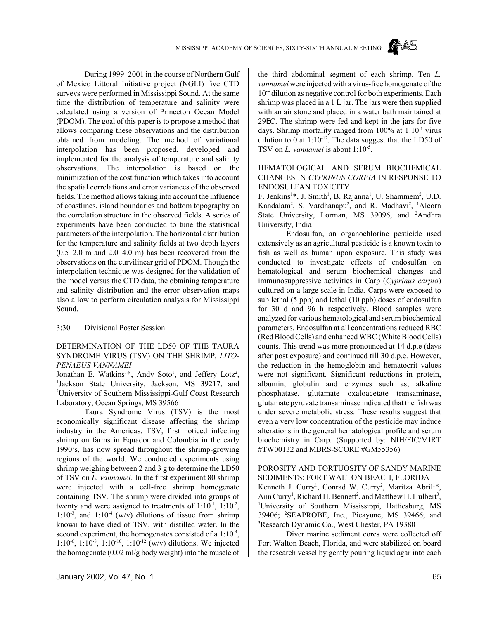During 1999–2001 in the course of Northern Gulf of Mexico Littoral Initiative project (NGLI) five CTD surveys were performed in Mississippi Sound. At the same time the distribution of temperature and salinity were calculated using a version of Princeton Ocean Model (PDOM). The goal of this paper is to propose a method that allows comparing these observations and the distribution obtained from modeling. The method of variational interpolation has been proposed, developed and implemented for the analysis of temperature and salinity observations. The interpolation is based on the minimization of the cost function which takes into account the spatial correlations and error variances of the observed fields. The method allows taking into account the influence of coastlines, island boundaries and bottom topography on the correlation structure in the observed fields. A series of experiments have been conducted to tune the statistical parameters of the interpolation. The horizontal distribution for the temperature and salinity fields at two depth layers  $(0.5-2.0 \text{ m and } 2.0-4.0 \text{ m})$  has been recovered from the observations on the curvilinear grid of PDOM. Though the interpolation technique was designed for the validation of the model versus the CTD data, the obtaining temperature and salinity distribution and the error observation maps also allow to perform circulation analysis for Mississippi Sound.

3:30 Divisional Poster Session

DETERMINATION OF THE LD50 OF THE TAURA SYNDROME VIRUS (TSV) ON THE SHRIMP, *LITO-PENAEUS VANNAMEI*

Jonathan E. Watkins<sup>1\*</sup>, Andy Soto<sup>1</sup>, and Jeffery Lotz<sup>2</sup>, <sup>1</sup>Jackson State University, Jackson, MS 39217, and <sup>2</sup>University of Southern Mississippi-Gulf Coast Research Laboratory, Ocean Springs, MS 39566

Taura Syndrome Virus (TSV) is the most economically significant disease affecting the shrimp industry in the Americas. TSV, first noticed infecting shrimp on farms in Equador and Colombia in the early 1990's, has now spread throughout the shrimp-growing regions of the world. We conducted experiments using shrimp weighing between 2 and 3 g to determine the LD50 of TSV on *L. vannamei*. In the first experiment 80 shrimp were injected with a cell-free shrimp homogenate containing TSV. The shrimp were divided into groups of twenty and were assigned to treatments of  $1:10^{-1}$ ,  $1:10^{-2}$ ,  $1:10^{-3}$ , and  $1:10^{-4}$  (w/v) dilutions of tissue from shrimp known to have died of TSV, with distilled water. In the second experiment, the homogenates consisted of a  $1:10<sup>4</sup>$ ,  $1:10^{-6}$ ,  $1:10^{-8}$ ,  $1:10^{-10}$ ,  $1:10^{-12}$  (w/v) dilutions. We injected the homogenate (0.02 ml/g body weight) into the muscle of the third abdominal segment of each shrimp. Ten *L. vannamei* were injected with a virus-free homogenate of the  $10<sup>-4</sup>$  dilution as negative control for both experiments. Each shrimp was placed in a 1 L jar. The jars were then supplied with an air stone and placed in a water bath maintained at 29EC. The shrimp were fed and kept in the jars for five days. Shrimp mortality ranged from  $100\%$  at  $1:10^{-1}$  virus dilution to 0 at  $1:10^{-12}$ . The data suggest that the LD50 of TSV on *L. vannamei* is about 1:10-5.

### HEMATOLOGICAL AND SERUM BIOCHEMICAL CHANGES IN *CYPRINUS CORPIA* IN RESPONSE TO ENDOSULFAN TOXICITY

F. Jenkins<sup>1\*</sup>, J. Smith<sup>1</sup>, B. Rajanna<sup>1</sup>, U. Shammem<sup>2</sup>, U.D. Kandalam<sup>2</sup>, S. Vardhanapu<sup>2</sup>, and R. Madhavi<sup>2</sup>, <sup>1</sup>Alcorn State University, Lorman, MS 39096, and <sup>2</sup>Andhra University, India

Endosulfan, an organochlorine pesticide used extensively as an agricultural pesticide is a known toxin to fish as well as human upon exposure. This study was conducted to investigate effects of endosulfan on hematological and serum biochemical changes and immunosuppressive activities in Carp (*Cyprinus carpio*) cultured on a large scale in India. Carps were exposed to sub lethal (5 ppb) and lethal (10 ppb) doses of endosulfan for 30 d and 96 h respectively. Blood samples were analyzed for various hematological and serum biochemical parameters. Endosulfan at all concentrations reduced RBC (Red Blood Cells) and enhanced WBC (White Blood Cells) counts. This trend was more pronounced at 14 d.p.e (days after post exposure) and continued till 30 d.p.e. However, the reduction in the hemoglobin and hematocrit values were not significant. Significant reductions in protein, albumin, globulin and enzymes such as; alkaline phosphatase, glutamate oxaloacetate transaminase, glutamate pyruvate transaminase indicated that the fish was under severe metabolic stress. These results suggest that even a very low concentration of the pesticide may induce alterations in the general hematological profile and serum biochemistry in Carp. (Supported by: NIH/FIC/MIRT #TW00132 and MBRS-SCORE #GM55356)

# POROSITY AND TORTUOSITY OF SANDY MARINE SEDIMENTS: FORT WALTON BEACH, FLORIDA

Kenneth J. Curry<sup>1</sup>, Conrad W. Curry<sup>2</sup>, Maritza Abril<sup>1\*</sup>, Ann Curry<sup>1</sup>, Richard H. Bennett<sup>2</sup>, and Matthew H. Hulbert<sup>3</sup>, <sup>1</sup>University of Southern Mississippi, Hattiesburg, MS 39406; 2 SEAPROBE, Inc., Picayune, MS 39466; and 3 Research Dynamic Co., West Chester, PA 19380

Diver marine sediment cores were collected off Fort Walton Beach, Florida, and were stabilized on board the research vessel by gently pouring liquid agar into each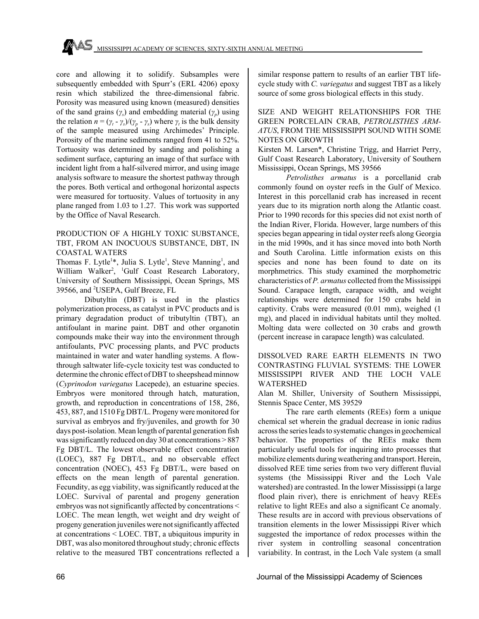core and allowing it to solidify. Subsamples were subsequently embedded with Spurr's (ERL 4206) epoxy resin which stabilized the three-dimensional fabric. Porosity was measured using known (measured) densities of the sand grains  $(\gamma_s)$  and embedding material  $(\gamma_p)$  using the relation  $n = (\gamma_t - \gamma_s)/(\gamma_p - \gamma_s)$  where  $\gamma_t$  is the bulk density of the sample measured using Archimedes' Principle. Porosity of the marine sediments ranged from 41 to 52%. Tortuosity was determined by sanding and polishing a sediment surface, capturing an image of that surface with incident light from a half-silvered mirror, and using image analysis software to measure the shortest pathway through the pores. Both vertical and orthogonal horizontal aspects were measured for tortuosity. Values of tortuosity in any plane ranged from 1.03 to 1.27. This work was supported by the Office of Naval Research.

### PRODUCTION OF A HIGHLY TOXIC SUBSTANCE, TBT, FROM AN INOCUOUS SUBSTANCE, DBT, IN COASTAL WATERS

Thomas F. Lytle<sup>1\*</sup>, Julia S. Lytle<sup>1</sup>, Steve Manning<sup>1</sup>, and William Walker<sup>2</sup>, <sup>1</sup>Gulf Coast Research Laboratory, University of Southern Mississippi, Ocean Springs, MS 39566, and 2 USEPA, Gulf Breeze, FL

Dibutyltin (DBT) is used in the plastics polymerization process, as catalyst in PVC products and is primary degradation product of tributyltin (TBT), an antifoulant in marine paint. DBT and other organotin compounds make their way into the environment through antifoulants, PVC processing plants, and PVC products maintained in water and water handling systems. A flowthrough saltwater life-cycle toxicity test was conducted to determine the chronic effect of DBT to sheepshead minnow (*Cyprinodon variegatus* Lacepede), an estuarine species. Embryos were monitored through hatch, maturation, growth, and reproduction in concentrations of 158, 286, 453, 887, and 1510 Fg DBT/L. Progeny were monitored for survival as embryos and fry/juveniles, and growth for 30 days post-isolation. Mean length of parental generation fish was significantly reduced on day 30 at concentrations > 887 Fg DBT/L. The lowest observable effect concentration (LOEC), 887 Fg DBT/L, and no observable effect concentration (NOEC), 453 Fg DBT/L, were based on effects on the mean length of parental generation. Fecundity, as egg viability, was significantly reduced at the LOEC. Survival of parental and progeny generation embryos was not significantly affected by concentrations < LOEC. The mean length, wet weight and dry weight of progeny generation juveniles were not significantly affected at concentrations < LOEC. TBT, a ubiquitous impurity in DBT, was also monitored throughout study; chronic effects relative to the measured TBT concentrations reflected a similar response pattern to results of an earlier TBT lifecycle study with *C. variegatus* and suggest TBT as a likely source of some gross biological effects in this study.

### SIZE AND WEIGHT RELATIONSHIPS FOR THE GREEN PORCELAIN CRAB, *PETROLISTHES ARM-ATUS*, FROM THE MISSISSIPPI SOUND WITH SOME NOTES ON GROWTH

Kirsten M. Larsen\*, Christine Trigg, and Harriet Perry, Gulf Coast Research Laboratory, University of Southern Mississippi, Ocean Springs, MS 39566

*Petrolisthes armatus* is a porcellanid crab commonly found on oyster reefs in the Gulf of Mexico. Interest in this porcellanid crab has increased in recent years due to its migration north along the Atlantic coast. Prior to 1990 records for this species did not exist north of the Indian River, Florida. However, large numbers of this species began appearing in tidal oyster reefs along Georgia in the mid 1990s, and it has since moved into both North and South Carolina. Little information exists on this species and none has been found to date on its morphmetrics. This study examined the morphometric characteristics of *P. armatus* collected from the Mississippi Sound. Carapace length, carapace width, and weight relationships were determined for 150 crabs held in captivity. Crabs were measured (0.01 mm), weighed (1 mg), and placed in individual habitats until they molted. Molting data were collected on 30 crabs and growth (percent increase in carapace length) was calculated.

### DISSOLVED RARE EARTH ELEMENTS IN TWO CONTRASTING FLUVIAL SYSTEMS: THE LOWER MISSISSIPPI RIVER AND THE LOCH VALE WATERSHED

Alan M. Shiller, University of Southern Mississippi, Stennis Space Center, MS 39529

The rare earth elements (REEs) form a unique chemical set wherein the gradual decrease in ionic radius across the series leads to systematic changes in geochemical behavior. The properties of the REEs make them particularly useful tools for inquiring into processes that mobilize elements during weathering and transport. Herein, dissolved REE time series from two very different fluvial systems (the Mississippi River and the Loch Vale watershed) are contrasted. In the lower Mississippi (a large flood plain river), there is enrichment of heavy REEs relative to light REEs and also a significant Ce anomaly. These results are in accord with previous observations of transition elements in the lower Mississippi River which suggested the importance of redox processes within the river system in controlling seasonal concentration variability. In contrast, in the Loch Vale system (a small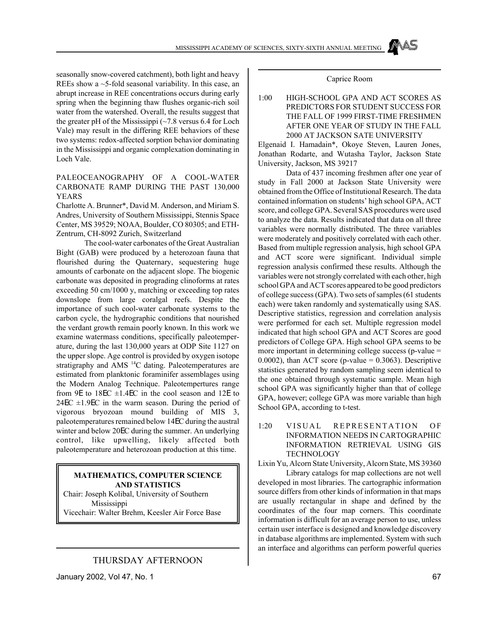seasonally snow-covered catchment), both light and heavy REEs show a  $\sim$  5-fold seasonal variability. In this case, an abrupt increase in REE concentrations occurs during early spring when the beginning thaw flushes organic-rich soil water from the watershed. Overall, the results suggest that the greater pH of the Mississippi  $(\sim 7.8 \text{ versus } 6.4 \text{ for Loch})$ Vale) may result in the differing REE behaviors of these two systems: redox-affected sorption behavior dominating in the Mississippi and organic complexation dominating in Loch Vale.

## PALEOCEANOGRAPHY OF A COOL-WATER CARBONATE RAMP DURING THE PAST 130,000 YEARS

Charlotte A. Brunner\*, David M. Anderson, and Miriam S. Andres, University of Southern Mississippi, Stennis Space Center, MS 39529; NOAA, Boulder, CO 80305; and ETH-Zentrum, CH-8092 Zurich, Switzerland

The cool-water carbonates of the Great Australian Bight (GAB) were produced by a heterozoan fauna that flourished during the Quaternary, sequestering huge amounts of carbonate on the adjacent slope. The biogenic carbonate was deposited in prograding clinoforms at rates exceeding 50 cm/1000 y, matching or exceeding top rates downslope from large coralgal reefs. Despite the importance of such cool-water carbonate systems to the carbon cycle, the hydrographic conditions that nourished the verdant growth remain poorly known. In this work we examine watermass conditions, specifically paleotemperature, during the last 130,000 years at ODP Site 1127 on the upper slope. Age control is provided by oxygen isotope stratigraphy and AMS<sup>14</sup>C dating. Paleotemperatures are estimated from planktonic foraminifer assemblages using the Modern Analog Technique. Paleotempertures range from 9E to 18EC  $\pm$ 1.4EC in the cool season and 12E to  $24EC \pm 1.9EC$  in the warm season. During the period of vigorous bryozoan mound building of MIS 3, paleotemperatures remained below 14EC during the austral winter and below 20EC during the summer. An underlying control, like upwelling, likely affected both paleotemperature and heterozoan production at this time.

### **MATHEMATICS, COMPUTER SCIENCE AND STATISTICS** Chair: Joseph Kolibal, University of Southern

Mississippi Vicechair: Walter Brehm, Keesler Air Force Base

# THURSDAY AFTERNOON

Caprice Room

### 1:00 HIGH-SCHOOL GPA AND ACT SCORES AS PREDICTORS FOR STUDENT SUCCESS FOR THE FALL OF 1999 FIRST-TIME FRESHMEN AFTER ONE YEAR OF STUDY IN THE FALL 2000 AT JACKSON SATE UNIVERSITY

Elgenaid I. Hamadain\*, Okoye Steven, Lauren Jones, Jonathan Rodarte, and Wutasha Taylor, Jackson State University, Jackson, MS 39217

Data of 437 incoming freshmen after one year of study in Fall 2000 at Jackson State University were obtained from the Office of Institutional Research. The data contained information on students' high school GPA, ACT score, and college GPA. Several SAS procedures were used to analyze the data. Results indicated that data on all three variables were normally distributed. The three variables were moderately and positively correlated with each other. Based from multiple regression analysis, high school GPA and ACT score were significant. Individual simple regression analysis confirmed these results. Although the variables were not strongly correlated with each other, high school GPA and ACT scores appeared to be good predictors of college success (GPA). Two sets of samples (61 students each) were taken randomly and systematically using SAS. Descriptive statistics, regression and correlation analysis were performed for each set. Multiple regression model indicated that high school GPA and ACT Scores are good predictors of College GPA. High school GPA seems to be more important in determining college success (p-value = 0.0002), than ACT score (p-value  $= 0.3063$ ). Descriptive statistics generated by random sampling seem identical to the one obtained through systematic sample. Mean high school GPA was significantly higher than that of college GPA, however; college GPA was more variable than high School GPA, according to t-test.

## 1:20 VISUAL REPRESENTATION OF INFORMATION NEEDS IN CARTOGRAPHIC INFORMATION RETRIEVAL USING GIS **TECHNOLOGY**

Lixin Yu, Alcorn State University, Alcorn State, MS 39360

Library catalogs for map collections are not well developed in most libraries. The cartographic information source differs from other kinds of information in that maps are usually rectangular in shape and defined by the coordinates of the four map corners. This coordinate information is difficult for an average person to use, unless certain user interface is designed and knowledge discovery in database algorithms are implemented. System with such an interface and algorithms can perform powerful queries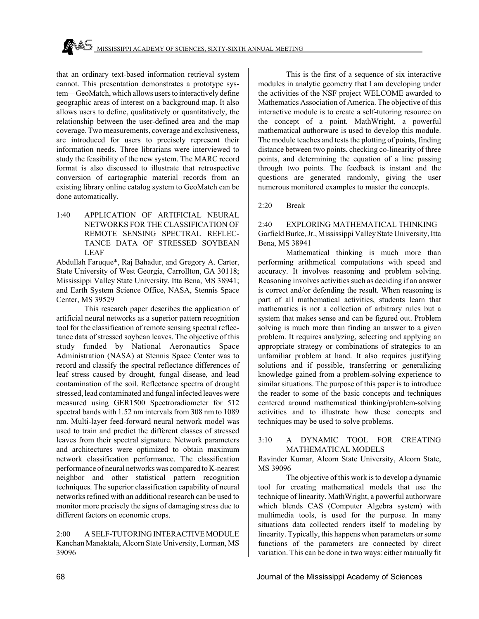that an ordinary text-based information retrieval system cannot. This presentation demonstrates a prototype system—GeoMatch, which allows users to interactively define geographic areas of interest on a background map. It also allows users to define, qualitatively or quantitatively, the relationship between the user-defined area and the map coverage. Two measurements, coverage and exclusiveness, are introduced for users to precisely represent their information needs. Three librarians were interviewed to study the feasibility of the new system. The MARC record format is also discussed to illustrate that retrospective conversion of cartographic material records from an existing library online catalog system to GeoMatch can be done automatically.

1:40 APPLICATION OF ARTIFICIAL NEURAL NETWORKS FOR THE CLASSIFICATION OF REMOTE SENSING SPECTRAL REFLEC-TANCE DATA OF STRESSED SOYBEAN LEAF

Abdullah Faruque\*, Raj Bahadur, and Gregory A. Carter, State University of West Georgia, Carrollton, GA 30118; Mississippi Valley State University, Itta Bena, MS 38941; and Earth System Science Office, NASA, Stennis Space Center, MS 39529

This research paper describes the application of artificial neural networks as a superior pattern recognition tool for the classification of remote sensing spectral reflectance data of stressed soybean leaves. The objective of this study funded by National Aeronautics Space Administration (NASA) at Stennis Space Center was to record and classify the spectral reflectance differences of leaf stress caused by drought, fungal disease, and lead contamination of the soil. Reflectance spectra of drought stressed, lead contaminated and fungal infected leaves were measured using GER1500 Spectroradiometer for 512 spectral bands with 1.52 nm intervals from 308 nm to 1089 nm. Multi-layer feed-forward neural network model was used to train and predict the different classes of stressed leaves from their spectral signature. Network parameters and architectures were optimized to obtain maximum network classification performance. The classification performance of neural networks was compared to K-nearest neighbor and other statistical pattern recognition techniques. The superior classification capability of neural networks refined with an additional research can be used to monitor more precisely the signs of damaging stress due to different factors on economic crops.

2:00 A SELF-TUTORING INTERACTIVE MODULE Kanchan Manaktala, Alcorn State University, Lorman, MS 39096

This is the first of a sequence of six interactive modules in analytic geometry that I am developing under the activities of the NSF project WELCOME awarded to Mathematics Association of America. The objective of this interactive module is to create a self-tutoring resource on the concept of a point. MathWright, a powerful mathematical authorware is used to develop this module. The module teaches and tests the plotting of points, finding distance between two points, checking co-linearity of three points, and determining the equation of a line passing through two points. The feedback is instant and the questions are generated randomly, giving the user numerous monitored examples to master the concepts.

2:20 Break

2:40 EXPLORING MATHEMATICAL THINKING Garfield Burke, Jr., Mississippi Valley State University, Itta Bena, MS 38941

Mathematical thinking is much more than performing arithmetical computations with speed and accuracy. It involves reasoning and problem solving. Reasoning involves activities such as deciding if an answer is correct and/or defending the result. When reasoning is part of all mathematical activities, students learn that mathematics is not a collection of arbitrary rules but a system that makes sense and can be figured out. Problem solving is much more than finding an answer to a given problem. It requires analyzing, selecting and applying an appropriate strategy or combinations of strategics to an unfamiliar problem at hand. It also requires justifying solutions and if possible, transferring or generalizing knowledge gained from a problem-solving experience to similar situations. The purpose of this paper is to introduce the reader to some of the basic concepts and techniques centered around mathematical thinking/problem-solving activities and to illustrate how these concepts and techniques may be used to solve problems.

### 3:10 A DYNAMIC TOOL FOR CREATING MATHEMATICAL MODELS

Ravinder Kumar, Alcorn State University, Alcorn State, MS 39096

The objective of this work is to develop a dynamic tool for creating mathematical models that use the technique of linearity. MathWright, a powerful authorware which blends CAS (Computer Algebra system) with multimedia tools, is used for the purpose. In many situations data collected renders itself to modeling by linearity. Typically, this happens when parameters or some functions of the parameters are connected by direct variation. This can be done in two ways: either manually fit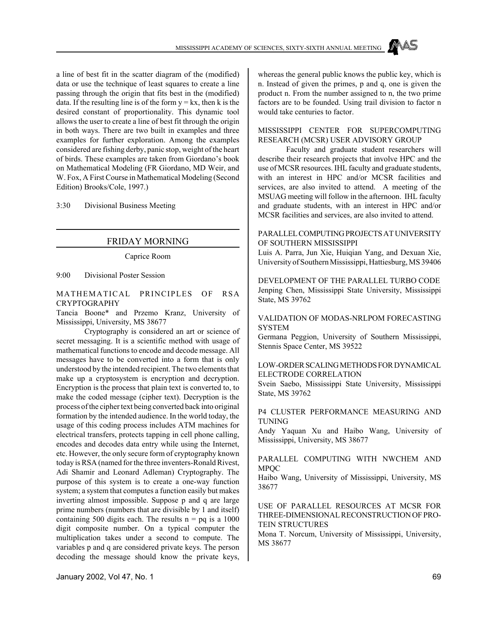

a line of best fit in the scatter diagram of the (modified) data or use the technique of least squares to create a line passing through the origin that fits best in the (modified) data. If the resulting line is of the form  $y = kx$ , then k is the desired constant of proportionality. This dynamic tool allows the user to create a line of best fit through the origin in both ways. There are two built in examples and three examples for further exploration. Among the examples considered are fishing derby, panic stop, weight of the heart of birds. These examples are taken from Giordano's book on Mathematical Modeling (FR Giordano, MD Weir, and W. Fox, A First Course in Mathematical Modeling (Second Edition) Brooks/Cole, 1997.)

3:30 Divisional Business Meeting

## FRIDAY MORNING

Caprice Room

9:00 Divisional Poster Session

### MATHEMATICAL PRINCIPLES OF RSA CRYPTOGRAPHY

Tancia Boone\* and Przemo Kranz, University of Mississippi, University, MS 38677

Cryptography is considered an art or science of secret messaging. It is a scientific method with usage of mathematical functions to encode and decode message. All messages have to be converted into a form that is only understood by the intended recipient. The two elements that make up a cryptosystem is encryption and decryption. Encryption is the process that plain text is converted to, to make the coded message (cipher text). Decryption is the process of the cipher text being converted back into original formation by the intended audience. In the world today, the usage of this coding process includes ATM machines for electrical transfers, protects tapping in cell phone calling, encodes and decodes data entry while using the Internet, etc. However, the only secure form of cryptography known today is RSA (named for the three inventers-Ronald Rivest, Adi Shamir and Leonard Adleman) Cryptography. The purpose of this system is to create a one-way function system; a system that computes a function easily but makes inverting almost impossible. Suppose p and q are large prime numbers (numbers that are divisible by 1 and itself) containing 500 digits each. The results  $n = pq$  is a 1000 digit composite number. On a typical computer the multiplication takes under a second to compute. The variables p and q are considered private keys. The person decoding the message should know the private keys,

whereas the general public knows the public key, which is n. Instead of given the primes, p and q, one is given the product n. From the number assigned to n, the two prime factors are to be founded. Using trail division to factor n would take centuries to factor.

MISSISSIPPI CENTER FOR SUPERCOMPUTING RESEARCH (MCSR) USER ADVISORY GROUP

Faculty and graduate student researchers will describe their research projects that involve HPC and the use of MCSR resources. IHL faculty and graduate students, with an interest in HPC and/or MCSR facilities and services, are also invited to attend. A meeting of the MSUAG meeting will follow in the afternoon. IHL faculty and graduate students, with an interest in HPC and/or MCSR facilities and services, are also invited to attend.

PARALLEL COMPUTING PROJECTS AT UNIVERSITY OF SOUTHERN MISSISSIPPI

Luis A. Parra, Jun Xie, Huiqian Yang, and Dexuan Xie, University of Southern Mississippi, Hattiesburg, MS 39406

DEVELOPMENT OF THE PARALLEL TURBO CODE Jenping Chen, Mississippi State University, Mississippi State, MS 39762

#### VALIDATION OF MODAS-NRLPOM FORECASTING **SYSTEM**

Germana Peggion, University of Southern Mississippi, Stennis Space Center, MS 39522

#### LOW-ORDER SCALING METHODS FOR DYNAMICAL ELECTRODE CORRELATION

Svein Saebo, Mississippi State University, Mississippi State, MS 39762

P4 CLUSTER PERFORMANCE MEASURING AND TUNING

Andy Yaquan Xu and Haibo Wang, University of Mississippi, University, MS 38677

PARALLEL COMPUTING WITH NWCHEM AND **MPOC** 

Haibo Wang, University of Mississippi, University, MS 38677

USE OF PARALLEL RESOURCES AT MCSR FOR THREE-DIMENSIONAL RECONSTRUCTION OF PRO-TEIN STRUCTURES

Mona T. Norcum, University of Mississippi, University, MS 38677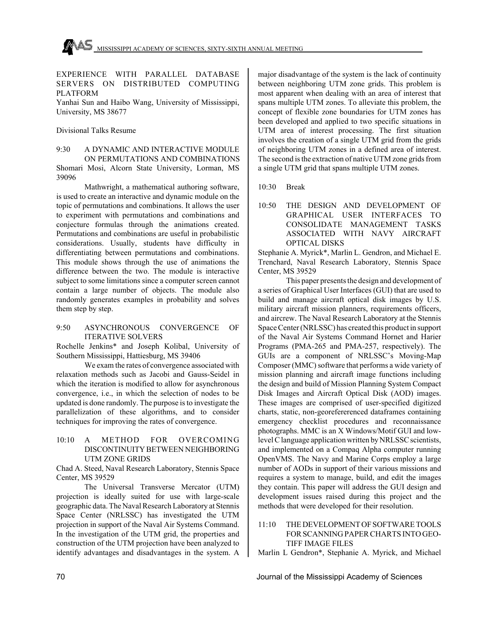EXPERIENCE WITH PARALLEL DATABASE SERVERS ON DISTRIBUTED COMPUTING PLATFORM

Yanhai Sun and Haibo Wang, University of Mississippi, University, MS 38677

Divisional Talks Resume

9:30 A DYNAMIC AND INTERACTIVE MODULE ON PERMUTATIONS AND COMBINATIONS Shomari Mosi, Alcorn State University, Lorman, MS 39096

Mathwright, a mathematical authoring software, is used to create an interactive and dynamic module on the topic of permutations and combinations. It allows the user to experiment with permutations and combinations and conjecture formulas through the animations created. Permutations and combinations are useful in probabilistic considerations. Usually, students have difficulty in differentiating between permutations and combinations. This module shows through the use of animations the difference between the two. The module is interactive subject to some limitations since a computer screen cannot contain a large number of objects. The module also randomly generates examples in probability and solves them step by step.

#### 9:50 ASYNCHRONOUS CONVERGENCE OF ITERATIVE SOLVERS

Rochelle Jenkins\* and Joseph Kolibal, University of Southern Mississippi, Hattiesburg, MS 39406

We exam the rates of convergence associated with relaxation methods such as Jacobi and Gauss-Seidel in which the iteration is modified to allow for asynchronous convergence, i.e., in which the selection of nodes to be updated is done randomly. The purpose is to investigate the parallelization of these algorithms, and to consider techniques for improving the rates of convergence.

10:10 A METHOD FOR OVERCOMING DISCONTINUITY BETWEEN NEIGHBORING UTM ZONE GRIDS

Chad A. Steed, Naval Research Laboratory, Stennis Space Center, MS 39529

The Universal Transverse Mercator (UTM) projection is ideally suited for use with large-scale geographic data. The Naval Research Laboratory at Stennis Space Center (NRLSSC) has investigated the UTM projection in support of the Naval Air Systems Command. In the investigation of the UTM grid, the properties and construction of the UTM projection have been analyzed to identify advantages and disadvantages in the system. A

major disadvantage of the system is the lack of continuity between neighboring UTM zone grids. This problem is most apparent when dealing with an area of interest that spans multiple UTM zones. To alleviate this problem, the concept of flexible zone boundaries for UTM zones has been developed and applied to two specific situations in UTM area of interest processing. The first situation involves the creation of a single UTM grid from the grids of neighboring UTM zones in a defined area of interest. The second is the extraction of native UTM zone grids from a single UTM grid that spans multiple UTM zones.

10:30 Break

10:50 THE DESIGN AND DEVELOPMENT OF GRAPHICAL USER INTERFACES TO CONSOLIDATE MANAGEMENT TASKS ASSOCIATED WITH NAVY AIRCRAFT OPTICAL DISKS

Stephanie A. Myrick\*, Marlin L. Gendron, and Michael E. Trenchard, Naval Research Laboratory, Stennis Space Center, MS 39529

This paper presents the design and development of a series of Graphical User Interfaces (GUI) that are used to build and manage aircraft optical disk images by U.S. military aircraft mission planners, requirements officers, and aircrew. The Naval Research Laboratory at the Stennis Space Center (NRLSSC) has created this product in support of the Naval Air Systems Command Hornet and Harier Programs (PMA-265 and PMA-257, respectively). The GUIs are a component of NRLSSC's Moving-Map Composer (MMC) software that performs a wide variety of mission planning and aircraft image functions including the design and build of Mission Planning System Compact Disk Images and Aircraft Optical Disk (AOD) images. These images are comprised of user-specified digitized charts, static, non-georefererenced dataframes containing emergency checklist procedures and reconnaissance photographs. MMC is an X Windows/Motif GUI and lowlevel C language application written by NRLSSC scientists, and implemented on a Compaq Alpha computer running OpenVMS. The Navy and Marine Corps employ a large number of AODs in support of their various missions and requires a system to manage, build, and edit the images they contain. This paper will address the GUI design and development issues raised during this project and the methods that were developed for their resolution.

## 11:10 THE DEVELOPMENT OF SOFTWARE TOOLS FOR SCANNING PAPER CHARTS INTO GEO-TIFF IMAGE FILES

Marlin L Gendron\*, Stephanie A. Myrick, and Michael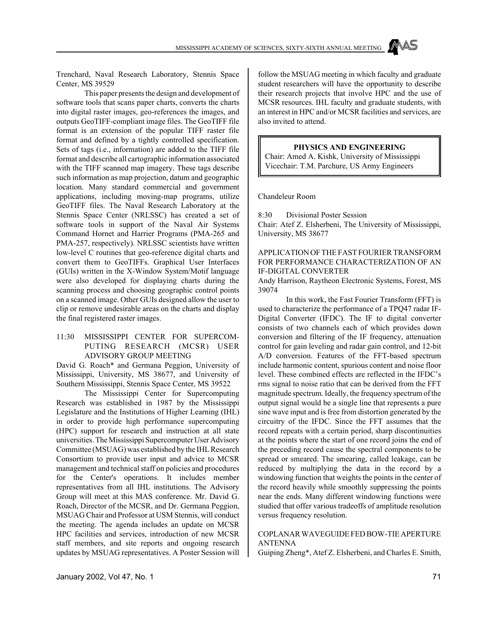

Trenchard, Naval Research Laboratory, Stennis Space Center, MS 39529

This paper presents the design and development of software tools that scans paper charts, converts the charts into digital raster images, geo-references the images, and outputs GeoTIFF-compliant image files. The GeoTIFF file format is an extension of the popular TIFF raster file format and defined by a tightly controlled specification. Sets of tags (i.e., information) are added to the TIFF file format and describe all cartographic information associated with the TIFF scanned map imagery. These tags describe such information as map projection, datum and geographic location. Many standard commercial and government applications, including moving-map programs, utilize GeoTIFF files. The Naval Research Laboratory at the Stennis Space Center (NRLSSC) has created a set of software tools in support of the Naval Air Systems Command Hornet and Harrier Programs (PMA-265 and PMA-257, respectively). NRLSSC scientists have written low-level C routines that geo-reference digital charts and convert them to GeoTIFFs. Graphical User Interfaces (GUIs) written in the X-Window System/Motif language were also developed for displaying charts during the scanning process and choosing geographic control points on a scanned image. Other GUIs designed allow the user to clip or remove undesirable areas on the charts and display the final registered raster images.

### 11:30 MISSISSIPPI CENTER FOR SUPERCOM-PUTING RESEARCH (MCSR) USER ADVISORY GROUP MEETING

David G. Roach\* and Germana Peggion, University of Mississippi, University, MS 38677, and University of Southern Mississippi, Stennis Space Center, MS 39522

The Mississippi Center for Supercomputing Research was established in 1987 by the Mississippi Legislature and the Institutions of Higher Learning (IHL) in order to provide high performance supercomputing (HPC) support for research and instruction at all state universities. The Mississippi Supercomputer User Advisory Committee (MSUAG) was established by the IHL Research Consortium to provide user input and advice to MCSR management and technical staff on policies and procedures for the Center's operations. It includes member representatives from all IHL institutions. The Advisory Group will meet at this MAS conference. Mr. David G. Roach, Director of the MCSR, and Dr. Germana Peggion, MSUAG Chair and Professor at USM Stennis, will conduct the meeting. The agenda includes an update on MCSR HPC facilities and services, introduction of new MCSR staff members, and site reports and ongoing research updates by MSUAG representatives. A Poster Session will

follow the MSUAG meeting in which faculty and graduate student researchers will have the opportunity to describe their research projects that involve HPC and the use of MCSR resources. IHL faculty and graduate students, with an interest in HPC and/or MCSR facilities and services, are also invited to attend.

**PHYSICS AND ENGINEERING** Chair: Amed A. Kishk, University of Mississippi Vicechair: T.M. Parchure, US Army Engineers

Chandeleur Room

8:30 Divisional Poster Session Chair: Atef Z. Elsherbeni, The University of Mississippi, University, MS 38677

### APPLICATION OF THE FAST FOURIER TRANSFORM FOR PERFORMANCE CHARACTERIZATION OF AN IF-DIGITAL CONVERTER

Andy Harrison, Raytheon Electronic Systems, Forest, MS 39074

In this work, the Fast Fourier Transform (FFT) is used to characterize the performance of a TPQ47 radar IF-Digital Converter (IFDC). The IF to digital converter consists of two channels each of which provides down conversion and filtering of the IF frequency, attenuation control for gain leveling and radar gain control, and 12-bit A/D conversion. Features of the FFT-based spectrum include harmonic content, spurious content and noise floor level. These combined effects are reflected in the IFDC's rms signal to noise ratio that can be derived from the FFT magnitude spectrum. Ideally, the frequency spectrum of the output signal would be a single line that represents a pure sine wave input and is free from distortion generated by the circuitry of the IFDC. Since the FFT assumes that the record repeats with a certain period, sharp discontinuities at the points where the start of one record joins the end of the preceding record cause the spectral components to be spread or smeared. The smearing, called leakage, can be reduced by multiplying the data in the record by a windowing function that weights the points in the center of the record heavily while smoothly suppressing the points near the ends. Many different windowing functions were studied that offer various tradeoffs of amplitude resolution versus frequency resolution.

### COPLANAR WAVEGUIDE FED BOW-TIE APERTURE ANTENNA

Guiping Zheng\*, Atef Z. Elsherbeni, and Charles E. Smith,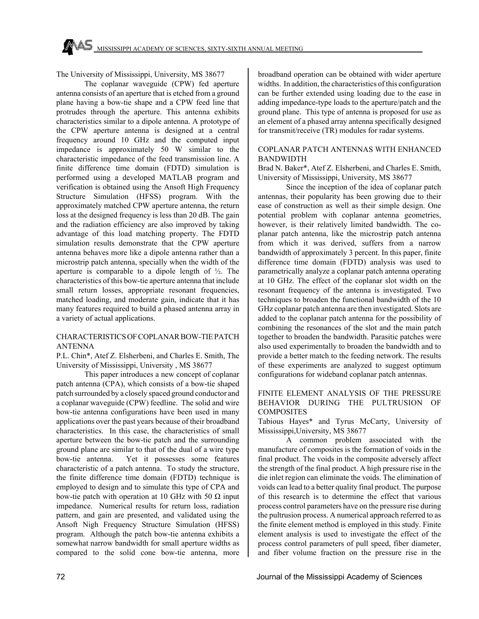The University of Mississippi, University, MS 38677

The coplanar waveguide (CPW) fed aperture antenna consists of an aperture that is etched from a ground plane having a bow-tie shape and a CPW feed line that protrudes through the aperture. This antenna exhibits characteristics similar to a dipole antenna. A prototype of the CPW aperture antenna is designed at a central frequency around 10 GHz and the computed input impedance is approximately 50 W similar to the characteristic impedance of the feed transmission line. A finite difference time domain (FDTD) simulation is performed using a developed MATLAB program and verification is obtained using the Ansoft High Frequency Structure Simulation (HFSS) program. With the approximately matched CPW aperture antenna, the return loss at the designed frequency is less than 20 dB. The gain and the radiation efficiency are also improved by taking advantage of this load matching property. The FDTD simulation results demonstrate that the CPW aperture antenna behaves more like a dipole antenna rather than a microstrip patch antenna, specially when the width of the aperture is comparable to a dipole length of  $\frac{1}{2}$ . The characteristics of this bow-tie aperture antenna that include small return losses, appropriate resonant frequencies, matched loading, and moderate gain, indicate that it has many features required to build a phased antenna array in a variety of actual applications.

### CHARACTERISTICS OF COPLANAR BOW-TIE PATCH ANTENNA

P.L. Chin\*, Atef Z. Elsherbeni, and Charles E. Smith, The University of Mississippi, University , MS 38677

This paper introduces a new concept of coplanar patch antenna (CPA), which consists of a bow-tie shaped patch surrounded by a closely spaced ground conductor and a coplanar waveguide (CPW) feedline. The solid and wire bow-tie antenna configurations have been used in many applications over the past years because of their broadband characteristics. In this case, the characteristics of small aperture between the bow-tie patch and the surrounding ground plane are similar to that of the dual of a wire type bow-tie antenna. Yet it possesses some features characteristic of a patch antenna. To study the structure, the finite difference time domain (FDTD) technique is employed to design and to simulate this type of CPA and bow-tie patch with operation at 10 GHz with 50  $\Omega$  input impedance. Numerical results for return loss, radiation pattern, and gain are presented, and validated using the Ansoft Nigh Frequency Structure Simulation (HFSS) program. Although the patch bow-tie antenna exhibits a somewhat narrow bandwidth for small aperture widths as compared to the solid cone bow-tie antenna, more broadband operation can be obtained with wider aperture widths. In addition, the characteristics of this configuration can be further extended using loading due to the ease in adding impedance-type loads to the aperture/patch and the ground plane. This type of antenna is proposed for use as an element of a phased array antenna specifically designed for transmit/receive (TR) modules for radar systems.

### COPLANAR PATCH ANTENNAS WITH ENHANCED BANDWIDTH

Brad N. Baker\*, Atef Z. Elsherbeni, and Charles E. Smith, University of Mississippi, University, MS 38677

Since the inception of the idea of coplanar patch antennas, their popularity has been growing due to their ease of construction as well as their simple design. One potential problem with coplanar antenna geometries, however, is their relatively limited bandwidth. The coplanar patch antenna, like the microstrip patch antenna from which it was derived, suffers from a narrow bandwidth of approximately 3 percent. In this paper, finite difference time domain (FDTD) analysis was used to parametrically analyze a coplanar patch antenna operating at 10 GHz. The effect of the coplanar slot width on the resonant frequency of the antenna is investigated. Two techniques to broaden the functional bandwidth of the 10 GHz coplanar patch antenna are then investigated. Slots are added to the coplanar patch antenna for the possibility of combining the resonances of the slot and the main patch together to broaden the bandwidth. Parasitic patches were also used experimentally to broaden the bandwidth and to provide a better match to the feeding network. The results of these experiments are analyzed to suggest optimum configurations for wideband coplanar patch antennas.

### FINITE ELEMENT ANALYSIS OF THE PRESSURE BEHAVIOR DURING THE PULTRUSION OF **COMPOSITES**

Tabious Hayes\* and Tyrus McCarty, University of Mississippi,University, MS 38677

A common problem associated with the manufacture of composites is the formation of voids in the final product. The voids in the composite adversely affect the strength of the final product. A high pressure rise in the die inlet region can eliminate the voids. The elimination of voids can lead to a better quality final product. The purpose of this research is to determine the effect that various process control parameters have on the pressure rise during the pultrusion process. A numerical approach referred to as the finite element method is employed in this study. Finite element analysis is used to investigate the effect of the process control parameters of pull speed, fiber diameter, and fiber volume fraction on the pressure rise in the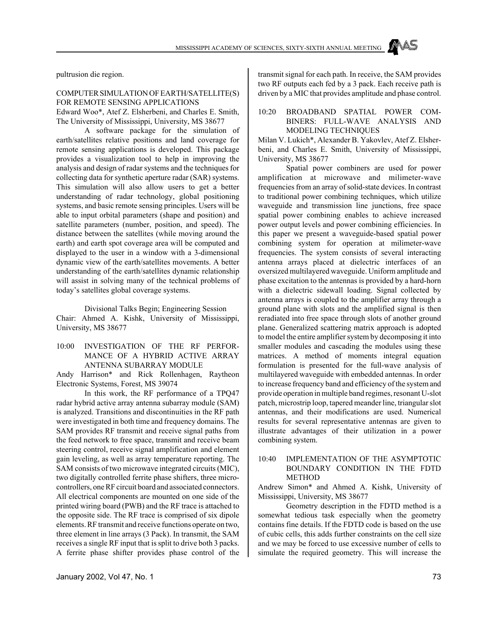pultrusion die region.

# COMPUTER SIMULATION OF EARTH/SATELLITE(S) FOR REMOTE SENSING APPLICATIONS

Edward Woo\*, Atef Z. Elsherbeni, and Charles E. Smith, The University of Mississippi, University, MS 38677

A software package for the simulation of earth/satellites relative positions and land coverage for remote sensing applications is developed. This package provides a visualization tool to help in improving the analysis and design of radar systems and the techniques for collecting data for synthetic aperture radar (SAR) systems. This simulation will also allow users to get a better understanding of radar technology, global positioning systems, and basic remote sensing principles. Users will be able to input orbital parameters (shape and position) and satellite parameters (number, position, and speed). The distance between the satellites (while moving around the earth) and earth spot coverage area will be computed and displayed to the user in a window with a 3-dimensional dynamic view of the earth/satellites movements. A better understanding of the earth/satellites dynamic relationship will assist in solving many of the technical problems of today's satellites global coverage systems.

Divisional Talks Begin; Engineering Session Chair: Ahmed A. Kishk, University of Mississippi, University, MS 38677

#### 10:00 INVESTIGATION OF THE RF PERFOR-MANCE OF A HYBRID ACTIVE ARRAY ANTENNA SUBARRAY MODULE

Andy Harrison\* and Rick Rollenhagen, Raytheon Electronic Systems, Forest, MS 39074

In this work, the RF performance of a TPQ47 radar hybrid active array antenna subarray module (SAM) is analyzed. Transitions and discontinuities in the RF path were investigated in both time and frequency domains. The SAM provides RF transmit and receive signal paths from the feed network to free space, transmit and receive beam steering control, receive signal amplification and element gain leveling, as well as array temperature reporting. The SAM consists of two microwave integrated circuits (MIC), two digitally controlled ferrite phase shifters, three microcontrollers, one RF circuit board and associated connectors. All electrical components are mounted on one side of the printed wiring board (PWB) and the RF trace is attached to the opposite side. The RF trace is comprised of six dipole elements. RF transmit and receive functions operate on two, three element in line arrays (3 Pack). In transmit, the SAM receives a single RF input that is split to drive both 3 packs. A ferrite phase shifter provides phase control of the transmit signal for each path. In receive, the SAM provides two RF outputs each fed by a 3 pack. Each receive path is driven by a MIC that provides amplitude and phase control.

# 10:20 BROADBAND SPATIAL POWER COM-BINERS: FULL-WAVE ANALYSIS AND MODELING TECHNIQUES

Milan V. Lukich\*, Alexander B. Yakovlev, Atef Z. Elsherbeni, and Charles E. Smith, University of Mississippi, University, MS 38677

Spatial power combiners are used for power amplification at microwave and milimeter-wave frequencies from an array of solid-state devices. In contrast to traditional power combining techniques, which utilize waveguide and transmission line junctions, free space spatial power combining enables to achieve increased power output levels and power combining efficiencies. In this paper we present a waveguide-based spatial power combining system for operation at milimeter-wave frequencies. The system consists of several interacting antenna arrays placed at dielectric interfaces of an oversized multilayered waveguide. Uniform amplitude and phase excitation to the antennas is provided by a hard-horn with a dielectric sidewall loading. Signal collected by antenna arrays is coupled to the amplifier array through a ground plane with slots and the amplified signal is then reradiated into free space through slots of another ground plane. Generalized scattering matrix approach is adopted to model the entire amplifier system by decomposing it into smaller modules and cascading the modules using these matrices. A method of moments integral equation formulation is presented for the full-wave analysis of multilayered waveguide with embedded antennas. In order to increase frequency band and efficiency of the system and provide operation in multiple band regimes, resonant U-slot patch, microstrip loop, tapered meander line, triangular slot antennas, and their modifications are used. Numerical results for several representative antennas are given to illustrate advantages of their utilization in a power combining system.

#### 10:40 IMPLEMENTATION OF THE ASYMPTOTIC BOUNDARY CONDITION IN THE FDTD **METHOD**

Andrew Simon\* and Ahmed A. Kishk, University of Mississippi, University, MS 38677

Geometry description in the FDTD method is a somewhat tedious task especially when the geometry contains fine details. If the FDTD code is based on the use of cubic cells, this adds further constraints on the cell size and we may be forced to use excessive number of cells to simulate the required geometry. This will increase the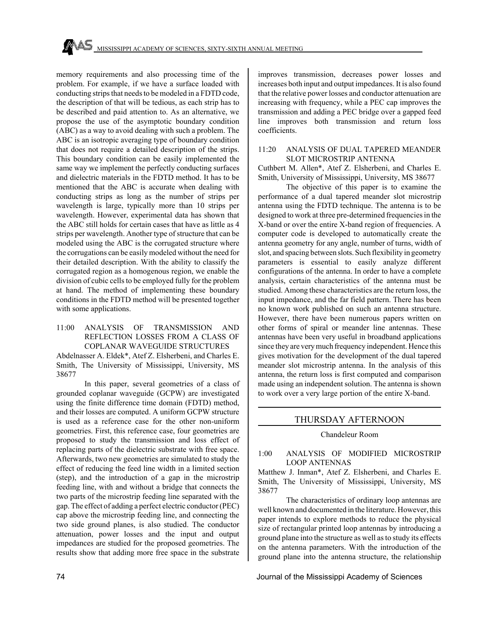memory requirements and also processing time of the problem. For example, if we have a surface loaded with conducting strips that needs to be modeled in a FDTD code, the description of that will be tedious, as each strip has to be described and paid attention to. As an alternative, we propose the use of the asymptotic boundary condition (ABC) as a way to avoid dealing with such a problem. The ABC is an isotropic averaging type of boundary condition that does not require a detailed description of the strips. This boundary condition can be easily implemented the same way we implement the perfectly conducting surfaces and dielectric materials in the FDTD method. It has to be mentioned that the ABC is accurate when dealing with conducting strips as long as the number of strips per wavelength is large, typically more than 10 strips per wavelength. However, experimental data has shown that the ABC still holds for certain cases that have as little as 4 strips per wavelength. Another type of structure that can be modeled using the ABC is the corrugated structure where the corrugations can be easily modeled without the need for their detailed description. With the ability to classify the corrugated region as a homogenous region, we enable the division of cubic cells to be employed fully for the problem at hand. The method of implementing these boundary conditions in the FDTD method will be presented together with some applications.

# 11:00 ANALYSIS OF TRANSMISSION AND REFLECTION LOSSES FROM A CLASS OF COPLANAR WAVEGUIDE STRUCTURES

Abdelnasser A. Eldek\*, Atef Z. Elsherbeni, and Charles E. Smith, The University of Mississippi, University, MS 38677

In this paper, several geometries of a class of grounded coplanar waveguide (GCPW) are investigated using the finite difference time domain (FDTD) method, and their losses are computed. A uniform GCPW structure is used as a reference case for the other non-uniform geometries. First, this reference case, four geometries are proposed to study the transmission and loss effect of replacing parts of the dielectric substrate with free space. Afterwards, two new geometries are simulated to study the effect of reducing the feed line width in a limited section (step), and the introduction of a gap in the microstrip feeding line, with and without a bridge that connects the two parts of the microstrip feeding line separated with the gap. The effect of adding a perfect electric conductor (PEC) cap above the microstrip feeding line, and connecting the two side ground planes, is also studied. The conductor attenuation, power losses and the input and output impedances are studied for the proposed geometries. The results show that adding more free space in the substrate

improves transmission, decreases power losses and increases both input and output impedances. It is also found that the relative power losses and conductor attenuation are increasing with frequency, while a PEC cap improves the transmission and adding a PEC bridge over a gapped feed line improves both transmission and return loss coefficients.

# 11:20 ANALYSIS OF DUAL TAPERED MEANDER SLOT MICROSTRIP ANTENNA

Cuthbert M. Allen\*, Atef Z. Elsherbeni, and Charles E. Smith, University of Mississippi, University, MS 38677

The objective of this paper is to examine the performance of a dual tapered meander slot microstrip antenna using the FDTD technique. The antenna is to be designed to work at three pre-determined frequencies in the X-band or over the entire X-band region of frequencies. A computer code is developed to automatically create the antenna geometry for any angle, number of turns, width of slot, and spacing between slots. Such flexibility in geometry parameters is essential to easily analyze different configurations of the antenna. In order to have a complete analysis, certain characteristics of the antenna must be studied. Among these characteristics are the return loss, the input impedance, and the far field pattern. There has been no known work published on such an antenna structure. However, there have been numerous papers written on other forms of spiral or meander line antennas. These antennas have been very useful in broadband applications since they are very much frequency independent. Hence this gives motivation for the development of the dual tapered meander slot microstrip antenna. In the analysis of this antenna, the return loss is first computed and comparison made using an independent solution. The antenna is shown to work over a very large portion of the entire X-band.

# THURSDAY AFTERNOON

### Chandeleur Room

## 1:00 ANALYSIS OF MODIFIED MICROSTRIP LOOP ANTENNAS

Matthew J. Inman\*, Atef Z. Elsherbeni, and Charles E. Smith, The University of Mississippi, University, MS 38677

The characteristics of ordinary loop antennas are well known and documented in the literature. However, this paper intends to explore methods to reduce the physical size of rectangular printed loop antennas by introducing a ground plane into the structure as well as to study its effects on the antenna parameters. With the introduction of the ground plane into the antenna structure, the relationship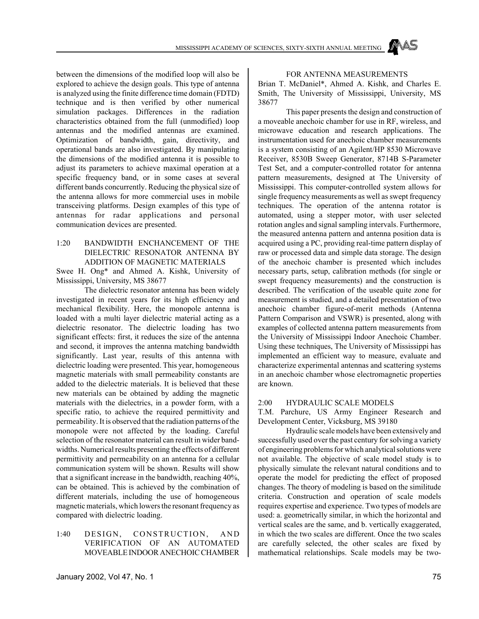between the dimensions of the modified loop will also be explored to achieve the design goals. This type of antenna is analyzed using the finite difference time domain (FDTD) technique and is then verified by other numerical simulation packages. Differences in the radiation characteristics obtained from the full (unmodified) loop antennas and the modified antennas are examined. Optimization of bandwidth, gain, directivity, and operational bands are also investigated. By manipulating the dimensions of the modified antenna it is possible to adjust its parameters to achieve maximal operation at a specific frequency band, or in some cases at several different bands concurrently. Reducing the physical size of the antenna allows for more commercial uses in mobile transceiving platforms. Design examples of this type of antennas for radar applications and personal communication devices are presented.

# 1:20 BANDWIDTH ENCHANCEMENT OF THE DIELECTRIC RESONATOR ANTENNA BY ADDITION OF MAGNETIC MATERIALS

Swee H. Ong\* and Ahmed A. Kishk, University of Mississippi, University, MS 38677

The dielectric resonator antenna has been widely investigated in recent years for its high efficiency and mechanical flexibility. Here, the monopole antenna is loaded with a multi layer dielectric material acting as a dielectric resonator. The dielectric loading has two significant effects: first, it reduces the size of the antenna and second, it improves the antenna matching bandwidth significantly. Last year, results of this antenna with dielectric loading were presented. This year, homogeneous magnetic materials with small permeability constants are added to the dielectric materials. It is believed that these new materials can be obtained by adding the magnetic materials with the dielectrics, in a powder form, with a specific ratio, to achieve the required permittivity and permeability. It is observed that the radiation patterns of the monopole were not affected by the loading. Careful selection of the resonator material can result in wider bandwidths. Numerical results presenting the effects of different permittivity and permeability on an antenna for a cellular communication system will be shown. Results will show that a significant increase in the bandwidth, reaching 40%, can be obtained. This is achieved by the combination of different materials, including the use of homogeneous magnetic materials, which lowers the resonant frequency as compared with dielectric loading.

# 1:40 DESIGN, CONSTRUCTION, AND VERIFICATION OF AN AUTOMATED MOVEABLE INDOOR ANECHOIC CHAMBER

## FOR ANTENNA MEASUREMENTS

Brian T. McDaniel\*, Ahmed A. Kishk, and Charles E. Smith, The University of Mississippi, University, MS 38677

This paper presents the design and construction of a moveable anechoic chamber for use in RF, wireless, and microwave education and research applications. The instrumentation used for anechoic chamber measurements is a system consisting of an Agilent/HP 8530 Microwave Receiver, 8530B Sweep Generator, 8714B S-Parameter Test Set, and a computer-controlled rotator for antenna pattern measurements, designed at The University of Mississippi. This computer-controlled system allows for single frequency measurements as well as swept frequency techniques. The operation of the antenna rotator is automated, using a stepper motor, with user selected rotation angles and signal sampling intervals. Furthermore, the measured antenna pattern and antenna position data is acquired using a PC, providing real-time pattern display of raw or processed data and simple data storage. The design of the anechoic chamber is presented which includes necessary parts, setup, calibration methods (for single or swept frequency measurements) and the construction is described. The verification of the useable quite zone for measurement is studied, and a detailed presentation of two anechoic chamber figure-of-merit methods (Antenna Pattern Comparison and VSWR) is presented, along with examples of collected antenna pattern measurements from the University of Mississippi Indoor Anechoic Chamber. Using these techniques, The University of Mississippi has implemented an efficient way to measure, evaluate and characterize experimental antennas and scattering systems in an anechoic chamber whose electromagnetic properties are known.

### 2:00 HYDRAULIC SCALE MODELS

T.M. Parchure, US Army Engineer Research and Development Center, Vicksburg, MS 39180

Hydraulic scale models have been extensively and successfully used over the past century for solving a variety of engineering problems for which analytical solutions were not available. The objective of scale model study is to physically simulate the relevant natural conditions and to operate the model for predicting the effect of proposed changes. The theory of modeling is based on the similitude criteria. Construction and operation of scale models requires expertise and experience. Two types of models are used: a. geometrically similar, in which the horizontal and vertical scales are the same, and b. vertically exaggerated, in which the two scales are different. Once the two scales are carefully selected, the other scales are fixed by mathematical relationships. Scale models may be two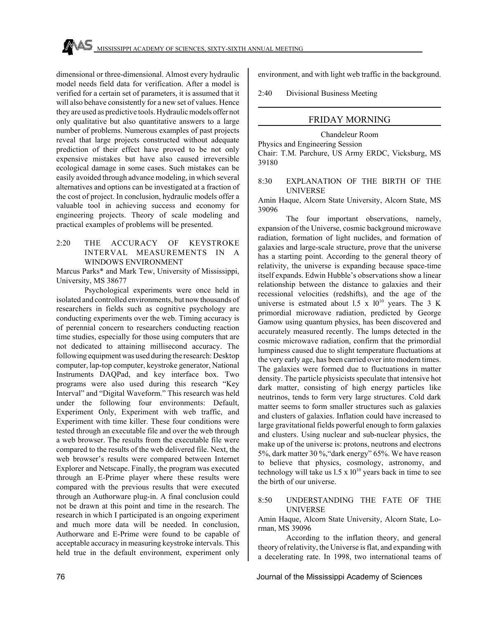dimensional or three-dimensional. Almost every hydraulic model needs field data for verification. After a model is verified for a certain set of parameters, it is assumed that it will also behave consistently for a new set of values. Hence they are used as predictive tools. Hydraulic models offer not only qualitative but also quantitative answers to a large number of problems. Numerous examples of past projects reveal that large projects constructed without adequate prediction of their effect have proved to be not only expensive mistakes but have also caused irreversible ecological damage in some cases. Such mistakes can be easily avoided through advance modeling, in which several alternatives and options can be investigated at a fraction of the cost of project. In conclusion, hydraulic models offer a valuable tool in achieving success and economy for engineering projects. Theory of scale modeling and practical examples of problems will be presented.

# 2:20 THE ACCURACY OF KEYSTROKE INTERVAL MEASUREMENTS IN A WINDOWS ENVIRONMENT

Marcus Parks\* and Mark Tew, University of Mississippi, University, MS 38677

Psychological experiments were once held in isolated and controlled environments, but now thousands of researchers in fields such as cognitive psychology are conducting experiments over the web. Timing accuracy is of perennial concern to researchers conducting reaction time studies, especially for those using computers that are not dedicated to attaining millisecond accuracy. The following equipment was used during the research: Desktop computer, lap-top computer, keystroke generator, National Instruments DAQPad, and key interface box. Two programs were also used during this research "Key Interval" and "Digital Waveform." This research was held under the following four environments: Default, Experiment Only, Experiment with web traffic, and Experiment with time killer. These four conditions were tested through an executable file and over the web through a web browser. The results from the executable file were compared to the results of the web delivered file. Next, the web browser's results were compared between Internet Explorer and Netscape. Finally, the program was executed through an E-Prime player where these results were compared with the previous results that were executed through an Authorware plug-in. A final conclusion could not be drawn at this point and time in the research. The research in which I participated is an ongoing experiment and much more data will be needed. In conclusion, Authorware and E-Prime were found to be capable of acceptable accuracy in measuring keystroke intervals. This held true in the default environment, experiment only

environment, and with light web traffic in the background.

2:40 Divisional Business Meeting

# FRIDAY MORNING

Chandeleur Room

Physics and Engineering Session Chair: T.M. Parchure, US Army ERDC, Vicksburg, MS 39180

#### 8:30 EXPLANATION OF THE BIRTH OF THE UNIVERSE

Amin Haque, Alcorn State University, Alcorn State, MS 39096

The four important observations, namely, expansion of the Universe, cosmic background microwave radiation, formation of light nuclides, and formation of galaxies and large-scale structure, prove that the universe has a starting point. According to the general theory of relativity, the universe is expanding because space-time itself expands. Edwin Hubble's observations show a linear relationship between the distance to galaxies and their recessional velocities (redshifts), and the age of the universe is estmated about  $1.5 \times 10^{10}$  years. The 3 K primordial microwave radiation, predicted by George Gamow using quantum physics, has been discovered and accurately measured recently. The lumps detected in the cosmic microwave radiation, confirm that the primordial lumpiness caused due to slight temperature fluctuations at the very early age, has been carried over into modern times. The galaxies were formed due to fluctuations in matter density. The particle physicists speculate that intensive hot dark matter, consisting of high energy particles like neutrinos, tends to form very large structures. Cold dark matter seems to form smaller structures such as galaxies and clusters of galaxies. Inflation could have increased to large gravitational fields powerful enough to form galaxies and clusters. Using nuclear and sub-nuclear physics, the make up of the universe is: protons, neutrons and electrons 5%, dark matter 30 %,"dark energy" 65%. We have reason to believe that physics, cosmology, astronomy, and technology will take us  $1.5 \times 10^{10}$  years back in time to see the birth of our universe.

# 8:50 UNDERSTANDING THE FATE OF THE UNIVERSE

Amin Haque, Alcorn State University, Alcorn State, Lorman, MS 39096

According to the inflation theory, and general theory of relativity, the Universe is flat, and expanding with a decelerating rate. In 1998, two international teams of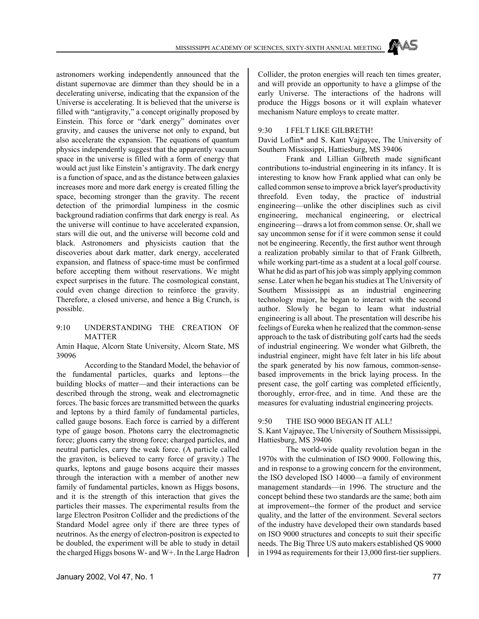astronomers working independently announced that the distant supernovae are dimmer than they should be in a decelerating universe, indicating that the expansion of the Universe is accelerating. It is believed that the universe is filled with "antigravity," a concept originally proposed by Einstein. This force or "dark energy" dominates over gravity, and causes the universe not only to expand, but also accelerate the expansion. The equations of quantum physics independently suggest that the apparently vacuum space in the universe is filled with a form of energy that would act just like Einstein's antigravity. The dark energy is a function of space, and as the distance between galaxies increases more and more dark energy is created filling the space, becoming stronger than the gravity. The recent detection of the primordial lumpiness in the cosmic background radiation confirms that dark energy is real. As the universe will continue to have accelerated expansion, stars will die out, and the universe will become cold and black. Astronomers and physicists caution that the discoveries about dark matter, dark energy, accelerated expansion, and flatness of space-time must be confirmed before accepting them without reservations. We might expect surprises in the future. The cosmological constant, could even change direction to reinforce the gravity. Therefore, a closed universe, and hence a Big Crunch, is possible.

#### 9:10 UNDERSTANDING THE CREATION OF MATTER

#### Amin Haque, Alcorn State University, Alcorn State, MS 39096

According to the Standard Model, the behavior of the fundamental particles, quarks and leptons—the building blocks of matter—and their interactions can be described through the strong, weak and electromagnetic forces. The basic forces are transmitted between the quarks and leptons by a third family of fundamental particles, called gauge bosons. Each force is carried by a different type of gauge boson. Photons carry the electromagnetic force; gluons carry the strong force; charged particles, and neutral particles, carry the weak force. (A particle called the graviton, is believed to carry force of gravity.) The quarks, leptons and gauge bosons acquire their masses through the interaction with a member of another new family of fundamental particles, known as Higgs bosons, and it is the strength of this interaction that gives the particles their masses. The experimental results from the large Electron Positron Collider and the predictions of the Standard Model agree only if there are three types of neutrinos. As the energy of electron-positron is expected to be doubled, the experiment will be able to study in detail the charged Higgs bosons W- and W+. In the Large Hadron

Collider, the proton energies will reach ten times greater, and will provide an opportunity to have a glimpse of the early Universe. The interactions of the hadrons will produce the Higgs bosons or it will explain whatever mechanism Nature employs to create matter.

# 9:30 I FELT LIKE GILBRETH!

David Loflin\* and S. Kant Vajpayee, The University of Southern Mississippi, Hattiesburg, MS 39406

Frank and Lillian Gilbreth made significant contributions to-industrial engineering in its infancy. It is interesting to know how Frank applied what can only be called common sense to improve a brick layer's productivity threefold. Even today, the practice of industrial engineering—unlike the other disciplines such as civil engineering, mechanical engineering, or electrical engineering—draws a lot from common sense. Or, shall we say uncommon sense for if it were common sense it could not be engineering. Recently, the first author went through a realization probably similar to that of Frank Gilbreth, while working part-time as a student at a local golf course. What he did as part of his job was simply applying common sense. Later when he began his studies at The University of Southern Mississippi as an industrial engineering technology major, he began to interact with the second author. Slowly he began to learn what industrial engineering is all about. The presentation will describe his feelings of Eureka when he realized that the common-sense approach to the task of distributing golf carts had the seeds of industrial engineering. We wonder what Gilbreth, the industrial engineer, might have felt later in his life about the spark generated by his now famous, common-sensebased improvements in the brick laying process. In the present case, the golf carting was completed efficiently, thoroughly, error-free, and in time. And these are the measures for evaluating industrial engineering projects.

### 9:50 THE ISO 9000 BEGAN IT ALL!

S. Kant Vajpayee, The University of Southern Mississippi, Hattiesburg, MS 39406

The world-wide quality revolution began in the 1970s with the culmination of ISO 9000. Following this, and in response to a growing concern for the environment, the ISO developed ISO 14000—a family of environment management standards—in 1996. The structure and the concept behind these two standards are the same; both aim at improvement--the former of the product and service quality, and the latter of the environment. Several sectors of the industry have developed their own standards based on ISO 9000 structures and concepts to suit their specific needs. The Big Three US auto makers established QS 9000 in 1994 as requirements for their 13,000 first-tier suppliers.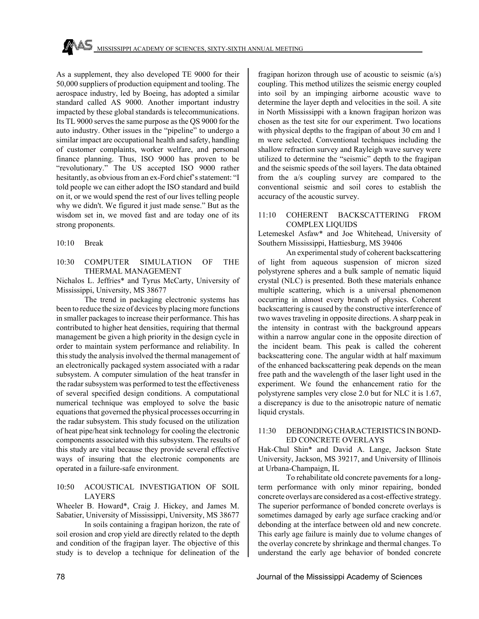As a supplement, they also developed TE 9000 for their 50,000 suppliers of production equipment and tooling. The aerospace industry, led by Boeing, has adopted a similar standard called AS 9000. Another important industry impacted by these global standards is telecommunications. Its TL 9000 serves the same purpose as the QS 9000 for the auto industry. Other issues in the "pipeline" to undergo a similar impact are occupational health and safety, handling of customer complaints, worker welfare, and personal finance planning. Thus, ISO 9000 has proven to be "revolutionary." The US accepted ISO 9000 rather hesitantly, as obvious from an ex-Ford chief's statement: "I told people we can either adopt the ISO standard and build on it, or we would spend the rest of our lives telling people why we didn't. We figured it just made sense." But as the wisdom set in, we moved fast and are today one of its strong proponents.

10:10 Break

#### 10:30 COMPUTER SIMULATION OF THE THERMAL MANAGEMENT

Nichalos L. Jeffries\* and Tyrus McCarty, University of Mississippi, University, MS 38677

The trend in packaging electronic systems has been to reduce the size of devices by placing more functions in smaller packages to increase their performance. This has contributed to higher heat densities, requiring that thermal management be given a high priority in the design cycle in order to maintain system performance and reliability. In this study the analysis involved the thermal management of an electronically packaged system associated with a radar subsystem. A computer simulation of the heat transfer in the radar subsystem was performed to test the effectiveness of several specified design conditions. A computational numerical technique was employed to solve the basic equations that governed the physical processes occurring in the radar subsystem. This study focused on the utilization of heat pipe/heat sink technology for cooling the electronic components associated with this subsystem. The results of this study are vital because they provide several effective ways of insuring that the electronic components are operated in a failure-safe environment.

### 10:50 ACOUSTICAL INVESTIGATION OF SOIL LAYERS

Wheeler B. Howard\*, Craig J. Hickey, and James M. Sabatier, University of Mississippi, University, MS 38677

In soils containing a fragipan horizon, the rate of soil erosion and crop yield are directly related to the depth and condition of the fragipan layer. The objective of this study is to develop a technique for delineation of the

fragipan horizon through use of acoustic to seismic (a/s) coupling. This method utilizes the seismic energy coupled into soil by an impinging airborne acoustic wave to determine the layer depth and velocities in the soil. A site in North Mississippi with a known fragipan horizon was chosen as the test site for our experiment. Two locations with physical depths to the fragipan of about 30 cm and 1 m were selected. Conventional techniques including the shallow refraction survey and Rayleigh wave survey were utilized to determine the "seismic" depth to the fragipan and the seismic speeds of the soil layers. The data obtained from the a/s coupling survey are compared to the conventional seismic and soil cores to establish the accuracy of the acoustic survey.

## 11:10 COHERENT BACKSCATTERING FROM COMPLEX LIQUIDS

Letemeskel Asfaw\* and Joe Whitehead, University of Southern Mississippi, Hattiesburg, MS 39406

An experimental study of coherent backscattering of light from aqueous suspension of micron sized polystyrene spheres and a bulk sample of nematic liquid crystal (NLC) is presented. Both these materials enhance multiple scattering, which is a universal phenomenon occurring in almost every branch of physics. Coherent backscattering is caused by the constructive interference of two waves traveling in opposite directions. A sharp peak in the intensity in contrast with the background appears within a narrow angular cone in the opposite direction of the incident beam. This peak is called the coherent backscattering cone. The angular width at half maximum of the enhanced backscattering peak depends on the mean free path and the wavelength of the laser light used in the experiment. We found the enhancement ratio for the polystyrene samples very close 2.0 but for NLC it is 1.67, a discrepancy is due to the anisotropic nature of nematic liquid crystals.

### 11:30 DEBONDING CHARACTERISTICS IN BOND-ED CONCRETE OVERLAYS

Hak-Chul Shin\* and David A. Lange, Jackson State University, Jackson, MS 39217, and University of Illinois at Urbana-Champaign, IL

To rehabilitate old concrete pavements for a longterm performance with only minor repairing, bonded concrete overlays are considered as a cost-effective strategy. The superior performance of bonded concrete overlays is sometimes damaged by early age surface cracking and/or debonding at the interface between old and new concrete. This early age failure is mainly due to volume changes of the overlay concrete by shrinkage and thermal changes. To understand the early age behavior of bonded concrete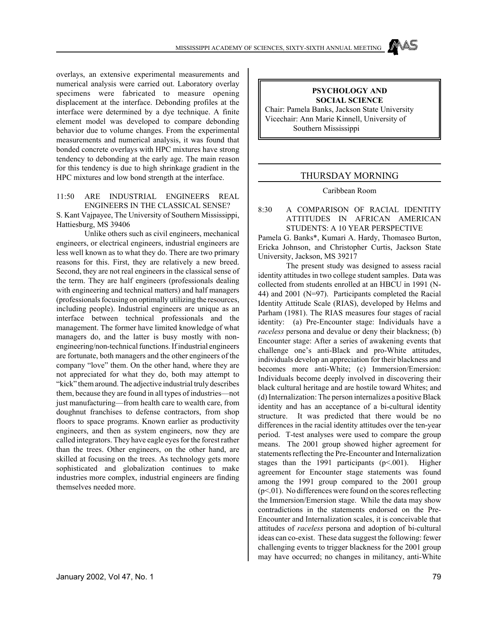overlays, an extensive experimental measurements and numerical analysis were carried out. Laboratory overlay specimens were fabricated to measure opening displacement at the interface. Debonding profiles at the interface were determined by a dye technique. A finite element model was developed to compare debonding behavior due to volume changes. From the experimental measurements and numerical analysis, it was found that bonded concrete overlays with HPC mixtures have strong tendency to debonding at the early age. The main reason for this tendency is due to high shrinkage gradient in the HPC mixtures and low bond strength at the interface.

#### 11:50 ARE INDUSTRIAL ENGINEERS REAL ENGINEERS IN THE CLASSICAL SENSE? S. Kant Vajpayee, The University of Southern Mississippi,

Hattiesburg, MS 39406

Unlike others such as civil engineers, mechanical engineers, or electrical engineers, industrial engineers are less well known as to what they do. There are two primary reasons for this. First, they are relatively a new breed. Second, they are not real engineers in the classical sense of the term. They are half engineers (professionals dealing with engineering and technical matters) and half managers (professionals focusing on optimally utilizing the resources, including people). Industrial engineers are unique as an interface between technical professionals and the management. The former have limited knowledge of what managers do, and the latter is busy mostly with nonengineering/non-technical functions. If industrial engineers are fortunate, both managers and the other engineers of the company "love" them. On the other hand, where they are not appreciated for what they do, both may attempt to "kick" them around. The adjective industrial truly describes them, because they are found in all types of industries—not just manufacturing—from health care to wealth care, from doughnut franchises to defense contractors, from shop floors to space programs. Known earlier as productivity engineers, and then as system engineers, now they are called integrators. They have eagle eyes for the forest rather than the trees. Other engineers, on the other hand, are skilled at focusing on the trees. As technology gets more sophisticated and globalization continues to make industries more complex, industrial engineers are finding themselves needed more.

#### **PSYCHOLOGY AND SOCIAL SCIENCE**

Chair: Pamela Banks, Jackson State University Vicechair: Ann Marie Kinnell, University of Southern Mississippi

# THURSDAY MORNING

## Caribbean Room

# 8:30 A COMPARISON OF RACIAL IDENTITY ATTITUDES IN AFRICAN AMERICAN STUDENTS: A 10 YEAR PERSPECTIVE

Pamela G. Banks\*, Kumari A. Hardy, Thomaseo Burton, Ericka Johnson, and Christopher Curtis, Jackson State University, Jackson, MS 39217

The present study was designed to assess racial identity attitudes in two college student samples. Data was collected from students enrolled at an HBCU in 1991 (N-44) and 2001 (N=97). Participants completed the Racial Identity Attitude Scale (RIAS), developed by Helms and Parham (1981). The RIAS measures four stages of racial identity: (a) Pre-Encounter stage: Individuals have a *raceless* persona and devalue or deny their blackness; (b) Encounter stage: After a series of awakening events that challenge one's anti-Black and pro-White attitudes, individuals develop an appreciation for their blackness and becomes more anti-White; (c) Immersion/Emersion: Individuals become deeply involved in discovering their black cultural heritage and are hostile toward Whites; and (d) Internalization: The person internalizes a positive Black identity and has an acceptance of a bi-cultural identity structure. It was predicted that there would be no differences in the racial identity attitudes over the ten-year period. T-test analyses were used to compare the group means. The 2001 group showed higher agreement for statements reflecting the Pre-Encounter and Internalization stages than the 1991 participants  $(p<.001)$ . Higher agreement for Encounter stage statements was found among the 1991 group compared to the 2001 group  $(p<0.01)$ . No differences were found on the scores reflecting the Immersion/Emersion stage. While the data may show contradictions in the statements endorsed on the Pre-Encounter and Internalization scales, it is conceivable that attitudes of *raceless* persona and adoption of bi-cultural ideas can co-exist. These data suggest the following: fewer challenging events to trigger blackness for the 2001 group may have occurred; no changes in militancy, anti-White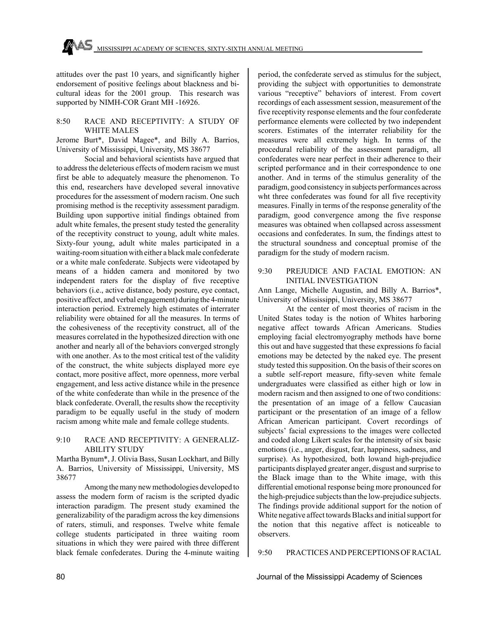attitudes over the past 10 years, and significantly higher endorsement of positive feelings about blackness and bicultural ideas for the 2001 group. This research was supported by NIMH-COR Grant MH -16926.

#### 8:50 RACE AND RECEPTIVITY: A STUDY OF WHITE MALES

Jerome Burt\*, David Magee\*, and Billy A. Barrios, University of Mississippi, University, MS 38677

Social and behavioral scientists have argued that to address the deleterious effects of modern racism we must first be able to adequately measure the phenomenon. To this end, researchers have developed several innovative procedures for the assessment of modern racism. One such promising method is the receptivity assessment paradigm. Building upon supportive initial findings obtained from adult white females, the present study tested the generality of the receptivity construct to young, adult white males. Sixty-four young, adult white males participated in a waiting-room situation with either a black male confederate or a white male confederate. Subjects were videotaped by means of a hidden camera and monitored by two independent raters for the display of five receptive behaviors (i.e., active distance, body posture, eye contact, positive affect, and verbal engagement) during the 4-minute interaction period. Extremely high estimates of interrater reliability were obtained for all the measures. In terms of the cohesiveness of the receptivity construct, all of the measures correlated in the hypothesized direction with one another and nearly all of the behaviors converged strongly with one another. As to the most critical test of the validity of the construct, the white subjects displayed more eye contact, more positive affect, more openness, more verbal engagement, and less active distance while in the presence of the white confederate than while in the presence of the black confederate. Overall, the results show the receptivity paradigm to be equally useful in the study of modern racism among white male and female college students.

#### 9:10 RACE AND RECEPTIVITY: A GENERALIZ-ABILITY STUDY

Martha Bynum\*, J. Olivia Bass, Susan Lockhart, and Billy A. Barrios, University of Mississippi, University, MS 38677

Among the many new methodologies developed to assess the modern form of racism is the scripted dyadic interaction paradigm. The present study examined the generalizability of the paradigm across the key dimensions of raters, stimuli, and responses. Twelve white female college students participated in three waiting room situations in which they were paired with three different black female confederates. During the 4-minute waiting

period, the confederate served as stimulus for the subject, providing the subject with opportunities to demonstrate various "receptive" behaviors of interest. From covert recordings of each assessment session, measurement of the five receptivity response elements and the four confederate performance elements were collected by two independent scorers. Estimates of the interrater reliability for the measures were all extremely high. In terms of the procedural reliability of the assessment paradigm, all confederates were near perfect in their adherence to their scripted performance and in their correspondence to one another. And in terms of the stimulus generality of the paradigm, good consistency in subjects performances across wht three confederates was found for all five receptivity measures. Finally in terms of the response generality of the paradigm, good convergence among the five response measures was obtained when collapsed across assessment occasions and confederates. In sum, the findings attest to the structural soundness and conceptual promise of the paradigm for the study of modern racism.

# 9:30 PREJUDICE AND FACIAL EMOTION: AN INITIAL INVESTIGATION

Ann Lange, Michelle Augustin, and Billy A. Barrios\*, University of Mississippi, University, MS 38677

At the center of most theories of racism in the United States today is the notion of Whites harboring negative affect towards African Americans. Studies employing facial electromyography methods have borne this out and have suggested that these expressions fo facial emotions may be detected by the naked eye. The present study tested this supposition. On the basis of their scores on a subtle self-report measure, fifty-seven white female undergraduates were classified as either high or low in modern racism and then assigned to one of two conditions: the presentation of an image of a fellow Caucasian participant or the presentation of an image of a fellow African American participant. Covert recordings of subjects' facial expressions to the images were collected and coded along Likert scales for the intensity of six basic emotions (i.e., anger, disgust, fear, happiness, sadness, and surprise). As hypothesized, both lowand high-prejudice participants displayed greater anger, disgust and surprise to the Black image than to the White image, with this differential emotional response being more pronounced for the high-prejudice subjects than the low-prejudice subjects. The findings provide additional support for the notion of White negative affect towards Blacks and initial support for the notion that this negative affect is noticeable to observers.

# 9:50 PRACTICES AND PERCEPTIONS OF RACIAL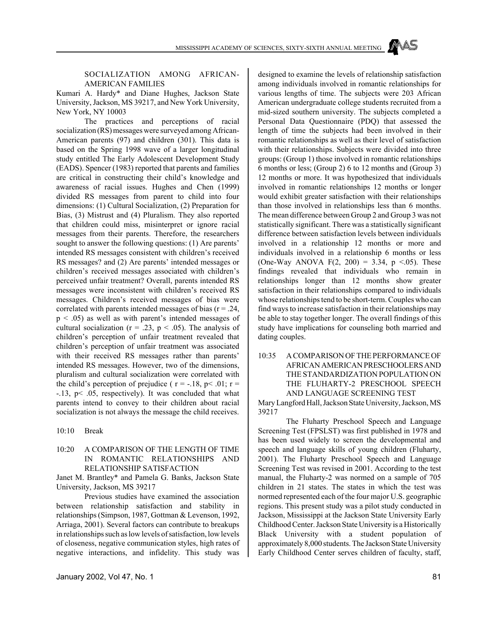# SOCIALIZATION AMONG AFRICAN-AMERICAN FAMILIES

Kumari A. Hardy\* and Diane Hughes, Jackson State University, Jackson, MS 39217, and New York University, New York, NY 10003

The practices and perceptions of racial socialization (RS) messages were surveyed among African-American parents (97) and children (301). This data is based on the Spring 1998 wave of a larger longitudinal study entitled The Early Adolescent Development Study (EADS). Spencer (1983) reported that parents and families are critical in constructing their child's knowledge and awareness of racial issues. Hughes and Chen (1999) divided RS messages from parent to child into four dimensions: (1) Cultural Socialization, (2) Preparation for Bias, (3) Mistrust and (4) Pluralism. They also reported that children could miss, misinterpret or ignore racial messages from their parents. Therefore, the researchers sought to answer the following questions: (1) Are parents' intended RS messages consistent with children's received RS messages? and (2) Are parents' intended messages or children's received messages associated with children's perceived unfair treatment? Overall, parents intended RS messages were inconsistent with children's received RS messages. Children's received messages of bias were correlated with parents intended messages of bias  $(r = .24, ...)$  $p < .05$ ) as well as with parent's intended messages of cultural socialization ( $r = .23$ ,  $p < .05$ ). The analysis of children's perception of unfair treatment revealed that children's perception of unfair treatment was associated with their received RS messages rather than parents' intended RS messages. However, two of the dimensions, pluralism and cultural socialization were correlated with the child's perception of prejudice ( $r = -.18$ ,  $p < .01$ ;  $r =$  $-13$ ,  $p< 0.05$ , respectively). It was concluded that what parents intend to convey to their children about racial socialization is not always the message the child receives.

10:10 Break

#### 10:20 A COMPARISON OF THE LENGTH OF TIME IN ROMANTIC RELATIONSHIPS AND RELATIONSHIP SATISFACTION

Janet M. Brantley\* and Pamela G. Banks, Jackson State University, Jackson, MS 39217

Previous studies have examined the association between relationship satisfaction and stability in relationships (Simpson, 1987, Gottman & Levenson, 1992, Arriaga, 2001). Several factors can contribute to breakups in relationships such as low levels of satisfaction, low levels of closeness, negative communication styles, high rates of negative interactions, and infidelity. This study was

designed to examine the levels of relationship satisfaction among individuals involved in romantic relationships for various lengths of time. The subjects were 203 African American undergraduate college students recruited from a mid-sized southern university. The subjects completed a Personal Data Questionnaire (PDQ) that assessed the length of time the subjects had been involved in their romantic relationships as well as their level of satisfaction with their relationships. Subjects were divided into three groups: (Group 1) those involved in romantic relationships 6 months or less; (Group 2) 6 to 12 months and (Group 3) 12 months or more. It was hypothesized that individuals involved in romantic relationships 12 months or longer would exhibit greater satisfaction with their relationships than those involved in relationships less than 6 months. The mean difference between Group 2 and Group 3 was not statistically significant. There was a statistically significant difference between satisfaction levels between individuals involved in a relationship 12 months or more and individuals involved in a relationship 6 months or less (One-Way ANOVA F(2, 200) = 3.34,  $p \le 0.05$ ). These findings revealed that individuals who remain in relationships longer than 12 months show greater satisfaction in their relationships compared to individuals whose relationships tend to be short-term. Couples who can find ways to increase satisfaction in their relationships may be able to stay together longer. The overall findings of this study have implications for counseling both married and dating couples.

10:35 A COMPARISON OF THE PERFORMANCE OF AFRICAN AMERICAN PRESCHOOLERS AND THE STANDARDIZATION POPULATION ON THE FLUHARTY-2 PRESCHOOL SPEECH AND LANGUAGE SCREENING TEST

Mary Langford Hall, Jackson State University, Jackson, MS 39217

The Fluharty Preschool Speech and Language Screening Test (FPSLST) was first published in 1978 and has been used widely to screen the developmental and speech and language skills of young children (Fluharty, 2001). The Fluharty Preschool Speech and Language Screening Test was revised in 2001. According to the test manual, the Fluharty-2 was normed on a sample of 705 children in 21 states. The states in which the test was normed represented each of the four major U.S. geographic regions. This present study was a pilot study conducted in Jackson, Mississippi at the Jackson State University Early Childhood Center. Jackson State University is a Historically Black University with a student population of approximately 8,000 students. The Jackson State University Early Childhood Center serves children of faculty, staff,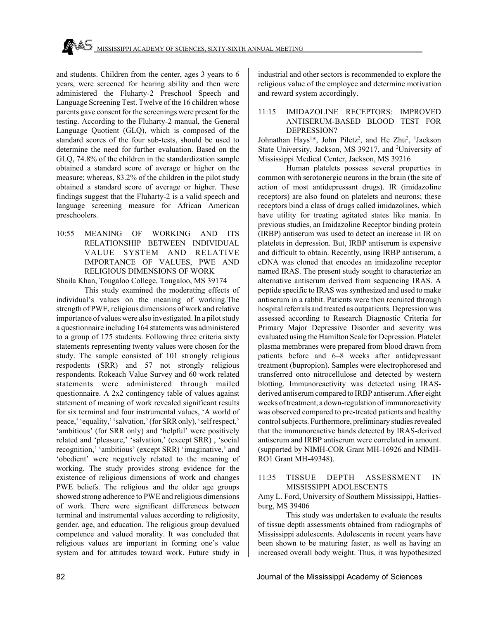and students. Children from the center, ages 3 years to 6 years, were screened for hearing ability and then were administered the Fluharty-2 Preschool Speech and Language Screening Test. Twelve of the 16 children whose parents gave consent for the screenings were present for the testing. According to the Fluharty-2 manual, the General Language Quotient (GLQ), which is composed of the standard scores of the four sub-tests, should be used to determine the need for further evaluation. Based on the GLQ, 74.8% of the children in the standardization sample obtained a standard score of average or higher on the measure; whereas, 83.2% of the children in the pilot study obtained a standard score of average or higher. These findings suggest that the Fluharty-2 is a valid speech and language screening measure for African American preschoolers.

10:55 MEANING OF WORKING AND ITS RELATIONSHIP BETWEEN INDIVIDUAL VALUE SYSTEM AND RELATIVE IMPORTANCE OF VALUES, PWE AND RELIGIOUS DIMENSIONS OF WORK

Shaila Khan, Tougaloo College, Tougaloo, MS 39174

This study examined the moderating effects of individual's values on the meaning of working.The strength of PWE, religious dimensions of work and relative importance of values were also investigated. In a pilot study a questionnaire including 164 statements was administered to a group of 175 students. Following three criteria sixty statements representing twenty values were chosen for the study. The sample consisted of 101 strongly religious respodents (SRR) and 57 not strongly religious respondents. Rokeach Value Survey and 60 work related statements were administered through mailed questionnaire. A 2x2 contingency table of values against statement of meaning of work revealed significant results for six terminal and four instrumental values, 'A world of peace,' 'equality,' 'salvation,' (for SRR only), 'self respect,' 'ambitious' (for SRR only) and 'helpful' were positively related and 'pleasure,' 'salvation,' (except SRR) , 'social recognition,' 'ambitious' (except SRR) 'imaginative,' and 'obedient' were negatively related to the meaning of working. The study provides strong evidence for the existence of religious dimensions of work and changes PWE beliefs. The religious and the older age groups showed strong adherence to PWE and religious dimensions of work. There were significant differences between terminal and instrumental values according to religiosity, gender, age, and education. The religious group devalued competence and valued morality. It was concluded that religious values are important in forming one's value system and for attitudes toward work. Future study in

industrial and other sectors is recommended to explore the religious value of the employee and determine motivation and reward system accordingly.

## 11:15 IMIDAZOLINE RECEPTORS: IMPROVED ANTISERUM-BASED BLOOD TEST FOR DEPRESSION?

Johnathan Hays<sup>1\*</sup>, John Piletz<sup>2</sup>, and He Zhu<sup>2</sup>, <sup>1</sup>Jackson State University, Jackson, MS 39217, and <sup>2</sup>University of Mississippi Medical Center, Jackson, MS 39216

Human platelets possess several properties in common with serotonergic neurons in the brain (the site of action of most antidepressant drugs). IR (imidazoline receptors) are also found on platelets and neurons; these receptors bind a class of drugs called imidazolines, which have utility for treating agitated states like mania. In previous studies, an Imidazoline Receptor binding protein (IRBP) antiserum was used to detect an increase in IR on platelets in depression. But, IRBP antiserum is expensive and difficult to obtain. Recently, using IRBP antiserum, a cDNA was cloned that encodes an imidazoline receptor named IRAS. The present study sought to characterize an alternative antiserum derived from sequencing IRAS. A peptide specific to IRAS was synthesized and used to make antiserum in a rabbit. Patients were then recruited through hospital referrals and treated as outpatients. Depression was assessed according to Research Diagnostic Criteria for Primary Major Depressive Disorder and severity was evaluated using the Hamilton Scale for Depression. Platelet plasma membranes were prepared from blood drawn from patients before and 6–8 weeks after antidepressant treatment (bupropion). Samples were electrophoresed and transferred onto nitrocellulose and detected by western blotting. Immunoreactivity was detected using IRASderived antiserum compared to IRBP antiserum. After eight weeks of treatment, a down-regulation of immunoreactivity was observed compared to pre-treated patients and healthy control subjects. Furthermore, preliminary studies revealed that the immunoreactive bands detected by IRAS-derived antiserum and IRBP antiserum were correlated in amount. (supported by NIMH-COR Grant MH-16926 and NIMH-RO1 Grant MH-49348).

### 11:35 TISSUE DEPTH ASSESSMENT IN MISSISSIPPI ADOLESCENTS

Amy L. Ford, University of Southern Mississippi, Hattiesburg, MS 39406

This study was undertaken to evaluate the results of tissue depth assessments obtained from radiographs of Mississippi adolescents. Adolescents in recent years have been shown to be maturing faster, as well as having an increased overall body weight. Thus, it was hypothesized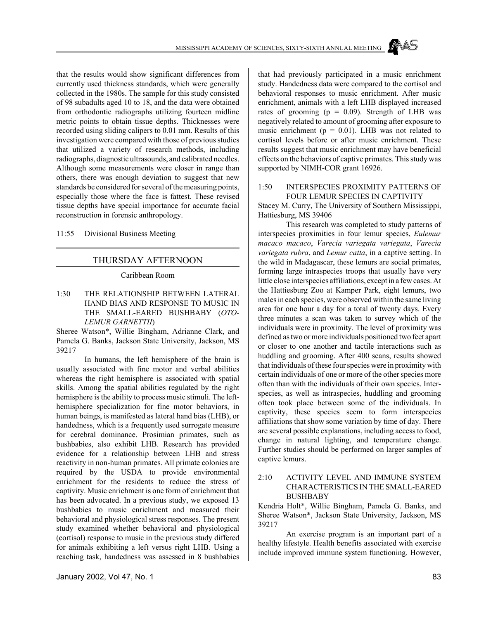that the results would show significant differences from currently used thickness standards, which were generally collected in the 1980s. The sample for this study consisted of 98 subadults aged 10 to 18, and the data were obtained from orthodontic radiographs utilizing fourteen midline metric points to obtain tissue depths. Thicknesses were recorded using sliding calipers to 0.01 mm. Results of this investigation were compared with those of previous studies that utilized a variety of research methods, including radiographs, diagnostic ultrasounds, and calibrated needles. Although some measurements were closer in range than others, there was enough deviation to suggest that new standards be considered for several of the measuring points, especially those where the face is fattest. These revised tissue depths have special importance for accurate facial reconstruction in forensic anthropology.

11:55 Divisional Business Meeting

# THURSDAY AFTERNOON

## Caribbean Room

1:30 THE RELATIONSHIP BETWEEN LATERAL HAND BIAS AND RESPONSE TO MUSIC IN THE SMALL-EARED BUSHBABY (*OTO-LEMUR GARNETTII*)

Sheree Watson\*, Willie Bingham, Adrianne Clark, and Pamela G. Banks, Jackson State University, Jackson, MS 39217

In humans, the left hemisphere of the brain is usually associated with fine motor and verbal abilities whereas the right hemisphere is associated with spatial skills. Among the spatial abilities regulated by the right hemisphere is the ability to process music stimuli. The lefthemisphere specialization for fine motor behaviors, in human beings, is manifested as lateral hand bias (LHB), or handedness, which is a frequently used surrogate measure for cerebral dominance. Prosimian primates, such as bushbabies, also exhibit LHB. Research has provided evidence for a relationship between LHB and stress reactivity in non-human primates. All primate colonies are required by the USDA to provide environmental enrichment for the residents to reduce the stress of captivity. Music enrichment is one form of enrichment that has been advocated. In a previous study, we exposed 13 bushbabies to music enrichment and measured their behavioral and physiological stress responses. The present study examined whether behavioral and physiological (cortisol) response to music in the previous study differed for animals exhibiting a left versus right LHB. Using a reaching task, handedness was assessed in 8 bushbabies

that had previously participated in a music enrichment study. Handedness data were compared to the cortisol and behavioral responses to music enrichment. After music enrichment, animals with a left LHB displayed increased rates of grooming  $(p = 0.09)$ . Strength of LHB was negatively related to amount of grooming after exposure to music enrichment ( $p = 0.01$ ). LHB was not related to cortisol levels before or after music enrichment. These results suggest that music enrichment may have beneficial effects on the behaviors of captive primates. This study was supported by NIMH-COR grant 16926.

#### 1:50 INTERSPECIES PROXIMITY PATTERNS OF FOUR LEMUR SPECIES IN CAPTIVITY

Stacey M. Curry, The University of Southern Mississippi, Hattiesburg, MS 39406

This research was completed to study patterns of interspecies proximities in four lemur species, *Eulemur macaco macaco*, *Varecia variegata variegata*, *Varecia variegata rubra*, and *Lemur catta*, in a captive setting. In the wild in Madagascar, these lemurs are social primates, forming large intraspecies troops that usually have very little close interspecies affiliations, except in a few cases. At the Hattiesburg Zoo at Kamper Park, eight lemurs, two males in each species, were observed within the same living area for one hour a day for a total of twenty days. Every three minutes a scan was taken to survey which of the individuals were in proximity. The level of proximity was defined as two or more individuals positioned two feet apart or closer to one another and tactile interactions such as huddling and grooming. After 400 scans, results showed that individuals of these four species were in proximity with certain individuals of one or more of the other species more often than with the individuals of their own species. Interspecies, as well as intraspecies, huddling and grooming often took place between some of the individuals. In captivity, these species seem to form interspecies affiliations that show some variation by time of day. There are several possible explanations, including access to food, change in natural lighting, and temperature change. Further studies should be performed on larger samples of captive lemurs.

# 2:10 ACTIVITY LEVEL AND IMMUNE SYSTEM CHARACTERISTICS IN THE SMALL-EARED **BUSHBABY**

Kendria Holt\*, Willie Bingham, Pamela G. Banks, and Sheree Watson\*, Jackson State University, Jackson, MS 39217

An exercise program is an important part of a healthy lifestyle. Health benefits associated with exercise include improved immune system functioning. However,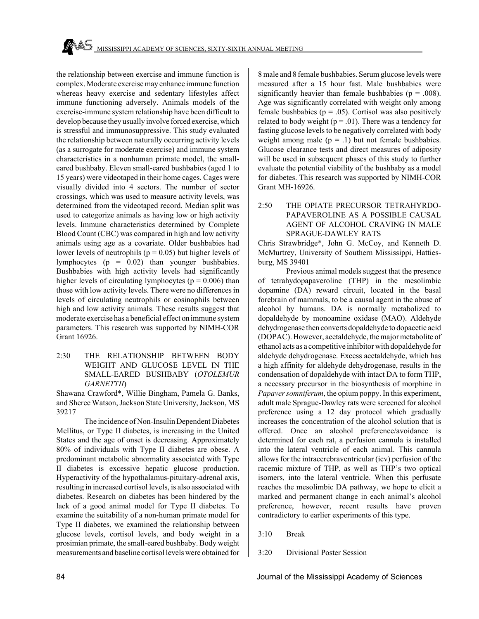the relationship between exercise and immune function is complex. Moderate exercise may enhance immune function whereas heavy exercise and sedentary lifestyles affect immune functioning adversely. Animals models of the exercise-immune system relationship have been difficult to develop because they usually involve forced exercise, which is stressful and immunosuppressive. This study evaluated the relationship between naturally occurring activity levels (as a surrogate for moderate exercise) and immune system characteristics in a nonhuman primate model, the smalleared bushbaby. Eleven small-eared bushbabies (aged 1 to 15 years) were videotaped in their home cages. Cages were visually divided into 4 sectors. The number of sector crossings, which was used to measure activity levels, was determined from the videotaped record. Median split was used to categorize animals as having low or high activity levels. Immune characteristics determined by Complete Blood Count (CBC) was compared in high and low activity animals using age as a covariate. Older bushbabies had lower levels of neutrophils ( $p = 0.05$ ) but higher levels of lymphocytes  $(p = 0.02)$  than younger bushbabies. Bushbabies with high activity levels had significantly higher levels of circulating lymphocytes ( $p = 0.006$ ) than those with low activity levels. There were no differences in levels of circulating neutrophils or eosinophils between high and low activity animals. These results suggest that moderate exercise has a beneficial effect on immune system parameters. This research was supported by NIMH-COR Grant 16926.

2:30 THE RELATIONSHIP BETWEEN BODY WEIGHT AND GLUCOSE LEVEL IN THE SMALL-EARED BUSHBABY (*OTOLEMUR GARNETTII*)

Shawana Crawford\*, Willie Bingham, Pamela G. Banks, and Sheree Watson, Jackson State University, Jackson, MS 39217

The incidence of Non-Insulin Dependent Diabetes Mellitus, or Type II diabetes, is increasing in the United States and the age of onset is decreasing. Approximately 80% of individuals with Type II diabetes are obese. A predominant metabolic abnormality associated with Type II diabetes is excessive hepatic glucose production. Hyperactivity of the hypothalamus-pituitary-adrenal axis, resulting in increased cortisol levels, is also associated with diabetes. Research on diabetes has been hindered by the lack of a good animal model for Type II diabetes. To examine the suitability of a non-human primate model for Type II diabetes, we examined the relationship between glucose levels, cortisol levels, and body weight in a prosimian primate, the small-eared bushbaby. Body weight measurements and baseline cortisol levels were obtained for

8 male and 8 female bushbabies. Serum glucose levels were measured after a 15 hour fast. Male bushbabies were significantly heavier than female bushbabies ( $p = .008$ ). Age was significantly correlated with weight only among female bushbabies ( $p = .05$ ). Cortisol was also positively related to body weight ( $p = .01$ ). There was a tendency for fasting glucose levels to be negatively correlated with body weight among male  $(p = .1)$  but not female bushbabies. Glucose clearance tests and direct measures of adiposity will be used in subsequent phases of this study to further evaluate the potential viability of the bushbaby as a model for diabetes. This research was supported by NIMH-COR Grant MH-16926.

# 2:50 THE OPIATE PRECURSOR TETRAHYRDO-PAPAVEROLINE AS A POSSIBLE CAUSAL AGENT OF ALCOHOL CRAVING IN MALE SPRAGUE-DAWLEY RATS

Chris Strawbridge\*, John G. McCoy, and Kenneth D. McMurtrey, University of Southern Mississippi, Hattiesburg, MS 39401

Previous animal models suggest that the presence of tetrahydopapaveroline (THP) in the mesolimbic dopamine (DA) reward circuit, located in the basal forebrain of mammals, to be a causal agent in the abuse of alcohol by humans. DA is normally metabolized to dopaldehyde by monoamine oxidase (MAO). Aldehyde dehydrogenase then converts dopaldehyde to dopacetic acid (DOPAC). However, acetaldehyde, the major metabolite of ethanol acts as a competitive inhibitor with dopaldehyde for aldehyde dehydrogenase. Excess acetaldehyde, which has a high affinity for aldehyde dehydrogenase, results in the condensation of dopaldehyde with intact DA to form THP, a necessary precursor in the biosynthesis of morphine in *Papaver somniferum*, the opium poppy. In this experiment, adult male Sprague-Dawley rats were screened for alcohol preference using a 12 day protocol which gradually increases the concentration of the alcohol solution that is offered. Once an alcohol preference/avoidance is determined for each rat, a perfusion cannula is installed into the lateral ventricle of each animal. This cannula allows for the intracerebraventricular (icv) perfusion of the racemic mixture of THP, as well as THP's two optical isomers, into the lateral ventricle. When this perfusate reaches the mesolimbic DA pathway, we hope to elicit a marked and permanent change in each animal's alcohol preference, however, recent results have proven contradictory to earlier experiments of this type.

- 3:10 Break
- 3:20 Divisional Poster Session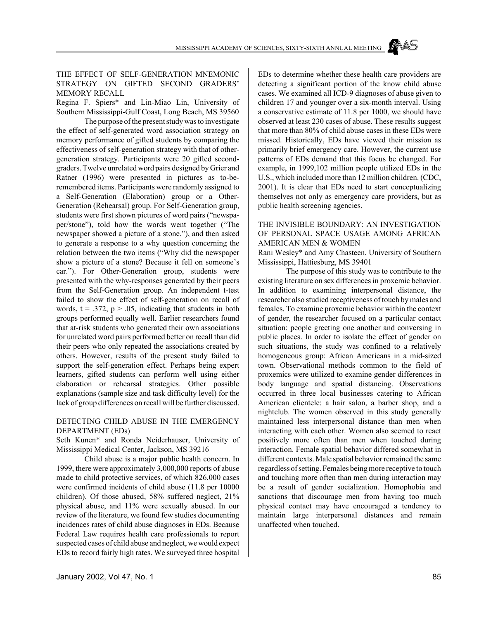#### THE EFFECT OF SELF-GENERATION MNEMONIC STRATEGY ON GIFTED SECOND GRADERS' MEMORY RECALL

Regina F. Spiers\* and Lin-Miao Lin, University of Southern Mississippi-Gulf Coast, Long Beach, MS 39560

The purpose of the present study was to investigate the effect of self-generated word association strategy on memory performance of gifted students by comparing the effectiveness of self-generation strategy with that of othergeneration strategy. Participants were 20 gifted secondgraders. Twelve unrelated word pairs designed by Grier and Ratner (1996) were presented in pictures as to-beremembered items. Participants were randomly assigned to a Self-Generation (Elaboration) group or a Other-Generation (Rehearsal) group. For Self-Generation group, students were first shown pictures of word pairs ("newspaper/stone"), told how the words went together ("The newspaper showed a picture of a stone."), and then asked to generate a response to a why question concerning the relation between the two items ("Why did the newspaper show a picture of a stone? Because it fell on someone's car."). For Other-Generation group, students were presented with the why-responses generated by their peers from the Self-Generation group. An independent t-test failed to show the effect of self-generation on recall of words,  $t = .372$ ,  $p > .05$ , indicating that students in both groups performed equally well. Earlier researchers found that at-risk students who generated their own associations for unrelated word pairs performed better on recall than did their peers who only repeated the associations created by others. However, results of the present study failed to support the self-generation effect. Perhaps being expert learners, gifted students can perform well using either elaboration or rehearsal strategies. Other possible explanations (sample size and task difficulty level) for the lack of group differences on recall will be further discussed.

#### DETECTING CHILD ABUSE IN THE EMERGENCY DEPARTMENT (EDs)

Seth Kunen\* and Ronda Neiderhauser, University of Mississippi Medical Center, Jackson, MS 39216

Child abuse is a major public health concern. In 1999, there were approximately 3,000,000 reports of abuse made to child protective services, of which 826,000 cases were confirmed incidents of child abuse (11.8 per 10000 children). Of those abused, 58% suffered neglect, 21% physical abuse, and 11% were sexually abused. In our review of the literature, we found few studies documenting incidences rates of child abuse diagnoses in EDs. Because Federal Law requires health care professionals to report suspected cases of child abuse and neglect, we would expect EDs to record fairly high rates. We surveyed three hospital

EDs to determine whether these health care providers are detecting a significant portion of the know child abuse cases. We examined all ICD-9 diagnoses of abuse given to children 17 and younger over a six-month interval. Using a conservative estimate of 11.8 per 1000, we should have observed at least 230 cases of abuse. These results suggest that more than 80% of child abuse cases in these EDs were missed. Historically, EDs have viewed their mission as primarily brief emergency care. However, the current use patterns of EDs demand that this focus be changed. For example, in 1999,102 million people utilized EDs in the U.S., which included more than 12 million children. (CDC, 2001). It is clear that EDs need to start conceptualizing themselves not only as emergency care providers, but as public health screening agencies.

## THE INVISIBLE BOUNDARY: AN INVESTIGATION OF PERSONAL SPACE USAGE AMONG AFRICAN AMERICAN MEN & WOMEN

Rani Wesley\* and Amy Chasteen, University of Southern Mississippi, Hattiesburg, MS 39401

The purpose of this study was to contribute to the existing literature on sex differences in proxemic behavior. In addition to examining interpersonal distance, the researcher also studied receptiveness of touch by males and females. To examine proxemic behavior within the context of gender, the researcher focused on a particular contact situation: people greeting one another and conversing in public places. In order to isolate the effect of gender on such situations, the study was confined to a relatively homogeneous group: African Americans in a mid-sized town. Observational methods common to the field of proxemics were utilized to examine gender differences in body language and spatial distancing. Observations occurred in three local businesses catering to African American clientele: a hair salon, a barber shop, and a nightclub. The women observed in this study generally maintained less interpersonal distance than men when interacting with each other. Women also seemed to react positively more often than men when touched during interaction. Female spatial behavior differed somewhat in different contexts. Male spatial behavior remained the same regardless of setting. Females being more receptive to touch and touching more often than men during interaction may be a result of gender socialization. Homophobia and sanctions that discourage men from having too much physical contact may have encouraged a tendency to maintain large interpersonal distances and remain unaffected when touched.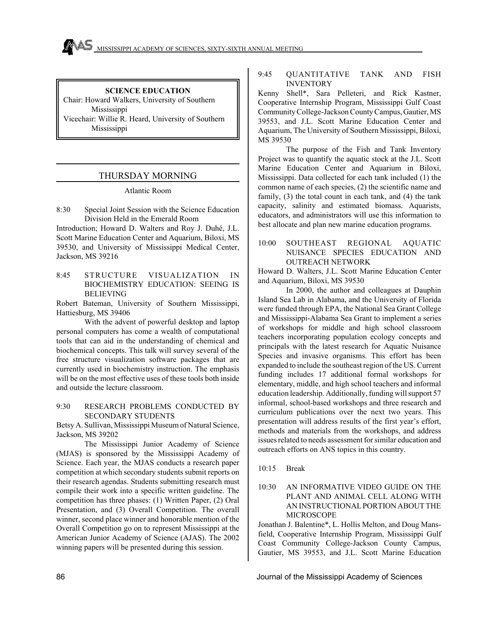#### **SCIENCE EDUCATION** Chair: Howard Walkers, University of Southern Mississippi Vicechair: Willie R. Heard, University of Southern Mississippi

# THURSDAY MORNING

Atlantic Room

8:30 Special Joint Session with the Science Education Division Held in the Emerald Room

Introduction; Howard D. Walters and Roy J. Duhé, J.L. Scott Marine Education Center and Aquarium, Biloxi, MS 39530, and University of Mississippi Medical Center, Jackson, MS 39216

8:45 STRUCTURE VISUALIZATION IN BIOCHEMISTRY EDUCATION: SEEING IS BELIEVING

Robert Bateman, University of Southern Mississippi, Hattiesburg, MS 39406

With the advent of powerful desktop and laptop personal computers has come a wealth of computational tools that can aid in the understanding of chemical and biochemical concepts. This talk will survey several of the free structure visualization software packages that are currently used in biochemistry instruction. The emphasis will be on the most effective uses of these tools both inside and outside the lecture classroom.

# 9:30 RESEARCH PROBLEMS CONDUCTED BY SECONDARY STUDENTS

Betsy A. Sullivan, Mississippi Museum of Natural Science, Jackson, MS 39202

The Mississippi Junior Academy of Science (MJAS) is sponsored by the Mississippi Academy of Science. Each year, the MJAS conducts a research paper competition at which secondary students submit reports on their research agendas. Students submitting research must compile their work into a specific written guideline. The competition has three phases: (1) Written Paper, (2) Oral Presentation, and (3) Overall Competition. The overall winner, second place winner and honorable mention of the Overall Competition go on to represent Mississippi at the American Junior Academy of Science (AJAS). The 2002 winning papers will be presented during this session.

# 9:45 QUANTITATIVE TANK AND FISH INVENTORY

Kenny Shell\*, Sara Pelleteri, and Rick Kastner, Cooperative Internship Program, Mississippi Gulf Coast Community College-Jackson County Campus, Gautier, MS 39553, and J.L. Scott Marine Education Center and Aquarium, The University of Southern Mississippi, Biloxi, MS 39530

The purpose of the Fish and Tank Inventory Project was to quantify the aquatic stock at the J.L. Scott Marine Education Center and Aquarium in Biloxi, Mississippi. Data collected for each tank included (1) the common name of each species, (2) the scientific name and family, (3) the total count in each tank, and (4) the tank capacity, salinity and estimated biomass. Aquarists, educators, and administrators will use this information to best allocate and plan new marine education programs.

10:00 SOUTHEAST REGIONAL AQUATIC NUISANCE SPECIES EDUCATION AND OUTREACH NETWORK

Howard D. Walters, J.L. Scott Marine Education Center and Aquarium, Biloxi, MS 39530

In 2000, the author and colleagues at Dauphin Island Sea Lab in Alabama, and the University of Florida were funded through EPA, the National Sea Grant College and Mississippi-Alabama Sea Grant to implement a series of workshops for middle and high school classroom teachers incorporating population ecology concepts and principals with the latest research for Aquatic Nuisance Species and invasive organisms. This effort has been expanded to include the southeast region of the US. Current funding includes 17 additional formal workshops for elementary, middle, and high school teachers and informal education leadership. Additionally, funding will support 57 informal, school-based workshops and three research and curriculum publications over the next two years. This presentation will address results of the first year's effort, methods and materials from the workshops, and address issues related to needs assessment for similar education and outreach efforts on ANS topics in this country.

- 10:15 Break
- 10:30 AN INFORMATIVE VIDEO GUIDE ON THE PLANT AND ANIMAL CELL ALONG WITH AN INSTRUCTIONAL PORTION ABOUT THE **MICROSCOPE**

Jonathan J. Balentine\*, L. Hollis Melton, and Doug Mansfield, Cooperative Internship Program, Mississippi Gulf Coast Community College-Jackson County Campus, Gautier, MS 39553, and J.L. Scott Marine Education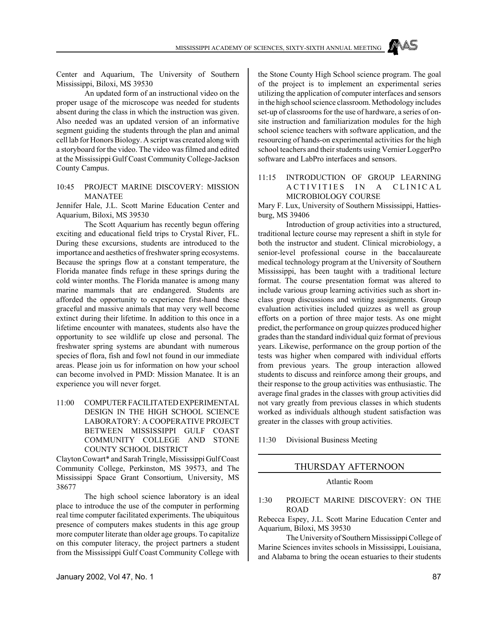Center and Aquarium, The University of Southern Mississippi, Biloxi, MS 39530

An updated form of an instructional video on the proper usage of the microscope was needed for students absent during the class in which the instruction was given. Also needed was an updated version of an informative segment guiding the students through the plan and animal cell lab for Honors Biology. A script was created along with a storyboard for the video. The video was filmed and edited at the Mississippi Gulf Coast Community College-Jackson County Campus.

#### 10:45 PROJECT MARINE DISCOVERY: MISSION MANATEE

Jennifer Hale, J.L. Scott Marine Education Center and Aquarium, Biloxi, MS 39530

The Scott Aquarium has recently begun offering exciting and educational field trips to Crystal River, FL. During these excursions, students are introduced to the importance and aesthetics of freshwater spring ecosystems. Because the springs flow at a constant temperature, the Florida manatee finds refuge in these springs during the cold winter months. The Florida manatee is among many marine mammals that are endangered. Students are afforded the opportunity to experience first-hand these graceful and massive animals that may very well become extinct during their lifetime. In addition to this once in a lifetime encounter with manatees, students also have the opportunity to see wildlife up close and personal. The freshwater spring systems are abundant with numerous species of flora, fish and fowl not found in our immediate areas. Please join us for information on how your school can become involved in PMD: Mission Manatee. It is an experience you will never forget.

11:00 COMPUTER FACILITATED EXPERIMENTAL DESIGN IN THE HIGH SCHOOL SCIENCE LABORATORY: A COOPERATIVE PROJECT BETWEEN MISSISSIPPI GULF COAST COMMUNITY COLLEGE AND STONE COUNTY SCHOOL DISTRICT

Clayton Cowart\* and Sarah Tringle, Mississippi Gulf Coast Community College, Perkinston, MS 39573, and The Mississippi Space Grant Consortium, University, MS 38677

The high school science laboratory is an ideal place to introduce the use of the computer in performing real time computer facilitated experiments. The ubiquitous presence of computers makes students in this age group more computer literate than older age groups. To capitalize on this computer literacy, the project partners a student from the Mississippi Gulf Coast Community College with

the Stone County High School science program. The goal of the project is to implement an experimental series utilizing the application of computer interfaces and sensors in the high school science classroom. Methodology includes set-up of classrooms for the use of hardware, a series of onsite instruction and familiarization modules for the high school science teachers with software application, and the resourcing of hands-on experimental activities for the high school teachers and their students using Vernier LoggerPro software and LabPro interfaces and sensors.

#### 11:15 INTRODUCTION OF GROUP LEARNING ACTIVITIES IN A CLINICAL MICROBIOLOGY COURSE

Mary F. Lux, University of Southern Mississippi, Hattiesburg, MS 39406

Introduction of group activities into a structured, traditional lecture course may represent a shift in style for both the instructor and student. Clinical microbiology, a senior-level professional course in the baccalaureate medical technology program at the University of Southern Mississippi, has been taught with a traditional lecture format. The course presentation format was altered to include various group learning activities such as short inclass group discussions and writing assignments. Group evaluation activities included quizzes as well as group efforts on a portion of three major tests. As one might predict, the performance on group quizzes produced higher grades than the standard individual quiz format of previous years. Likewise, performance on the group portion of the tests was higher when compared with individual efforts from previous years. The group interaction allowed students to discuss and reinforce among their groups, and their response to the group activities was enthusiastic. The average final grades in the classes with group activities did not vary greatly from previous classes in which students worked as individuals although student satisfaction was greater in the classes with group activities.

11:30 Divisional Business Meeting

# THURSDAY AFTERNOON

# Atlantic Room

#### 1:30 PROJECT MARINE DISCOVERY: ON THE ROAD

Rebecca Espey, J.L. Scott Marine Education Center and Aquarium, Biloxi, MS 39530

The University of Southern Mississippi College of Marine Sciences invites schools in Mississippi, Louisiana, and Alabama to bring the ocean estuaries to their students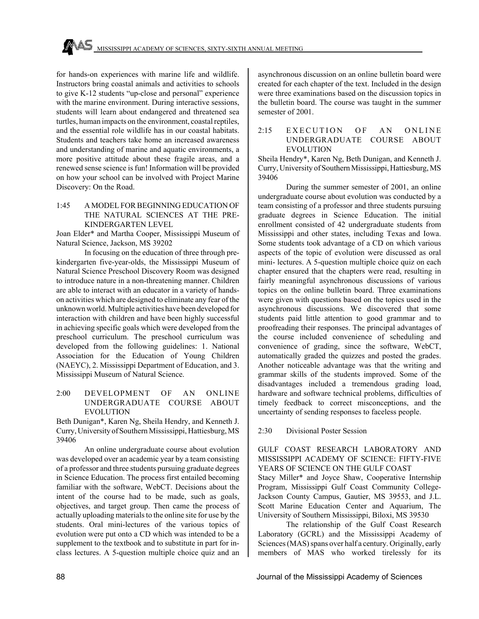for hands-on experiences with marine life and wildlife. Instructors bring coastal animals and activities to schools to give K-12 students "up-close and personal" experience with the marine environment. During interactive sessions, students will learn about endangered and threatened sea turtles, human impacts on the environment, coastal reptiles, and the essential role wildlife has in our coastal habitats. Students and teachers take home an increased awareness and understanding of marine and aquatic environments, a more positive attitude about these fragile areas, and a renewed sense science is fun! Information will be provided on how your school can be involved with Project Marine Discovery: On the Road.

1:45 A MODEL FOR BEGINNING EDUCATION OF THE NATURAL SCIENCES AT THE PRE-KINDERGARTEN LEVEL

Joan Elder\* and Martha Cooper, Mississippi Museum of Natural Science, Jackson, MS 39202

In focusing on the education of three through prekindergarten five-year-olds, the Mississippi Museum of Natural Science Preschool Discovery Room was designed to introduce nature in a non-threatening manner. Children are able to interact with an educator in a variety of handson activities which are designed to eliminate any fear of the unknown world. Multiple activities have been developed for interaction with children and have been highly successful in achieving specific goals which were developed from the preschool curriculum. The preschool curriculum was developed from the following guidelines: 1. National Association for the Education of Young Children (NAEYC), 2. Mississippi Department of Education, and 3. Mississippi Museum of Natural Science.

### 2:00 DEVELOPMENT OF AN ONLINE UNDERGRADUATE COURSE ABOUT EVOLUTION

Beth Dunigan\*, Karen Ng, Sheila Hendry, and Kenneth J. Curry, University of Southern Mississippi, Hattiesburg, MS 39406

An online undergraduate course about evolution was developed over an academic year by a team consisting of a professor and three students pursuing graduate degrees in Science Education. The process first entailed becoming familiar with the software, WebCT. Decisions about the intent of the course had to be made, such as goals, objectives, and target group. Then came the process of actually uploading materials to the online site for use by the students. Oral mini-lectures of the various topics of evolution were put onto a CD which was intended to be a supplement to the textbook and to substitute in part for inclass lectures. A 5-question multiple choice quiz and an asynchronous discussion on an online bulletin board were created for each chapter of the text. Included in the design were three examinations based on the discussion topics in the bulletin board. The course was taught in the summer semester of 2001.

#### 2:15 EXECUTION OF AN ONLINE UNDERGRADUATE COURSE ABOUT **EVOLUTION**

Sheila Hendry\*, Karen Ng, Beth Dunigan, and Kenneth J. Curry, University of Southern Mississippi, Hattiesburg, MS 39406

During the summer semester of 2001, an online undergraduate course about evolution was conducted by a team consisting of a professor and three students pursuing graduate degrees in Science Education. The initial enrollment consisted of 42 undergraduate students from Mississippi and other states, including Texas and Iowa. Some students took advantage of a CD on which various aspects of the topic of evolution were discussed as oral mini- lectures. A 5-question multiple choice quiz on each chapter ensured that the chapters were read, resulting in fairly meaningful asynchronous discussions of various topics on the online bulletin board. Three examinations were given with questions based on the topics used in the asynchronous discussions. We discovered that some students paid little attention to good grammar and to proofreading their responses. The principal advantages of the course included convenience of scheduling and convenience of grading, since the software, WebCT, automatically graded the quizzes and posted the grades. Another noticeable advantage was that the writing and grammar skills of the students improved. Some of the disadvantages included a tremendous grading load, hardware and software technical problems, difficulties of timely feedback to correct misconceptions, and the uncertainty of sending responses to faceless people.

2:30 Divisional Poster Session

# GULF COAST RESEARCH LABORATORY AND MISSISSIPPI ACADEMY OF SCIENCE: FIFTY-FIVE YEARS OF SCIENCE ON THE GULF COAST

Stacy Miller\* and Joyce Shaw, Cooperative Internship Program, Mississippi Gulf Coast Community College-Jackson County Campus, Gautier, MS 39553, and J.L. Scott Marine Education Center and Aquarium, The University of Southern Mississippi, Biloxi, MS 39530

The relationship of the Gulf Coast Research Laboratory (GCRL) and the Mississippi Academy of Sciences (MAS) spans over half a century. Originally, early members of MAS who worked tirelessly for its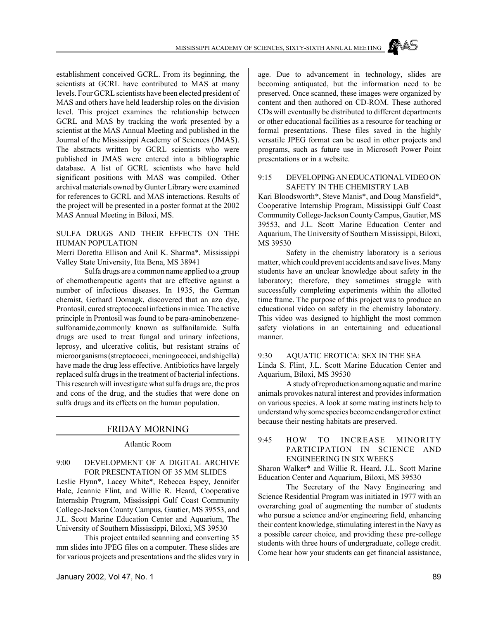establishment conceived GCRL. From its beginning, the scientists at GCRL have contributed to MAS at many levels. Four GCRL scientists have been elected president of MAS and others have held leadership roles on the division level. This project examines the relationship between GCRL and MAS by tracking the work presented by a scientist at the MAS Annual Meeting and published in the Journal of the Mississippi Academy of Sciences (JMAS). The abstracts written by GCRL scientists who were published in JMAS were entered into a bibliographic database. A list of GCRL scientists who have held significant positions with MAS was compiled. Other archival materials owned by Gunter Library were examined for references to GCRL and MAS interactions. Results of the project will be presented in a poster format at the 2002 MAS Annual Meeting in Biloxi, MS.

#### SULFA DRUGS AND THEIR EFFECTS ON THE HUMAN POPULATION

Merri Doretha Ellison and Anil K. Sharma\*, Mississippi Valley State University, Itta Bena, MS 38941

Sulfa drugs are a common name applied to a group of chemotherapeutic agents that are effective against a number of infectious diseases. In 1935, the German chemist, Gerhard Domagk, discovered that an azo dye, Prontosil, cured streptococcal infections in mice. The active principle in Prontosil was found to be para-aminobenzenesulfonamide,commonly known as sulfanilamide. Sulfa drugs are used to treat fungal and urinary infections, leprosy, and ulcerative colitis, but resistant strains of microorganisms (streptococci, meningococci, and shigella) have made the drug less effective. Antibiotics have largely replaced sulfa drugs in the treatment of bacterial infections. This research will investigate what sulfa drugs are, the pros and cons of the drug, and the studies that were done on sulfa drugs and its effects on the human population.

# FRIDAY MORNING

Atlantic Room

#### 9:00 DEVELOPMENT OF A DIGITAL ARCHIVE FOR PRESENTATION OF 35 MM SLIDES

Leslie Flynn\*, Lacey White\*, Rebecca Espey, Jennifer Hale, Jeannie Flint, and Willie R. Heard, Cooperative Internship Program, Mississippi Gulf Coast Community College-Jackson County Campus, Gautier, MS 39553, and J.L. Scott Marine Education Center and Aquarium, The University of Southern Mississippi, Biloxi, MS 39530

This project entailed scanning and converting 35 mm slides into JPEG files on a computer. These slides are for various projects and presentations and the slides vary in

January 2002, Vol 47, No. 1 89

age. Due to advancement in technology, slides are becoming antiquated, but the information need to be preserved. Once scanned, these images were organized by content and then authored on CD-ROM. These authored CDs will eventually be distributed to different departments or other educational facilities as a resource for teaching or formal presentations. These files saved in the highly versatile JPEG format can be used in other projects and programs, such as future use in Microsoft Power Point presentations or in a website.

#### 9:15 DEVELOPING AN EDUCATIONAL VIDEO ON SAFETY IN THE CHEMISTRY LAB

Kari Bloodsworth\*, Steve Manis\*, and Doug Mansfield\*, Cooperative Internship Program, Mississippi Gulf Coast Community College-Jackson County Campus, Gautier, MS 39553, and J.L. Scott Marine Education Center and Aquarium, The University of Southern Mississippi, Biloxi, MS 39530

Safety in the chemistry laboratory is a serious matter, which could prevent accidents and save lives. Many students have an unclear knowledge about safety in the laboratory; therefore, they sometimes struggle with successfully completing experiments within the allotted time frame. The purpose of this project was to produce an educational video on safety in the chemistry laboratory. This video was designed to highlight the most common safety violations in an entertaining and educational manner.

### 9:30 AQUATIC EROTICA: SEX IN THE SEA

Linda S. Flint, J.L. Scott Marine Education Center and Aquarium, Biloxi, MS 39530

A study of reproduction among aquatic and marine animals provokes natural interest and provides information on various species. A look at some mating instincts help to understand why some species become endangered or extinct because their nesting habitats are preserved.

# 9:45 HOW TO INCREASE MINORITY PARTICIPATION IN SCIENCE AND ENGINEERING IN SIX WEEKS

Sharon Walker\* and Willie R. Heard, J.L. Scott Marine Education Center and Aquarium, Biloxi, MS 39530

The Secretary of the Navy Engineering and Science Residential Program was initiated in 1977 with an overarching goal of augmenting the number of students who pursue a science and/or engineering field, enhancing their content knowledge, stimulating interest in the Navy as a possible career choice, and providing these pre-college students with three hours of undergraduate, college credit. Come hear how your students can get financial assistance,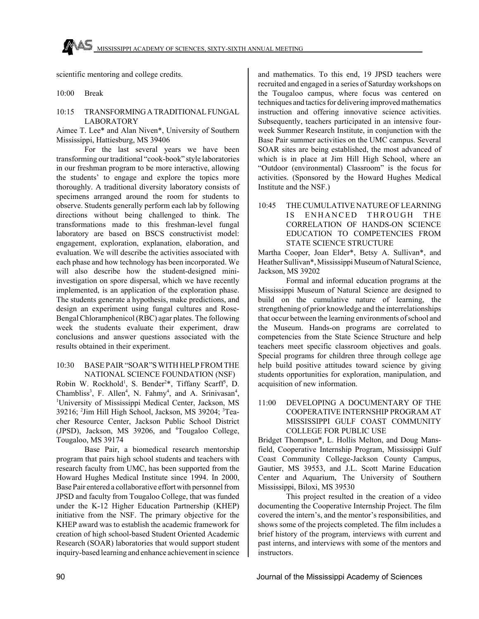scientific mentoring and college credits.

#### 10:00 Break

#### 10:15 TRANSFORMING A TRADITIONAL FUNGAL LABORATORY

Aimee T. Lee\* and Alan Niven\*, University of Southern Mississippi, Hattiesburg, MS 39406

For the last several years we have been transforming our traditional "cook-book" style laboratories in our freshman program to be more interactive, allowing the students' to engage and explore the topics more thoroughly. A traditional diversity laboratory consists of specimens arranged around the room for students to observe. Students generally perform each lab by following directions without being challenged to think. The transformations made to this freshman-level fungal laboratory are based on BSCS constructivist model: engagement, exploration, explanation, elaboration, and evaluation. We will describe the activities associated with each phase and how technology has been incorporated. We will also describe how the student-designed miniinvestigation on spore dispersal, which we have recently implemented, is an application of the exploration phase. The students generate a hypothesis, make predictions, and design an experiment using fungal cultures and Rose-Bengal Chloramphenicol (RBC) agar plates. The following week the students evaluate their experiment, draw conclusions and answer questions associated with the results obtained in their experiment.

#### 10:30 BASE PAIR "SOAR"S WITH HELP FROM THE NATIONAL SCIENCE FOUNDATION (NSF)

Robin W. Rockhold<sup>1</sup>, S. Bender<sup>2\*</sup>, Tiffany Scarff<sup>3</sup>, D. Chambliss<sup>3</sup>, F. Allen<sup>4</sup>, N. Fahmy<sup>4</sup>, and A. Srinivasan<sup>4</sup>, <sup>1</sup>University of Mississippi Medical Center, Jackson, MS 39216; <sup>2</sup>Jim Hill High School, Jackson, MS 39204; <sup>3</sup>Teacher Resource Center, Jackson Public School District (JPSD), Jackson, MS 39206, and 4 Tougaloo College, Tougaloo, MS 39174

Base Pair, a biomedical research mentorship program that pairs high school students and teachers with research faculty from UMC, has been supported from the Howard Hughes Medical Institute since 1994. In 2000, Base Pair entered a collaborative effort with personnel from JPSD and faculty from Tougaloo College, that was funded under the K-12 Higher Education Partnership (KHEP) initiative from the NSF. The primary objective for the KHEP award was to establish the academic framework for creation of high school-based Student Oriented Academic Research (SOAR) laboratories that would support student inquiry-based learning and enhance achievement in science and mathematics. To this end, 19 JPSD teachers were recruited and engaged in a series of Saturday workshops on the Tougaloo campus, where focus was centered on techniques and tactics for delivering improved mathematics instruction and offering innovative science activities. Subsequently, teachers participated in an intensive fourweek Summer Research Institute, in conjunction with the Base Pair summer activities on the UMC campus. Several SOAR sites are being established, the most advanced of which is in place at Jim Hill High School, where an "Outdoor (environmental) Classroom" is the focus for activities. (Sponsored by the Howard Hughes Medical Institute and the NSF.)

# 10:45 THE CUMULATIVE NATURE OF LEARNING IS ENHANCED THROUGH THE CORRELATION OF HANDS-ON SCIENCE EDUCATION TO COMPETENCIES FROM STATE SCIENCE STRUCTURE

Martha Cooper, Joan Elder\*, Betsy A. Sullivan\*, and Heather Sullivan\*, Mississippi Museum of Natural Science, Jackson, MS 39202

Formal and informal education programs at the Mississippi Museum of Natural Science are designed to build on the cumulative nature of learning, the strengthening of prior knowledge and the interrelationships that occur between the learning environments of school and the Museum. Hands-on programs are correlated to competencies from the State Science Structure and help teachers meet specific classroom objectives and goals. Special programs for children three through college age help build positive attitudes toward science by giving students opportunities for exploration, manipulation, and acquisition of new information.

# 11:00 DEVELOPING A DOCUMENTARY OF THE COOPERATIVE INTERNSHIP PROGRAM AT MISSISSIPPI GULF COAST COMMUNITY COLLEGE FOR PUBLIC USE

Bridget Thompson\*, L. Hollis Melton, and Doug Mansfield, Cooperative Internship Program, Mississippi Gulf Coast Community College-Jackson County Campus, Gautier, MS 39553, and J.L. Scott Marine Education Center and Aquarium, The University of Southern Mississippi, Biloxi, MS 39530

This project resulted in the creation of a video documenting the Cooperative Internship Project. The film covered the intern's, and the mentor's responsibilities, and shows some of the projects completed. The film includes a brief history of the program, interviews with current and past interns, and interviews with some of the mentors and instructors.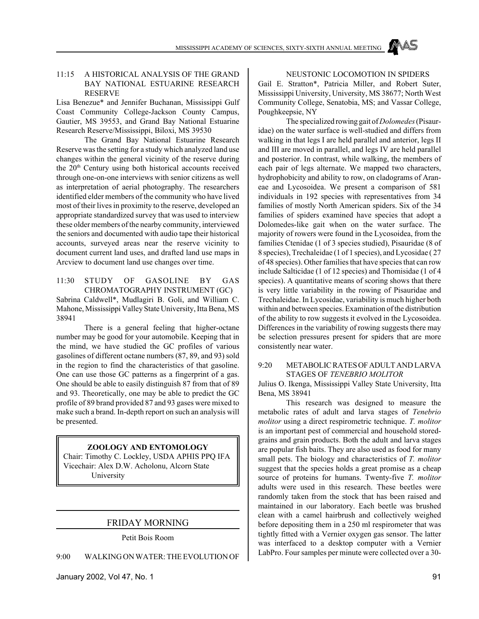MISSISSIPPI ACADEMY OF SCIENCES, SIXTY-SIXTH ANNUAL MEETING

# 11:15 A HISTORICAL ANALYSIS OF THE GRAND BAY NATIONAL ESTUARINE RESEARCH RESERVE

Lisa Benezue\* and Jennifer Buchanan, Mississippi Gulf Coast Community College-Jackson County Campus, Gautier, MS 39553, and Grand Bay National Estuarine Research Reserve/Mississippi, Biloxi, MS 39530

The Grand Bay National Estuarine Research Reserve was the setting for a study which analyzed land use changes within the general vicinity of the reserve during the 20<sup>th</sup> Century using both historical accounts received through one-on-one interviews with senior citizens as well as interpretation of aerial photography. The researchers identified elder members of the community who have lived most of their lives in proximity to the reserve, developed an appropriate standardized survey that was used to interview these older members of the nearby community, interviewed the seniors and documented with audio tape their historical accounts, surveyed areas near the reserve vicinity to document current land uses, and drafted land use maps in Arcview to document land use changes over time.

#### 11:30 STUDY OF GASOLINE BY GAS CHROMATOGRAPHY INSTRUMENT (GC)

Sabrina Caldwell\*, Mudlagiri B. Goli, and William C. Mahone, Mississippi Valley State University, Itta Bena, MS 38941

There is a general feeling that higher-octane number may be good for your automobile. Keeping that in the mind, we have studied the GC profiles of various gasolines of different octane numbers (87, 89, and 93) sold in the region to find the characteristics of that gasoline. One can use those GC patterns as a fingerprint of a gas. One should be able to easily distinguish 87 from that of 89 and 93. Theoretically, one may be able to predict the GC profile of 89 brand provided 87 and 93 gases were mixed to make such a brand. In-depth report on such an analysis will be presented.

# **ZOOLOGY AND ENTOMOLOGY**

Chair: Timothy C. Lockley, USDA APHIS PPQ IFA Vicechair: Alex D.W. Acholonu, Alcorn State University

# FRIDAY MORNING

Petit Bois Room

# 9:00 WALKING ON WATER: THE EVOLUTION OF

# NEUSTONIC LOCOMOTION IN SPIDERS

Gail E. Stratton\*, Patricia Miller, and Robert Suter, Mississippi University, University, MS 38677; North West Community College, Senatobia, MS; and Vassar College, Poughkeepsie, NY

The specialized rowing gait of *Dolomedes* (Pisauridae) on the water surface is well-studied and differs from walking in that legs I are held parallel and anterior, legs II and III are moved in parallel, and legs IV are held parallel and posterior. In contrast, while walking, the members of each pair of legs alternate. We mapped two characters, hydrophobicity and ability to row, on cladograms of Araneae and Lycosoidea. We present a comparison of 581 individuals in 192 species with representatives from 34 families of mostly North American spiders. Six of the 34 families of spiders examined have species that adopt a Dolomedes-like gait when on the water surface. The majority of rowers were found in the Lycosoidea, from the families Ctenidae (1 of 3 species studied), Pisauridae (8 of 8 species), Trechaleidae (1 of 1 species), and Lycosidae ( 27 of 48 species). Other families that have species that can row include Salticidae (1 of 12 species) and Thomisidae (1 of 4 species). A quantitative means of scoring shows that there is very little variability in the rowing of Pisauridae and Trechaleidae. In Lycosidae, variability is much higher both within and between species. Examination of the distribution of the ability to row suggests it evolved in the Lycosoidea. Differences in the variability of rowing suggests there may be selection pressures present for spiders that are more consistently near water.

#### 9:20 METABOLIC RATES OF ADULT AND LARVA STAGES OF *TENEBRIO MOLITOR*

Julius O. Ikenga, Mississippi Valley State University, Itta Bena, MS 38941

This research was designed to measure the metabolic rates of adult and larva stages of *Tenebrio molitor* using a direct respirometric technique. *T. molitor* is an important pest of commercial and household storedgrains and grain products. Both the adult and larva stages are popular fish baits. They are also used as food for many small pets. The biology and characteristics of *T. molitor* suggest that the species holds a great promise as a cheap source of proteins for humans. Twenty-five *T. molitor* adults were used in this research. These beetles were randomly taken from the stock that has been raised and maintained in our laboratory. Each beetle was brushed clean with a camel hairbrush and collectively weighed before depositing them in a 250 ml respirometer that was tightly fitted with a Vernier oxygen gas sensor. The latter was interfaced to a desktop computer with a Vernier LabPro. Four samples per minute were collected over a 30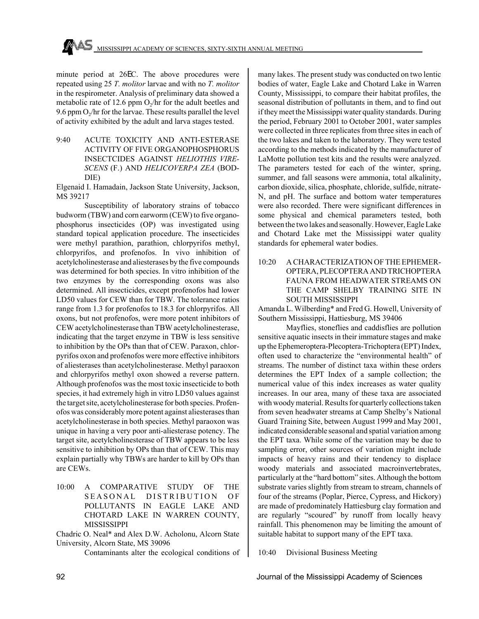minute period at 26EC. The above procedures were repeated using 25 *T. molitor* larvae and with no *T. molitor* in the respirometer. Analysis of preliminary data showed a metabolic rate of 12.6 ppm  $O_2$ /hr for the adult beetles and 9.6 ppm  $O_2$ /hr for the larvae. These results parallel the level of activity exhibited by the adult and larva stages tested.

9:40 ACUTE TOXICITY AND ANTI-ESTERASE ACTIVITY OF FIVE ORGANOPHOSPHORUS INSECTCIDES AGAINST *HELIOTHIS VIRE-SCENS* (F.) AND *HELICOVERPA ZEA* (BOD-DIE)

Elgenaid I. Hamadain, Jackson State University, Jackson, MS 39217

Susceptibility of laboratory strains of tobacco budworm (TBW) and corn earworm (CEW) to five organophosphorus insecticides (OP) was investigated using standard topical application procedure. The insecticides were methyl parathion, parathion, chlorpyrifos methyl, chlorpyrifos, and profenofos. In vivo inhibition of acetylcholinesterase and aliesterases by the five compounds was determined for both species. In vitro inhibition of the two enzymes by the corresponding oxons was also determined. All insecticides, except profenofos had lower LD50 values for CEW than for TBW. The tolerance ratios range from 1.3 for profenofos to 18.3 for chlorpyrifos. All oxons, but not profenofos, were more potent inhibitors of CEW acetylcholinesterase than TBW acetylcholinesterase, indicating that the target enzyme in TBW is less sensitive to inhibition by the OPs than that of CEW. Paraxon, chlorpyrifos oxon and profenofos were more effective inhibitors of aliesterases than acetylcholinesterase. Methyl paraoxon and chlorpyrifos methyl oxon showed a reverse pattern. Although profenofos was the most toxic insecticide to both species, it had extremely high in vitro LD50 values against the target site, acetylcholinesterase for both species. Profenofos was considerably more potent against aliesterases than acetylcholinesterase in both species. Methyl paraoxon was unique in having a very poor anti-aliesterase potency. The target site, acetylcholinesterase of TBW appears to be less sensitive to inhibition by OPs than that of CEW. This may explain partially why TBWs are harder to kill by OPs than are CEWs.

10:00 A COMPARATIVE STUDY OF THE SEASONAL DISTRIBUTION OF POLLUTANTS IN EAGLE LAKE AND CHOTARD LAKE IN WARREN COUNTY, **MISSISSIPPI** 

Chadric O. Neal\* and Alex D.W. Acholonu, Alcorn State University, Alcorn State, MS 39096

Contaminants alter the ecological conditions of

many lakes. The present study was conducted on two lentic bodies of water, Eagle Lake and Chotard Lake in Warren County, Mississippi, to compare their habitat profiles, the seasonal distribution of pollutants in them, and to find out if they meet the Mississippi water quality standards. During the period, February 2001 to October 2001, water samples were collected in three replicates from three sites in each of the two lakes and taken to the laboratory. They were tested according to the methods indicated by the manufacturer of LaMotte pollution test kits and the results were analyzed. The parameters tested for each of the winter, spring, summer, and fall seasons were ammonia, total alkalinity, carbon dioxide, silica, phosphate, chloride, sulfide, nitrate-N, and pH. The surface and bottom water temperatures were also recorded. There were significant differences in some physical and chemical parameters tested, both between the two lakes and seasonally. However, Eagle Lake and Chotard Lake met the Mississippi water quality standards for ephemeral water bodies.

10:20 A CHARACTERIZATION OF THE EPHEMER-OPTERA, PLECOPTERA AND TRICHOPTERA FAUNA FROM HEADWATER STREAMS ON THE CAMP SHELBY TRAINING SITE IN SOUTH MISSISSIPPI

Amanda L. Wilberding\* and Fred G. Howell, University of Southern Mississippi, Hattiesburg, MS 39406

Mayflies, stoneflies and caddisflies are pollution sensitive aquatic insects in their immature stages and make up the Ephemeroptera-Plecoptera-Trichoptera (EPT) Index, often used to characterize the "environmental health" of streams. The number of distinct taxa within these orders determines the EPT Index of a sample collection; the numerical value of this index increases as water quality increases. In our area, many of these taxa are associated with woody material. Results for quarterly collections taken from seven headwater streams at Camp Shelby's National Guard Training Site, between August 1999 and May 2001, indicated considerable seasonal and spatial variation among the EPT taxa. While some of the variation may be due to sampling error, other sources of variation might include impacts of heavy rains and their tendency to displace woody materials and associated macroinvertebrates, particularly at the "hard bottom" sites. Although the bottom substrate varies slightly from stream to stream, channels of four of the streams (Poplar, Pierce, Cypress, and Hickory) are made of predominately Hattiesburg clay formation and are regularly "scoured" by runoff from locally heavy rainfall. This phenomenon may be limiting the amount of suitable habitat to support many of the EPT taxa.

10:40 Divisional Business Meeting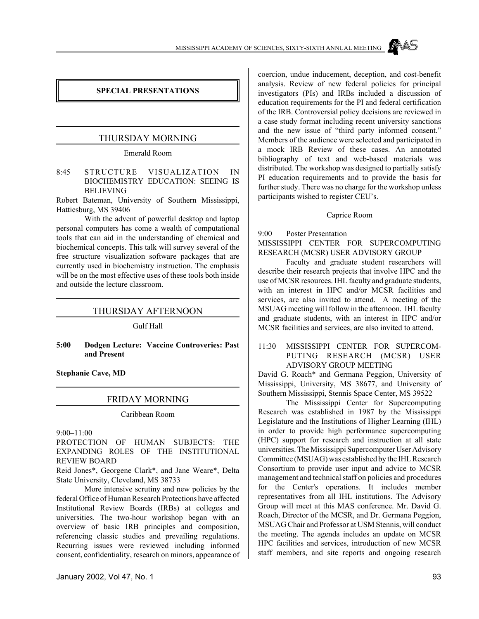

# **SPECIAL PRESENTATIONS**

## THURSDAY MORNING

#### Emerald Room

8:45 STRUCTURE VISUALIZATION IN BIOCHEMISTRY EDUCATION: SEEING IS BELIEVING

Robert Bateman, University of Southern Mississippi, Hattiesburg, MS 39406

With the advent of powerful desktop and laptop personal computers has come a wealth of computational tools that can aid in the understanding of chemical and biochemical concepts. This talk will survey several of the free structure visualization software packages that are currently used in biochemistry instruction. The emphasis will be on the most effective uses of these tools both inside and outside the lecture classroom.

### THURSDAY AFTERNOON

Gulf Hall

**5:00 Dodgen Lecture: Vaccine Controveries: Past and Present**

**Stephanie Cave, MD**

### FRIDAY MORNING

Caribbean Room

9:00–11:00

PROTECTION OF HUMAN SUBJECTS: THE EXPANDING ROLES OF THE INSTITUTIONAL REVIEW BOARD

Reid Jones\*, Georgene Clark\*, and Jane Weare\*, Delta State University, Cleveland, MS 38733

More intensive scrutiny and new policies by the federal Office of Human Research Protections have affected Institutional Review Boards (IRBs) at colleges and universities. The two-hour workshop began with an overview of basic IRB principles and composition, referencing classic studies and prevailing regulations. Recurring issues were reviewed including informed consent, confidentiality, research on minors, appearance of

coercion, undue inducement, deception, and cost-benefit analysis. Review of new federal policies for principal investigators (PIs) and IRBs included a discussion of education requirements for the PI and federal certification of the IRB. Controversial policy decisions are reviewed in a case study format including recent university sanctions and the new issue of "third party informed consent." Members of the audience were selected and participated in a mock IRB Review of these cases. An annotated bibliography of text and web-based materials was distributed. The workshop was designed to partially satisfy PI education requirements and to provide the basis for further study. There was no charge for the workshop unless participants wished to register CEU's.

#### Caprice Room

9:00 Poster Presentation

MISSISSIPPI CENTER FOR SUPERCOMPUTING RESEARCH (MCSR) USER ADVISORY GROUP

Faculty and graduate student researchers will describe their research projects that involve HPC and the use of MCSR resources. IHL faculty and graduate students, with an interest in HPC and/or MCSR facilities and services, are also invited to attend. A meeting of the MSUAG meeting will follow in the afternoon. IHL faculty and graduate students, with an interest in HPC and/or MCSR facilities and services, are also invited to attend.

11:30 MISSISSIPPI CENTER FOR SUPERCOM-PUTING RESEARCH (MCSR) USER ADVISORY GROUP MEETING

David G. Roach\* and Germana Peggion, University of Mississippi, University, MS 38677, and University of Southern Mississippi, Stennis Space Center, MS 39522

The Mississippi Center for Supercomputing Research was established in 1987 by the Mississippi Legislature and the Institutions of Higher Learning (IHL) in order to provide high performance supercomputing (HPC) support for research and instruction at all state universities. The Mississippi Supercomputer User Advisory Committee (MSUAG) was established by the IHL Research Consortium to provide user input and advice to MCSR management and technical staff on policies and procedures for the Center's operations. It includes member representatives from all IHL institutions. The Advisory Group will meet at this MAS conference. Mr. David G. Roach, Director of the MCSR, and Dr. Germana Peggion, MSUAG Chair and Professor at USM Stennis, will conduct the meeting. The agenda includes an update on MCSR HPC facilities and services, introduction of new MCSR staff members, and site reports and ongoing research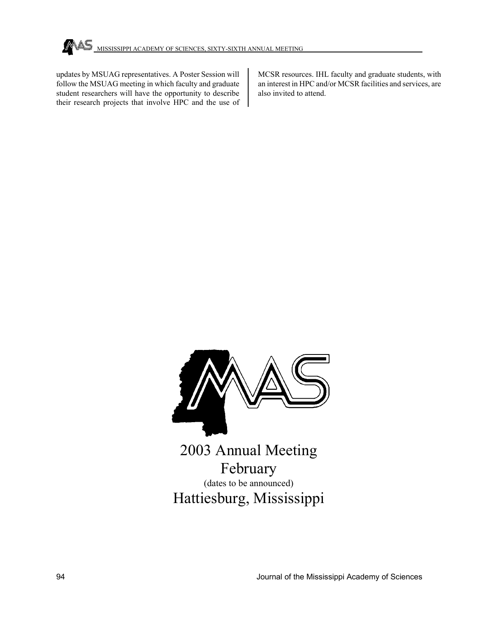

updates by MSUAG representatives. A Poster Session will follow the MSUAG meeting in which faculty and graduate student researchers will have the opportunity to describe their research projects that involve HPC and the use of MCSR resources. IHL faculty and graduate students, with an interest in HPC and/or MCSR facilities and services, are also invited to attend.



2003 Annual Meeting February (dates to be announced) Hattiesburg, Mississippi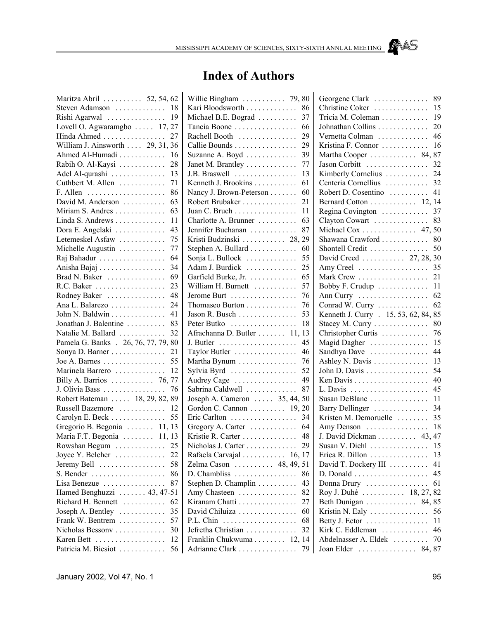# **Index of Authors**

| Maritza Abril  52, 54, 62                                 |
|-----------------------------------------------------------|
| Steven Adamson<br>18                                      |
| Rishi Agarwal<br>19                                       |
| Lovell O. Agwaramgbo  17, 27                              |
| Hinda Ahmed  27                                           |
| William J. Ainsworth 29, 31, 36                           |
| Ahmed Al-Humadi<br>16                                     |
| Rabih O. Al-Kaysi<br>28                                   |
| Adel Al-qurashi<br>13                                     |
| Cuthbert M. Allen<br>71                                   |
| 86                                                        |
| David M. Anderson<br>63                                   |
| Miriam S. Andres<br>63                                    |
| Linda S. Andrews<br>11                                    |
| Dora E. Angelaki<br>43                                    |
| Letemeskel Asfaw<br>75                                    |
| 77                                                        |
| Michelle Augustin                                         |
| 64<br>Raj Bahadur                                         |
| Anisha Bajaj<br>34                                        |
| Brad N. Baker<br>69                                       |
| R.C. Baker<br>23                                          |
| Rodney Baker<br>48                                        |
| Ana L. Balarezo<br>24                                     |
| John N. Baldwin<br>41                                     |
| Jonathan J. Balentine<br>83                               |
| Natalie M. Ballard<br>32                                  |
| Pamela G. Banks . 26, 76, 77, 79, 80                      |
| Sonya D. Barner<br>21                                     |
| 55<br>Joe A. Barnes                                       |
| Marinela Barrero<br>12                                    |
| Billy A. Barrios  76,<br>77                               |
| J. Olivia Bass<br>76                                      |
| Robert Bateman  18, 29, 82, 89                            |
| Russell Bazemore<br>12                                    |
| Carolyn E. Beck<br>55                                     |
|                                                           |
| Gregorio B. Begonia  11, 13<br>Maria F.T. Begonia  11, 13 |
| 25<br>Rowshan Begum                                       |
| Joyce Y. Belcher<br>22<br>.                               |
| Jeremy Bell<br>58                                         |
| S. Bender<br>86<br>.                                      |
| 87<br>Lisa Benezue<br>.                                   |
| Hamed Benghuzzi  43, 47-51                                |
| Richard H. Bennett<br>62                                  |
| .<br>Joseph A. Bentley<br>35                              |
| .                                                         |
| Frank W. Bentrem<br>57<br>.                               |
| Nicholas Bessonv<br>30                                    |
| Karen Bett<br>12<br>.<br>56                               |
| Patricia M. Biesiot                                       |

| Willie Bingham  79,80                            |          |
|--------------------------------------------------|----------|
| Kari Bloodsworth                                 | 86       |
| Michael B.E. Bograd                              | 37       |
| Tancia Boone                                     | 66       |
| Rachell Booth                                    | 29       |
| Callie Bounds                                    | 29       |
| Suzanne A. Boyd                                  | 39       |
| Janet M. Brantley                                | 77       |
| J.B. Braswell                                    | 13       |
| Kenneth J. Brookins                              | 61       |
|                                                  | 60       |
| Nancy J. Brown-Peterson                          |          |
| Robert Brubaker                                  | 21       |
| Juan C. Bruch                                    | 11       |
| Charlotte A. Brunner                             | 63       |
| Jennifer Buchanan                                | 87       |
| Kristi Budzinski  28,                            | 29       |
| Stephen A. Bullard                               | 60       |
| Sonja L. Bullock                                 | 55       |
| Adam J. Burdick                                  | 25       |
| Garfield Burke, Jr.                              | 65       |
| William H. Burnett                               | 57       |
| Jerome Burt                                      | 76       |
| Thomaseo Burton                                  | 76       |
| Jason R. Busch                                   | 53       |
| Peter Butko                                      | 18       |
| Afrachanna D. Butler  11,                        | 13       |
|                                                  | 45       |
| Taylor Butler                                    | 46       |
| Martha Bynum                                     | 76       |
| Sylvia Byrd                                      | 52       |
| Audrey Cage                                      | 49       |
| Sabrina Caldwell                                 | 87       |
| Joseph A. Cameron  35, 44,                       | 50       |
| Gordon C. Cannon 19, 20                          |          |
|                                                  |          |
| Eric Carlton                                     | 34<br>64 |
| Gregory A. Carter                                |          |
| Kristie R. Carter                                | 48       |
| Nicholas J. Carter                               | 29       |
| Rafaela Carvajal 16, 17                          |          |
| $\ldots \ldots \ldots 48, 49, 51$<br>Zelma Cason |          |
| D. Chambliss<br>.                                | 86       |
| Stephen D. Champlin                              | 43       |
| Amy Chasteen                                     | 82       |
| Kiranam Chatti                                   | 27       |
| David Chiluiza                                   | 60       |
| P.L. Chin<br>.                                   | 68       |
| Jefretha Christian                               | 32       |
| Franklin Chukwuma 12,                            | 14       |
| Adrianne Clark                                   | 79       |
|                                                  |          |

| Georgene Clark<br>89                            |    |
|-------------------------------------------------|----|
| Christine Coker                                 | 15 |
| Tricia M. Coleman                               | 19 |
| Johnathan Collins<br>20                         |    |
| Vernetta Colman<br>46                           |    |
| Kristina F. Connor                              | 16 |
| Martha Cooper  84,<br>87                        |    |
| Jason Corbitt<br>32                             |    |
| Kimberly Cornelius<br>24                        |    |
| Centeria Cornellius<br>32                       |    |
| Robert D. Cosentino<br>41                       |    |
| Bernard Cotton 12,<br>14                        |    |
| Regina Covington<br>37                          |    |
| Clayton Cowart<br>83                            |    |
| 50<br>Michael Cox 47,                           |    |
| Shawana Crawford<br>80                          |    |
| 50<br>Shontell Credit                           |    |
| David Creed  27, 28,<br>30                      |    |
| Amy Creel<br>35                                 |    |
| 21                                              |    |
| Mark Crew                                       | 11 |
| Bobby F. Crudup<br>62                           |    |
| Ann Curry                                       |    |
| Conrad W. Curry $\ldots$<br>62                  |    |
| 85                                              |    |
| 80                                              |    |
|                                                 |    |
| Christopher Curtis                              | 76 |
|                                                 | 15 |
| Magid Dagher<br>44<br>Sandhya Dave              |    |
| Ashley N. Davis                                 | 13 |
| 54<br>John D. Davis                             |    |
| 40                                              |    |
| 45                                              |    |
| Susan DeBlanc                                   | 11 |
| 34                                              |    |
| Barry Dellinger<br>Kristen M. Demoruelle<br>35  |    |
|                                                 | 18 |
| Amy Denson<br>47                                |    |
| J. David Dickman 43,                            | 15 |
| Susan V. Diehl                                  | 13 |
| Erica R. Dillon<br>41                           |    |
| David T. Dockery III<br>45                      |    |
|                                                 |    |
| 61<br>Donna Drury                               |    |
| 82<br>Roy J. Duhé 18, 27,                       |    |
| Beth Dunigan 84, 85                             |    |
| 56<br>Kristin N. Ealy                           |    |
| Betty J. Ector                                  | 11 |
| Kirk C. Eddleman<br>46                          |    |
| Abdelnasser A. Eldek<br>70<br>Joan Elder 84, 87 |    |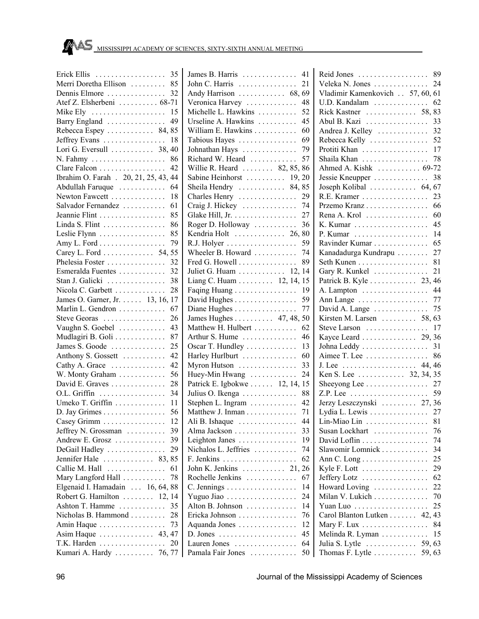

| 35<br>Erick Ellis                                        |  |
|----------------------------------------------------------|--|
| Merri Doretha Ellison<br>85                              |  |
| Dennis Elmore<br>32                                      |  |
| Atef Z. Elsherbeni  68-71                                |  |
| 15                                                       |  |
| Barry England<br>49                                      |  |
| Rebecca Espey  84, 85                                    |  |
| Jeffrey Evans<br>18                                      |  |
| Lori G. Eversull  38, 40                                 |  |
| N. Fahmy<br>86                                           |  |
|                                                          |  |
| Clare Falcon 42<br>Ibrahim O. Farah . 20, 21, 25, 43, 44 |  |
|                                                          |  |
| Abdullah Faruque<br>64                                   |  |
| Newton Fawcett<br>18                                     |  |
| Salvador Fernandez<br>61                                 |  |
| Jeannie Flint<br>85                                      |  |
| Linda S. Flint<br>86                                     |  |
| Leslie Flynn<br>85                                       |  |
| Amy L. Ford<br>79                                        |  |
| Carey L. Ford 54,<br>55                                  |  |
| Phelesia Foster<br>32                                    |  |
| Esmeralda Fuentes<br>32                                  |  |
| Stan J. Galicki<br>38                                    |  |
| Nicola C. Garbett<br>28                                  |  |
| James O. Garner, Jr. 13, 16,<br>17                       |  |
| Marlin L. Gendron<br>67                                  |  |
| 26<br>Steve Georas                                       |  |
| Vaughn S. Goebel<br>43                                   |  |
| Mudlagiri B. Goli<br>87                                  |  |
| James S. Goode<br>25                                     |  |
| Anthony S. Gossett<br>42                                 |  |
| Cathy A. Grace<br>42                                     |  |
| 56                                                       |  |
| W. Monty Graham                                          |  |
| David E. Graves<br>28                                    |  |
| 34<br>O.L. Griffin                                       |  |
| Umeko T. Griffin<br>11                                   |  |
| 56<br>D. Jay Grimes                                      |  |
| 12<br>Casey Grimm                                        |  |
| 39<br>Jeffrey N. Grossman                                |  |
| 39<br>Andrew E. Grosz.<br>.                              |  |
| 29<br>DeGail Hadley $\dots\dots\dots\dots\dots$          |  |
| Jennifer Hale<br>83, 85<br>.                             |  |
| Callie M. Hall<br>61<br>.                                |  |
| Mary Langford Hall<br>78<br>$\ldots$ .                   |  |
| Elgenaid I. Hamadain<br>16, 64,<br>88<br>$\cdots$        |  |
| Robert G. Hamilton<br>14<br>$\mathbb{R}^2$<br>12,        |  |
| 35<br>Ashton T. Hamme<br>.                               |  |
| 28<br>Nicholas B. Hammond                                |  |
| 73<br>Amin Haque                                         |  |
| 47<br>Asim Haque $\dots \dots \dots \dots$ 43,           |  |
| 20<br>T.K. Harden                                        |  |
|                                                          |  |
| Kumari A. Hardy<br>76, 77                                |  |

| James B. Harris                                  |  |  | 41 |
|--------------------------------------------------|--|--|----|
| John C. Harris                                   |  |  | 21 |
| Andy Harrison  68, 69                            |  |  |    |
| Veronica Harvey                                  |  |  | 48 |
| Michelle L. Hawkins                              |  |  | 52 |
| Urseline A. Hawkins                              |  |  | 45 |
| William E. Hawkins                               |  |  | 60 |
| Tabious Hayes                                    |  |  | 69 |
| Johnathan Hays                                   |  |  | 79 |
| Richard W. Heard                                 |  |  | 57 |
| Willie R. Heard  82, 85, 86                      |  |  |    |
| Sabine Heinhorst  19, 20                         |  |  |    |
| Sheila Hendry  84, 85                            |  |  |    |
|                                                  |  |  |    |
|                                                  |  |  |    |
| Glake Hill, Jr. 27                               |  |  |    |
| Roger D. Holloway  36                            |  |  |    |
| Kendria Holt  26,80                              |  |  |    |
| R.J. Holyer                                      |  |  | 59 |
| Wheeler B. Howard                                |  |  | 74 |
| Fred G. Howell                                   |  |  | 89 |
| Juliet G. Huam 12, 14                            |  |  |    |
| Liang C. Huam 12, 14, 15                         |  |  |    |
|                                                  |  |  |    |
| David Hughes                                     |  |  | 59 |
| Diane Hughes                                     |  |  | 77 |
|                                                  |  |  |    |
|                                                  |  |  |    |
| James Hughes 47, 48, 50                          |  |  |    |
| Matthew H. Hulbert                               |  |  | 62 |
| Arthur S. Hume                                   |  |  | 46 |
| Oscar T. Hundley                                 |  |  | 13 |
| Harley Hurlburt                                  |  |  | 60 |
| Myron Hutson                                     |  |  | 33 |
| Huey-Min Hwang                                   |  |  | 24 |
| Patrick E. Igbokwe 12, 14, 15                    |  |  |    |
| Julius O. Ikenga                                 |  |  | 88 |
| Stephen L. Ingram $\dots \dots \dots \dots$ 42   |  |  |    |
| Matthew J. Inman                                 |  |  | 71 |
| Ali B. Ishaque                                   |  |  | 44 |
| Alma Jackson                                     |  |  | 33 |
| Leighton Janes                                   |  |  | 19 |
| Nichalos L. Jeffries                             |  |  | 74 |
|                                                  |  |  | 62 |
| John K. Jenkins $\dots \dots \dots \dots 21, 26$ |  |  |    |
| Rochelle Jenkins                                 |  |  | 67 |
| C. Jennings                                      |  |  | 14 |
| Yuguo Jiao                                       |  |  | 24 |
| Alton B. Johnson                                 |  |  | 14 |
| Ericka Johnson                                   |  |  | 76 |
| Aquanda Jones                                    |  |  | 12 |
| D. Jones                                         |  |  | 45 |
| Lauren Jones                                     |  |  | 64 |

| Reid Jones                                       | 89     |
|--------------------------------------------------|--------|
| Veleka N. Jones                                  | 24     |
| Vladimir Kamenkovich 57, 60, 61                  |        |
| U.D. Kandalam                                    | 62     |
| Rick Kastner  58,                                | 83     |
| Abul B. Kazi                                     | 33     |
| Andrea J. Kelley                                 | 32     |
| Rebecca Kelly                                    | 52     |
|                                                  | 17     |
| Protiti Khan                                     | 78     |
| Shaila Khan                                      |        |
| Ahmed A. Kishk  69-72                            |        |
| Jessie Kneupper                                  | 38     |
| Joseph Kolibal  64,                              | 67     |
| R.E. Kramer                                      | 23     |
| Przemo Kranz                                     | 66     |
| Rena A. Krol                                     | 60     |
|                                                  | 45     |
| P. Kumar                                         | 14     |
| Ravinder Kumar                                   | 65     |
| Kanadadurga Kundrapu                             | 27     |
| Seth Kunen                                       | 81     |
| Gary R. Kunkel                                   | 21     |
| Patrick B. Kyle  23,                             | 46     |
| A. Lampton                                       | 44     |
| Ann Lange                                        | 77     |
|                                                  | 75     |
| David A. Lange                                   |        |
| Kirsten M. Larsen  58, 63                        |        |
| Steve Larson                                     | 17     |
| Kayce Leard 29, 36                               |        |
| Johna Leddy                                      | 31     |
| Aimee T. Lee                                     | 86     |
|                                                  |        |
| Ken S. Lee 32, 34, 35                            |        |
| Sheeyong Lee                                     | 27     |
|                                                  |        |
|                                                  |        |
| Lydia L. Lewis 27                                |        |
| Lin-Miao Lin                                     | 81     |
| Susan Lockhart                                   | 76     |
| David Loflin                                     | 74     |
| Slawomir Lomnick                                 | 34     |
| Ann C. Long                                      | 25     |
|                                                  | 29     |
| Kyle F. Lott $\dots \dots \dots \dots$           |        |
| Jeffery Lotz<br>.                                | 62     |
| Howard Loving                                    | 22     |
| Milan V. Lukich                                  | 70     |
| Yuan Luo                                         | 25     |
| Carol Blanton Lutken<br>42.                      | 43     |
| Mary F. Lux                                      | 84     |
| Melinda R. Lyman                                 | 15     |
| Julia S. Lytle                                   | 59, 63 |
| Thomas F. Lytle $\dots \dots \dots \dots$ 59, 63 |        |
|                                                  |        |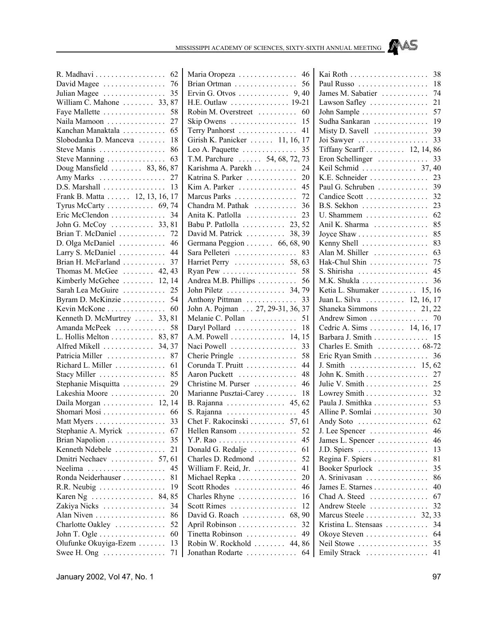

|                                                         | 62 |
|---------------------------------------------------------|----|
| David Magee                                             | 76 |
| Julian Magee                                            | 35 |
| William C. Mahone  33, 87                               |    |
| Faye Mallette                                           | 58 |
| Naila Mamoon                                            | 27 |
| Kanchan Manaktala                                       | 65 |
| Slobodanka D. Manceva                                   | 18 |
| Steve Manis                                             | 86 |
| Steve Manning                                           | 63 |
| Doug Mansfield  83, 86, 87                              |    |
| Amy Marks  27                                           |    |
| $D.S.$ Marshall $\ldots \ldots \ldots \ldots \ldots$ 13 |    |
| Frank B. Matta  12, 13, 16, 17                          |    |
| Tyrus McCarty  69, 74                                   |    |
| Eric McClendon  34                                      |    |
| John G. McCoy  33, 81                                   |    |
| Brian T. McDaniel  72                                   |    |
| D. Olga McDaniel  46                                    |    |
| Larry S. McDaniel  44                                   |    |
| Brian H. McFarland  37                                  |    |
| Thomas M. McGee $\dots \dots$ 42, 43                    |    |
| Kimberly McGehee  12, 14                                |    |
| Sarah Lea McGuire  25                                   |    |
| Byram D. McKinzie 54                                    |    |
|                                                         |    |
| Kevin McKone $\ldots \ldots \ldots \ldots \ldots$ 60    |    |
| Kenneth D. McMurtrey  33, 81                            |    |
| Amanda McPeek  58                                       |    |
| L. Hollis Melton 83, 87                                 |    |
| Alfred Mikell  34, 37                                   |    |
| Patricia Miller  87                                     |    |
| Richard L. Miller  61                                   |    |
| Stacy Miller $\ldots \ldots \ldots \ldots \ldots$ 85    |    |
| Stephanie Misquitta  29                                 |    |
| Lakeshia Moore  20                                      |    |
| Daila Morgan 12, 14                                     |    |
| Shomari Mosi 66                                         |    |
|                                                         | 33 |
| Stephanie A. Myrick                                     | 67 |
| Brian Napolion                                          | 35 |
| Kenneth Ndebele                                         | 21 |
| Dmitri Nechaev  57, 61                                  |    |
| Neelima                                                 | 45 |
| Ronda Neiderhauser                                      | 81 |
| R.R. Neubig $\ldots \ldots \ldots \ldots \ldots$        | 19 |
|                                                         |    |
| Karen Ng 84, 85<br>Zakiya Nicks 34                      |    |
|                                                         | 86 |
| Charlotte Oakley                                        | 52 |
| John T. Ogle $\dots \dots \dots \dots \dots$            | 60 |
| Olufunke Okuyiga-Ezem                                   | 13 |
| Swee H. Ong $\ldots \ldots \ldots \ldots$               | 71 |

| Maria Oropeza                                    | 46 |
|--------------------------------------------------|----|
| Brian Ortman                                     | 56 |
|                                                  |    |
| H.E. Outlaw  19-21                               |    |
| Robin M. Overstreet                              | 60 |
| Skip Owens                                       | 15 |
| Terry Panhorst                                   | 41 |
| Girish K. Panicker  11, 16, 17                   |    |
| Leo A. Paquette                                  | 35 |
| T.M. Parchure  54, 68, 72,                       | 73 |
| Karishma A. Parekh                               | 24 |
| Katrina S. Parker                                | 20 |
| Kim A. Parker                                    | 45 |
| Marcus Parks                                     | 72 |
| Chandra M. Pathak                                | 36 |
|                                                  | 23 |
|                                                  | 52 |
|                                                  | 39 |
| David M. Patrick  38,                            |    |
| Germana Peggion 66, 68,                          | 90 |
| Sara Pelleteri                                   | 83 |
| Harriet Perry  58, 63                            |    |
| Ryan Pew                                         | 58 |
| Andrea M.B. Phillips                             | 56 |
| John Piletz 34, 79                               |    |
|                                                  |    |
|                                                  |    |
| Melanie C. Pollan                                | 51 |
| Daryl Pollard                                    | 18 |
| A.M. Powell $\dots \dots \dots \dots \dots 14$ , | 15 |
| Naci Powell                                      | 33 |
| Cherie Pringle                                   | 58 |
| Corunda T. Pruitt                                | 44 |
| Aaron Puckett                                    | 48 |
| Christine M. Purser                              | 46 |
| Marianne Pusztai-Carey                           | 18 |
| B. Rajanna 45, 62                                |    |
| S. Rajanna $\dots \dots \dots \dots \dots$       | 45 |
| Chet F. Rakocinski $\ldots \ldots \ldots 57, 61$ |    |
| Hellen Ransom                                    | 52 |
| Y.P. Rao<br>.                                    | 45 |
| Donald G. Redalje                                | 61 |
| Charles D. Redmond                               | 52 |
| William F. Reid, Jr.                             | 41 |
| Michael Repka                                    | 20 |
| <b>Scott Rhodes</b><br>.                         | 46 |
| Charles Rhyne                                    | 16 |
| <b>Scott Rimes</b><br>.                          | 12 |
| David G. Roach<br>68.                            | 90 |
| April Robinson                                   | 32 |
| Tinetta Robinson                                 | 49 |
| Robin W. Rockhold<br>44,86                       |    |
| Jonathan Rodarte                                 | 64 |
|                                                  |    |

| Paul Russo<br>James M. Sabatier<br>Lawson Safley<br>Sudha Sankaran  19<br>Misty D. Savell $\ldots \ldots \ldots \ldots$ 39<br>Joi Sawyer  33 | 38<br>18<br>-74<br>21 |
|----------------------------------------------------------------------------------------------------------------------------------------------|-----------------------|
|                                                                                                                                              |                       |
|                                                                                                                                              |                       |
|                                                                                                                                              |                       |
|                                                                                                                                              |                       |
|                                                                                                                                              |                       |
|                                                                                                                                              |                       |
|                                                                                                                                              |                       |
|                                                                                                                                              |                       |
| Tiffany Scarff  12, 14, 86                                                                                                                   |                       |
|                                                                                                                                              |                       |
|                                                                                                                                              |                       |
| K.E. Schneider  23                                                                                                                           |                       |
| Paul G. Schruben  39                                                                                                                         |                       |
|                                                                                                                                              |                       |
| B.S. Sekhon                                                                                                                                  | 23                    |
| U. Shammem                                                                                                                                   | 62                    |
| Anil K. Sharma                                                                                                                               | 85                    |
|                                                                                                                                              | 85                    |
| Kenny Shell                                                                                                                                  | 83                    |
| Alan M. Shiller $\ldots \ldots \ldots \ldots$ 63                                                                                             |                       |
| Hak-Chul Shin  75                                                                                                                            |                       |
| S. Shirisha $\ldots \ldots \ldots \ldots \ldots$ 45                                                                                          |                       |
| M.K. Shukla 36                                                                                                                               |                       |
| Ketia L. Shumaker 15, 16                                                                                                                     |                       |
| Juan L. Silva  12, 16, 17                                                                                                                    |                       |
| Shaneka Simmons $\ldots$ 21, 22                                                                                                              |                       |
|                                                                                                                                              |                       |
|                                                                                                                                              |                       |
|                                                                                                                                              |                       |
|                                                                                                                                              |                       |
|                                                                                                                                              |                       |
| Cedric A. Sims 14, 16, 17<br>Barbara J. Smith 15<br>Charles E. Smith $\ldots \ldots \ldots \ldots 68-72$                                     |                       |
|                                                                                                                                              |                       |
|                                                                                                                                              |                       |
| John K. Smith 27                                                                                                                             |                       |
| Julie V. Smith 25                                                                                                                            |                       |
| Lowrey Smith 32                                                                                                                              |                       |
|                                                                                                                                              |                       |
|                                                                                                                                              |                       |
| Paula J. Smithka 53<br>Andy Soto                                                                                                             | 62                    |
| J. Lee Spencer $\dots \dots \dots$                                                                                                           | 46                    |
|                                                                                                                                              | 46                    |
|                                                                                                                                              | 13                    |
|                                                                                                                                              | 81                    |
| James L. Spencer<br>J.D. Spiers<br>Regina F. Spiers<br>Booker Spurlock                                                                       | 35                    |
| A. Srinivasan                                                                                                                                | 86                    |
| James E. Starnes                                                                                                                             | 40                    |
| Chad A. Steed $\ldots$                                                                                                                       | 67                    |
| Andrew Steele                                                                                                                                | 32                    |
| Marcus Steele $\ldots \ldots \ldots 32$ ,                                                                                                    | 33                    |
| Kristina L. Stensaas                                                                                                                         | 34                    |
| Okoye Steven                                                                                                                                 | 64                    |
| Neil Stowe<br>Emily Strack                                                                                                                   | 35<br>41              |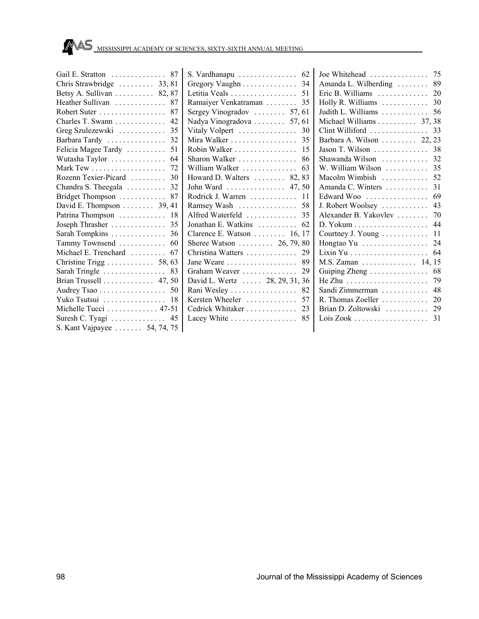

| Gail E. Stratton  87         |    |
|------------------------------|----|
| Chris Strawbridge  33, 81    |    |
| Betsy A. Sullivan 82, 87     |    |
| Heather Sullivan  87         |    |
| Robert Suter                 | 87 |
| Charles T. Swann             | 42 |
| Greg Szulezewski             | 35 |
| Barbara Tardy                | 32 |
| Felicia Magee Tardy          | 51 |
| Wutasha Taylor               | 64 |
|                              | 72 |
| Rozenn Texier-Picard         | 30 |
| Chandra S. Theegala          | 32 |
| Bridget Thompson             | 87 |
| David E. Thompson 39,        | 41 |
| Patrina Thompson             | 18 |
|                              |    |
| Sarah Tompkins               | 36 |
| Tammy Townsend  60           |    |
| Michael E. Trenchard         | 67 |
| Christine Trigg  58, 63      |    |
| Sarah Tringle  83            |    |
| Brian Trussell 47, 50        |    |
| Audrey Tsao 50               |    |
| Yuko Tsutsui  18             |    |
| Michelle Tucci  47-51        |    |
| Suresh C. Tyagi  45          |    |
| S. Kant Vajpayee  54, 74, 75 |    |
|                              |    |

| S. Vardhanapu                                  | 62 |
|------------------------------------------------|----|
| Gregory Vaughn                                 | 34 |
| Letitia Veals                                  | 51 |
| Ramaiyer Venkatraman                           | 35 |
| Sergey Vinogradov  57, 61                      |    |
| Nadya Vinogradova  57, 61                      |    |
| Vitaly Volpert                                 | 30 |
| Mira Walker                                    | 35 |
| Robin Walker                                   | 15 |
| Sharon Walker                                  | 86 |
| William Walker                                 | 63 |
| Howard D. Walters  82, 83                      |    |
| John Ward $\ldots \ldots \ldots \ldots$ 47, 50 |    |
| Rodrick J. Warren                              | 11 |
| Ramsey Wash                                    | 58 |
| Alfred Waterfeld                               | 35 |
| Jonathan E. Watkins                            | 62 |
| Clarence E. Watson  16,                        | 17 |
| Sheree Watson  26, 79,                         | 80 |
| Christina Watters                              | 29 |
| Jane Weare                                     | 89 |
| Graham Weaver                                  | 29 |
| David L. Wertz  28, 29, 31, 36                 |    |
| Rani Wesley                                    | 82 |
| Kersten Wheeler                                | 57 |
| Cedrick Whitaker                               | 23 |
| Lacey White                                    | 85 |
|                                                |    |

| Joe Whitehead                                        | 75 |
|------------------------------------------------------|----|
| Amanda L. Wilberding                                 | 89 |
| Eric B. Williams                                     | 20 |
| Holly R. Williams                                    | 30 |
| Judith L. Williams                                   | 56 |
| Michael Williams  37, 38                             |    |
| Clint Williford                                      | 33 |
| Barbara A. Wilson 22, 23                             |    |
| Jason T. Wilson                                      | 38 |
| Shawanda Wilson                                      | 32 |
| W. William Wilson                                    | 35 |
| Macolm Wimbish                                       | 52 |
| Amanda C. Winters                                    | 31 |
| Edward Woo                                           | 69 |
| J. Robert Woolsey                                    | 43 |
| Alexander B. Yakovlev                                | 70 |
|                                                      | 44 |
| Courtney J. Young                                    | 11 |
| Hongtao Yu                                           | 24 |
|                                                      | 64 |
| $M.S. Zaman \dots \dots \dots \dots \dots \dots 14,$ | 15 |
| Guiping Zheng                                        | 68 |
|                                                      | 79 |
| Sandi Zimmerman                                      | 48 |
| R. Thomas Zoeller                                    | 20 |
| Brian D. Zoltowski                                   | 29 |
|                                                      | 31 |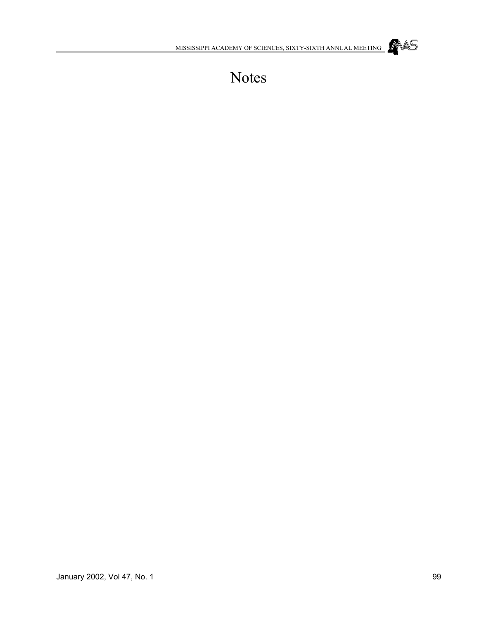

# Notes